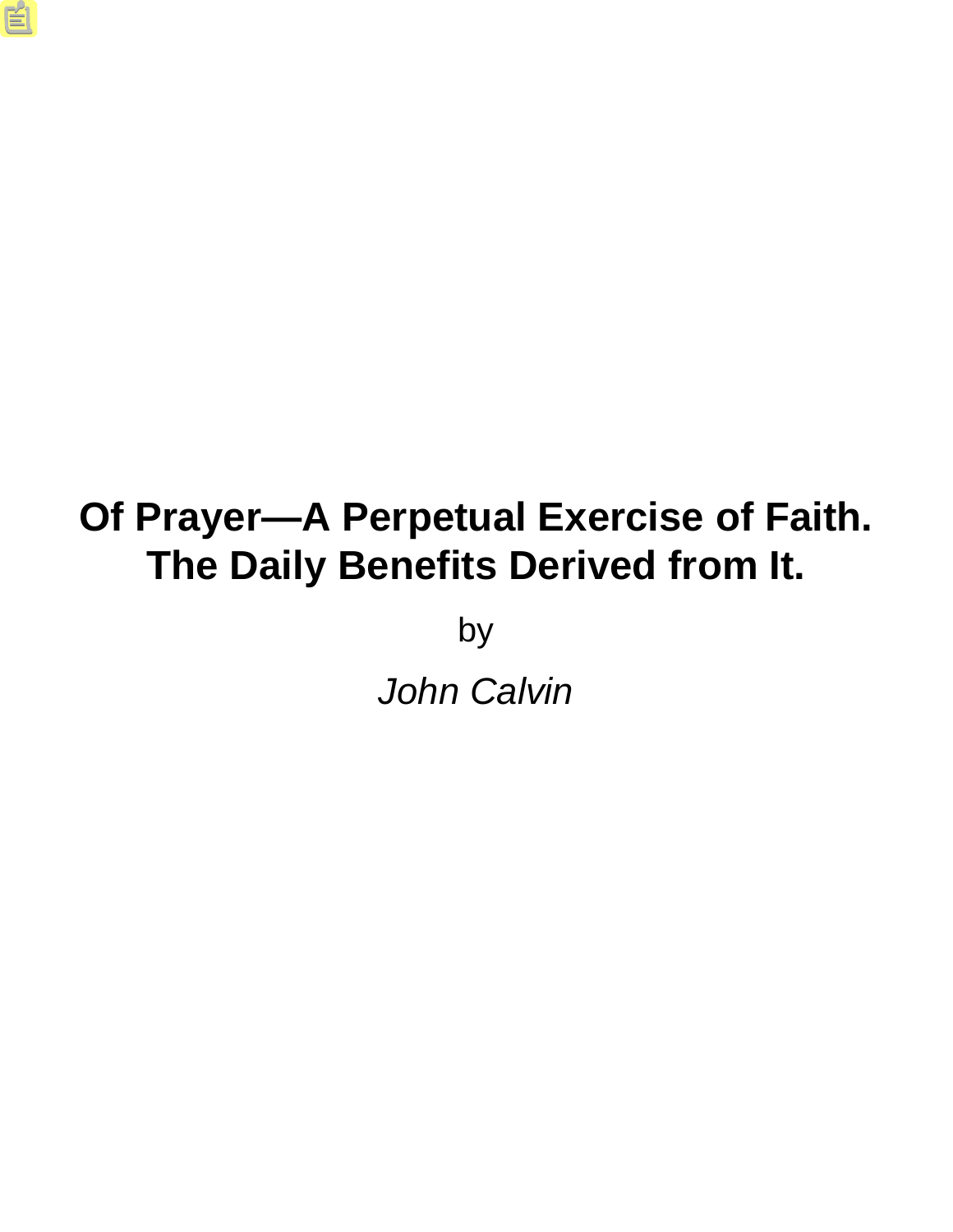# **Of Prayer—A Perpetual Exercise of Faith. The Daily Benefits Derived from It.**

by

*John Calvin*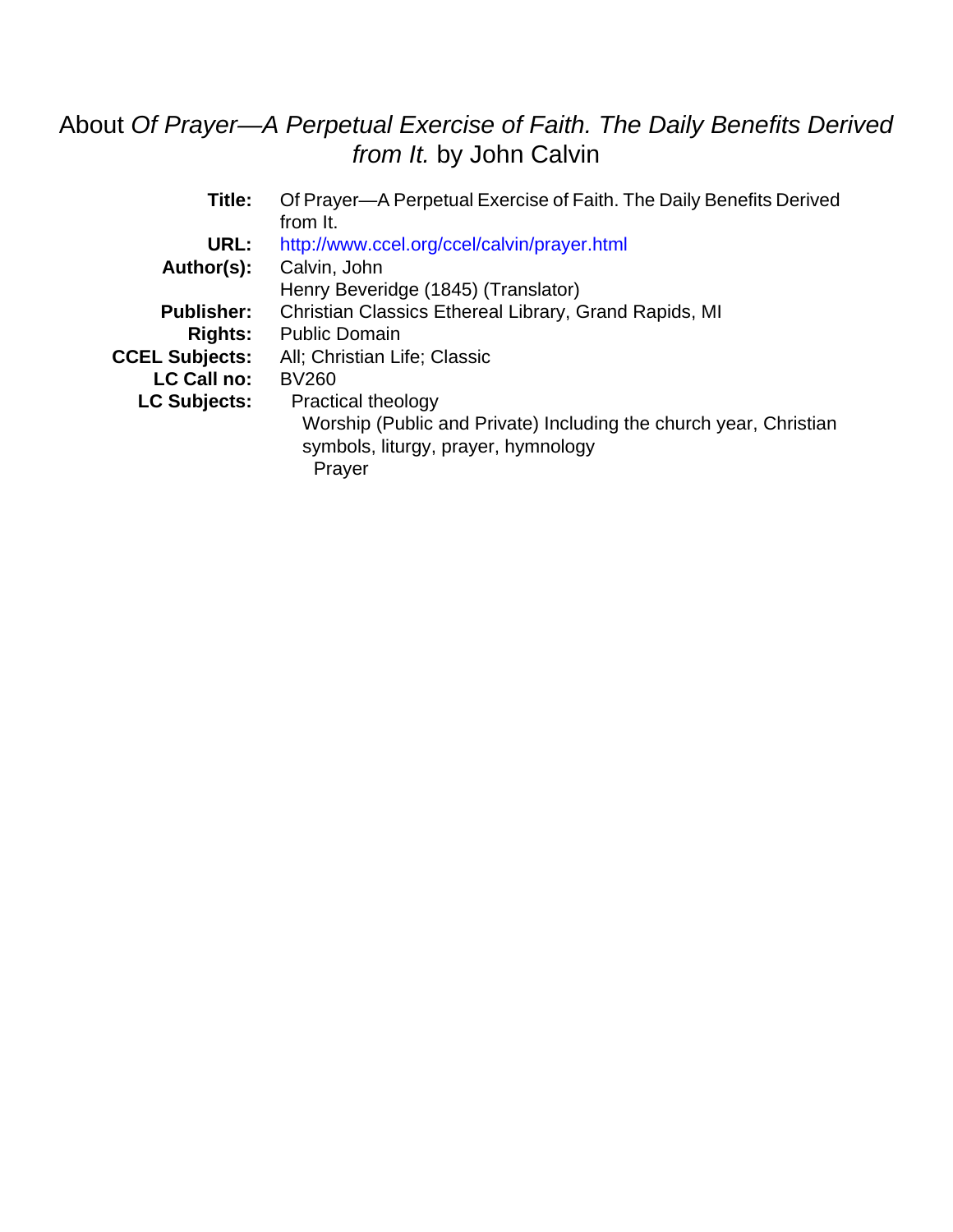# <span id="page-1-0"></span>About *Of Prayer—A Perpetual Exercise of Faith. The Daily Benefits Derived from It.* by John Calvin

| Title:                | Of Prayer—A Perpetual Exercise of Faith. The Daily Benefits Derived<br>from It.                                    |
|-----------------------|--------------------------------------------------------------------------------------------------------------------|
| URL:<br>Author(s):    | http://www.ccel.org/ccel/calvin/prayer.html<br>Calvin, John                                                        |
|                       | Henry Beveridge (1845) (Translator)                                                                                |
| <b>Publisher:</b>     | Christian Classics Ethereal Library, Grand Rapids, MI                                                              |
| <b>Rights:</b>        | <b>Public Domain</b>                                                                                               |
| <b>CCEL Subjects:</b> | All; Christian Life; Classic                                                                                       |
| <b>LC Call no:</b>    | <b>BV260</b>                                                                                                       |
| <b>LC Subjects:</b>   | <b>Practical theology</b>                                                                                          |
|                       | Worship (Public and Private) Including the church year, Christian<br>symbols, liturgy, prayer, hymnology<br>Prayer |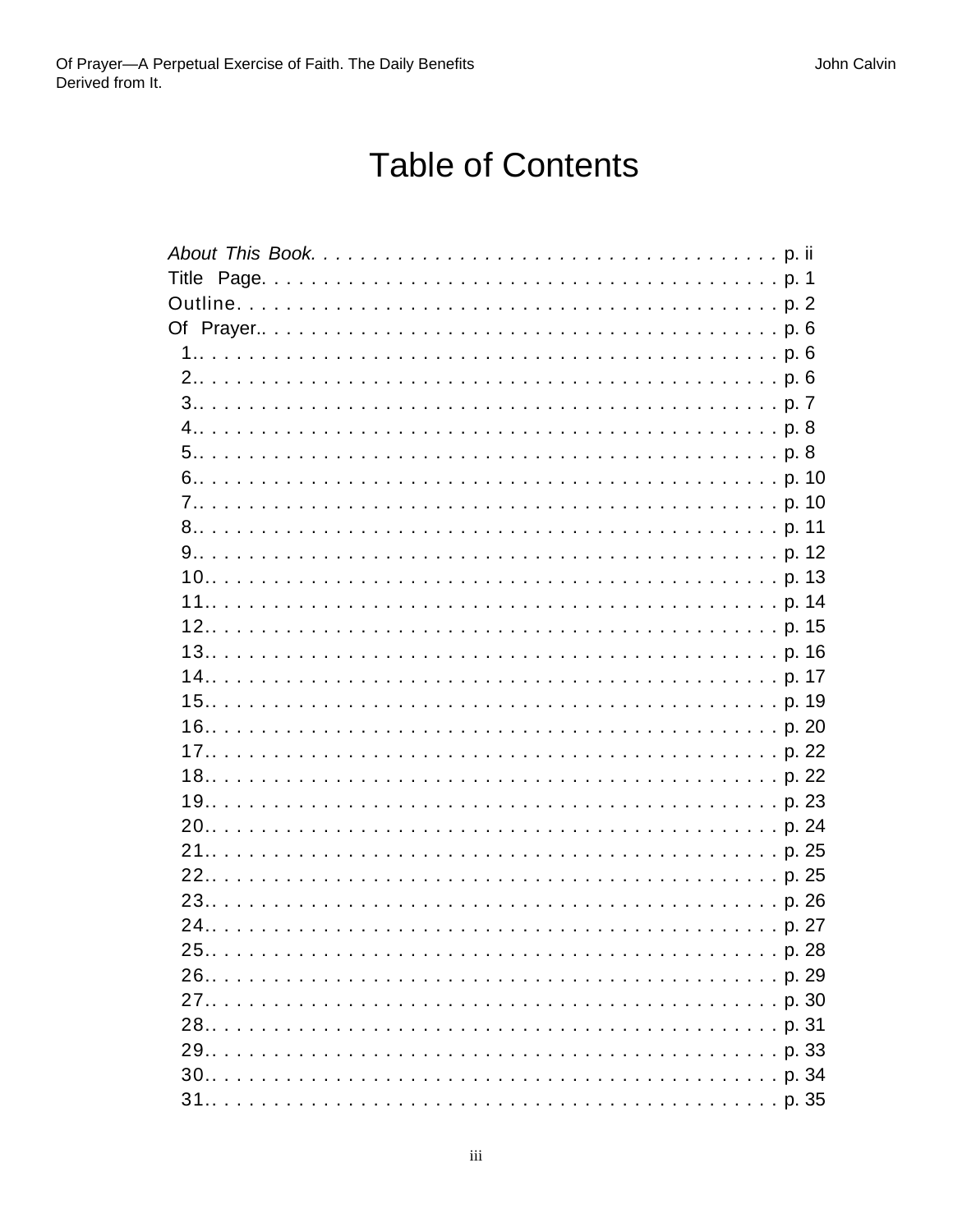# **Table of Contents**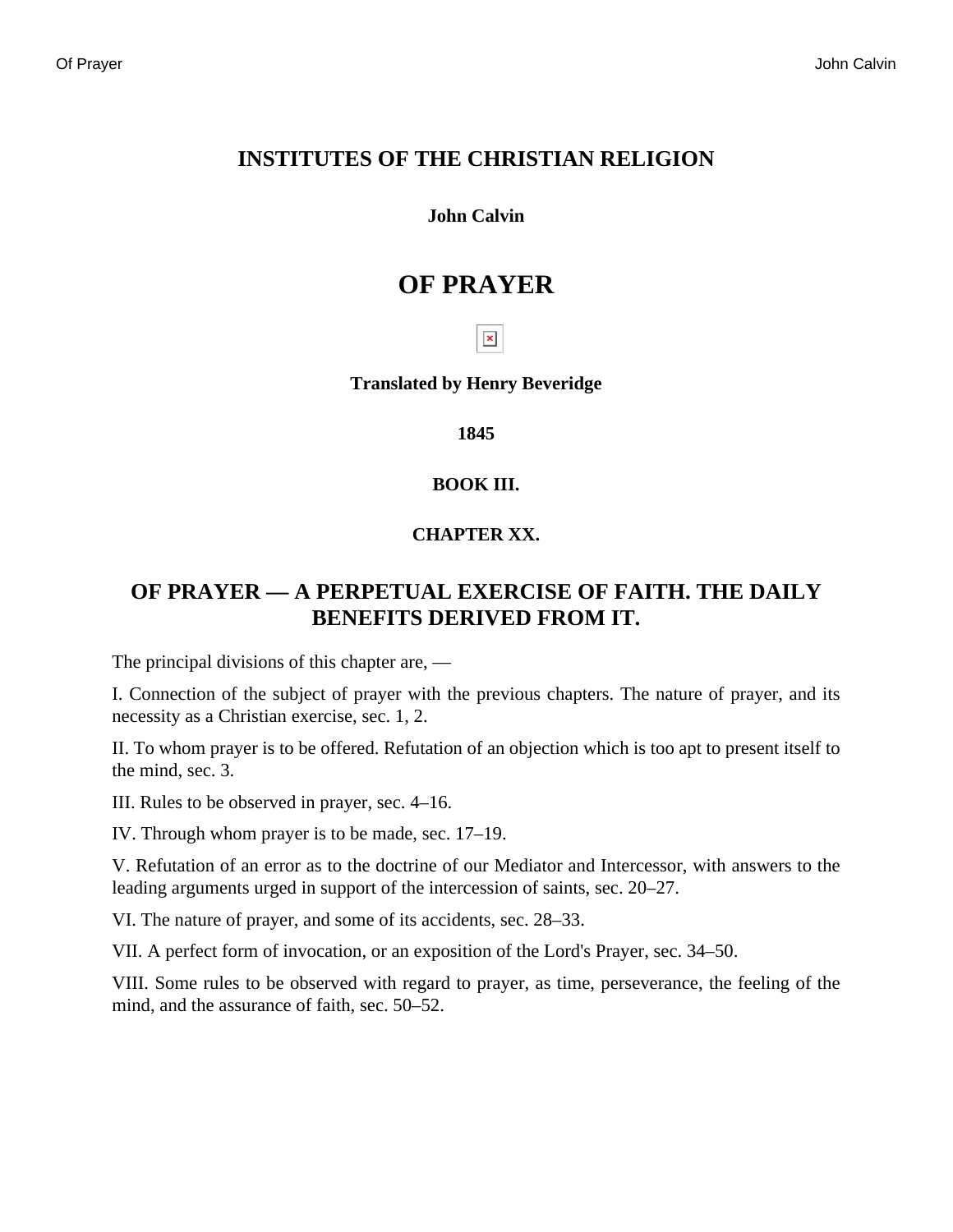## <span id="page-4-0"></span>**INSTITUTES OF THE CHRISTIAN RELIGION**

### **John Calvin**

# **OF PRAYER**

 $\pmb{\times}$ 

**Translated by Henry Beveridge**

**1845**

### **BOOK III.**

### **CHAPTER XX.**

# **OF PRAYER — A PERPETUAL EXERCISE OF FAITH. THE DAILY BENEFITS DERIVED FROM IT.**

The principal divisions of this chapter are, —

I. Connection of the subject of prayer with the previous chapters. The nature of prayer, and its necessity as a Christian exercise, sec. 1, 2.

II. To whom prayer is to be offered. Refutation of an objection which is too apt to present itself to the mind, sec. 3.

III. Rules to be observed in prayer, sec. 4–16.

IV. Through whom prayer is to be made, sec. 17–19.

V. Refutation of an error as to the doctrine of our Mediator and Intercessor, with answers to the leading arguments urged in support of the intercession of saints, sec. 20–27.

VI. The nature of prayer, and some of its accidents, sec. 28–33.

VII. A perfect form of invocation, or an exposition of the Lord's Prayer, sec. 34–50.

VIII. Some rules to be observed with regard to prayer, as time, perseverance, the feeling of the mind, and the assurance of faith, sec. 50–52.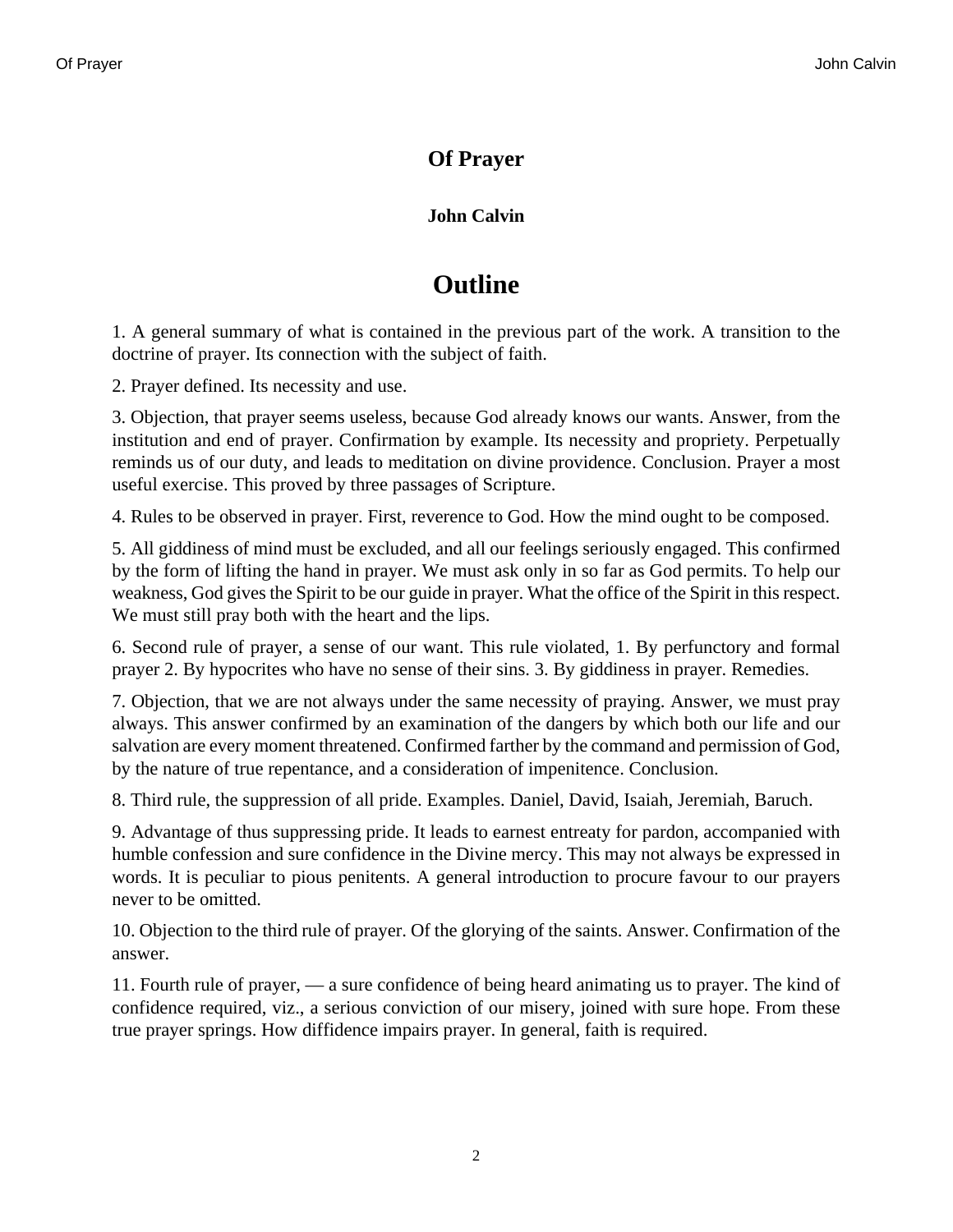# **Of Prayer**

## **John Calvin**

# **Outline**

<span id="page-5-0"></span>1. A general summary of what is contained in the previous part of the work. A transition to the doctrine of prayer. Its connection with the subject of faith.

2. Prayer defined. Its necessity and use.

3. Objection, that prayer seems useless, because God already knows our wants. Answer, from the institution and end of prayer. Confirmation by example. Its necessity and propriety. Perpetually reminds us of our duty, and leads to meditation on divine providence. Conclusion. Prayer a most useful exercise. This proved by three passages of Scripture.

4. Rules to be observed in prayer. First, reverence to God. How the mind ought to be composed.

5. All giddiness of mind must be excluded, and all our feelings seriously engaged. This confirmed by the form of lifting the hand in prayer. We must ask only in so far as God permits. To help our weakness, God gives the Spirit to be our guide in prayer. What the office of the Spirit in this respect. We must still pray both with the heart and the lips.

6. Second rule of prayer, a sense of our want. This rule violated, 1. By perfunctory and formal prayer 2. By hypocrites who have no sense of their sins. 3. By giddiness in prayer. Remedies.

7. Objection, that we are not always under the same necessity of praying. Answer, we must pray always. This answer confirmed by an examination of the dangers by which both our life and our salvation are every moment threatened. Confirmed farther by the command and permission of God, by the nature of true repentance, and a consideration of impenitence. Conclusion.

8. Third rule, the suppression of all pride. Examples. Daniel, David, Isaiah, Jeremiah, Baruch.

9. Advantage of thus suppressing pride. It leads to earnest entreaty for pardon, accompanied with humble confession and sure confidence in the Divine mercy. This may not always be expressed in words. It is peculiar to pious penitents. A general introduction to procure favour to our prayers never to be omitted.

10. Objection to the third rule of prayer. Of the glorying of the saints. Answer. Confirmation of the answer.

11. Fourth rule of prayer, — a sure confidence of being heard animating us to prayer. The kind of confidence required, viz., a serious conviction of our misery, joined with sure hope. From these true prayer springs. How diffidence impairs prayer. In general, faith is required.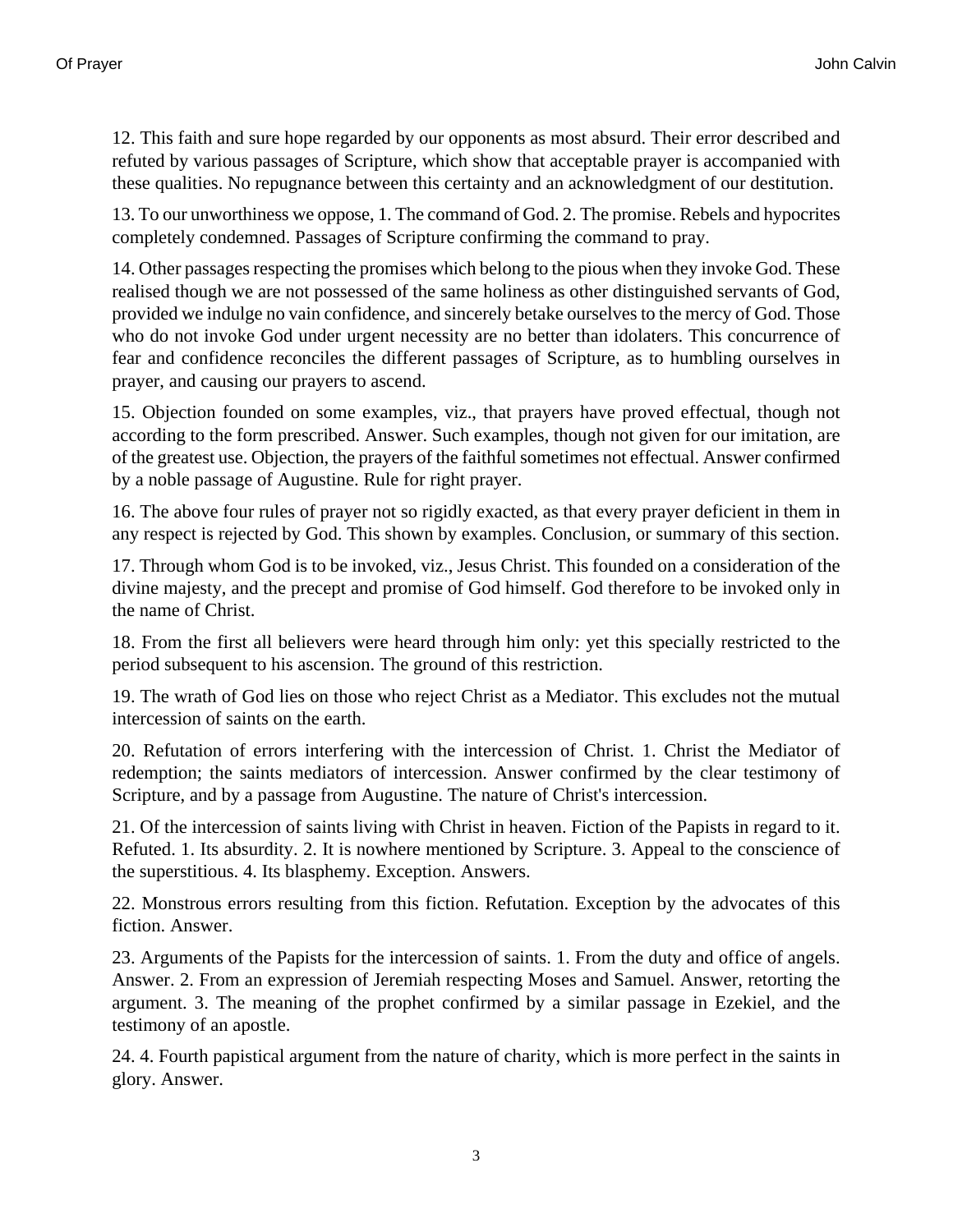12. This faith and sure hope regarded by our opponents as most absurd. Their error described and refuted by various passages of Scripture, which show that acceptable prayer is accompanied with these qualities. No repugnance between this certainty and an acknowledgment of our destitution.

13. To our unworthiness we oppose, 1. The command of God. 2. The promise. Rebels and hypocrites completely condemned. Passages of Scripture confirming the command to pray.

14. Other passages respecting the promises which belong to the pious when they invoke God. These realised though we are not possessed of the same holiness as other distinguished servants of God, provided we indulge no vain confidence, and sincerely betake ourselves to the mercy of God. Those who do not invoke God under urgent necessity are no better than idolaters. This concurrence of fear and confidence reconciles the different passages of Scripture, as to humbling ourselves in prayer, and causing our prayers to ascend.

15. Objection founded on some examples, viz., that prayers have proved effectual, though not according to the form prescribed. Answer. Such examples, though not given for our imitation, are of the greatest use. Objection, the prayers of the faithful sometimes not effectual. Answer confirmed by a noble passage of Augustine. Rule for right prayer.

16. The above four rules of prayer not so rigidly exacted, as that every prayer deficient in them in any respect is rejected by God. This shown by examples. Conclusion, or summary of this section.

17. Through whom God is to be invoked, viz., Jesus Christ. This founded on a consideration of the divine majesty, and the precept and promise of God himself. God therefore to be invoked only in the name of Christ.

18. From the first all believers were heard through him only: yet this specially restricted to the period subsequent to his ascension. The ground of this restriction.

19. The wrath of God lies on those who reject Christ as a Mediator. This excludes not the mutual intercession of saints on the earth.

20. Refutation of errors interfering with the intercession of Christ. 1. Christ the Mediator of redemption; the saints mediators of intercession. Answer confirmed by the clear testimony of Scripture, and by a passage from Augustine. The nature of Christ's intercession.

21. Of the intercession of saints living with Christ in heaven. Fiction of the Papists in regard to it. Refuted. 1. Its absurdity. 2. It is nowhere mentioned by Scripture. 3. Appeal to the conscience of the superstitious. 4. Its blasphemy. Exception. Answers.

22. Monstrous errors resulting from this fiction. Refutation. Exception by the advocates of this fiction. Answer.

23. Arguments of the Papists for the intercession of saints. 1. From the duty and office of angels. Answer. 2. From an expression of Jeremiah respecting Moses and Samuel. Answer, retorting the argument. 3. The meaning of the prophet confirmed by a similar passage in Ezekiel, and the testimony of an apostle.

24. 4. Fourth papistical argument from the nature of charity, which is more perfect in the saints in glory. Answer.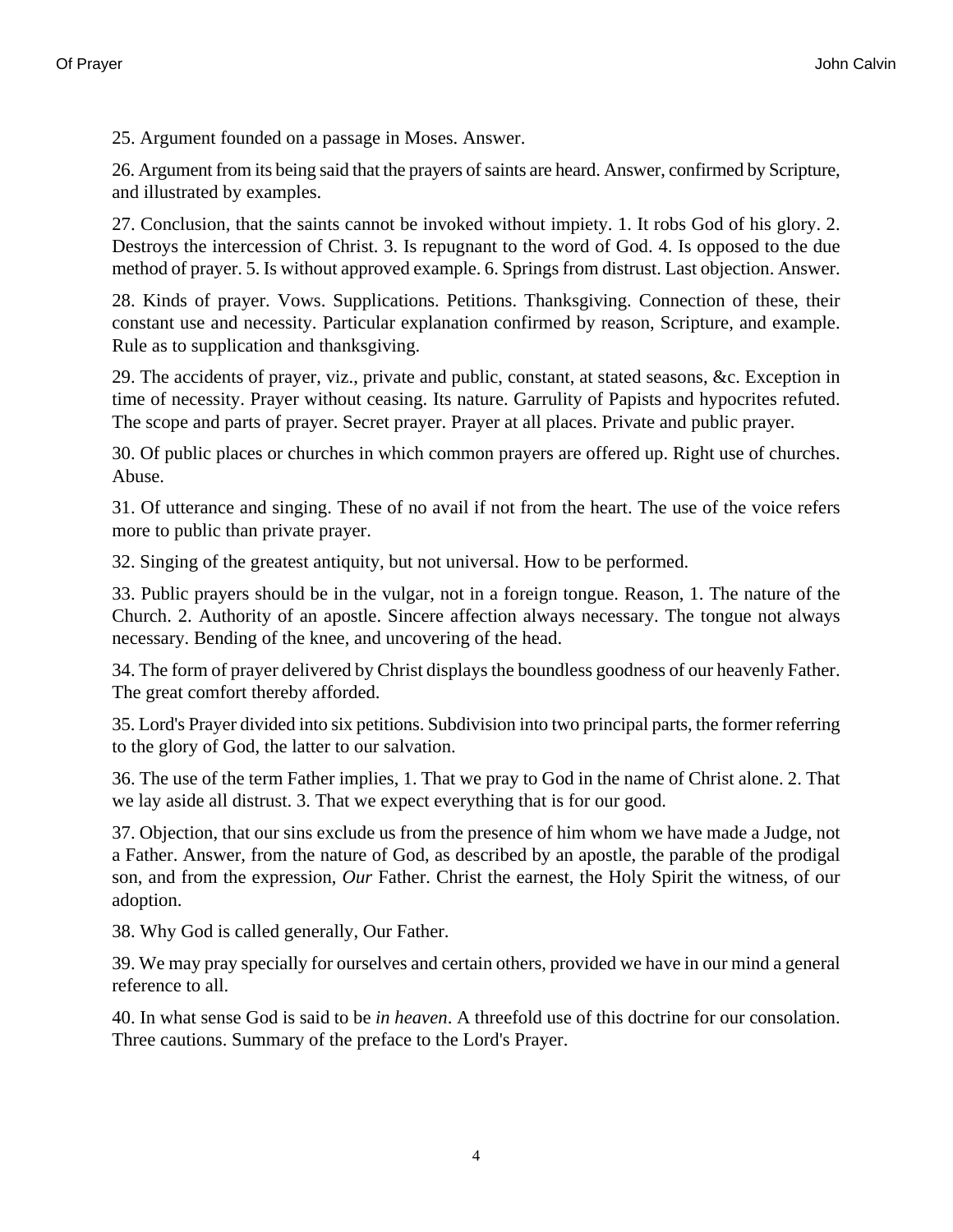25. Argument founded on a passage in Moses. Answer.

26. Argument from its being said that the prayers of saints are heard. Answer, confirmed by Scripture, and illustrated by examples.

27. Conclusion, that the saints cannot be invoked without impiety. 1. It robs God of his glory. 2. Destroys the intercession of Christ. 3. Is repugnant to the word of God. 4. Is opposed to the due method of prayer. 5. Is without approved example. 6. Springs from distrust. Last objection. Answer.

28. Kinds of prayer. Vows. Supplications. Petitions. Thanksgiving. Connection of these, their constant use and necessity. Particular explanation confirmed by reason, Scripture, and example. Rule as to supplication and thanksgiving.

29. The accidents of prayer, viz., private and public, constant, at stated seasons, &c. Exception in time of necessity. Prayer without ceasing. Its nature. Garrulity of Papists and hypocrites refuted. The scope and parts of prayer. Secret prayer. Prayer at all places. Private and public prayer.

30. Of public places or churches in which common prayers are offered up. Right use of churches. Abuse.

31. Of utterance and singing. These of no avail if not from the heart. The use of the voice refers more to public than private prayer.

32. Singing of the greatest antiquity, but not universal. How to be performed.

33. Public prayers should be in the vulgar, not in a foreign tongue. Reason, 1. The nature of the Church. 2. Authority of an apostle. Sincere affection always necessary. The tongue not always necessary. Bending of the knee, and uncovering of the head.

34. The form of prayer delivered by Christ displays the boundless goodness of our heavenly Father. The great comfort thereby afforded.

35. Lord's Prayer divided into six petitions. Subdivision into two principal parts, the former referring to the glory of God, the latter to our salvation.

36. The use of the term Father implies, 1. That we pray to God in the name of Christ alone. 2. That we lay aside all distrust. 3. That we expect everything that is for our good.

37. Objection, that our sins exclude us from the presence of him whom we have made a Judge, not a Father. Answer, from the nature of God, as described by an apostle, the parable of the prodigal son, and from the expression, *Our* Father. Christ the earnest, the Holy Spirit the witness, of our adoption.

38. Why God is called generally, Our Father.

39. We may pray specially for ourselves and certain others, provided we have in our mind a general reference to all.

40. In what sense God is said to be *in heaven*. A threefold use of this doctrine for our consolation. Three cautions. Summary of the preface to the Lord's Prayer.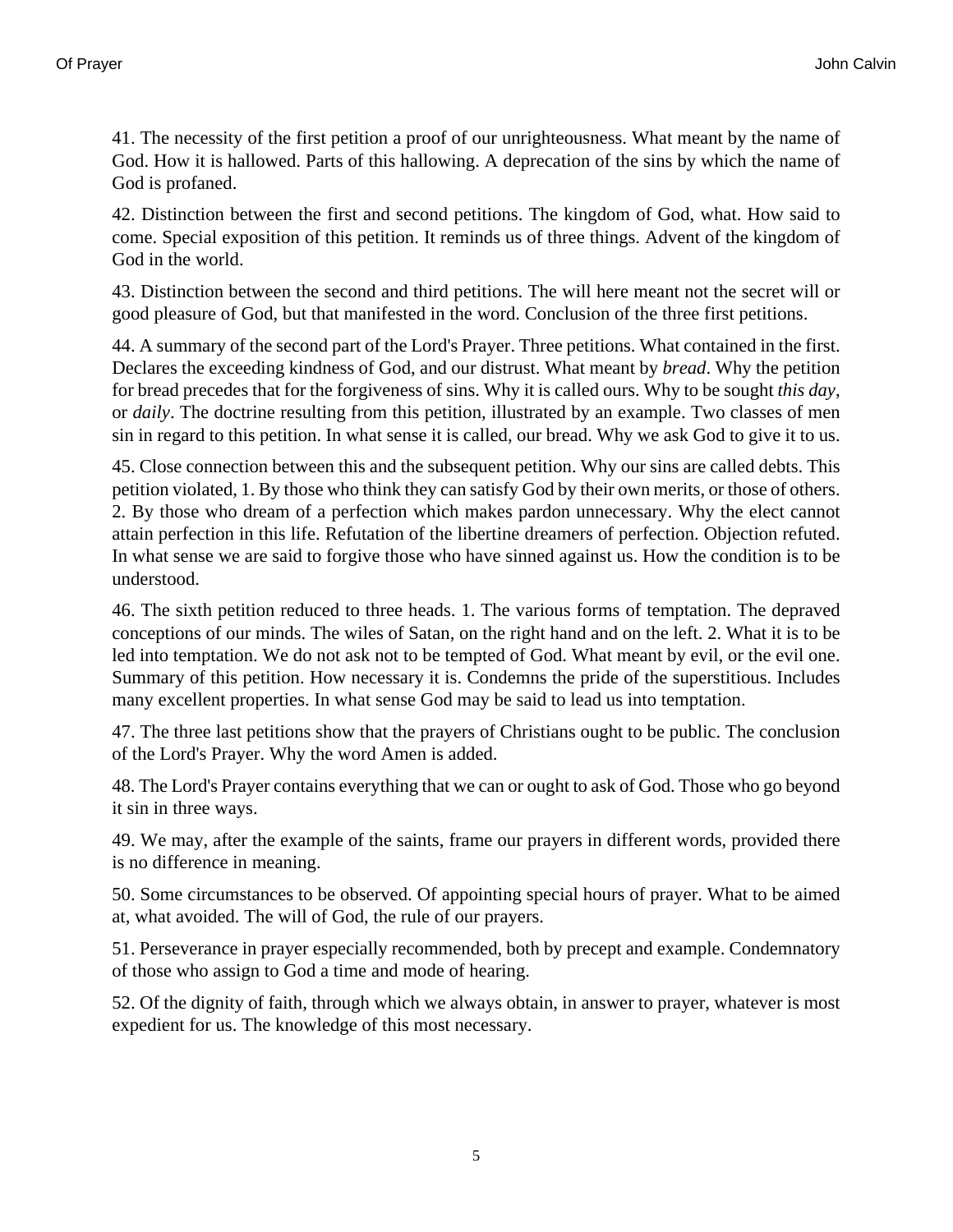41. The necessity of the first petition a proof of our unrighteousness. What meant by the name of God. How it is hallowed. Parts of this hallowing. A deprecation of the sins by which the name of God is profaned.

42. Distinction between the first and second petitions. The kingdom of God, what. How said to come. Special exposition of this petition. It reminds us of three things. Advent of the kingdom of God in the world.

43. Distinction between the second and third petitions. The will here meant not the secret will or good pleasure of God, but that manifested in the word. Conclusion of the three first petitions.

44. A summary of the second part of the Lord's Prayer. Three petitions. What contained in the first. Declares the exceeding kindness of God, and our distrust. What meant by *bread*. Why the petition for bread precedes that for the forgiveness of sins. Why it is called ours. Why to be sought *this day*, or *daily*. The doctrine resulting from this petition, illustrated by an example. Two classes of men sin in regard to this petition. In what sense it is called, our bread. Why we ask God to give it to us.

45. Close connection between this and the subsequent petition. Why our sins are called debts. This petition violated, 1. By those who think they can satisfy God by their own merits, or those of others. 2. By those who dream of a perfection which makes pardon unnecessary. Why the elect cannot attain perfection in this life. Refutation of the libertine dreamers of perfection. Objection refuted. In what sense we are said to forgive those who have sinned against us. How the condition is to be understood.

46. The sixth petition reduced to three heads. 1. The various forms of temptation. The depraved conceptions of our minds. The wiles of Satan, on the right hand and on the left. 2. What it is to be led into temptation. We do not ask not to be tempted of God. What meant by evil, or the evil one. Summary of this petition. How necessary it is. Condemns the pride of the superstitious. Includes many excellent properties. In what sense God may be said to lead us into temptation.

47. The three last petitions show that the prayers of Christians ought to be public. The conclusion of the Lord's Prayer. Why the word Amen is added.

48. The Lord's Prayer contains everything that we can or ought to ask of God. Those who go beyond it sin in three ways.

49. We may, after the example of the saints, frame our prayers in different words, provided there is no difference in meaning.

50. Some circumstances to be observed. Of appointing special hours of prayer. What to be aimed at, what avoided. The will of God, the rule of our prayers.

51. Perseverance in prayer especially recommended, both by precept and example. Condemnatory of those who assign to God a time and mode of hearing.

52. Of the dignity of faith, through which we always obtain, in answer to prayer, whatever is most expedient for us. The knowledge of this most necessary.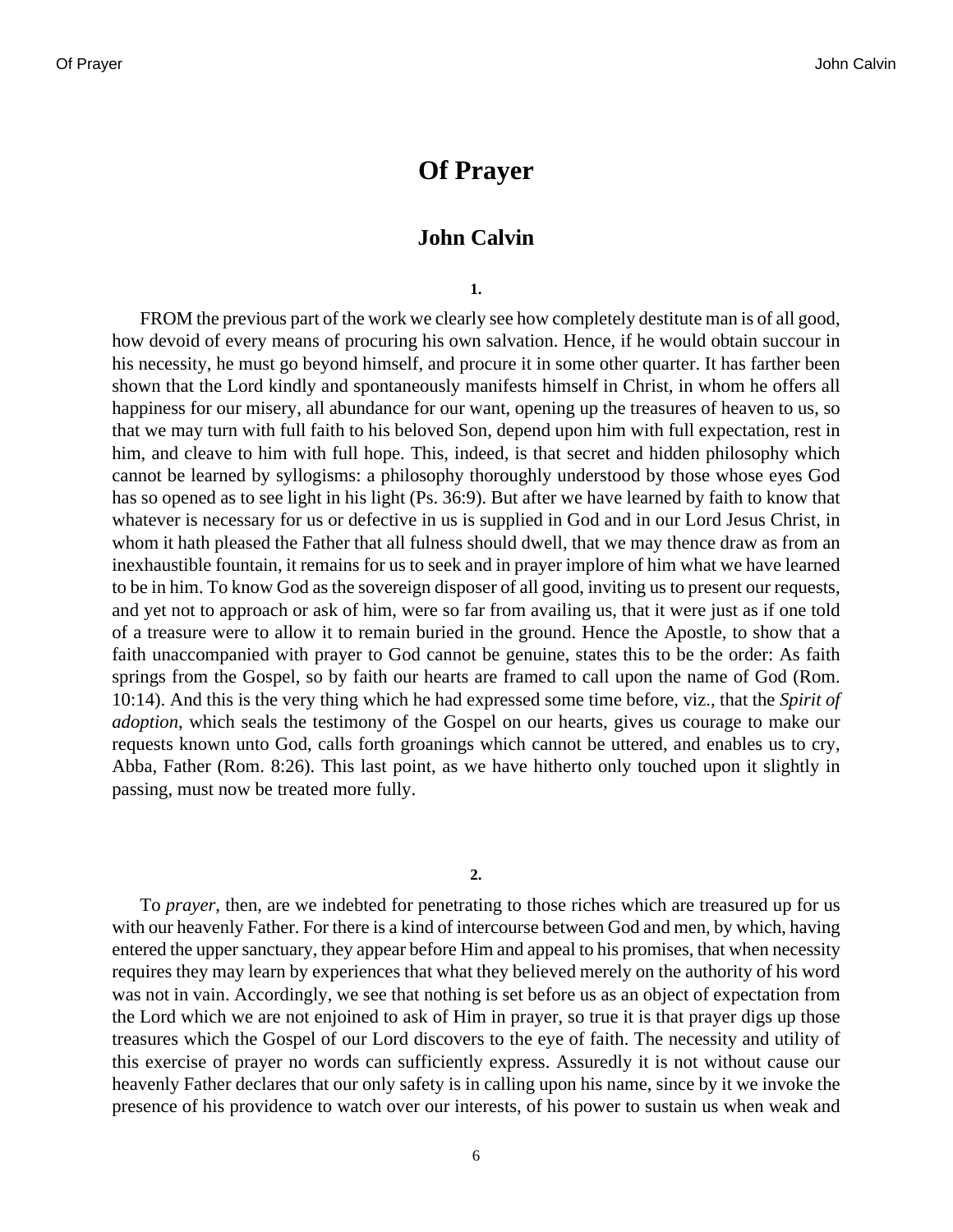# **Of Prayer**

### **John Calvin**

#### **1.**

<span id="page-9-0"></span>FROM the previous part of the work we clearly see how completely destitute man is of all good, how devoid of every means of procuring his own salvation. Hence, if he would obtain succour in his necessity, he must go beyond himself, and procure it in some other quarter. It has farther been shown that the Lord kindly and spontaneously manifests himself in Christ, in whom he offers all happiness for our misery, all abundance for our want, opening up the treasures of heaven to us, so that we may turn with full faith to his beloved Son, depend upon him with full expectation, rest in him, and cleave to him with full hope. This, indeed, is that secret and hidden philosophy which cannot be learned by syllogisms: a philosophy thoroughly understood by those whose eyes God has so opened as to see light in his light [\(Ps. 36:9\)](http://www.ccel.org/b/bible/asv/xml/asv.Ps.36.xml#Ps.36.9). But after we have learned by faith to know that whatever is necessary for us or defective in us is supplied in God and in our Lord Jesus Christ, in whom it hath pleased the Father that all fulness should dwell, that we may thence draw as from an inexhaustible fountain, it remains for us to seek and in prayer implore of him what we have learned to be in him. To know God as the sovereign disposer of all good, inviting us to present our requests, and yet not to approach or ask of him, were so far from availing us, that it were just as if one told of a treasure were to allow it to remain buried in the ground. Hence the Apostle, to show that a faith unaccompanied with prayer to God cannot be genuine, states this to be the order: As faith springs from the Gospel, so by faith our hearts are framed to call upon the name of God ([Rom.](http://www.ccel.org/b/bible/asv/xml/asv.Rom.10.xml#Rom.10.14) [10:14](http://www.ccel.org/b/bible/asv/xml/asv.Rom.10.xml#Rom.10.14)). And this is the very thing which he had expressed some time before, viz., that the *Spirit of adoption*, which seals the testimony of the Gospel on our hearts, gives us courage to make our requests known unto God, calls forth groanings which cannot be uttered, and enables us to cry, Abba, Father ([Rom. 8:26](http://www.ccel.org/b/bible/asv/xml/asv.Rom.8.xml#Rom.8.26)). This last point, as we have hitherto only touched upon it slightly in passing, must now be treated more fully.

**2.**

<span id="page-9-1"></span>To *prayer*, then, are we indebted for penetrating to those riches which are treasured up for us with our heavenly Father. For there is a kind of intercourse between God and men, by which, having entered the upper sanctuary, they appear before Him and appeal to his promises, that when necessity requires they may learn by experiences that what they believed merely on the authority of his word was not in vain. Accordingly, we see that nothing is set before us as an object of expectation from the Lord which we are not enjoined to ask of Him in prayer, so true it is that prayer digs up those treasures which the Gospel of our Lord discovers to the eye of faith. The necessity and utility of this exercise of prayer no words can sufficiently express. Assuredly it is not without cause our heavenly Father declares that our only safety is in calling upon his name, since by it we invoke the presence of his providence to watch over our interests, of his power to sustain us when weak and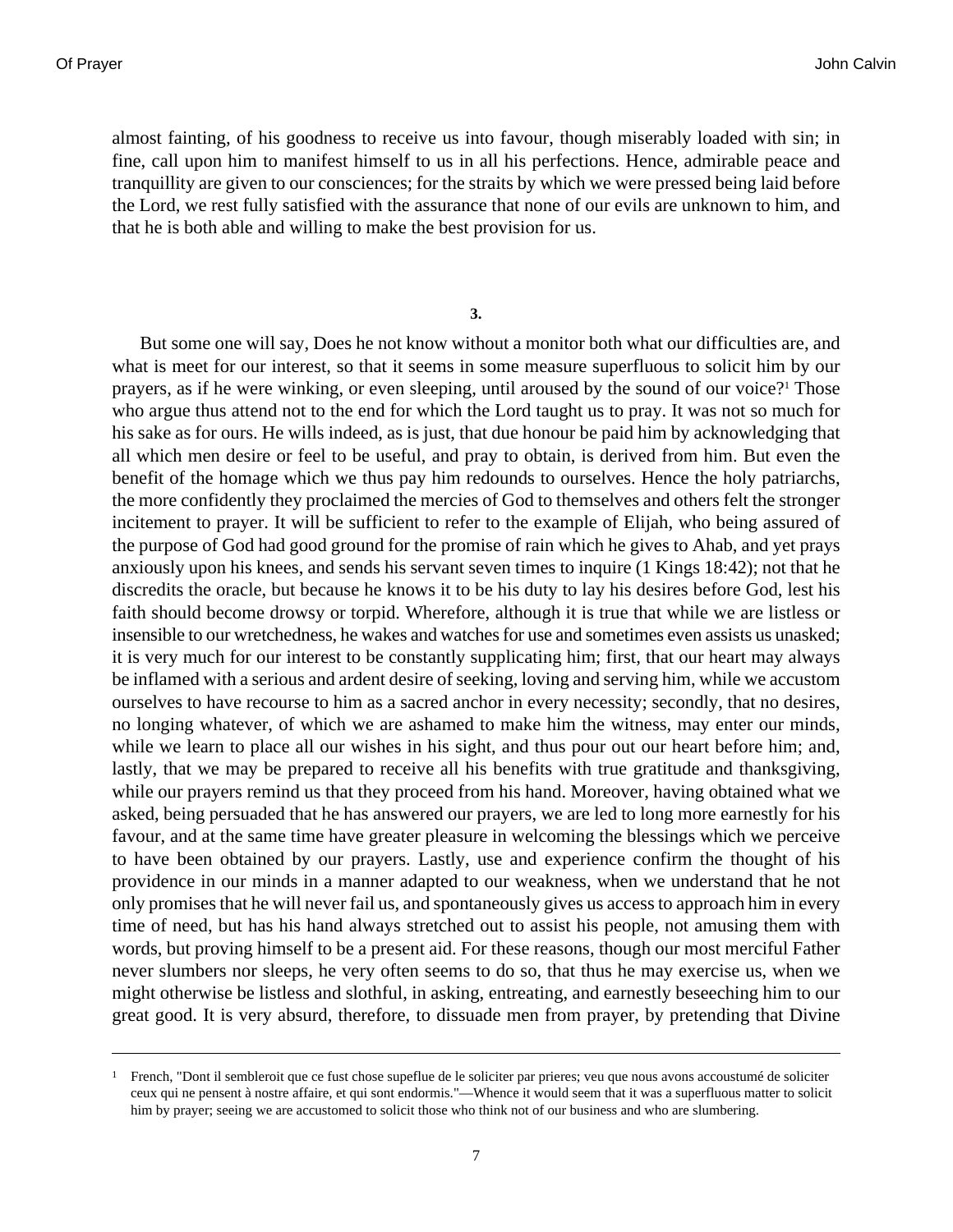almost fainting, of his goodness to receive us into favour, though miserably loaded with sin; in fine, call upon him to manifest himself to us in all his perfections. Hence, admirable peace and tranquillity are given to our consciences; for the straits by which we were pressed being laid before the Lord, we rest fully satisfied with the assurance that none of our evils are unknown to him, and that he is both able and willing to make the best provision for us.

**3.**

<span id="page-10-0"></span>But some one will say, Does he not know without a monitor both what our difficulties are, and what is meet for our interest, so that it seems in some measure superfluous to solicit him by our prayers, as if he were winking, or even sleeping, until aroused by the sound of our voice?<sup>1</sup> Those who argue thus attend not to the end for which the Lord taught us to pray. It was not so much for his sake as for ours. He wills indeed, as is just, that due honour be paid him by acknowledging that all which men desire or feel to be useful, and pray to obtain, is derived from him. But even the benefit of the homage which we thus pay him redounds to ourselves. Hence the holy patriarchs, the more confidently they proclaimed the mercies of God to themselves and others felt the stronger incitement to prayer. It will be sufficient to refer to the example of Elijah, who being assured of the purpose of God had good ground for the promise of rain which he gives to Ahab, and yet prays anxiously upon his knees, and sends his servant seven times to inquire ([1 Kings 18:42\)](http://www.ccel.org/b/bible/asv/xml/asv.iKgs.18.xml#iKgs.18.42); not that he discredits the oracle, but because he knows it to be his duty to lay his desires before God, lest his faith should become drowsy or torpid. Wherefore, although it is true that while we are listless or insensible to our wretchedness, he wakes and watches for use and sometimes even assists us unasked; it is very much for our interest to be constantly supplicating him; first, that our heart may always be inflamed with a serious and ardent desire of seeking, loving and serving him, while we accustom ourselves to have recourse to him as a sacred anchor in every necessity; secondly, that no desires, no longing whatever, of which we are ashamed to make him the witness, may enter our minds, while we learn to place all our wishes in his sight, and thus pour out our heart before him; and, lastly, that we may be prepared to receive all his benefits with true gratitude and thanksgiving, while our prayers remind us that they proceed from his hand. Moreover, having obtained what we asked, being persuaded that he has answered our prayers, we are led to long more earnestly for his favour, and at the same time have greater pleasure in welcoming the blessings which we perceive to have been obtained by our prayers. Lastly, use and experience confirm the thought of his providence in our minds in a manner adapted to our weakness, when we understand that he not only promises that he will never fail us, and spontaneously gives us access to approach him in every time of need, but has his hand always stretched out to assist his people, not amusing them with words, but proving himself to be a present aid. For these reasons, though our most merciful Father never slumbers nor sleeps, he very often seems to do so, that thus he may exercise us, when we might otherwise be listless and slothful, in asking, entreating, and earnestly beseeching him to our great good. It is very absurd, therefore, to dissuade men from prayer, by pretending that Divine

<span id="page-10-1"></span><sup>&</sup>lt;sup>1</sup> French, "Dont il sembleroit que ce fust chose supeflue de le soliciter par prieres; veu que nous avons accoustumé de soliciter ceux qui ne pensent à nostre affaire, et qui sont endormis."—Whence it would seem that it was a superfluous matter to solicit him by prayer; seeing we are accustomed to solicit those who think not of our business and who are slumbering.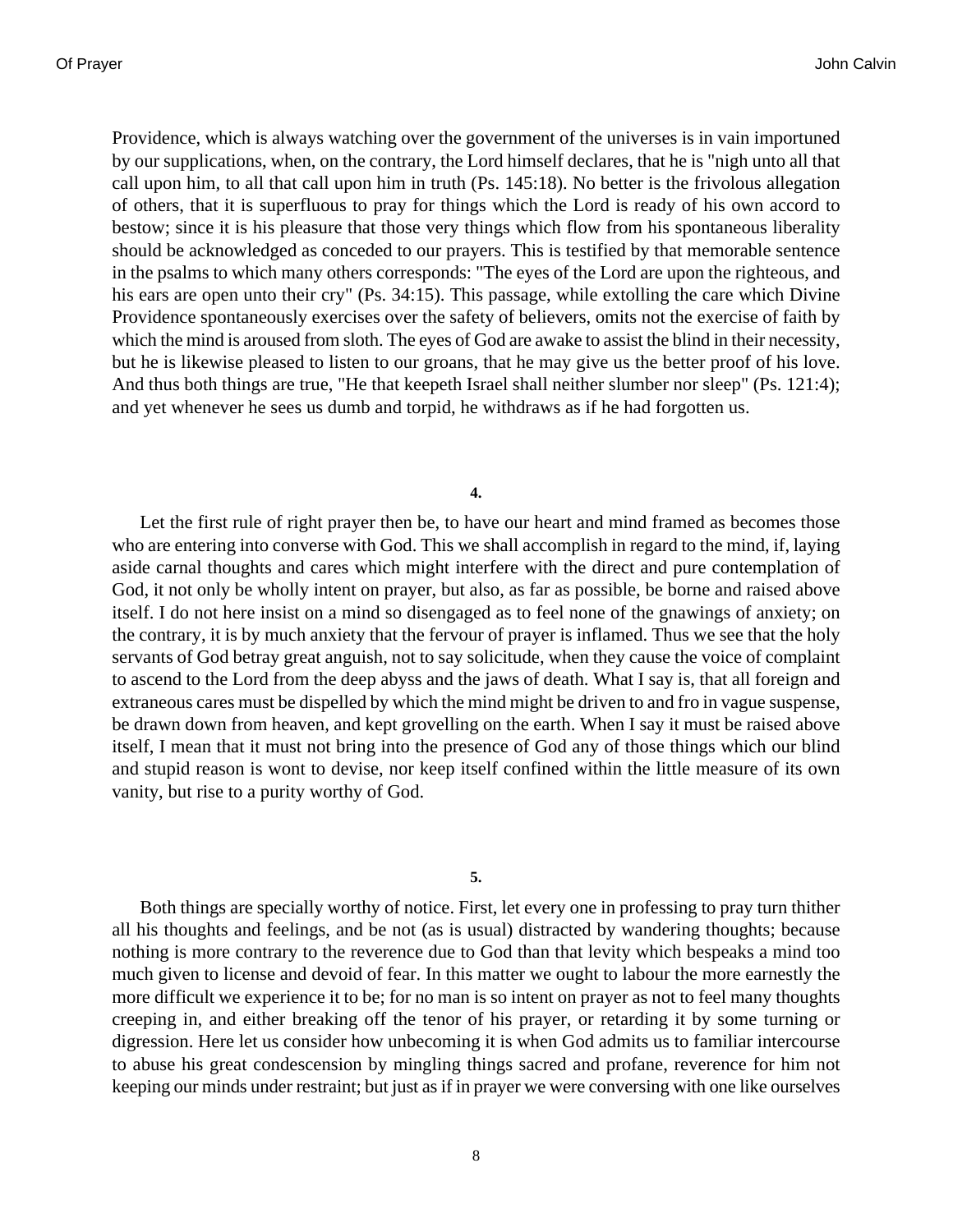Providence, which is always watching over the government of the universes is in vain importuned by our supplications, when, on the contrary, the Lord himself declares, that he is "nigh unto all that call upon him, to all that call upon him in truth ([Ps. 145:18\)](http://www.ccel.org/b/bible/asv/xml/asv.Ps.145.xml#Ps.145.18). No better is the frivolous allegation of others, that it is superfluous to pray for things which the Lord is ready of his own accord to bestow; since it is his pleasure that those very things which flow from his spontaneous liberality should be acknowledged as conceded to our prayers. This is testified by that memorable sentence in the psalms to which many others corresponds: "The eyes of the Lord are upon the righteous, and his ears are open unto their cry" ([Ps. 34:15\)](http://www.ccel.org/b/bible/asv/xml/asv.Ps.34.xml#Ps.34.15). This passage, while extolling the care which Divine Providence spontaneously exercises over the safety of believers, omits not the exercise of faith by which the mind is aroused from sloth. The eyes of God are awake to assist the blind in their necessity, but he is likewise pleased to listen to our groans, that he may give us the better proof of his love. And thus both things are true, "He that keepeth Israel shall neither slumber nor sleep" [\(Ps. 121:4\)](http://www.ccel.org/b/bible/asv/xml/asv.Ps.121.xml#Ps.121.4); and yet whenever he sees us dumb and torpid, he withdraws as if he had forgotten us.

#### **4.**

<span id="page-11-0"></span>Let the first rule of right prayer then be, to have our heart and mind framed as becomes those who are entering into converse with God. This we shall accomplish in regard to the mind, if, laying aside carnal thoughts and cares which might interfere with the direct and pure contemplation of God, it not only be wholly intent on prayer, but also, as far as possible, be borne and raised above itself. I do not here insist on a mind so disengaged as to feel none of the gnawings of anxiety; on the contrary, it is by much anxiety that the fervour of prayer is inflamed. Thus we see that the holy servants of God betray great anguish, not to say solicitude, when they cause the voice of complaint to ascend to the Lord from the deep abyss and the jaws of death. What I say is, that all foreign and extraneous cares must be dispelled by which the mind might be driven to and fro in vague suspense, be drawn down from heaven, and kept grovelling on the earth. When I say it must be raised above itself, I mean that it must not bring into the presence of God any of those things which our blind and stupid reason is wont to devise, nor keep itself confined within the little measure of its own vanity, but rise to a purity worthy of God.

#### **5.**

<span id="page-11-1"></span>Both things are specially worthy of notice. First, let every one in professing to pray turn thither all his thoughts and feelings, and be not (as is usual) distracted by wandering thoughts; because nothing is more contrary to the reverence due to God than that levity which bespeaks a mind too much given to license and devoid of fear. In this matter we ought to labour the more earnestly the more difficult we experience it to be; for no man is so intent on prayer as not to feel many thoughts creeping in, and either breaking off the tenor of his prayer, or retarding it by some turning or digression. Here let us consider how unbecoming it is when God admits us to familiar intercourse to abuse his great condescension by mingling things sacred and profane, reverence for him not keeping our minds under restraint; but just as if in prayer we were conversing with one like ourselves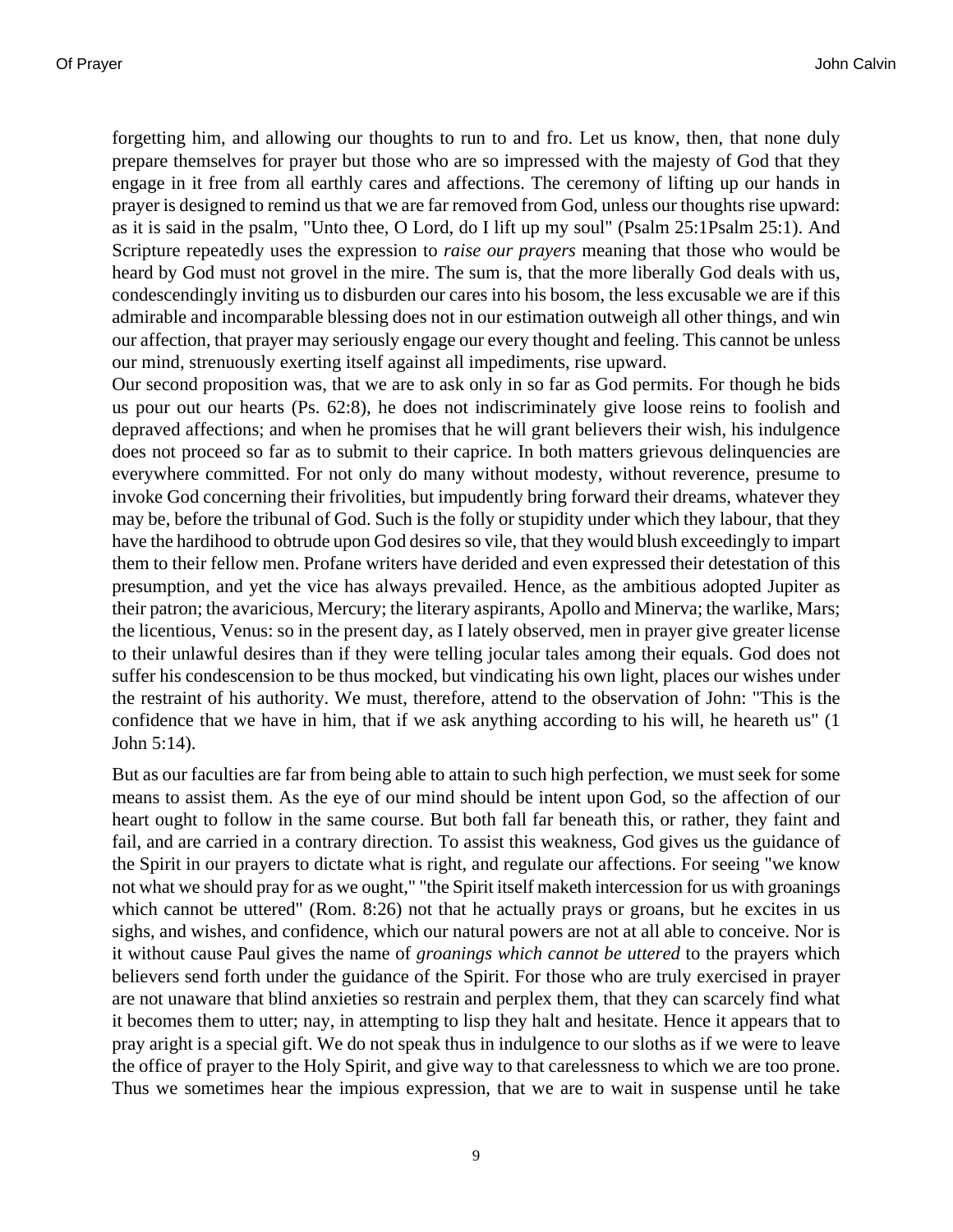forgetting him, and allowing our thoughts to run to and fro. Let us know, then, that none duly prepare themselves for prayer but those who are so impressed with the majesty of God that they engage in it free from all earthly cares and affections. The ceremony of lifting up our hands in prayer is designed to remind us that we are far removed from God, unless our thoughts rise upward: as it is said in the psalm, "Unto thee, O Lord, do I lift up my soul" [\(Psalm 25:1Psalm 25:1](http://www.ccel.org/b/bible/asv/xml/asv.Ps.25.xml#Ps.25.1)). And Scripture repeatedly uses the expression to *raise our prayers* meaning that those who would be heard by God must not grovel in the mire. The sum is, that the more liberally God deals with us, condescendingly inviting us to disburden our cares into his bosom, the less excusable we are if this admirable and incomparable blessing does not in our estimation outweigh all other things, and win our affection, that prayer may seriously engage our every thought and feeling. This cannot be unless our mind, strenuously exerting itself against all impediments, rise upward.

Our second proposition was, that we are to ask only in so far as God permits. For though he bids us pour out our hearts [\(Ps. 62:8\)](http://www.ccel.org/b/bible/asv/xml/asv.Ps.62.xml#Ps.62.8), he does not indiscriminately give loose reins to foolish and depraved affections; and when he promises that he will grant believers their wish, his indulgence does not proceed so far as to submit to their caprice. In both matters grievous delinquencies are everywhere committed. For not only do many without modesty, without reverence, presume to invoke God concerning their frivolities, but impudently bring forward their dreams, whatever they may be, before the tribunal of God. Such is the folly or stupidity under which they labour, that they have the hardihood to obtrude upon God desires so vile, that they would blush exceedingly to impart them to their fellow men. Profane writers have derided and even expressed their detestation of this presumption, and yet the vice has always prevailed. Hence, as the ambitious adopted Jupiter as their patron; the avaricious, Mercury; the literary aspirants, Apollo and Minerva; the warlike, Mars; the licentious, Venus: so in the present day, as I lately observed, men in prayer give greater license to their unlawful desires than if they were telling jocular tales among their equals. God does not suffer his condescension to be thus mocked, but vindicating his own light, places our wishes under the restraint of his authority. We must, therefore, attend to the observation of John: "This is the confidence that we have in him, that if we ask anything according to his will, he heareth us" ([1](http://www.ccel.org/b/bible/asv/xml/asv.iJohn.5.xml#iJohn.5.14) [John 5:14](http://www.ccel.org/b/bible/asv/xml/asv.iJohn.5.xml#iJohn.5.14)).

But as our faculties are far from being able to attain to such high perfection, we must seek for some means to assist them. As the eye of our mind should be intent upon God, so the affection of our heart ought to follow in the same course. But both fall far beneath this, or rather, they faint and fail, and are carried in a contrary direction. To assist this weakness, God gives us the guidance of the Spirit in our prayers to dictate what is right, and regulate our affections. For seeing "we know not what we should pray for as we ought," "the Spirit itself maketh intercession for us with groanings which cannot be uttered" ([Rom. 8:26](http://www.ccel.org/b/bible/asv/xml/asv.Rom.8.xml#Rom.8.26)) not that he actually prays or groans, but he excites in us sighs, and wishes, and confidence, which our natural powers are not at all able to conceive. Nor is it without cause Paul gives the name of *groanings which cannot be uttered* to the prayers which believers send forth under the guidance of the Spirit. For those who are truly exercised in prayer are not unaware that blind anxieties so restrain and perplex them, that they can scarcely find what it becomes them to utter; nay, in attempting to lisp they halt and hesitate. Hence it appears that to pray aright is a special gift. We do not speak thus in indulgence to our sloths as if we were to leave the office of prayer to the Holy Spirit, and give way to that carelessness to which we are too prone. Thus we sometimes hear the impious expression, that we are to wait in suspense until he take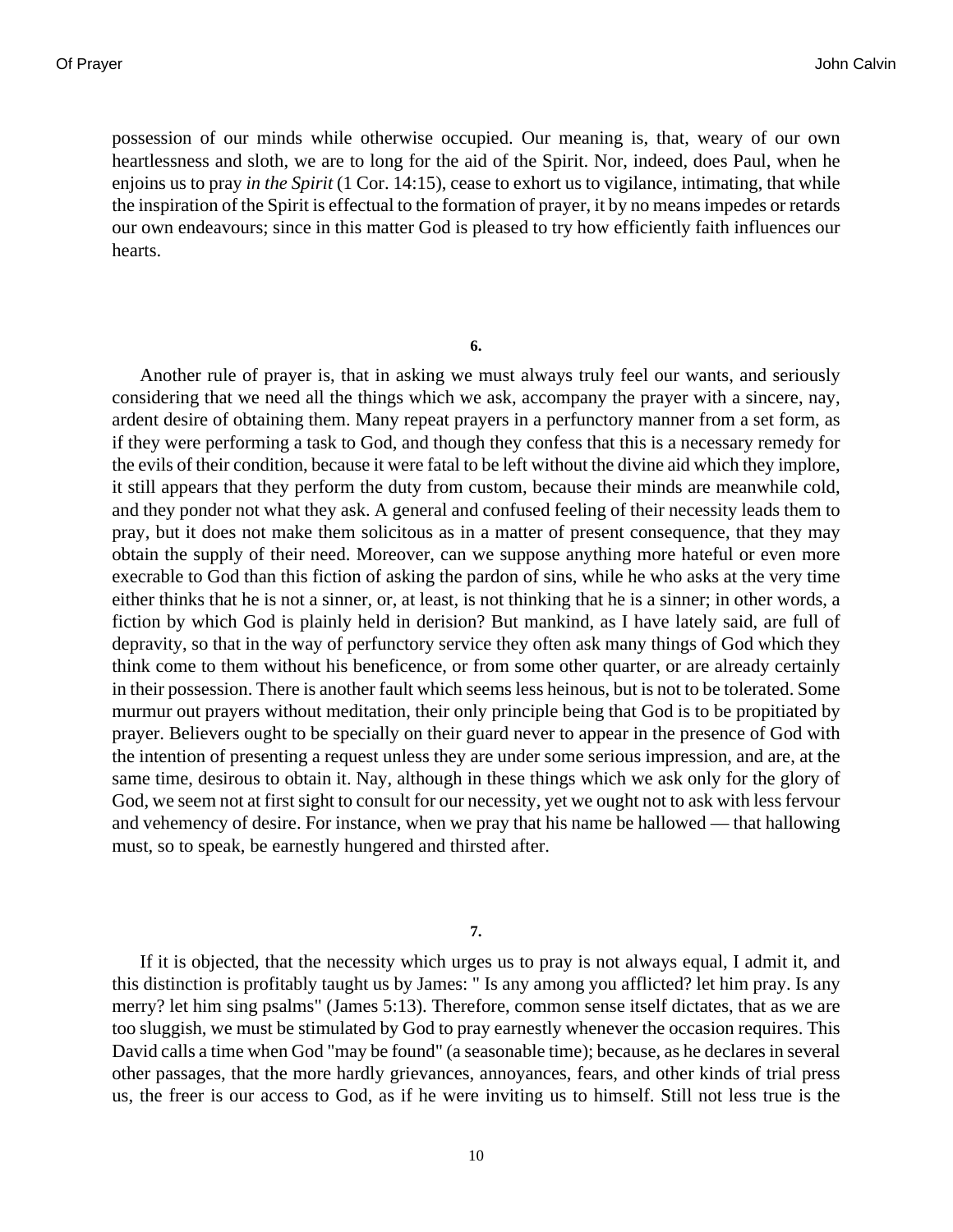possession of our minds while otherwise occupied. Our meaning is, that, weary of our own heartlessness and sloth, we are to long for the aid of the Spirit. Nor, indeed, does Paul, when he enjoins us to pray *in the Spirit* ([1 Cor. 14:15](http://www.ccel.org/b/bible/asv/xml/asv.iCor.14.xml#iCor.14.15)), cease to exhort us to vigilance, intimating, that while the inspiration of the Spirit is effectual to the formation of prayer, it by no means impedes or retards our own endeavours; since in this matter God is pleased to try how efficiently faith influences our hearts.

#### **6.**

<span id="page-13-0"></span>Another rule of prayer is, that in asking we must always truly feel our wants, and seriously considering that we need all the things which we ask, accompany the prayer with a sincere, nay, ardent desire of obtaining them. Many repeat prayers in a perfunctory manner from a set form, as if they were performing a task to God, and though they confess that this is a necessary remedy for the evils of their condition, because it were fatal to be left without the divine aid which they implore, it still appears that they perform the duty from custom, because their minds are meanwhile cold, and they ponder not what they ask. A general and confused feeling of their necessity leads them to pray, but it does not make them solicitous as in a matter of present consequence, that they may obtain the supply of their need. Moreover, can we suppose anything more hateful or even more execrable to God than this fiction of asking the pardon of sins, while he who asks at the very time either thinks that he is not a sinner, or, at least, is not thinking that he is a sinner; in other words, a fiction by which God is plainly held in derision? But mankind, as I have lately said, are full of depravity, so that in the way of perfunctory service they often ask many things of God which they think come to them without his beneficence, or from some other quarter, or are already certainly in their possession. There is another fault which seems less heinous, but is not to be tolerated. Some murmur out prayers without meditation, their only principle being that God is to be propitiated by prayer. Believers ought to be specially on their guard never to appear in the presence of God with the intention of presenting a request unless they are under some serious impression, and are, at the same time, desirous to obtain it. Nay, although in these things which we ask only for the glory of God, we seem not at first sight to consult for our necessity, yet we ought not to ask with less fervour and vehemency of desire. For instance, when we pray that his name be hallowed — that hallowing must, so to speak, be earnestly hungered and thirsted after.

#### **7.**

<span id="page-13-1"></span>If it is objected, that the necessity which urges us to pray is not always equal, I admit it, and this distinction is profitably taught us by James: " Is any among you afflicted? let him pray. Is any merry? let him sing psalms" ([James 5:13\)](http://www.ccel.org/b/bible/asv/xml/asv.Jas.5.xml#Jas.5.13). Therefore, common sense itself dictates, that as we are too sluggish, we must be stimulated by God to pray earnestly whenever the occasion requires. This David calls a time when God "may be found" (a seasonable time); because, as he declares in several other passages, that the more hardly grievances, annoyances, fears, and other kinds of trial press us, the freer is our access to God, as if he were inviting us to himself. Still not less true is the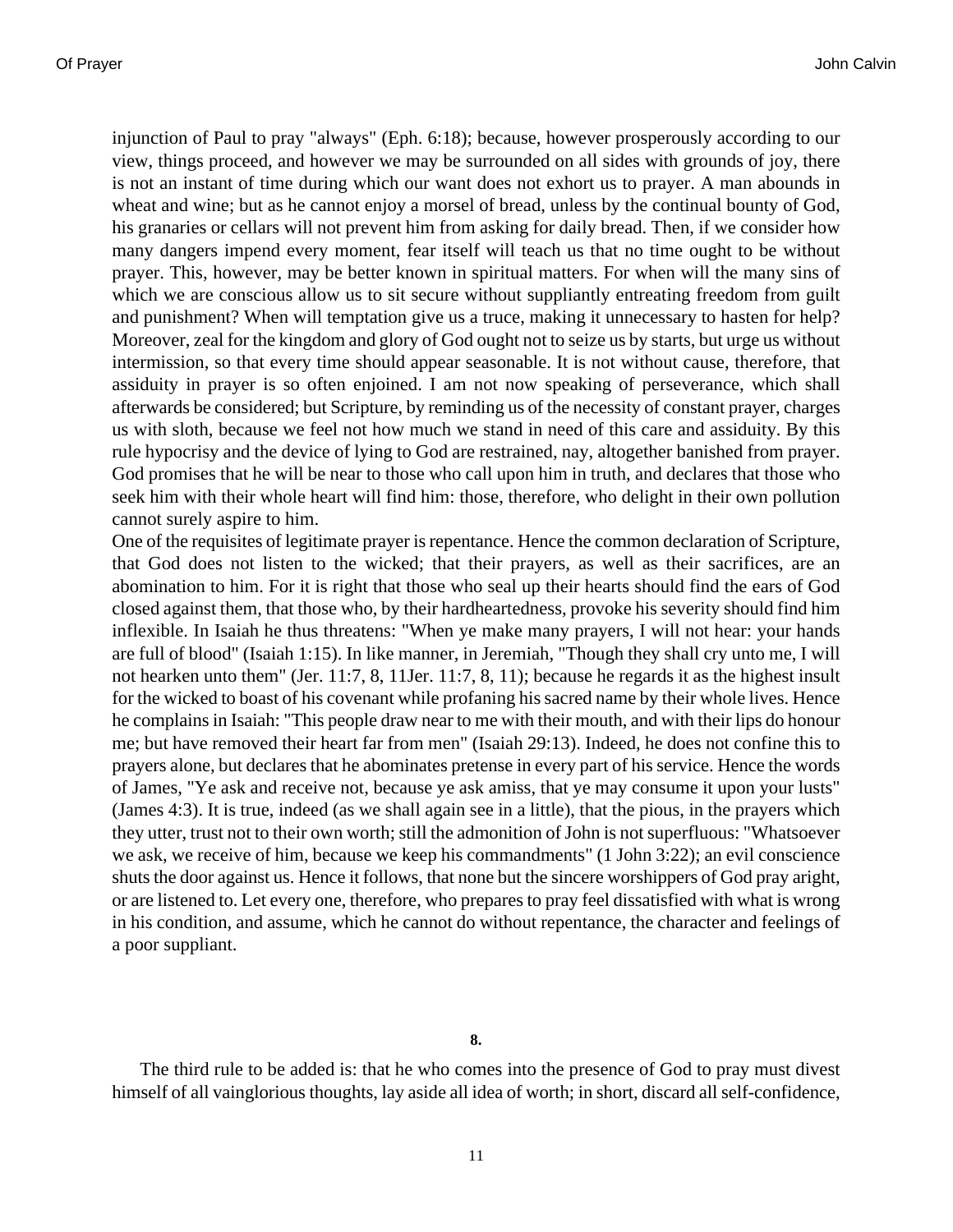injunction of Paul to pray "always" [\(Eph. 6:18](http://www.ccel.org/b/bible/asv/xml/asv.Eph.6.xml#Eph.6.18)); because, however prosperously according to our view, things proceed, and however we may be surrounded on all sides with grounds of joy, there is not an instant of time during which our want does not exhort us to prayer. A man abounds in wheat and wine; but as he cannot enjoy a morsel of bread, unless by the continual bounty of God, his granaries or cellars will not prevent him from asking for daily bread. Then, if we consider how many dangers impend every moment, fear itself will teach us that no time ought to be without prayer. This, however, may be better known in spiritual matters. For when will the many sins of which we are conscious allow us to sit secure without suppliantly entreating freedom from guilt and punishment? When will temptation give us a truce, making it unnecessary to hasten for help? Moreover, zeal for the kingdom and glory of God ought not to seize us by starts, but urge us without intermission, so that every time should appear seasonable. It is not without cause, therefore, that assiduity in prayer is so often enjoined. I am not now speaking of perseverance, which shall afterwards be considered; but Scripture, by reminding us of the necessity of constant prayer, charges us with sloth, because we feel not how much we stand in need of this care and assiduity. By this rule hypocrisy and the device of lying to God are restrained, nay, altogether banished from prayer. God promises that he will be near to those who call upon him in truth, and declares that those who seek him with their whole heart will find him: those, therefore, who delight in their own pollution cannot surely aspire to him.

One of the requisites of legitimate prayer is repentance. Hence the common declaration of Scripture, that God does not listen to the wicked; that their prayers, as well as their sacrifices, are an abomination to him. For it is right that those who seal up their hearts should find the ears of God closed against them, that those who, by their hardheartedness, provoke his severity should find him inflexible. In Isaiah he thus threatens: "When ye make many prayers, I will not hear: your hands are full of blood" [\(Isaiah 1:15\)](http://www.ccel.org/b/bible/asv/xml/asv.Isa.1.xml#Isa.1.15). In like manner, in Jeremiah, "Though they shall cry unto me, I will not hearken unto them" ([Jer. 11:7, 8, 11Jer. 11:7, 8, 11\)](http://www.ccel.org/b/bible/asv/xml/asv.Jer.11.xml#Jer.11.7 Bible:Jer.11.8 Bible:Jer.11.11); because he regards it as the highest insult for the wicked to boast of his covenant while profaning his sacred name by their whole lives. Hence he complains in Isaiah: "This people draw near to me with their mouth, and with their lips do honour me; but have removed their heart far from men" ([Isaiah 29:13](http://www.ccel.org/b/bible/asv/xml/asv.Isa.29.xml#Isa.29.13)). Indeed, he does not confine this to prayers alone, but declares that he abominates pretense in every part of his service. Hence the words of James, "Ye ask and receive not, because ye ask amiss, that ye may consume it upon your lusts" ([James 4:3\)](http://www.ccel.org/b/bible/asv/xml/asv.Jas.4.xml#Jas.4.3). It is true, indeed (as we shall again see in a little), that the pious, in the prayers which they utter, trust not to their own worth; still the admonition of John is not superfluous: "Whatsoever we ask, we receive of him, because we keep his commandments" ([1 John 3:22\)](http://www.ccel.org/b/bible/asv/xml/asv.iJohn.3.xml#iJohn.3.22); an evil conscience shuts the door against us. Hence it follows, that none but the sincere worshippers of God pray aright, or are listened to. Let every one, therefore, who prepares to pray feel dissatisfied with what is wrong in his condition, and assume, which he cannot do without repentance, the character and feelings of a poor suppliant.

**8.**

<span id="page-14-0"></span>The third rule to be added is: that he who comes into the presence of God to pray must divest himself of all vainglorious thoughts, lay aside all idea of worth; in short, discard all self-confidence,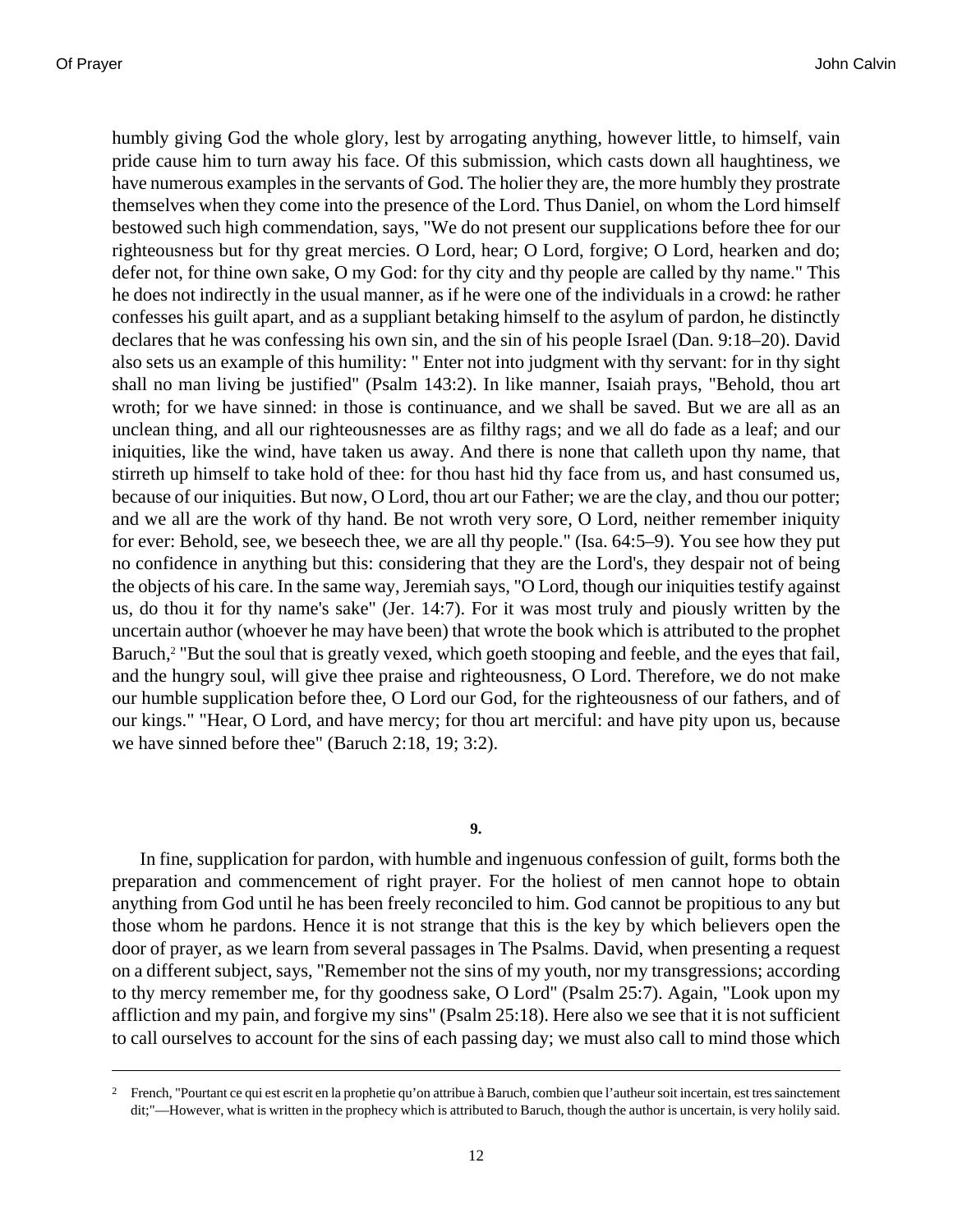humbly giving God the whole glory, lest by arrogating anything, however little, to himself, vain pride cause him to turn away his face. Of this submission, which casts down all haughtiness, we have numerous examples in the servants of God. The holier they are, the more humbly they prostrate themselves when they come into the presence of the Lord. Thus Daniel, on whom the Lord himself bestowed such high commendation, says, "We do not present our supplications before thee for our righteousness but for thy great mercies. O Lord, hear; O Lord, forgive; O Lord, hearken and do; defer not, for thine own sake, O my God: for thy city and thy people are called by thy name." This he does not indirectly in the usual manner, as if he were one of the individuals in a crowd: he rather confesses his guilt apart, and as a suppliant betaking himself to the asylum of pardon, he distinctly declares that he was confessing his own sin, and the sin of his people Israel ([Dan. 9:18–20\)](http://www.ccel.org/b/bible/asv/xml/asv.Dan.9.xml#Dan.9.18). David also sets us an example of this humility: " Enter not into judgment with thy servant: for in thy sight shall no man living be justified" ([Psalm 143:2\)](http://www.ccel.org/b/bible/asv/xml/asv.Ps.143.xml#Ps.143.2). In like manner, Isaiah prays, "Behold, thou art wroth; for we have sinned: in those is continuance, and we shall be saved. But we are all as an unclean thing, and all our righteousnesses are as filthy rags; and we all do fade as a leaf; and our iniquities, like the wind, have taken us away. And there is none that calleth upon thy name, that stirreth up himself to take hold of thee: for thou hast hid thy face from us, and hast consumed us, because of our iniquities. But now, O Lord, thou art our Father; we are the clay, and thou our potter; and we all are the work of thy hand. Be not wroth very sore, O Lord, neither remember iniquity for ever: Behold, see, we beseech thee, we are all thy people." ([Isa. 64:5–9\)](http://www.ccel.org/b/bible/asv/xml/asv.Isa.64.xml#Isa.64.5). You see how they put no confidence in anything but this: considering that they are the Lord's, they despair not of being the objects of his care. In the same way, Jeremiah says, "O Lord, though our iniquities testify against us, do thou it for thy name's sake" ([Jer. 14:7](http://www.ccel.org/b/bible/asv/xml/asv.Jer.14.xml#Jer.14.7)). For it was most truly and piously written by the uncertain author (whoever he may have been) that wrote the book which is attributed to the prophet Baruch,<sup>2</sup> "But the soul that is greatly vexed, which goeth stooping and feeble, and the eyes that fail, and the hungry soul, will give thee praise and righteousness, O Lord. Therefore, we do not make our humble supplication before thee, O Lord our God, for the righteousness of our fathers, and of our kings." "Hear, O Lord, and have mercy; for thou art merciful: and have pity upon us, because we have sinned before thee" [\(Baruch 2:18, 19;](http://www.ccel.org/b/bible/asv/xml/asv.Bar.2.xml#Bar.2.18 Bible:Bar.2.19) [3:2](http://www.ccel.org/b/bible/asv/xml/asv.Bar.3.xml#Bar.3.2)).

**9.**

<span id="page-15-0"></span>In fine, supplication for pardon, with humble and ingenuous confession of guilt, forms both the preparation and commencement of right prayer. For the holiest of men cannot hope to obtain anything from God until he has been freely reconciled to him. God cannot be propitious to any but those whom he pardons. Hence it is not strange that this is the key by which believers open the door of prayer, as we learn from several passages in The Psalms. David, when presenting a request on a different subject, says, "Remember not the sins of my youth, nor my transgressions; according to thy mercy remember me, for thy goodness sake, O Lord" [\(Psalm 25:7](http://www.ccel.org/b/bible/asv/xml/asv.Ps.25.xml#Ps.25.7)). Again, "Look upon my affliction and my pain, and forgive my sins" ([Psalm 25:18\)](http://www.ccel.org/b/bible/asv/xml/asv.Ps.25.xml#Ps.25.18). Here also we see that it is not sufficient to call ourselves to account for the sins of each passing day; we must also call to mind those which

<span id="page-15-1"></span><sup>2</sup> French, "Pourtant ce qui est escrit en la prophetie qu'on attribue à Baruch, combien que l'autheur soit incertain, est tres sainctement dit;"—However, what is written in the prophecy which is attributed to Baruch, though the author is uncertain, is very holily said.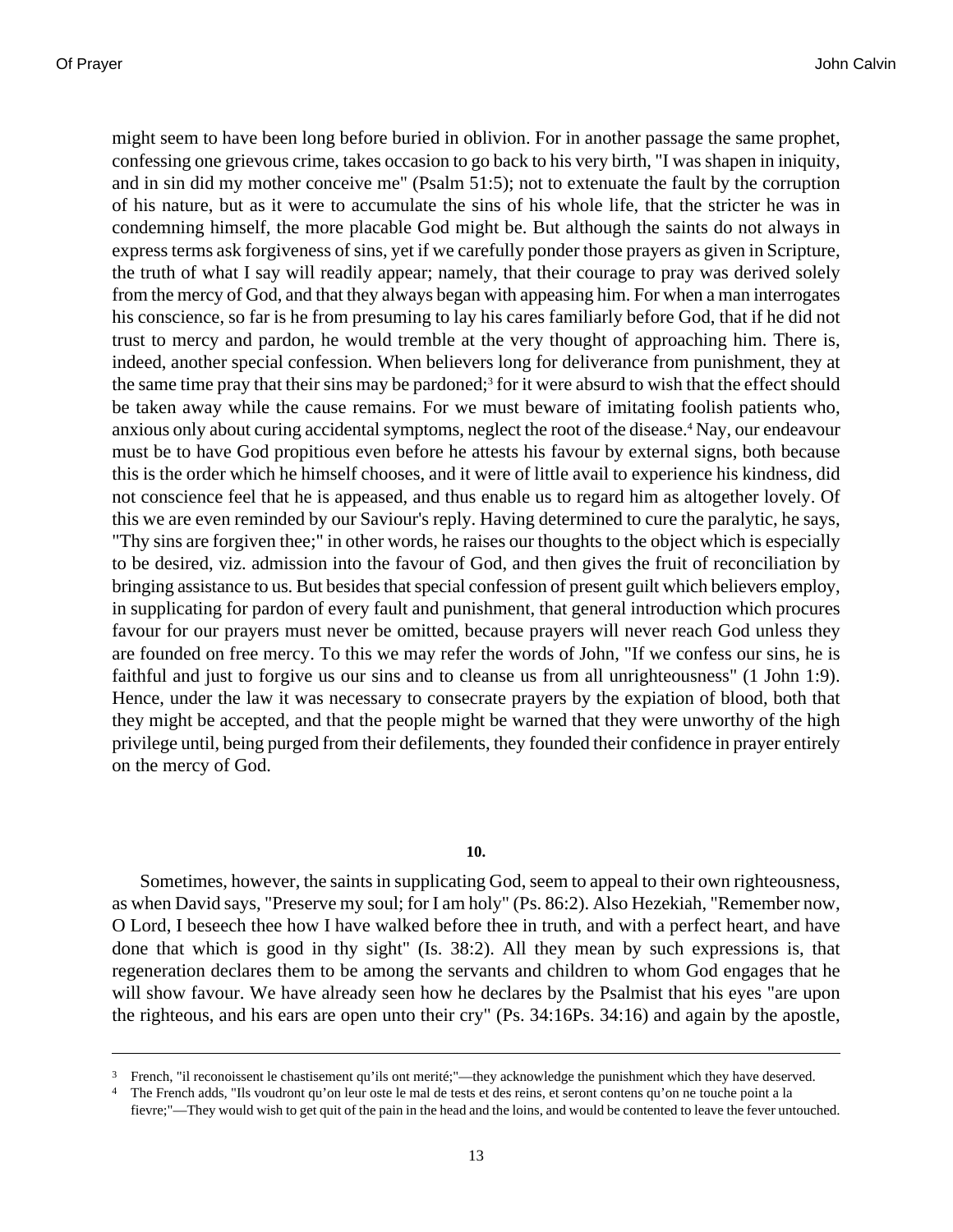might seem to have been long before buried in oblivion. For in another passage the same prophet, confessing one grievous crime, takes occasion to go back to his very birth, "I was shapen in iniquity, and in sin did my mother conceive me" [\(Psalm 51:5](http://www.ccel.org/b/bible/asv/xml/asv.Ps.51.xml#Ps.51.5)); not to extenuate the fault by the corruption of his nature, but as it were to accumulate the sins of his whole life, that the stricter he was in condemning himself, the more placable God might be. But although the saints do not always in express terms ask forgiveness of sins, yet if we carefully ponder those prayers as given in Scripture, the truth of what I say will readily appear; namely, that their courage to pray was derived solely from the mercy of God, and that they always began with appeasing him. For when a man interrogates his conscience, so far is he from presuming to lay his cares familiarly before God, that if he did not trust to mercy and pardon, he would tremble at the very thought of approaching him. There is, indeed, another special confession. When believers long for deliverance from punishment, they at the same time pray that their sins may be pardoned;<sup>3</sup> for it were absurd to wish that the effect should be taken away while the cause remains. For we must beware of imitating foolish patients who, anxious only about curing accidental symptoms, neglect the root of the disease.<sup>4</sup> Nay, our endeavour must be to have God propitious even before he attests his favour by external signs, both because this is the order which he himself chooses, and it were of little avail to experience his kindness, did not conscience feel that he is appeased, and thus enable us to regard him as altogether lovely. Of this we are even reminded by our Saviour's reply. Having determined to cure the paralytic, he says, "Thy sins are forgiven thee;" in other words, he raises our thoughts to the object which is especially to be desired, viz. admission into the favour of God, and then gives the fruit of reconciliation by bringing assistance to us. But besides that special confession of present guilt which believers employ, in supplicating for pardon of every fault and punishment, that general introduction which procures favour for our prayers must never be omitted, because prayers will never reach God unless they are founded on free mercy. To this we may refer the words of John, "If we confess our sins, he is faithful and just to forgive us our sins and to cleanse us from all unrighteousness" ([1 John 1:9](http://www.ccel.org/b/bible/asv/xml/asv.iJohn.1.xml#iJohn.1.9)). Hence, under the law it was necessary to consecrate prayers by the expiation of blood, both that they might be accepted, and that the people might be warned that they were unworthy of the high privilege until, being purged from their defilements, they founded their confidence in prayer entirely on the mercy of God.

#### **10.**

<span id="page-16-2"></span><span id="page-16-0"></span>Sometimes, however, the saints in supplicating God, seem to appeal to their own righteousness, as when David says, "Preserve my soul; for I am holy" ([Ps. 86:2\)](http://www.ccel.org/b/bible/asv/xml/asv.Ps.86.xml#Ps.86.2). Also Hezekiah, "Remember now, O Lord, I beseech thee how I have walked before thee in truth, and with a perfect heart, and have done that which is good in thy sight" ([Is. 38:2\)](http://www.ccel.org/b/bible/asv/xml/asv.Isa.38.xml#Isa.38.2). All they mean by such expressions is, that regeneration declares them to be among the servants and children to whom God engages that he will show favour. We have already seen how he declares by the Psalmist that his eyes "are upon the righteous, and his ears are open unto their cry" ([Ps. 34:16Ps. 34:16\)](http://www.ccel.org/b/bible/asv/xml/asv.Ps.34.xml#Ps.34.16) and again by the apostle,

<span id="page-16-1"></span><sup>3</sup> French, "il reconoissent le chastisement qu'ils ont merité;"—they acknowledge the punishment which they have deserved.

<sup>4</sup> The French adds, "Ils voudront qu'on leur oste le mal de tests et des reins, et seront contens qu'on ne touche point a la

fievre;"—They would wish to get quit of the pain in the head and the loins, and would be contented to leave the fever untouched.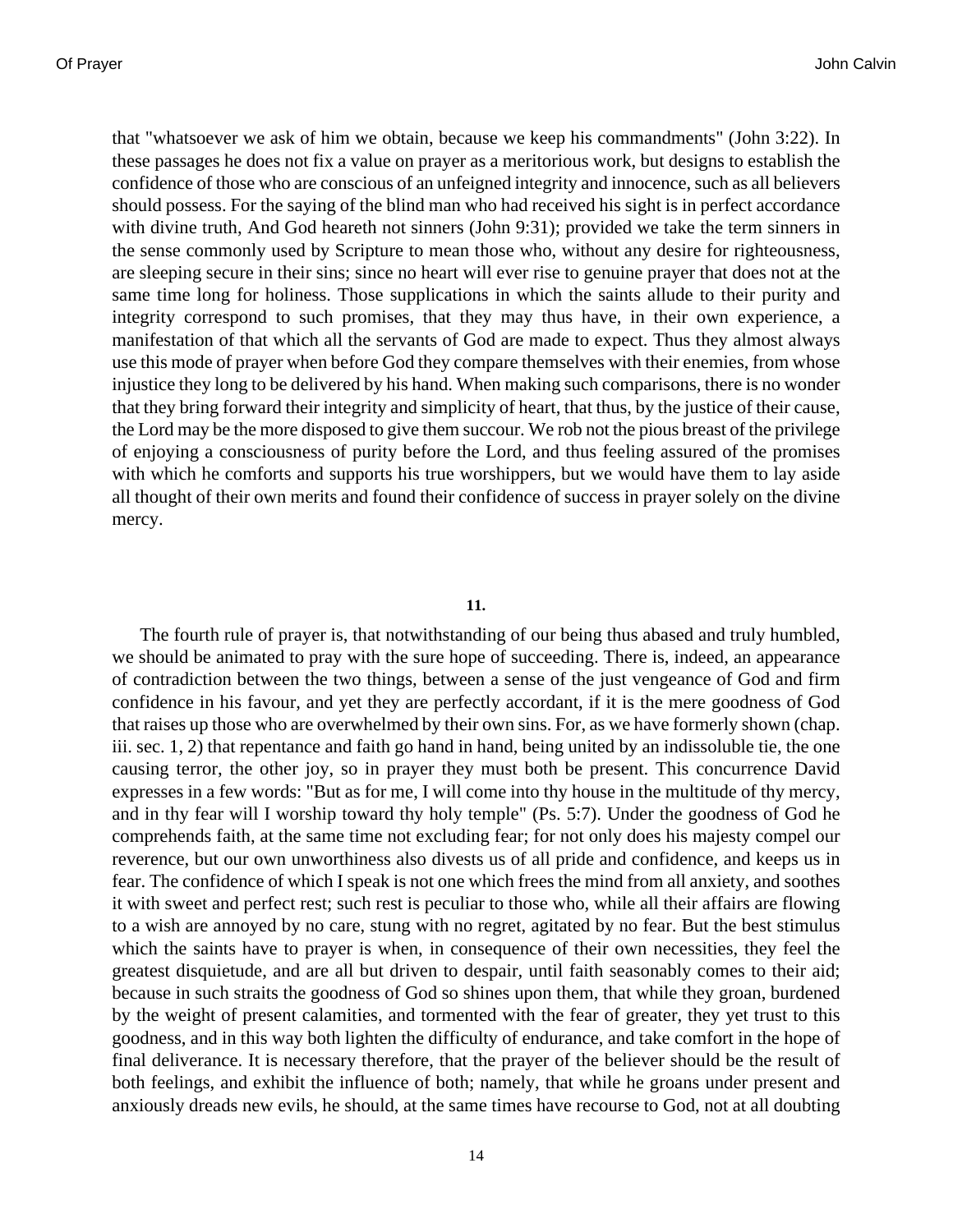that "whatsoever we ask of him we obtain, because we keep his commandments" [\(John 3:22\)](http://www.ccel.org/b/bible/asv/xml/asv.John.3.xml#John.3.22). In these passages he does not fix a value on prayer as a meritorious work, but designs to establish the confidence of those who are conscious of an unfeigned integrity and innocence, such as all believers should possess. For the saying of the blind man who had received his sight is in perfect accordance with divine truth, And God heareth not sinners ([John 9:31\)](http://www.ccel.org/b/bible/asv/xml/asv.John.9.xml#John.9.31); provided we take the term sinners in the sense commonly used by Scripture to mean those who, without any desire for righteousness, are sleeping secure in their sins; since no heart will ever rise to genuine prayer that does not at the same time long for holiness. Those supplications in which the saints allude to their purity and integrity correspond to such promises, that they may thus have, in their own experience, a manifestation of that which all the servants of God are made to expect. Thus they almost always use this mode of prayer when before God they compare themselves with their enemies, from whose injustice they long to be delivered by his hand. When making such comparisons, there is no wonder that they bring forward their integrity and simplicity of heart, that thus, by the justice of their cause, the Lord may be the more disposed to give them succour. We rob not the pious breast of the privilege of enjoying a consciousness of purity before the Lord, and thus feeling assured of the promises with which he comforts and supports his true worshippers, but we would have them to lay aside all thought of their own merits and found their confidence of success in prayer solely on the divine mercy.

#### **11.**

<span id="page-17-0"></span>The fourth rule of prayer is, that notwithstanding of our being thus abased and truly humbled, we should be animated to pray with the sure hope of succeeding. There is, indeed, an appearance of contradiction between the two things, between a sense of the just vengeance of God and firm confidence in his favour, and yet they are perfectly accordant, if it is the mere goodness of God that raises up those who are overwhelmed by their own sins. For, as we have formerly shown (chap. iii. sec. 1, 2) that repentance and faith go hand in hand, being united by an indissoluble tie, the one causing terror, the other joy, so in prayer they must both be present. This concurrence David expresses in a few words: "But as for me, I will come into thy house in the multitude of thy mercy, and in thy fear will I worship toward thy holy temple" [\(Ps. 5:7\)](http://www.ccel.org/b/bible/asv/xml/asv.Ps.5.xml#Ps.5.7). Under the goodness of God he comprehends faith, at the same time not excluding fear; for not only does his majesty compel our reverence, but our own unworthiness also divests us of all pride and confidence, and keeps us in fear. The confidence of which I speak is not one which frees the mind from all anxiety, and soothes it with sweet and perfect rest; such rest is peculiar to those who, while all their affairs are flowing to a wish are annoyed by no care, stung with no regret, agitated by no fear. But the best stimulus which the saints have to prayer is when, in consequence of their own necessities, they feel the greatest disquietude, and are all but driven to despair, until faith seasonably comes to their aid; because in such straits the goodness of God so shines upon them, that while they groan, burdened by the weight of present calamities, and tormented with the fear of greater, they yet trust to this goodness, and in this way both lighten the difficulty of endurance, and take comfort in the hope of final deliverance. It is necessary therefore, that the prayer of the believer should be the result of both feelings, and exhibit the influence of both; namely, that while he groans under present and anxiously dreads new evils, he should, at the same times have recourse to God, not at all doubting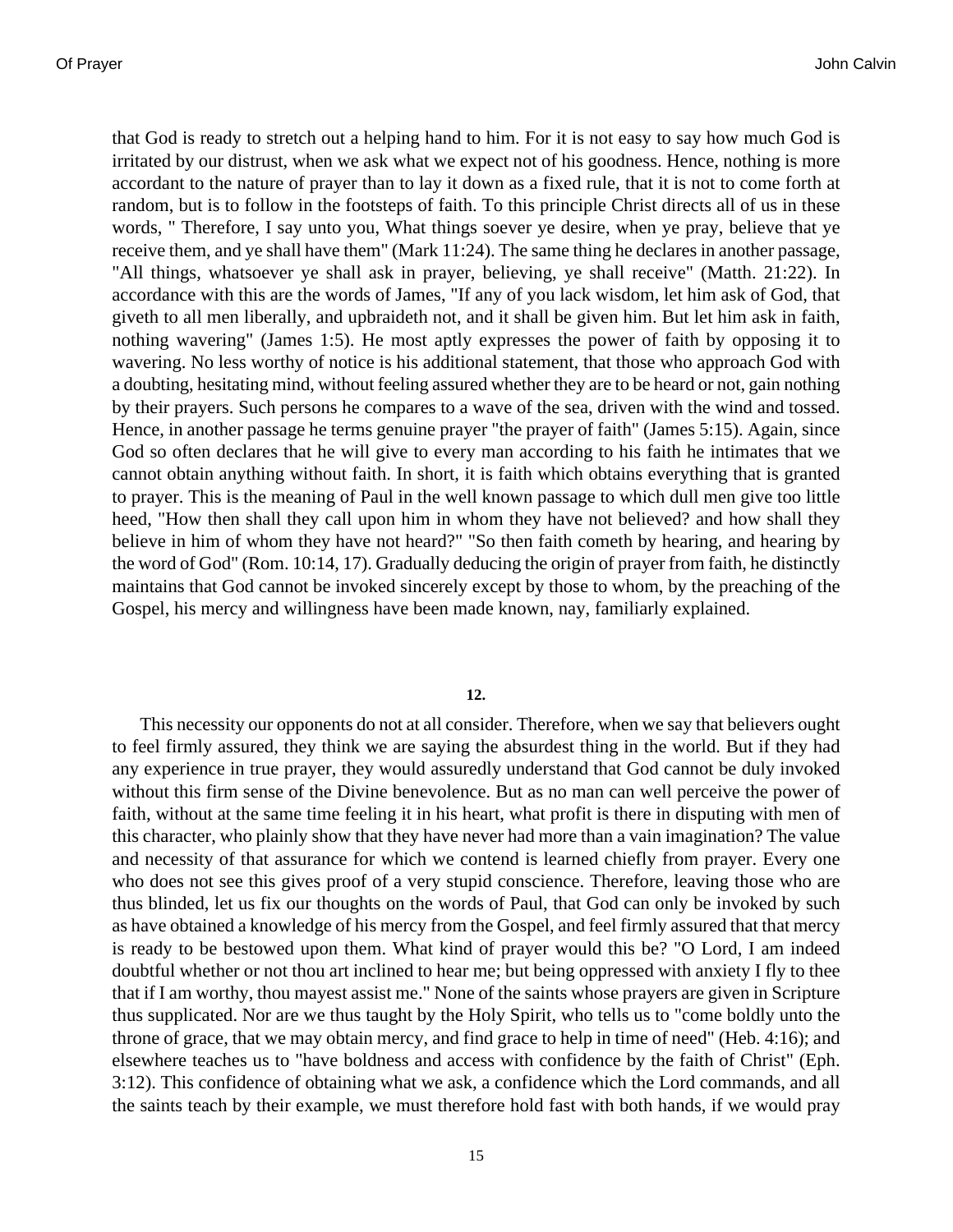that God is ready to stretch out a helping hand to him. For it is not easy to say how much God is irritated by our distrust, when we ask what we expect not of his goodness. Hence, nothing is more accordant to the nature of prayer than to lay it down as a fixed rule, that it is not to come forth at random, but is to follow in the footsteps of faith. To this principle Christ directs all of us in these words, " Therefore, I say unto you, What things soever ye desire, when ye pray, believe that ye receive them, and ye shall have them" ([Mark 11:24](http://www.ccel.org/b/bible/asv/xml/asv.Mark.11.xml#Mark.11.24)). The same thing he declares in another passage, "All things, whatsoever ye shall ask in prayer, believing, ye shall receive" [\(Matth. 21:22](http://www.ccel.org/b/bible/asv/xml/asv.Matt.21.xml#Matt.21.22)). In accordance with this are the words of James, "If any of you lack wisdom, let him ask of God, that giveth to all men liberally, and upbraideth not, and it shall be given him. But let him ask in faith, nothing wavering" ([James 1:5\)](http://www.ccel.org/b/bible/asv/xml/asv.Jas.1.xml#Jas.1.5). He most aptly expresses the power of faith by opposing it to wavering. No less worthy of notice is his additional statement, that those who approach God with a doubting, hesitating mind, without feeling assured whether they are to be heard or not, gain nothing by their prayers. Such persons he compares to a wave of the sea, driven with the wind and tossed. Hence, in another passage he terms genuine prayer "the prayer of faith" ([James 5:15\)](http://www.ccel.org/b/bible/asv/xml/asv.Jas.5.xml#Jas.5.15). Again, since God so often declares that he will give to every man according to his faith he intimates that we cannot obtain anything without faith. In short, it is faith which obtains everything that is granted to prayer. This is the meaning of Paul in the well known passage to which dull men give too little heed, "How then shall they call upon him in whom they have not believed? and how shall they believe in him of whom they have not heard?" "So then faith cometh by hearing, and hearing by the word of God" ([Rom. 10:14, 17](http://www.ccel.org/b/bible/asv/xml/asv.Rom.10.xml#Rom.10.14 Bible:Rom.10.17)). Gradually deducing the origin of prayer from faith, he distinctly maintains that God cannot be invoked sincerely except by those to whom, by the preaching of the Gospel, his mercy and willingness have been made known, nay, familiarly explained.

#### **12.**

<span id="page-18-0"></span>This necessity our opponents do not at all consider. Therefore, when we say that believers ought to feel firmly assured, they think we are saying the absurdest thing in the world. But if they had any experience in true prayer, they would assuredly understand that God cannot be duly invoked without this firm sense of the Divine benevolence. But as no man can well perceive the power of faith, without at the same time feeling it in his heart, what profit is there in disputing with men of this character, who plainly show that they have never had more than a vain imagination? The value and necessity of that assurance for which we contend is learned chiefly from prayer. Every one who does not see this gives proof of a very stupid conscience. Therefore, leaving those who are thus blinded, let us fix our thoughts on the words of Paul, that God can only be invoked by such as have obtained a knowledge of his mercy from the Gospel, and feel firmly assured that that mercy is ready to be bestowed upon them. What kind of prayer would this be? "O Lord, I am indeed doubtful whether or not thou art inclined to hear me; but being oppressed with anxiety I fly to thee that if I am worthy, thou mayest assist me." None of the saints whose prayers are given in Scripture thus supplicated. Nor are we thus taught by the Holy Spirit, who tells us to "come boldly unto the throne of grace, that we may obtain mercy, and find grace to help in time of need" ([Heb. 4:16\)](http://www.ccel.org/b/bible/asv/xml/asv.Heb.4.xml#Heb.4.16); and elsewhere teaches us to "have boldness and access with confidence by the faith of Christ" ([Eph.](http://www.ccel.org/b/bible/asv/xml/asv.Eph.3.xml#Eph.3.12) [3:12](http://www.ccel.org/b/bible/asv/xml/asv.Eph.3.xml#Eph.3.12)). This confidence of obtaining what we ask, a confidence which the Lord commands, and all the saints teach by their example, we must therefore hold fast with both hands, if we would pray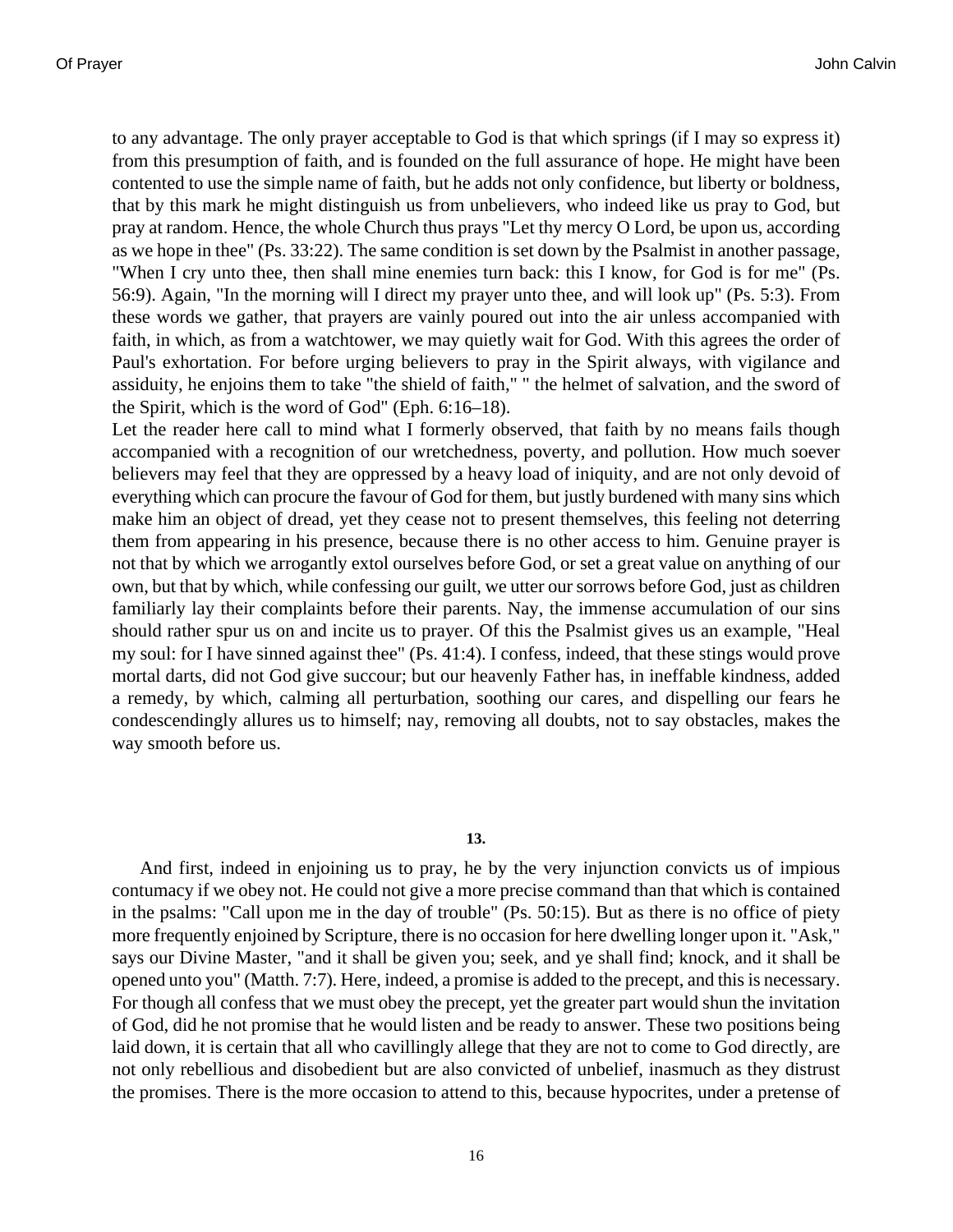to any advantage. The only prayer acceptable to God is that which springs (if I may so express it) from this presumption of faith, and is founded on the full assurance of hope. He might have been contented to use the simple name of faith, but he adds not only confidence, but liberty or boldness, that by this mark he might distinguish us from unbelievers, who indeed like us pray to God, but pray at random. Hence, the whole Church thus prays "Let thy mercy O Lord, be upon us, according as we hope in thee" ([Ps. 33:22\)](http://www.ccel.org/b/bible/asv/xml/asv.Ps.33.xml#Ps.33.22). The same condition is set down by the Psalmist in another passage, "When I cry unto thee, then shall mine enemies turn back: this I know, for God is for me" ([Ps.](http://www.ccel.org/b/bible/asv/xml/asv.Ps.56.xml#Ps.56.9) [56:9](http://www.ccel.org/b/bible/asv/xml/asv.Ps.56.xml#Ps.56.9)). Again, "In the morning will I direct my prayer unto thee, and will look up" [\(Ps. 5:3\)](http://www.ccel.org/b/bible/asv/xml/asv.Ps.5.xml#Ps.5.3). From these words we gather, that prayers are vainly poured out into the air unless accompanied with faith, in which, as from a watchtower, we may quietly wait for God. With this agrees the order of Paul's exhortation. For before urging believers to pray in the Spirit always, with vigilance and assiduity, he enjoins them to take "the shield of faith," " the helmet of salvation, and the sword of the Spirit, which is the word of God" [\(Eph. 6:16–18](http://www.ccel.org/b/bible/asv/xml/asv.Eph.6.xml#Eph.6.16)).

Let the reader here call to mind what I formerly observed, that faith by no means fails though accompanied with a recognition of our wretchedness, poverty, and pollution. How much soever believers may feel that they are oppressed by a heavy load of iniquity, and are not only devoid of everything which can procure the favour of God for them, but justly burdened with many sins which make him an object of dread, yet they cease not to present themselves, this feeling not deterring them from appearing in his presence, because there is no other access to him. Genuine prayer is not that by which we arrogantly extol ourselves before God, or set a great value on anything of our own, but that by which, while confessing our guilt, we utter our sorrows before God, just as children familiarly lay their complaints before their parents. Nay, the immense accumulation of our sins should rather spur us on and incite us to prayer. Of this the Psalmist gives us an example, "Heal my soul: for I have sinned against thee" [\(Ps. 41:4\)](http://www.ccel.org/b/bible/asv/xml/asv.Ps.41.xml#Ps.41.4). I confess, indeed, that these stings would prove mortal darts, did not God give succour; but our heavenly Father has, in ineffable kindness, added a remedy, by which, calming all perturbation, soothing our cares, and dispelling our fears he condescendingly allures us to himself; nay, removing all doubts, not to say obstacles, makes the way smooth before us.

#### **13.**

<span id="page-19-0"></span>And first, indeed in enjoining us to pray, he by the very injunction convicts us of impious contumacy if we obey not. He could not give a more precise command than that which is contained in the psalms: "Call upon me in the day of trouble" ([Ps. 50:15\)](http://www.ccel.org/b/bible/asv/xml/asv.Ps.50.xml#Ps.50.15). But as there is no office of piety more frequently enjoined by Scripture, there is no occasion for here dwelling longer upon it. "Ask," says our Divine Master, "and it shall be given you; seek, and ye shall find; knock, and it shall be opened unto you" [\(Matth. 7:7\)](http://www.ccel.org/b/bible/asv/xml/asv.Matt.7.xml#Matt.7.7). Here, indeed, a promise is added to the precept, and this is necessary. For though all confess that we must obey the precept, yet the greater part would shun the invitation of God, did he not promise that he would listen and be ready to answer. These two positions being laid down, it is certain that all who cavillingly allege that they are not to come to God directly, are not only rebellious and disobedient but are also convicted of unbelief, inasmuch as they distrust the promises. There is the more occasion to attend to this, because hypocrites, under a pretense of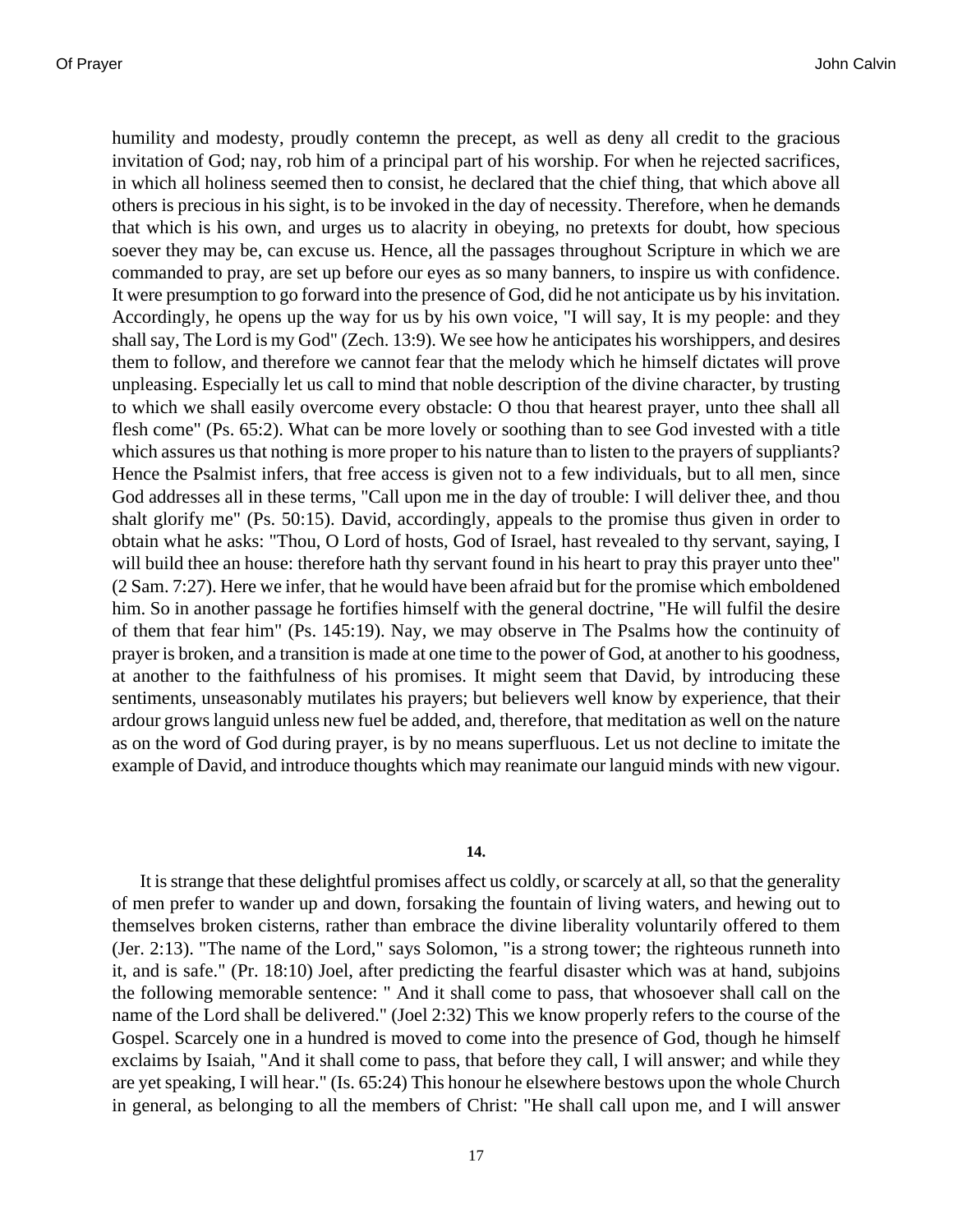humility and modesty, proudly contemn the precept, as well as deny all credit to the gracious invitation of God; nay, rob him of a principal part of his worship. For when he rejected sacrifices, in which all holiness seemed then to consist, he declared that the chief thing, that which above all others is precious in his sight, is to be invoked in the day of necessity. Therefore, when he demands that which is his own, and urges us to alacrity in obeying, no pretexts for doubt, how specious soever they may be, can excuse us. Hence, all the passages throughout Scripture in which we are commanded to pray, are set up before our eyes as so many banners, to inspire us with confidence. It were presumption to go forward into the presence of God, did he not anticipate us by his invitation. Accordingly, he opens up the way for us by his own voice, "I will say, It is my people: and they shall say, The Lord is my God" [\(Zech. 13:9](http://www.ccel.org/b/bible/asv/xml/asv.Zech.13.xml#Zech.13.9)). We see how he anticipates his worshippers, and desires them to follow, and therefore we cannot fear that the melody which he himself dictates will prove unpleasing. Especially let us call to mind that noble description of the divine character, by trusting to which we shall easily overcome every obstacle: O thou that hearest prayer, unto thee shall all flesh come" [\(Ps. 65:2](http://www.ccel.org/b/bible/asv/xml/asv.Ps.65.xml#Ps.65.2)). What can be more lovely or soothing than to see God invested with a title which assures us that nothing is more proper to his nature than to listen to the prayers of suppliants? Hence the Psalmist infers, that free access is given not to a few individuals, but to all men, since God addresses all in these terms, "Call upon me in the day of trouble: I will deliver thee, and thou shalt glorify me" ([Ps. 50:15](http://www.ccel.org/b/bible/asv/xml/asv.Ps.50.xml#Ps.50.15)). David, accordingly, appeals to the promise thus given in order to obtain what he asks: "Thou, O Lord of hosts, God of Israel, hast revealed to thy servant, saying, I will build thee an house: therefore hath thy servant found in his heart to pray this prayer unto thee" ([2 Sam. 7:27](http://www.ccel.org/b/bible/asv/xml/asv.iiSam.7.xml#iiSam.7.27)). Here we infer, that he would have been afraid but for the promise which emboldened him. So in another passage he fortifies himself with the general doctrine, "He will fulfil the desire of them that fear him" [\(Ps. 145:19](http://www.ccel.org/b/bible/asv/xml/asv.Ps.145.xml#Ps.145.19)). Nay, we may observe in The Psalms how the continuity of prayer is broken, and a transition is made at one time to the power of God, at another to his goodness, at another to the faithfulness of his promises. It might seem that David, by introducing these sentiments, unseasonably mutilates his prayers; but believers well know by experience, that their ardour grows languid unless new fuel be added, and, therefore, that meditation as well on the nature as on the word of God during prayer, is by no means superfluous. Let us not decline to imitate the example of David, and introduce thoughts which may reanimate our languid minds with new vigour.

#### **14.**

<span id="page-20-0"></span>It is strange that these delightful promises affect us coldly, or scarcely at all, so that the generality of men prefer to wander up and down, forsaking the fountain of living waters, and hewing out to themselves broken cisterns, rather than embrace the divine liberality voluntarily offered to them ([Jer. 2:13\)](http://www.ccel.org/b/bible/asv/xml/asv.Jer.2.xml#Jer.2.13). "The name of the Lord," says Solomon, "is a strong tower; the righteous runneth into it, and is safe." ([Pr. 18:10](http://www.ccel.org/b/bible/asv/xml/asv.Prov.18.xml#Prov.18.10)) Joel, after predicting the fearful disaster which was at hand, subjoins the following memorable sentence: " And it shall come to pass, that whosoever shall call on the name of the Lord shall be delivered." ([Joel 2:32\)](http://www.ccel.org/b/bible/asv/xml/asv.Joel.2.xml#Joel.2.32) This we know properly refers to the course of the Gospel. Scarcely one in a hundred is moved to come into the presence of God, though he himself exclaims by Isaiah, "And it shall come to pass, that before they call, I will answer; and while they are yet speaking, I will hear." [\(Is. 65:24\)](http://www.ccel.org/b/bible/asv/xml/asv.Isa.65.xml#Isa.65.24) This honour he elsewhere bestows upon the whole Church in general, as belonging to all the members of Christ: "He shall call upon me, and I will answer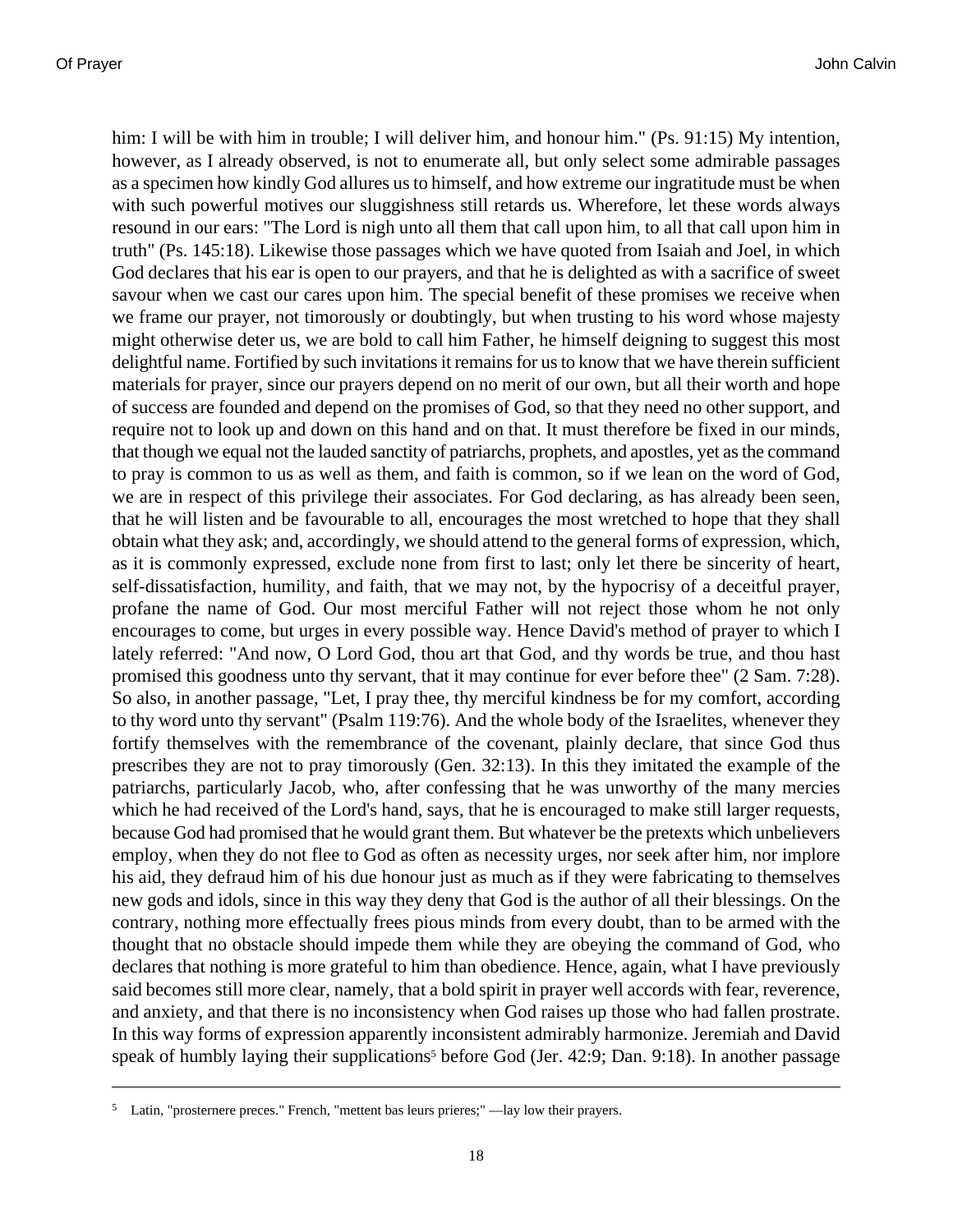him: I will be with him in trouble; I will deliver him, and honour him." [\(Ps. 91:15](http://www.ccel.org/b/bible/asv/xml/asv.Ps.91.xml#Ps.91.15)) My intention, however, as I already observed, is not to enumerate all, but only select some admirable passages as a specimen how kindly God allures us to himself, and how extreme our ingratitude must be when with such powerful motives our sluggishness still retards us. Wherefore, let these words always resound in our ears: "The Lord is nigh unto all them that call upon him, to all that call upon him in truth" [\(Ps. 145:18\)](http://www.ccel.org/b/bible/asv/xml/asv.Ps.145.xml#Ps.145.18). Likewise those passages which we have quoted from Isaiah and Joel, in which God declares that his ear is open to our prayers, and that he is delighted as with a sacrifice of sweet savour when we cast our cares upon him. The special benefit of these promises we receive when we frame our prayer, not timorously or doubtingly, but when trusting to his word whose majesty might otherwise deter us, we are bold to call him Father, he himself deigning to suggest this most delightful name. Fortified by such invitations it remains for us to know that we have therein sufficient materials for prayer, since our prayers depend on no merit of our own, but all their worth and hope of success are founded and depend on the promises of God, so that they need no other support, and require not to look up and down on this hand and on that. It must therefore be fixed in our minds, that though we equal not the lauded sanctity of patriarchs, prophets, and apostles, yet as the command to pray is common to us as well as them, and faith is common, so if we lean on the word of God, we are in respect of this privilege their associates. For God declaring, as has already been seen, that he will listen and be favourable to all, encourages the most wretched to hope that they shall obtain what they ask; and, accordingly, we should attend to the general forms of expression, which, as it is commonly expressed, exclude none from first to last; only let there be sincerity of heart, self-dissatisfaction, humility, and faith, that we may not, by the hypocrisy of a deceitful prayer, profane the name of God. Our most merciful Father will not reject those whom he not only encourages to come, but urges in every possible way. Hence David's method of prayer to which I lately referred: "And now, O Lord God, thou art that God, and thy words be true, and thou hast promised this goodness unto thy servant, that it may continue for ever before thee" [\(2 Sam. 7:28](http://www.ccel.org/b/bible/asv/xml/asv.iiSam.7.xml#iiSam.7.28)). So also, in another passage, "Let, I pray thee, thy merciful kindness be for my comfort, according to thy word unto thy servant" [\(Psalm 119:76](http://www.ccel.org/b/bible/asv/xml/asv.Ps.119.xml#Ps.119.76)). And the whole body of the Israelites, whenever they fortify themselves with the remembrance of the covenant, plainly declare, that since God thus prescribes they are not to pray timorously [\(Gen. 32:13\)](http://www.ccel.org/b/bible/asv/xml/asv.Gen.32.xml#Gen.32.13). In this they imitated the example of the patriarchs, particularly Jacob, who, after confessing that he was unworthy of the many mercies which he had received of the Lord's hand, says, that he is encouraged to make still larger requests, because God had promised that he would grant them. But whatever be the pretexts which unbelievers employ, when they do not flee to God as often as necessity urges, nor seek after him, nor implore his aid, they defraud him of his due honour just as much as if they were fabricating to themselves new gods and idols, since in this way they deny that God is the author of all their blessings. On the contrary, nothing more effectually frees pious minds from every doubt, than to be armed with the thought that no obstacle should impede them while they are obeying the command of God, who declares that nothing is more grateful to him than obedience. Hence, again, what I have previously said becomes still more clear, namely, that a bold spirit in prayer well accords with fear, reverence, and anxiety, and that there is no inconsistency when God raises up those who had fallen prostrate. In this way forms of expression apparently inconsistent admirably harmonize. Jeremiah and David speak of humbly laying their supplications<sup>5</sup> before God ([Jer. 42:9;](http://www.ccel.org/b/bible/asv/xml/asv.Jer.42.xml#Jer.42.9) [Dan. 9:18](http://www.ccel.org/b/bible/asv/xml/asv.Dan.9.xml#Dan.9.18)). In another passage

<span id="page-21-0"></span><sup>5</sup> Latin, "prosternere preces." French, "mettent bas leurs prieres;" —lay low their prayers.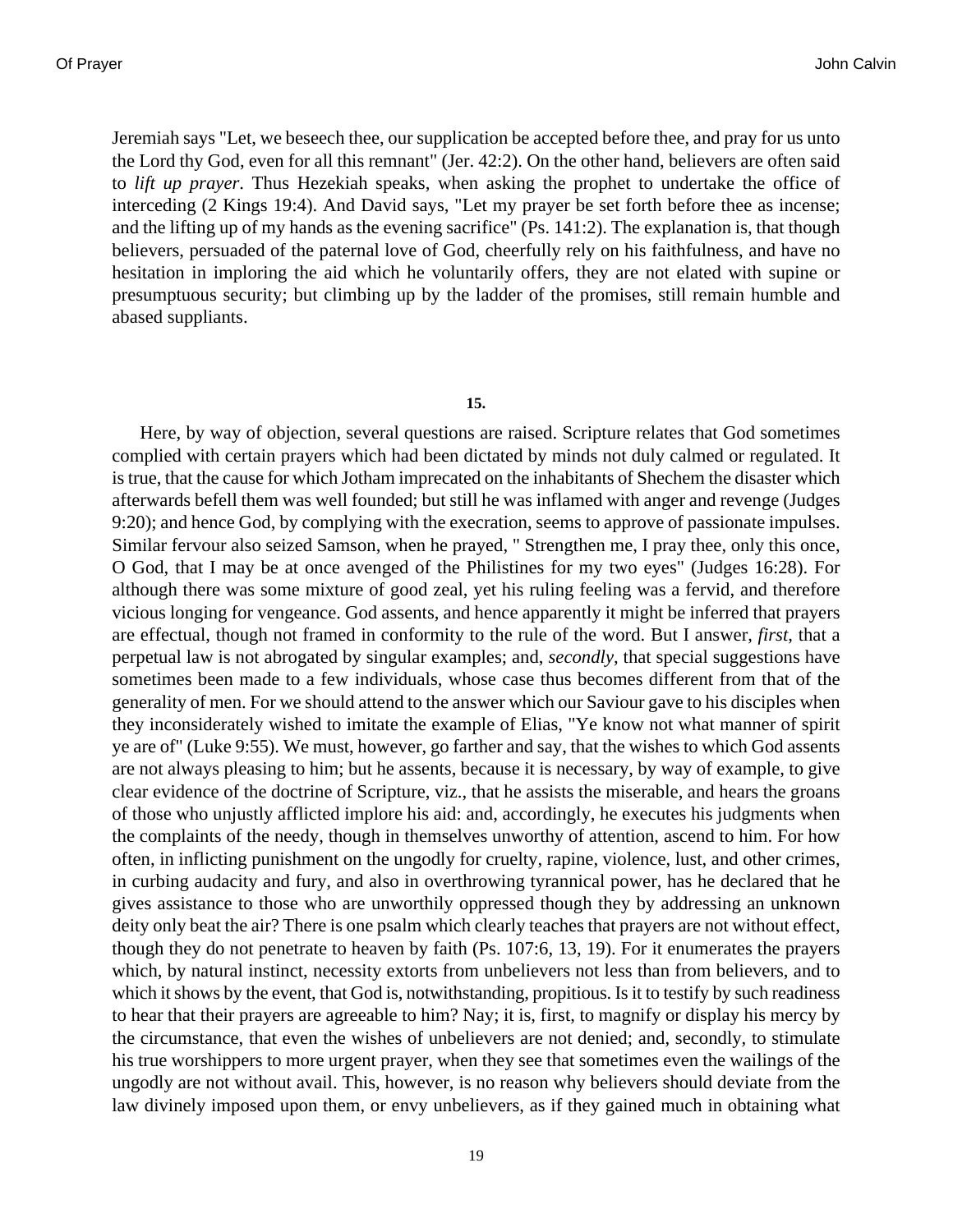Jeremiah says "Let, we beseech thee, our supplication be accepted before thee, and pray for us unto the Lord thy God, even for all this remnant" ([Jer. 42:2\)](http://www.ccel.org/b/bible/asv/xml/asv.Jer.42.xml#Jer.42.2). On the other hand, believers are often said to *lift up prayer*. Thus Hezekiah speaks, when asking the prophet to undertake the office of interceding ([2 Kings 19:4\)](http://www.ccel.org/b/bible/asv/xml/asv.iiKgs.19.xml#iiKgs.19.4). And David says, "Let my prayer be set forth before thee as incense; and the lifting up of my hands as the evening sacrifice" ([Ps. 141:2](http://www.ccel.org/b/bible/asv/xml/asv.Ps.141.xml#Ps.141.2)). The explanation is, that though believers, persuaded of the paternal love of God, cheerfully rely on his faithfulness, and have no hesitation in imploring the aid which he voluntarily offers, they are not elated with supine or presumptuous security; but climbing up by the ladder of the promises, still remain humble and abased suppliants.

**15.**

<span id="page-22-0"></span>Here, by way of objection, several questions are raised. Scripture relates that God sometimes complied with certain prayers which had been dictated by minds not duly calmed or regulated. It is true, that the cause for which Jotham imprecated on the inhabitants of Shechem the disaster which afterwards befell them was well founded; but still he was inflamed with anger and revenge [\(Judges](http://www.ccel.org/b/bible/asv/xml/asv.Judg.9.xml#Judg.9.20) [9:20](http://www.ccel.org/b/bible/asv/xml/asv.Judg.9.xml#Judg.9.20)); and hence God, by complying with the execration, seems to approve of passionate impulses. Similar fervour also seized Samson, when he prayed, " Strengthen me, I pray thee, only this once, O God, that I may be at once avenged of the Philistines for my two eyes" [\(Judges 16:28](http://www.ccel.org/b/bible/asv/xml/asv.Judg.16.xml#Judg.16.28)). For although there was some mixture of good zeal, yet his ruling feeling was a fervid, and therefore vicious longing for vengeance. God assents, and hence apparently it might be inferred that prayers are effectual, though not framed in conformity to the rule of the word. But I answer, *first*, that a perpetual law is not abrogated by singular examples; and, *secondly*, that special suggestions have sometimes been made to a few individuals, whose case thus becomes different from that of the generality of men. For we should attend to the answer which our Saviour gave to his disciples when they inconsiderately wished to imitate the example of Elias, "Ye know not what manner of spirit ye are of" [\(Luke 9:55\)](http://www.ccel.org/b/bible/asv/xml/asv.Luke.9.xml#Luke.9.55). We must, however, go farther and say, that the wishes to which God assents are not always pleasing to him; but he assents, because it is necessary, by way of example, to give clear evidence of the doctrine of Scripture, viz., that he assists the miserable, and hears the groans of those who unjustly afflicted implore his aid: and, accordingly, he executes his judgments when the complaints of the needy, though in themselves unworthy of attention, ascend to him. For how often, in inflicting punishment on the ungodly for cruelty, rapine, violence, lust, and other crimes, in curbing audacity and fury, and also in overthrowing tyrannical power, has he declared that he gives assistance to those who are unworthily oppressed though they by addressing an unknown deity only beat the air? There is one psalm which clearly teaches that prayers are not without effect, though they do not penetrate to heaven by faith ([Ps. 107:6, 13, 19\)](http://www.ccel.org/b/bible/asv/xml/asv.Ps.107.xml#Ps.107.6 Bible:Ps.107.13 Bible:Ps.107.19). For it enumerates the prayers which, by natural instinct, necessity extorts from unbelievers not less than from believers, and to which it shows by the event, that God is, notwithstanding, propitious. Is it to testify by such readiness to hear that their prayers are agreeable to him? Nay; it is, first, to magnify or display his mercy by the circumstance, that even the wishes of unbelievers are not denied; and, secondly, to stimulate his true worshippers to more urgent prayer, when they see that sometimes even the wailings of the ungodly are not without avail. This, however, is no reason why believers should deviate from the law divinely imposed upon them, or envy unbelievers, as if they gained much in obtaining what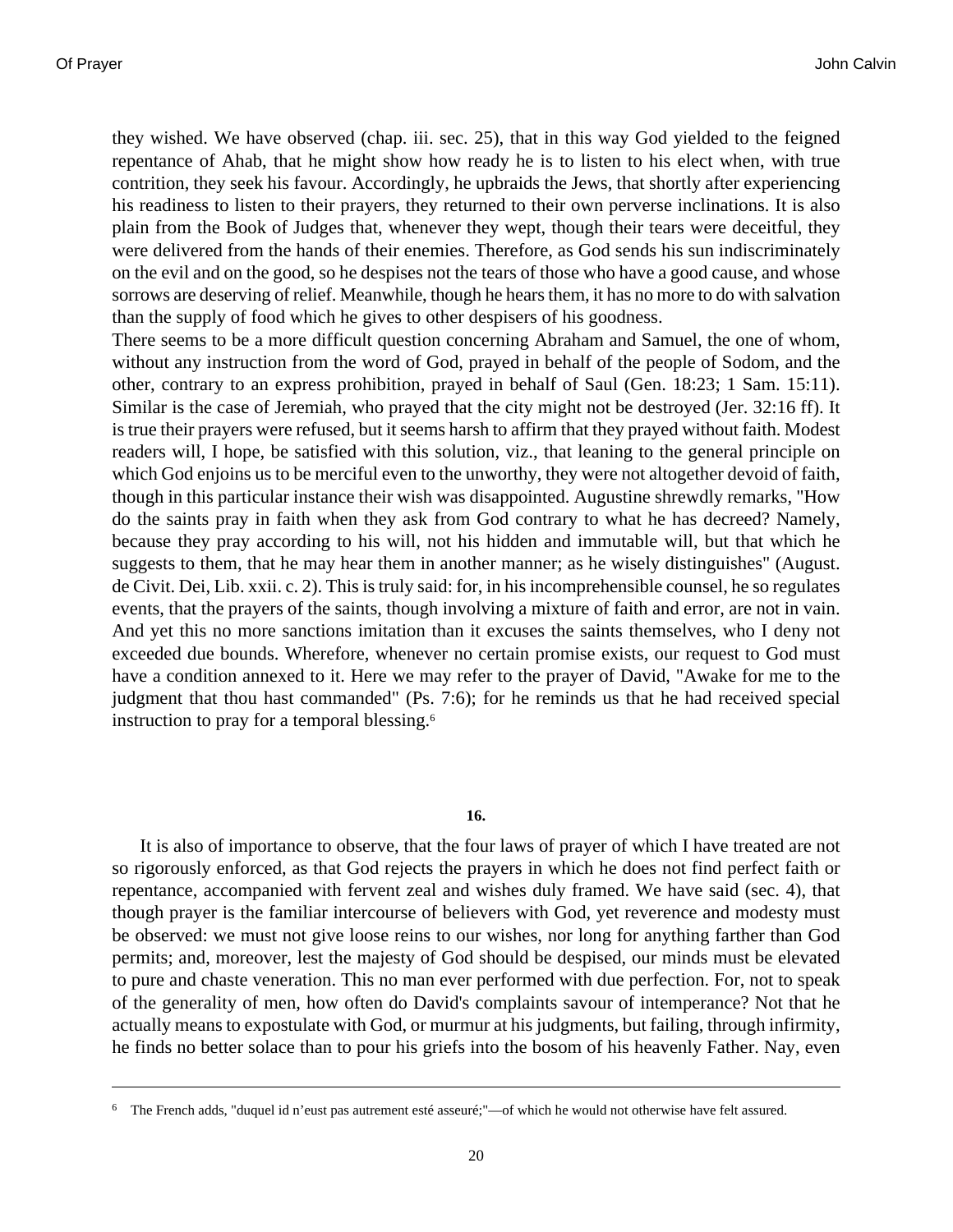they wished. We have observed (chap. iii. sec. 25), that in this way God yielded to the feigned repentance of Ahab, that he might show how ready he is to listen to his elect when, with true contrition, they seek his favour. Accordingly, he upbraids the Jews, that shortly after experiencing his readiness to listen to their prayers, they returned to their own perverse inclinations. It is also plain from the Book of Judges that, whenever they wept, though their tears were deceitful, they were delivered from the hands of their enemies. Therefore, as God sends his sun indiscriminately on the evil and on the good, so he despises not the tears of those who have a good cause, and whose sorrows are deserving of relief. Meanwhile, though he hears them, it has no more to do with salvation than the supply of food which he gives to other despisers of his goodness.

There seems to be a more difficult question concerning Abraham and Samuel, the one of whom, without any instruction from the word of God, prayed in behalf of the people of Sodom, and the other, contrary to an express prohibition, prayed in behalf of Saul [\(Gen. 18:23;](http://www.ccel.org/b/bible/asv/xml/asv.Gen.18.xml#Gen.18.23) [1 Sam. 15:11](http://www.ccel.org/b/bible/asv/xml/asv.iSam.15.xml#iSam.15.11)). Similar is the case of Jeremiah, who prayed that the city might not be destroyed ([Jer. 32:16 ff](http://www.ccel.org/b/bible/asv/xml/asv.Jer.32.xml#Jer.32.16)). It is true their prayers were refused, but it seems harsh to affirm that they prayed without faith. Modest readers will, I hope, be satisfied with this solution, viz., that leaning to the general principle on which God enjoins us to be merciful even to the unworthy, they were not altogether devoid of faith, though in this particular instance their wish was disappointed. Augustine shrewdly remarks, "How do the saints pray in faith when they ask from God contrary to what he has decreed? Namely, because they pray according to his will, not his hidden and immutable will, but that which he suggests to them, that he may hear them in another manner; as he wisely distinguishes" (August. de Civit. Dei, Lib. xxii. c. 2). This is truly said: for, in his incomprehensible counsel, he so regulates events, that the prayers of the saints, though involving a mixture of faith and error, are not in vain. And yet this no more sanctions imitation than it excuses the saints themselves, who I deny not exceeded due bounds. Wherefore, whenever no certain promise exists, our request to God must have a condition annexed to it. Here we may refer to the prayer of David, "Awake for me to the judgment that thou hast commanded" ([Ps. 7:6\)](http://www.ccel.org/b/bible/asv/xml/asv.Ps.7.xml#Ps.7.6); for he reminds us that he had received special instruction to pray for a temporal blessing.<sup>6</sup>

#### **16.**

<span id="page-23-0"></span>It is also of importance to observe, that the four laws of prayer of which I have treated are not so rigorously enforced, as that God rejects the prayers in which he does not find perfect faith or repentance, accompanied with fervent zeal and wishes duly framed. We have said (sec. 4), that though prayer is the familiar intercourse of believers with God, yet reverence and modesty must be observed: we must not give loose reins to our wishes, nor long for anything farther than God permits; and, moreover, lest the majesty of God should be despised, our minds must be elevated to pure and chaste veneration. This no man ever performed with due perfection. For, not to speak of the generality of men, how often do David's complaints savour of intemperance? Not that he actually means to expostulate with God, or murmur at his judgments, but failing, through infirmity, he finds no better solace than to pour his griefs into the bosom of his heavenly Father. Nay, even

<span id="page-23-1"></span><sup>6</sup> The French adds, "duquel id n'eust pas autrement esté asseuré;"—of which he would not otherwise have felt assured.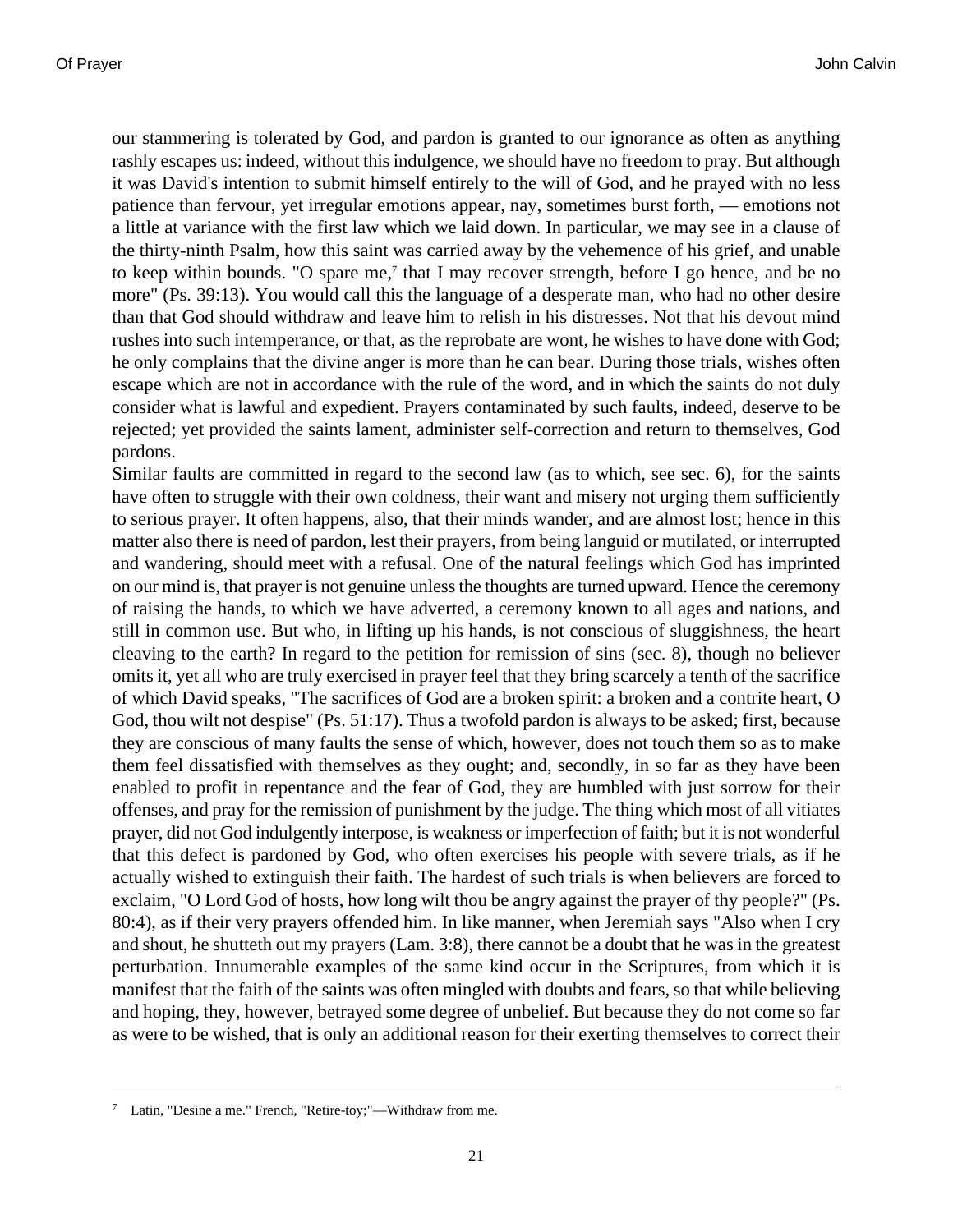our stammering is tolerated by God, and pardon is granted to our ignorance as often as anything rashly escapes us: indeed, without this indulgence, we should have no freedom to pray. But although it was David's intention to submit himself entirely to the will of God, and he prayed with no less patience than fervour, yet irregular emotions appear, nay, sometimes burst forth, — emotions not a little at variance with the first law which we laid down. In particular, we may see in a clause of the thirty-ninth Psalm, how this saint was carried away by the vehemence of his grief, and unable to keep within bounds. "O spare me,<sup>7</sup> that I may recover strength, before I go hence, and be no more" ([Ps. 39:13\)](http://www.ccel.org/b/bible/asv/xml/asv.Ps.39.xml#Ps.39.13). You would call this the language of a desperate man, who had no other desire than that God should withdraw and leave him to relish in his distresses. Not that his devout mind rushes into such intemperance, or that, as the reprobate are wont, he wishes to have done with God; he only complains that the divine anger is more than he can bear. During those trials, wishes often escape which are not in accordance with the rule of the word, and in which the saints do not duly consider what is lawful and expedient. Prayers contaminated by such faults, indeed, deserve to be rejected; yet provided the saints lament, administer self-correction and return to themselves, God pardons.

Similar faults are committed in regard to the second law (as to which, see sec. 6), for the saints have often to struggle with their own coldness, their want and misery not urging them sufficiently to serious prayer. It often happens, also, that their minds wander, and are almost lost; hence in this matter also there is need of pardon, lest their prayers, from being languid or mutilated, or interrupted and wandering, should meet with a refusal. One of the natural feelings which God has imprinted on our mind is, that prayer is not genuine unless the thoughts are turned upward. Hence the ceremony of raising the hands, to which we have adverted, a ceremony known to all ages and nations, and still in common use. But who, in lifting up his hands, is not conscious of sluggishness, the heart cleaving to the earth? In regard to the petition for remission of sins (sec. 8), though no believer omits it, yet all who are truly exercised in prayer feel that they bring scarcely a tenth of the sacrifice of which David speaks, "The sacrifices of God are a broken spirit: a broken and a contrite heart, O God, thou wilt not despise" ([Ps. 51:17](http://www.ccel.org/b/bible/asv/xml/asv.Ps.51.xml#Ps.51.17)). Thus a twofold pardon is always to be asked; first, because they are conscious of many faults the sense of which, however, does not touch them so as to make them feel dissatisfied with themselves as they ought; and, secondly, in so far as they have been enabled to profit in repentance and the fear of God, they are humbled with just sorrow for their offenses, and pray for the remission of punishment by the judge. The thing which most of all vitiates prayer, did not God indulgently interpose, is weakness or imperfection of faith; but it is not wonderful that this defect is pardoned by God, who often exercises his people with severe trials, as if he actually wished to extinguish their faith. The hardest of such trials is when believers are forced to exclaim, "O Lord God of hosts, how long wilt thou be angry against the prayer of thy people?" ([Ps.](http://www.ccel.org/b/bible/asv/xml/asv.Ps.80.xml#Ps.80.4) [80:4](http://www.ccel.org/b/bible/asv/xml/asv.Ps.80.xml#Ps.80.4)), as if their very prayers offended him. In like manner, when Jeremiah says "Also when I cry and shout, he shutteth out my prayers [\(Lam. 3:8](http://www.ccel.org/b/bible/asv/xml/asv.Lam.3.xml#Lam.3.8)), there cannot be a doubt that he was in the greatest perturbation. Innumerable examples of the same kind occur in the Scriptures, from which it is manifest that the faith of the saints was often mingled with doubts and fears, so that while believing and hoping, they, however, betrayed some degree of unbelief. But because they do not come so far as were to be wished, that is only an additional reason for their exerting themselves to correct their

<span id="page-24-0"></span><sup>7</sup> Latin, "Desine a me." French, "Retire-toy;"—Withdraw from me.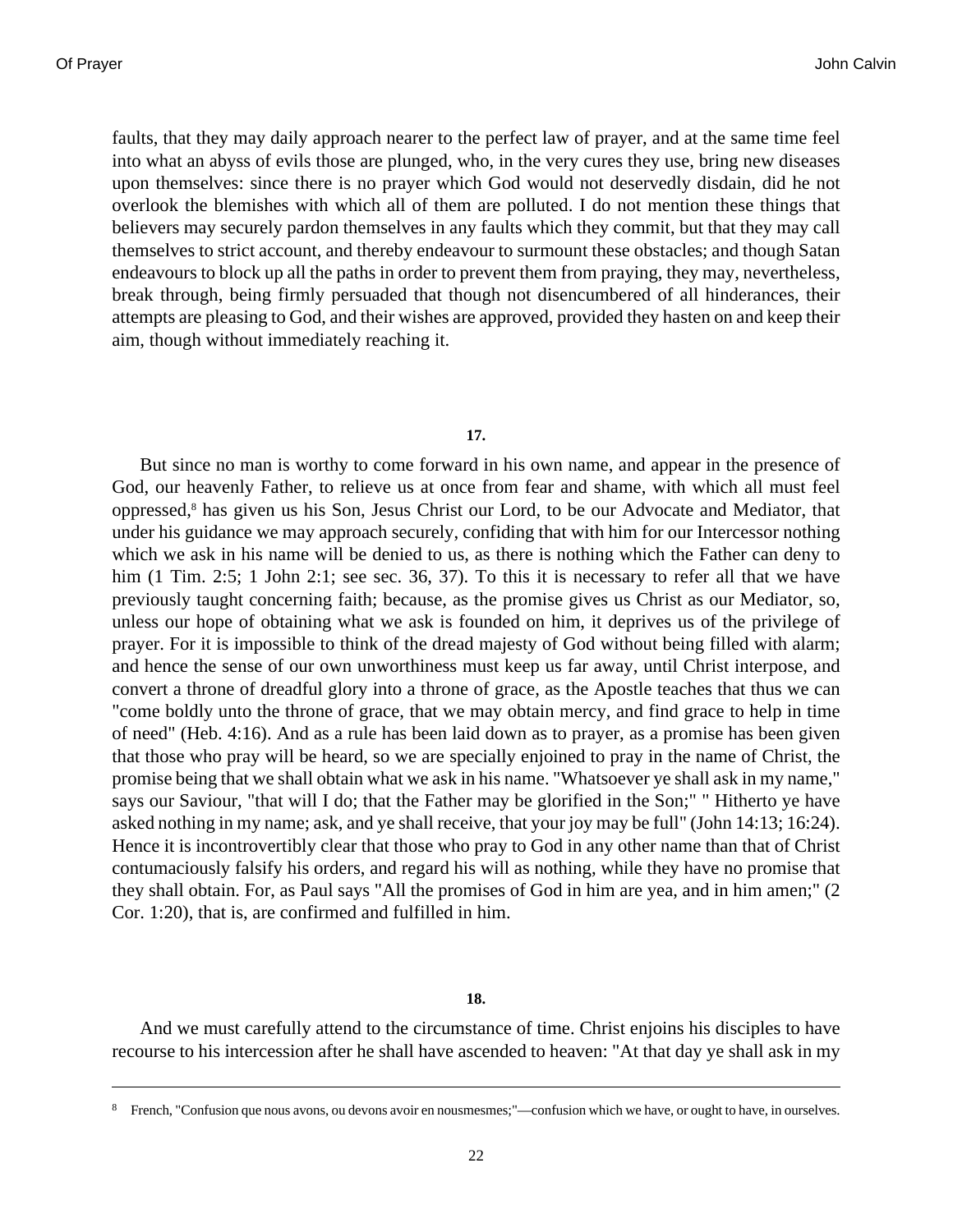faults, that they may daily approach nearer to the perfect law of prayer, and at the same time feel into what an abyss of evils those are plunged, who, in the very cures they use, bring new diseases upon themselves: since there is no prayer which God would not deservedly disdain, did he not overlook the blemishes with which all of them are polluted. I do not mention these things that believers may securely pardon themselves in any faults which they commit, but that they may call themselves to strict account, and thereby endeavour to surmount these obstacles; and though Satan endeavours to block up all the paths in order to prevent them from praying, they may, nevertheless, break through, being firmly persuaded that though not disencumbered of all hinderances, their attempts are pleasing to God, and their wishes are approved, provided they hasten on and keep their aim, though without immediately reaching it.

#### **17.**

<span id="page-25-0"></span>But since no man is worthy to come forward in his own name, and appear in the presence of God, our heavenly Father, to relieve us at once from fear and shame, with which all must feel oppressed,<sup>8</sup> has given us his Son, Jesus Christ our Lord, to be our Advocate and Mediator, that under his guidance we may approach securely, confiding that with him for our Intercessor nothing which we ask in his name will be denied to us, as there is nothing which the Father can deny to him [\(1 Tim. 2:5](http://www.ccel.org/b/bible/asv/xml/asv.iTim.2.xml#iTim.2.5); [1 John 2:1;](http://www.ccel.org/b/bible/asv/xml/asv.iJohn.2.xml#iJohn.2.1) see sec. 36, 37). To this it is necessary to refer all that we have previously taught concerning faith; because, as the promise gives us Christ as our Mediator, so, unless our hope of obtaining what we ask is founded on him, it deprives us of the privilege of prayer. For it is impossible to think of the dread majesty of God without being filled with alarm; and hence the sense of our own unworthiness must keep us far away, until Christ interpose, and convert a throne of dreadful glory into a throne of grace, as the Apostle teaches that thus we can "come boldly unto the throne of grace, that we may obtain mercy, and find grace to help in time of need" [\(Heb. 4:16\)](http://www.ccel.org/b/bible/asv/xml/asv.Heb.4.xml#Heb.4.16). And as a rule has been laid down as to prayer, as a promise has been given that those who pray will be heard, so we are specially enjoined to pray in the name of Christ, the promise being that we shall obtain what we ask in his name. "Whatsoever ye shall ask in my name," says our Saviour, "that will I do; that the Father may be glorified in the Son;" " Hitherto ye have asked nothing in my name; ask, and ye shall receive, that your joy may be full" ([John 14:13](http://www.ccel.org/b/bible/asv/xml/asv.John.14.xml#John.14.13); [16:24](http://www.ccel.org/b/bible/asv/xml/asv.John.16.xml#John.16.24)). Hence it is incontrovertibly clear that those who pray to God in any other name than that of Christ contumaciously falsify his orders, and regard his will as nothing, while they have no promise that they shall obtain. For, as Paul says "All the promises of God in him are yea, and in him amen;" [\(2](http://www.ccel.org/b/bible/asv/xml/asv.iiCor.1.xml#iiCor.1.20) [Cor. 1:20](http://www.ccel.org/b/bible/asv/xml/asv.iiCor.1.xml#iiCor.1.20)), that is, are confirmed and fulfilled in him.

#### **18.**

<span id="page-25-2"></span><span id="page-25-1"></span>And we must carefully attend to the circumstance of time. Christ enjoins his disciples to have recourse to his intercession after he shall have ascended to heaven: "At that day ye shall ask in my

<sup>8</sup> French, "Confusion que nous avons, ou devons avoir en nousmesmes;"—confusion which we have, or ought to have, in ourselves.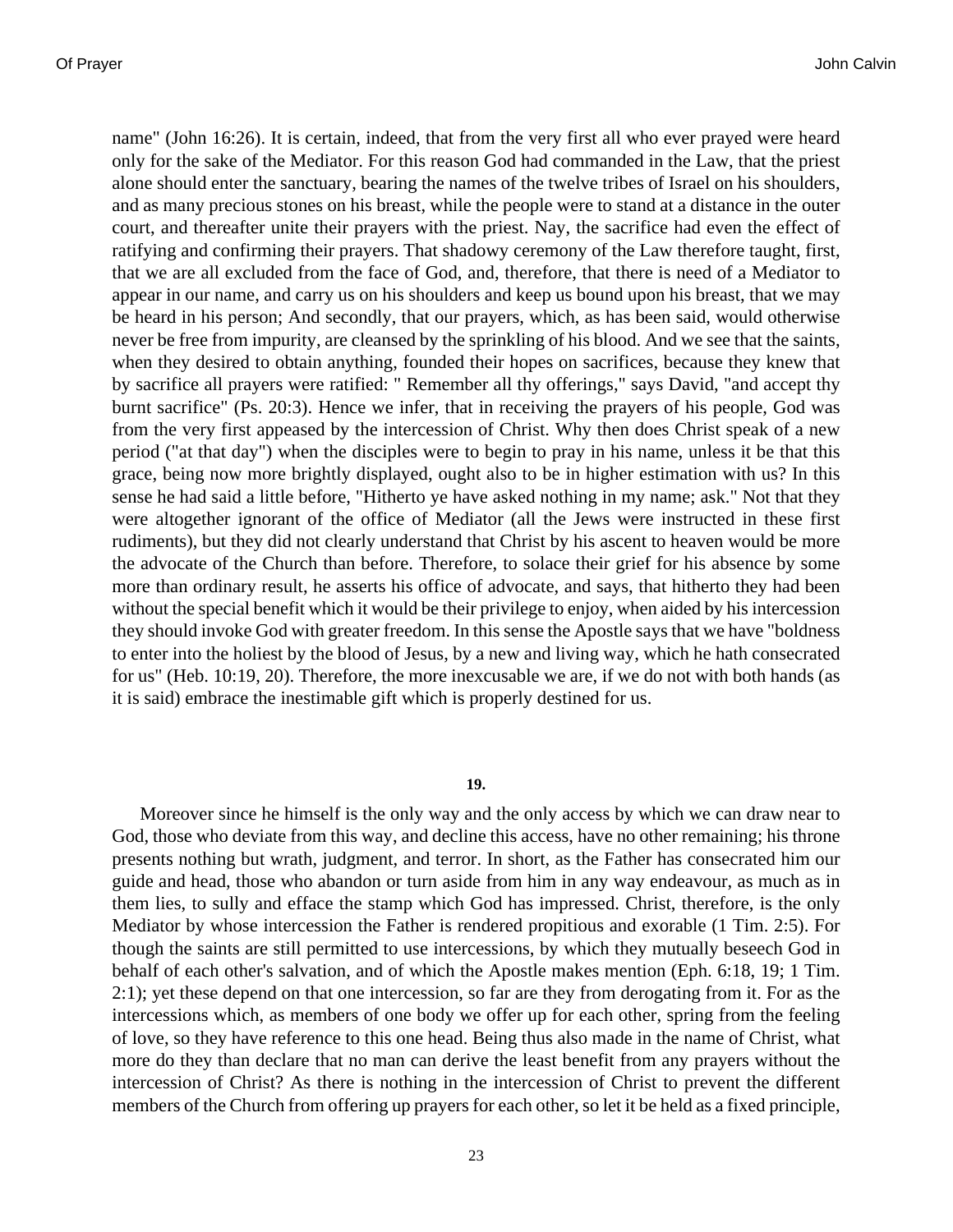name" [\(John 16:26\)](http://www.ccel.org/b/bible/asv/xml/asv.John.16.xml#John.16.26). It is certain, indeed, that from the very first all who ever prayed were heard only for the sake of the Mediator. For this reason God had commanded in the Law, that the priest alone should enter the sanctuary, bearing the names of the twelve tribes of Israel on his shoulders, and as many precious stones on his breast, while the people were to stand at a distance in the outer court, and thereafter unite their prayers with the priest. Nay, the sacrifice had even the effect of ratifying and confirming their prayers. That shadowy ceremony of the Law therefore taught, first, that we are all excluded from the face of God, and, therefore, that there is need of a Mediator to appear in our name, and carry us on his shoulders and keep us bound upon his breast, that we may be heard in his person; And secondly, that our prayers, which, as has been said, would otherwise never be free from impurity, are cleansed by the sprinkling of his blood. And we see that the saints, when they desired to obtain anything, founded their hopes on sacrifices, because they knew that by sacrifice all prayers were ratified: " Remember all thy offerings," says David, "and accept thy burnt sacrifice" [\(Ps. 20:3\)](http://www.ccel.org/b/bible/asv/xml/asv.Ps.20.xml#Ps.20.3). Hence we infer, that in receiving the prayers of his people, God was from the very first appeased by the intercession of Christ. Why then does Christ speak of a new period ("at that day") when the disciples were to begin to pray in his name, unless it be that this grace, being now more brightly displayed, ought also to be in higher estimation with us? In this sense he had said a little before, "Hitherto ye have asked nothing in my name; ask." Not that they were altogether ignorant of the office of Mediator (all the Jews were instructed in these first rudiments), but they did not clearly understand that Christ by his ascent to heaven would be more the advocate of the Church than before. Therefore, to solace their grief for his absence by some more than ordinary result, he asserts his office of advocate, and says, that hitherto they had been without the special benefit which it would be their privilege to enjoy, when aided by his intercession they should invoke God with greater freedom. In this sense the Apostle says that we have "boldness to enter into the holiest by the blood of Jesus, by a new and living way, which he hath consecrated for us" [\(Heb. 10:19, 20](http://www.ccel.org/b/bible/asv/xml/asv.Heb.10.xml#Heb.10.19 Bible:Heb.10.20)). Therefore, the more inexcusable we are, if we do not with both hands (as it is said) embrace the inestimable gift which is properly destined for us.

#### **19.**

<span id="page-26-0"></span>Moreover since he himself is the only way and the only access by which we can draw near to God, those who deviate from this way, and decline this access, have no other remaining; his throne presents nothing but wrath, judgment, and terror. In short, as the Father has consecrated him our guide and head, those who abandon or turn aside from him in any way endeavour, as much as in them lies, to sully and efface the stamp which God has impressed. Christ, therefore, is the only Mediator by whose intercession the Father is rendered propitious and exorable [\(1 Tim. 2:5\)](http://www.ccel.org/b/bible/asv/xml/asv.iTim.2.xml#iTim.2.5). For though the saints are still permitted to use intercessions, by which they mutually beseech God in behalf of each other's salvation, and of which the Apostle makes mention [\(Eph. 6:18, 19;](http://www.ccel.org/b/bible/asv/xml/asv.Eph.6.xml#Eph.6.18 Bible:Eph.6.19) [1 Tim.](http://www.ccel.org/b/bible/asv/xml/asv.iTim.2.xml#iTim.2.1) [2:1](http://www.ccel.org/b/bible/asv/xml/asv.iTim.2.xml#iTim.2.1)); yet these depend on that one intercession, so far are they from derogating from it. For as the intercessions which, as members of one body we offer up for each other, spring from the feeling of love, so they have reference to this one head. Being thus also made in the name of Christ, what more do they than declare that no man can derive the least benefit from any prayers without the intercession of Christ? As there is nothing in the intercession of Christ to prevent the different members of the Church from offering up prayers for each other, so let it be held as a fixed principle,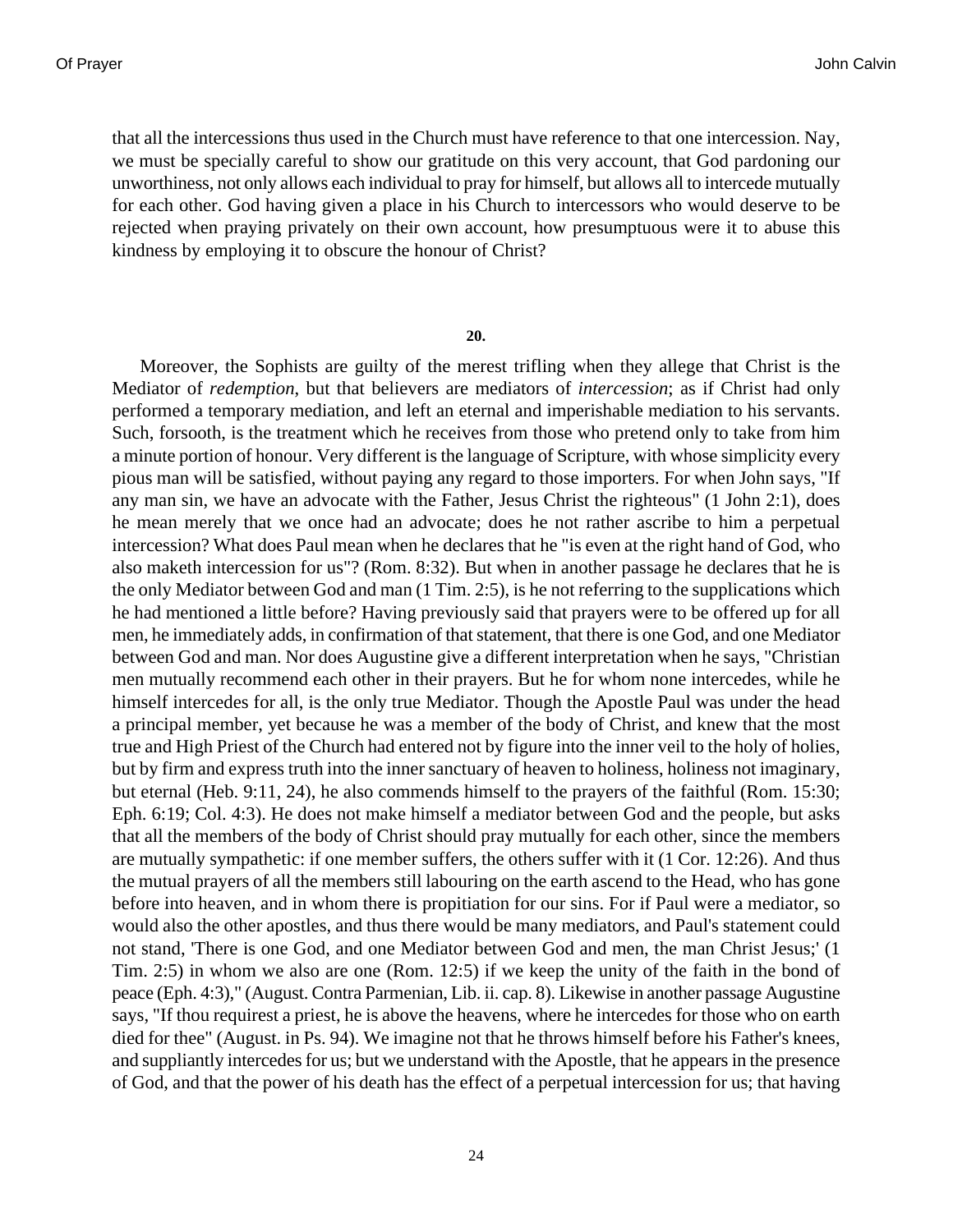that all the intercessions thus used in the Church must have reference to that one intercession. Nay, we must be specially careful to show our gratitude on this very account, that God pardoning our unworthiness, not only allows each individual to pray for himself, but allows all to intercede mutually for each other. God having given a place in his Church to intercessors who would deserve to be rejected when praying privately on their own account, how presumptuous were it to abuse this kindness by employing it to obscure the honour of Christ?

**20.**

<span id="page-27-0"></span>Moreover, the Sophists are guilty of the merest trifling when they allege that Christ is the Mediator of *redemption*, but that believers are mediators of *intercession*; as if Christ had only performed a temporary mediation, and left an eternal and imperishable mediation to his servants. Such, forsooth, is the treatment which he receives from those who pretend only to take from him a minute portion of honour. Very different is the language of Scripture, with whose simplicity every pious man will be satisfied, without paying any regard to those importers. For when John says, "If any man sin, we have an advocate with the Father, Jesus Christ the righteous" ([1 John 2:1\)](http://www.ccel.org/b/bible/asv/xml/asv.iJohn.2.xml#iJohn.2.1), does he mean merely that we once had an advocate; does he not rather ascribe to him a perpetual intercession? What does Paul mean when he declares that he "is even at the right hand of God, who also maketh intercession for us"? [\(Rom. 8:32\)](http://www.ccel.org/b/bible/asv/xml/asv.Rom.8.xml#Rom.8.32). But when in another passage he declares that he is the only Mediator between God and man [\(1 Tim. 2:5](http://www.ccel.org/b/bible/asv/xml/asv.iTim.2.xml#iTim.2.5)), is he not referring to the supplications which he had mentioned a little before? Having previously said that prayers were to be offered up for all men, he immediately adds, in confirmation of that statement, that there is one God, and one Mediator between God and man. Nor does Augustine give a different interpretation when he says, "Christian men mutually recommend each other in their prayers. But he for whom none intercedes, while he himself intercedes for all, is the only true Mediator. Though the Apostle Paul was under the head a principal member, yet because he was a member of the body of Christ, and knew that the most true and High Priest of the Church had entered not by figure into the inner veil to the holy of holies, but by firm and express truth into the inner sanctuary of heaven to holiness, holiness not imaginary, but eternal [\(Heb. 9:11, 24\)](http://www.ccel.org/b/bible/asv/xml/asv.Heb.9.xml#Heb.9.11 Bible:Heb.9.24), he also commends himself to the prayers of the faithful ([Rom. 15:30;](http://www.ccel.org/b/bible/asv/xml/asv.Rom.15.xml#Rom.15.30) [Eph. 6:19;](http://www.ccel.org/b/bible/asv/xml/asv.Eph.6.xml#Eph.6.19) [Col. 4:3](http://www.ccel.org/b/bible/asv/xml/asv.Col.4.xml#Col.4.3)). He does not make himself a mediator between God and the people, but asks that all the members of the body of Christ should pray mutually for each other, since the members are mutually sympathetic: if one member suffers, the others suffer with it [\(1 Cor. 12:26\)](http://www.ccel.org/b/bible/asv/xml/asv.iCor.12.xml#iCor.12.26). And thus the mutual prayers of all the members still labouring on the earth ascend to the Head, who has gone before into heaven, and in whom there is propitiation for our sins. For if Paul were a mediator, so would also the other apostles, and thus there would be many mediators, and Paul's statement could not stand, 'There is one God, and one Mediator between God and men, the man Christ Jesus;' ([1](http://www.ccel.org/b/bible/asv/xml/asv.iTim.2.xml#iTim.2.5) [Tim. 2:5](http://www.ccel.org/b/bible/asv/xml/asv.iTim.2.xml#iTim.2.5)) in whom we also are one [\(Rom. 12:5\)](http://www.ccel.org/b/bible/asv/xml/asv.Rom.12.xml#Rom.12.5) if we keep the unity of the faith in the bond of peace ([Eph. 4:3\)](http://www.ccel.org/b/bible/asv/xml/asv.Eph.4.xml#Eph.4.3)," (August. Contra Parmenian, Lib. ii. cap. 8). Likewise in another passage Augustine says, "If thou requirest a priest, he is above the heavens, where he intercedes for those who on earth died for thee" (August. in [Ps. 94](http://www.ccel.org/b/bible/asv/xml/asv.Ps..xml#Ps..)). We imagine not that he throws himself before his Father's knees, and suppliantly intercedes for us; but we understand with the Apostle, that he appears in the presence of God, and that the power of his death has the effect of a perpetual intercession for us; that having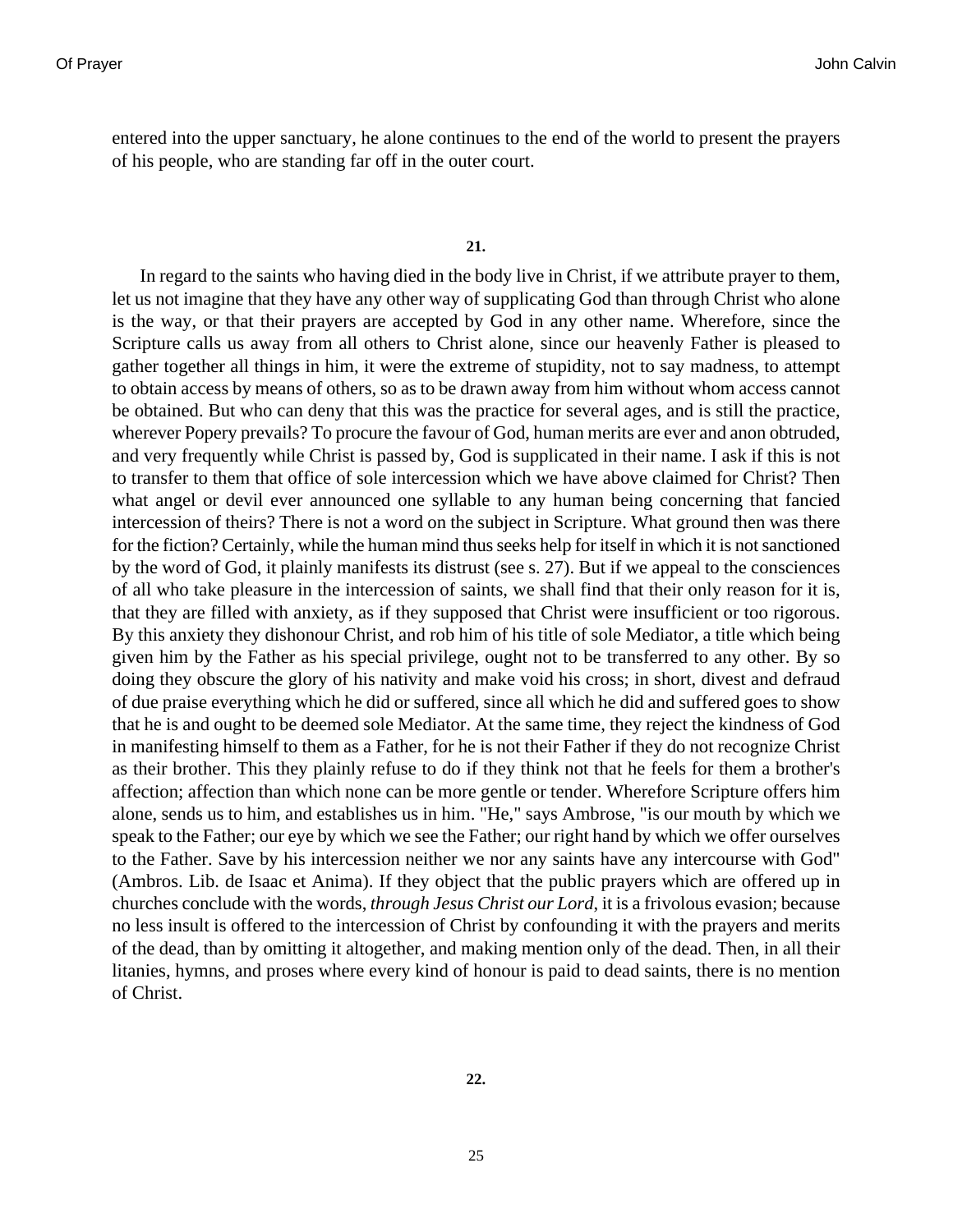entered into the upper sanctuary, he alone continues to the end of the world to present the prayers of his people, who are standing far off in the outer court.

#### **21.**

<span id="page-28-1"></span><span id="page-28-0"></span>In regard to the saints who having died in the body live in Christ, if we attribute prayer to them, let us not imagine that they have any other way of supplicating God than through Christ who alone is the way, or that their prayers are accepted by God in any other name. Wherefore, since the Scripture calls us away from all others to Christ alone, since our heavenly Father is pleased to gather together all things in him, it were the extreme of stupidity, not to say madness, to attempt to obtain access by means of others, so as to be drawn away from him without whom access cannot be obtained. But who can deny that this was the practice for several ages, and is still the practice, wherever Popery prevails? To procure the favour of God, human merits are ever and anon obtruded, and very frequently while Christ is passed by, God is supplicated in their name. I ask if this is not to transfer to them that office of sole intercession which we have above claimed for Christ? Then what angel or devil ever announced one syllable to any human being concerning that fancied intercession of theirs? There is not a word on the subject in Scripture. What ground then was there for the fiction? Certainly, while the human mind thus seeks help for itself in which it is not sanctioned by the word of God, it plainly manifests its distrust (see s. 27). But if we appeal to the consciences of all who take pleasure in the intercession of saints, we shall find that their only reason for it is, that they are filled with anxiety, as if they supposed that Christ were insufficient or too rigorous. By this anxiety they dishonour Christ, and rob him of his title of sole Mediator, a title which being given him by the Father as his special privilege, ought not to be transferred to any other. By so doing they obscure the glory of his nativity and make void his cross; in short, divest and defraud of due praise everything which he did or suffered, since all which he did and suffered goes to show that he is and ought to be deemed sole Mediator. At the same time, they reject the kindness of God in manifesting himself to them as a Father, for he is not their Father if they do not recognize Christ as their brother. This they plainly refuse to do if they think not that he feels for them a brother's affection; affection than which none can be more gentle or tender. Wherefore Scripture offers him alone, sends us to him, and establishes us in him. "He," says Ambrose, "is our mouth by which we speak to the Father; our eye by which we see the Father; our right hand by which we offer ourselves to the Father. Save by his intercession neither we nor any saints have any intercourse with God" (Ambros. Lib. de Isaac et Anima). If they object that the public prayers which are offered up in churches conclude with the words, *through Jesus Christ our Lord*, it is a frivolous evasion; because no less insult is offered to the intercession of Christ by confounding it with the prayers and merits of the dead, than by omitting it altogether, and making mention only of the dead. Then, in all their litanies, hymns, and proses where every kind of honour is paid to dead saints, there is no mention of Christ.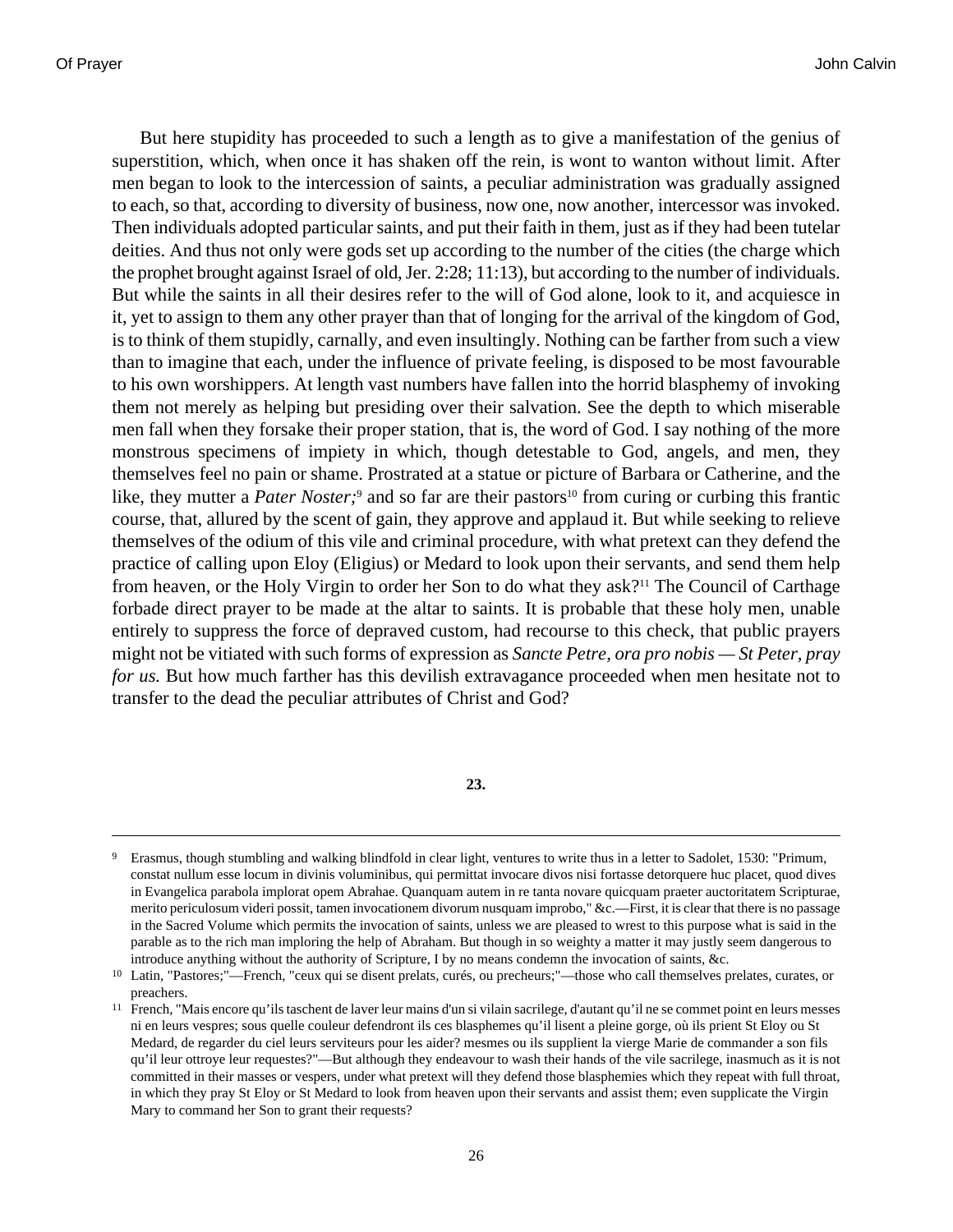But here stupidity has proceeded to such a length as to give a manifestation of the genius of superstition, which, when once it has shaken off the rein, is wont to wanton without limit. After men began to look to the intercession of saints, a peculiar administration was gradually assigned to each, so that, according to diversity of business, now one, now another, intercessor was invoked. Then individuals adopted particular saints, and put their faith in them, just as if they had been tutelar deities. And thus not only were gods set up according to the number of the cities (the charge which the prophet brought against Israel of old, [Jer. 2:28](http://www.ccel.org/b/bible/asv/xml/asv.Jer.2.xml#Jer.2.28); 11:13), but according to the number of individuals. But while the saints in all their desires refer to the will of God alone, look to it, and acquiesce in it, yet to assign to them any other prayer than that of longing for the arrival of the kingdom of God, is to think of them stupidly, carnally, and even insultingly. Nothing can be farther from such a view than to imagine that each, under the influence of private feeling, is disposed to be most favourable to his own worshippers. At length vast numbers have fallen into the horrid blasphemy of invoking them not merely as helping but presiding over their salvation. See the depth to which miserable men fall when they forsake their proper station, that is, the word of God. I say nothing of the more monstrous specimens of impiety in which, though detestable to God, angels, and men, they themselves feel no pain or shame. Prostrated at a statue or picture of Barbara or Catherine, and the like, they mutter a *Pater Noster*;<sup>9</sup> and so far are their pastors<sup>10</sup> from curing or curbing this frantic course, that, allured by the scent of gain, they approve and applaud it. But while seeking to relieve themselves of the odium of this vile and criminal procedure, with what pretext can they defend the practice of calling upon Eloy (Eligius) or Medard to look upon their servants, and send them help from heaven, or the Holy Virgin to order her Son to do what they ask?11 The Council of Carthage forbade direct prayer to be made at the altar to saints. It is probable that these holy men, unable entirely to suppress the force of depraved custom, had recourse to this check, that public prayers might not be vitiated with such forms of expression as *Sancte Petre, ora pro nobis — St Peter, pray for us.* But how much farther has this devilish extravagance proceeded when men hesitate not to transfer to the dead the peculiar attributes of Christ and God?

**23.**

<span id="page-29-3"></span><span id="page-29-2"></span><span id="page-29-1"></span><span id="page-29-0"></span><sup>9</sup> Erasmus, though stumbling and walking blindfold in clear light, ventures to write thus in a letter to Sadolet, 1530: "Primum, constat nullum esse locum in divinis voluminibus, qui permittat invocare divos nisi fortasse detorquere huc placet, quod dives in Evangelica parabola implorat opem Abrahae. Quanquam autem in re tanta novare quicquam praeter auctoritatem Scripturae, merito periculosum videri possit, tamen invocationem divorum nusquam improbo," &c.—First, it is clear that there is no passage in the Sacred Volume which permits the invocation of saints, unless we are pleased to wrest to this purpose what is said in the parable as to the rich man imploring the help of Abraham. But though in so weighty a matter it may justly seem dangerous to introduce anything without the authority of Scripture, I by no means condemn the invocation of saints, &c.

<sup>10</sup> Latin, "Pastores;"—French, "ceux qui se disent prelats, curés, ou precheurs;"—those who call themselves prelates, curates, or preachers.

<sup>&</sup>lt;sup>11</sup> French, "Mais encore qu'ils taschent de laver leur mains d'un si vilain sacrilege, d'autant qu'il ne se commet point en leurs messes ni en leurs vespres; sous quelle couleur defendront ils ces blasphemes qu'il lisent a pleine gorge, où ils prient St Eloy ou St Medard, de regarder du ciel leurs serviteurs pour les aider? mesmes ou ils supplient la vierge Marie de commander a son fils qu'il leur ottroye leur requestes?"—But although they endeavour to wash their hands of the vile sacrilege, inasmuch as it is not committed in their masses or vespers, under what pretext will they defend those blasphemies which they repeat with full throat, in which they pray St Eloy or St Medard to look from heaven upon their servants and assist them; even supplicate the Virgin Mary to command her Son to grant their requests?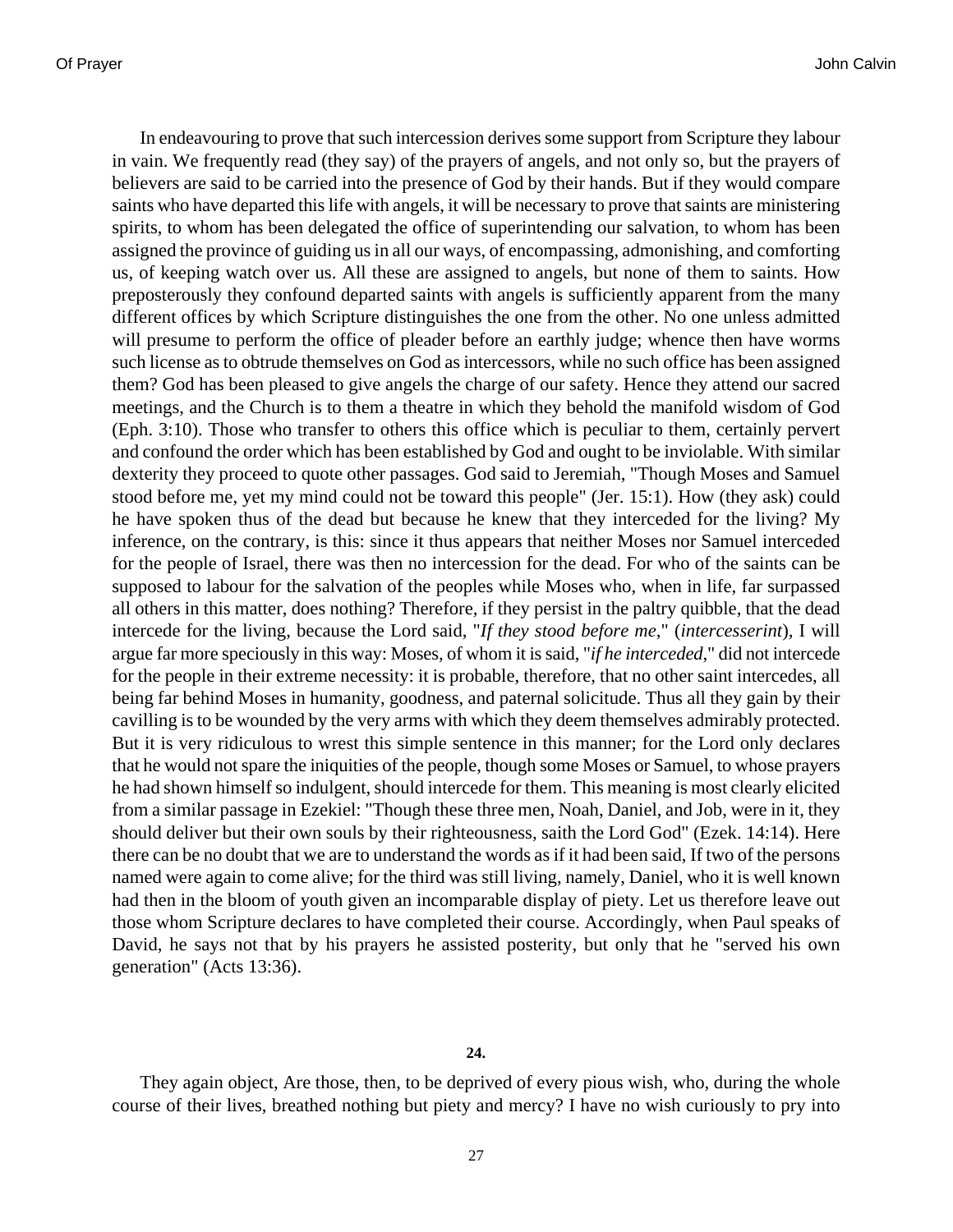In endeavouring to prove that such intercession derives some support from Scripture they labour in vain. We frequently read (they say) of the prayers of angels, and not only so, but the prayers of believers are said to be carried into the presence of God by their hands. But if they would compare saints who have departed this life with angels, it will be necessary to prove that saints are ministering spirits, to whom has been delegated the office of superintending our salvation, to whom has been assigned the province of guiding us in all our ways, of encompassing, admonishing, and comforting us, of keeping watch over us. All these are assigned to angels, but none of them to saints. How preposterously they confound departed saints with angels is sufficiently apparent from the many different offices by which Scripture distinguishes the one from the other. No one unless admitted will presume to perform the office of pleader before an earthly judge; whence then have worms such license as to obtrude themselves on God as intercessors, while no such office has been assigned them? God has been pleased to give angels the charge of our safety. Hence they attend our sacred meetings, and the Church is to them a theatre in which they behold the manifold wisdom of God ([Eph. 3:10](http://www.ccel.org/b/bible/asv/xml/asv.Eph.3.xml#Eph.3.10)). Those who transfer to others this office which is peculiar to them, certainly pervert and confound the order which has been established by God and ought to be inviolable. With similar dexterity they proceed to quote other passages. God said to Jeremiah, "Though Moses and Samuel stood before me, yet my mind could not be toward this people" [\(Jer. 15:1\)](http://www.ccel.org/b/bible/asv/xml/asv.Jer.15.xml#Jer.15.1). How (they ask) could he have spoken thus of the dead but because he knew that they interceded for the living? My inference, on the contrary, is this: since it thus appears that neither Moses nor Samuel interceded for the people of Israel, there was then no intercession for the dead. For who of the saints can be supposed to labour for the salvation of the peoples while Moses who, when in life, far surpassed all others in this matter, does nothing? Therefore, if they persist in the paltry quibble, that the dead intercede for the living, because the Lord said, "*If they stood before me*," (*intercesserint*), I will argue far more speciously in this way: Moses, of whom it is said, "*if he interceded*," did not intercede for the people in their extreme necessity: it is probable, therefore, that no other saint intercedes, all being far behind Moses in humanity, goodness, and paternal solicitude. Thus all they gain by their cavilling is to be wounded by the very arms with which they deem themselves admirably protected. But it is very ridiculous to wrest this simple sentence in this manner; for the Lord only declares that he would not spare the iniquities of the people, though some Moses or Samuel, to whose prayers he had shown himself so indulgent, should intercede for them. This meaning is most clearly elicited from a similar passage in Ezekiel: "Though these three men, Noah, Daniel, and Job, were in it, they should deliver but their own souls by their righteousness, saith the Lord God" ([Ezek. 14:14\)](http://www.ccel.org/b/bible/asv/xml/asv.Ezek.14.xml#Ezek.14.14). Here there can be no doubt that we are to understand the words as if it had been said, If two of the persons named were again to come alive; for the third was still living, namely, Daniel, who it is well known had then in the bloom of youth given an incomparable display of piety. Let us therefore leave out those whom Scripture declares to have completed their course. Accordingly, when Paul speaks of David, he says not that by his prayers he assisted posterity, but only that he "served his own generation" [\(Acts 13:36\)](http://www.ccel.org/b/bible/asv/xml/asv.Acts.13.xml#Acts.13.36).

#### **24.**

<span id="page-30-0"></span>They again object, Are those, then, to be deprived of every pious wish, who, during the whole course of their lives, breathed nothing but piety and mercy? I have no wish curiously to pry into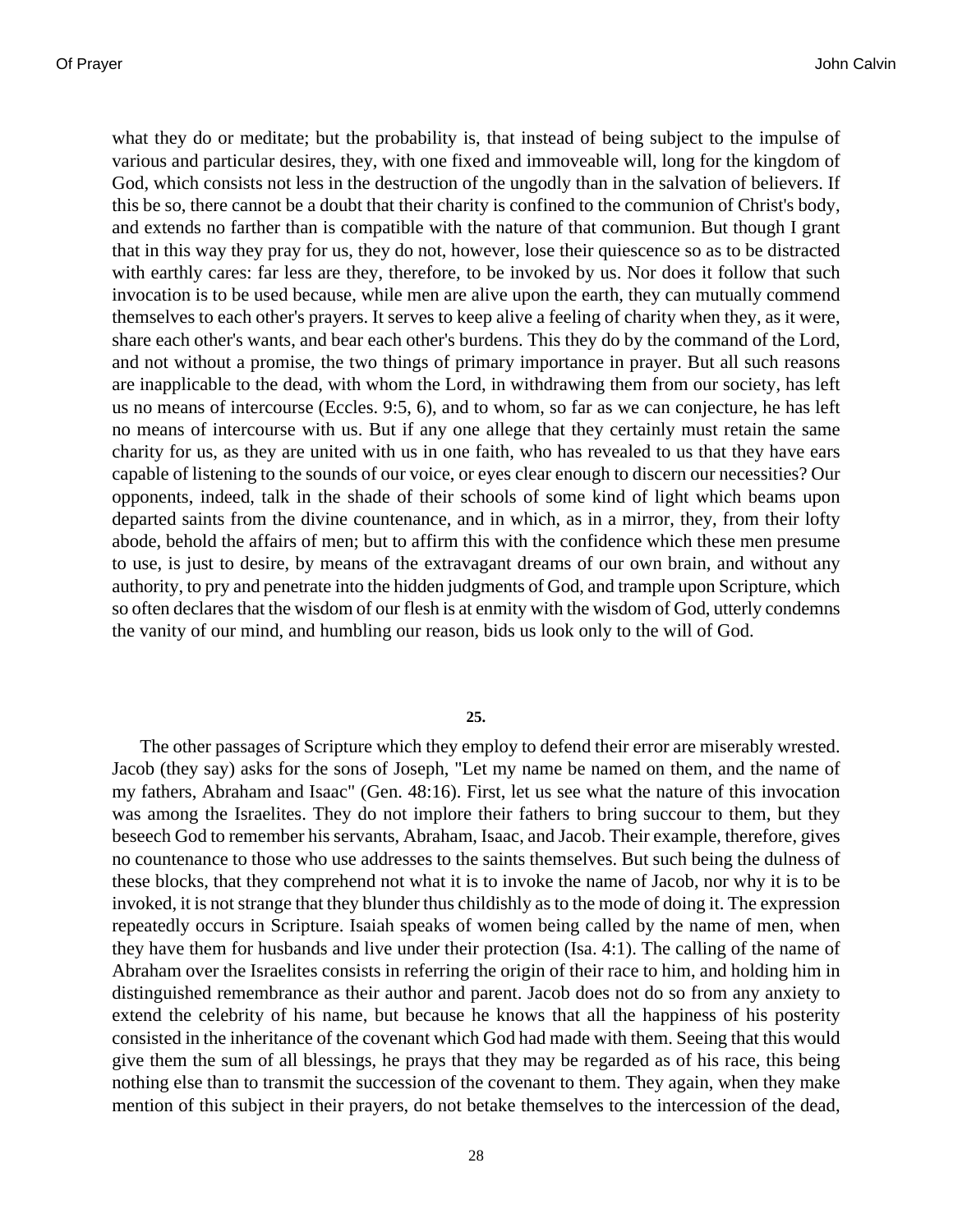what they do or meditate; but the probability is, that instead of being subject to the impulse of various and particular desires, they, with one fixed and immoveable will, long for the kingdom of God, which consists not less in the destruction of the ungodly than in the salvation of believers. If this be so, there cannot be a doubt that their charity is confined to the communion of Christ's body, and extends no farther than is compatible with the nature of that communion. But though I grant that in this way they pray for us, they do not, however, lose their quiescence so as to be distracted with earthly cares: far less are they, therefore, to be invoked by us. Nor does it follow that such invocation is to be used because, while men are alive upon the earth, they can mutually commend themselves to each other's prayers. It serves to keep alive a feeling of charity when they, as it were, share each other's wants, and bear each other's burdens. This they do by the command of the Lord, and not without a promise, the two things of primary importance in prayer. But all such reasons are inapplicable to the dead, with whom the Lord, in withdrawing them from our society, has left us no means of intercourse ([Eccles. 9:5, 6\)](http://www.ccel.org/b/bible/asv/xml/asv.Eccl.9.xml#Eccl.9.5 Bible:Eccl.9.6), and to whom, so far as we can conjecture, he has left no means of intercourse with us. But if any one allege that they certainly must retain the same charity for us, as they are united with us in one faith, who has revealed to us that they have ears capable of listening to the sounds of our voice, or eyes clear enough to discern our necessities? Our opponents, indeed, talk in the shade of their schools of some kind of light which beams upon departed saints from the divine countenance, and in which, as in a mirror, they, from their lofty abode, behold the affairs of men; but to affirm this with the confidence which these men presume to use, is just to desire, by means of the extravagant dreams of our own brain, and without any authority, to pry and penetrate into the hidden judgments of God, and trample upon Scripture, which so often declares that the wisdom of our flesh is at enmity with the wisdom of God, utterly condemns the vanity of our mind, and humbling our reason, bids us look only to the will of God.

#### **25.**

<span id="page-31-0"></span>The other passages of Scripture which they employ to defend their error are miserably wrested. Jacob (they say) asks for the sons of Joseph, "Let my name be named on them, and the name of my fathers, Abraham and Isaac" ([Gen. 48:16\)](http://www.ccel.org/b/bible/asv/xml/asv.Gen.48.xml#Gen.48.16). First, let us see what the nature of this invocation was among the Israelites. They do not implore their fathers to bring succour to them, but they beseech God to remember his servants, Abraham, Isaac, and Jacob. Their example, therefore, gives no countenance to those who use addresses to the saints themselves. But such being the dulness of these blocks, that they comprehend not what it is to invoke the name of Jacob, nor why it is to be invoked, it is not strange that they blunder thus childishly as to the mode of doing it. The expression repeatedly occurs in Scripture. Isaiah speaks of women being called by the name of men, when they have them for husbands and live under their protection ([Isa. 4:1](http://www.ccel.org/b/bible/asv/xml/asv.Isa.4.xml#Isa.4.1)). The calling of the name of Abraham over the Israelites consists in referring the origin of their race to him, and holding him in distinguished remembrance as their author and parent. Jacob does not do so from any anxiety to extend the celebrity of his name, but because he knows that all the happiness of his posterity consisted in the inheritance of the covenant which God had made with them. Seeing that this would give them the sum of all blessings, he prays that they may be regarded as of his race, this being nothing else than to transmit the succession of the covenant to them. They again, when they make mention of this subject in their prayers, do not betake themselves to the intercession of the dead,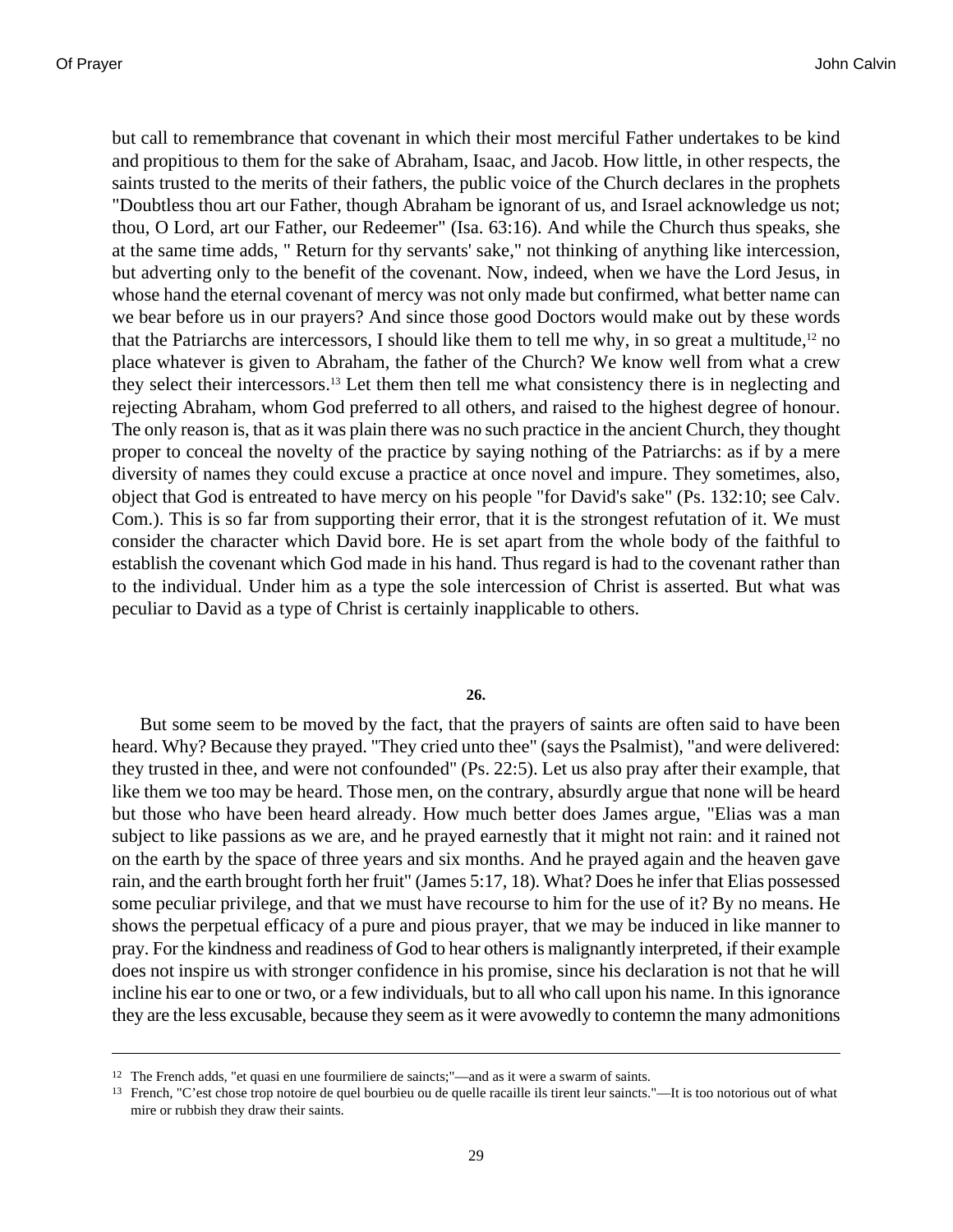but call to remembrance that covenant in which their most merciful Father undertakes to be kind and propitious to them for the sake of Abraham, Isaac, and Jacob. How little, in other respects, the saints trusted to the merits of their fathers, the public voice of the Church declares in the prophets "Doubtless thou art our Father, though Abraham be ignorant of us, and Israel acknowledge us not; thou, O Lord, art our Father, our Redeemer" ([Isa. 63:16](http://www.ccel.org/b/bible/asv/xml/asv.Isa.63.xml#Isa.63.16)). And while the Church thus speaks, she at the same time adds, " Return for thy servants' sake," not thinking of anything like intercession, but adverting only to the benefit of the covenant. Now, indeed, when we have the Lord Jesus, in whose hand the eternal covenant of mercy was not only made but confirmed, what better name can we bear before us in our prayers? And since those good Doctors would make out by these words that the Patriarchs are intercessors, I should like them to tell me why, in so great a multitude, $12$  no place whatever is given to Abraham, the father of the Church? We know well from what a crew they select their intercessors.13 Let them then tell me what consistency there is in neglecting and rejecting Abraham, whom God preferred to all others, and raised to the highest degree of honour. The only reason is, that as it was plain there was no such practice in the ancient Church, they thought proper to conceal the novelty of the practice by saying nothing of the Patriarchs: as if by a mere diversity of names they could excuse a practice at once novel and impure. They sometimes, also, object that God is entreated to have mercy on his people "for David's sake" [\(Ps. 132:10;](http://www.ccel.org/b/bible/asv/xml/asv.Ps.132.xml#Ps.132.10) see Calv. Com.). This is so far from supporting their error, that it is the strongest refutation of it. We must consider the character which David bore. He is set apart from the whole body of the faithful to establish the covenant which God made in his hand. Thus regard is had to the covenant rather than to the individual. Under him as a type the sole intercession of Christ is asserted. But what was peculiar to David as a type of Christ is certainly inapplicable to others.

#### **26.**

<span id="page-32-0"></span>But some seem to be moved by the fact, that the prayers of saints are often said to have been heard. Why? Because they prayed. "They cried unto thee" (says the Psalmist), "and were delivered: they trusted in thee, and were not confounded" [\(Ps. 22:5\)](http://www.ccel.org/b/bible/asv/xml/asv.Ps.22.xml#Ps.22.5). Let us also pray after their example, that like them we too may be heard. Those men, on the contrary, absurdly argue that none will be heard but those who have been heard already. How much better does James argue, "Elias was a man subject to like passions as we are, and he prayed earnestly that it might not rain: and it rained not on the earth by the space of three years and six months. And he prayed again and the heaven gave rain, and the earth brought forth her fruit" ([James 5:17, 18](http://www.ccel.org/b/bible/asv/xml/asv.Jas.5.xml#Jas.5.17 Bible:Jas.5.18)). What? Does he infer that Elias possessed some peculiar privilege, and that we must have recourse to him for the use of it? By no means. He shows the perpetual efficacy of a pure and pious prayer, that we may be induced in like manner to pray. For the kindness and readiness of God to hear others is malignantly interpreted, if their example does not inspire us with stronger confidence in his promise, since his declaration is not that he will incline his ear to one or two, or a few individuals, but to all who call upon his name. In this ignorance they are the less excusable, because they seem as it were avowedly to contemn the many admonitions

<span id="page-32-2"></span><span id="page-32-1"></span><sup>12</sup> The French adds, "et quasi en une fourmiliere de saincts;"—and as it were a swarm of saints.

<sup>13</sup> French, "C'est chose trop notoire de quel bourbieu ou de quelle racaille ils tirent leur saincts."—It is too notorious out of what mire or rubbish they draw their saints.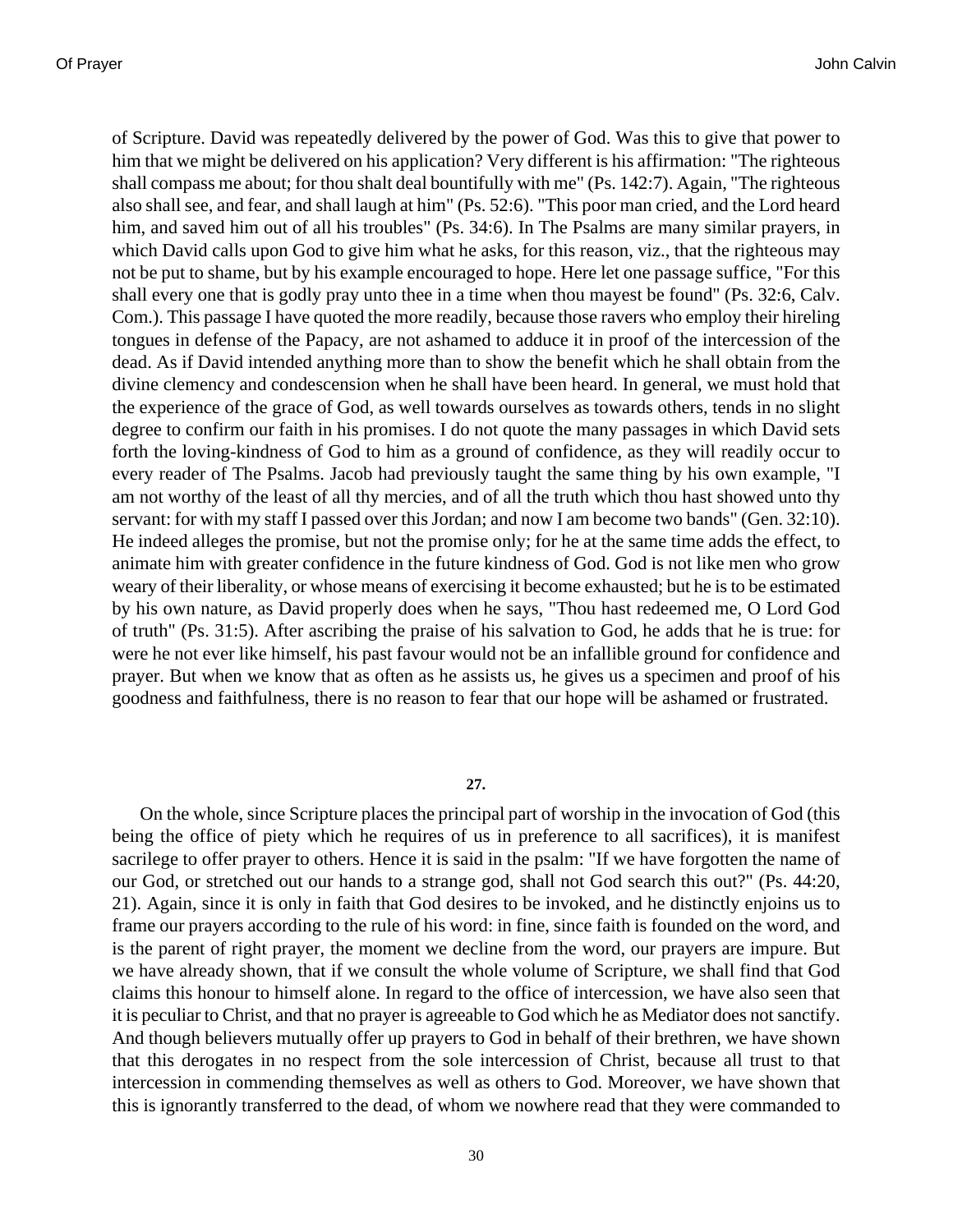of Scripture. David was repeatedly delivered by the power of God. Was this to give that power to him that we might be delivered on his application? Very different is his affirmation: "The righteous shall compass me about; for thou shalt deal bountifully with me" ([Ps. 142:7\)](http://www.ccel.org/b/bible/asv/xml/asv.Ps.142.xml#Ps.142.7). Again, "The righteous also shall see, and fear, and shall laugh at him" [\(Ps. 52:6](http://www.ccel.org/b/bible/asv/xml/asv.Ps.52.xml#Ps.52.6)). "This poor man cried, and the Lord heard him, and saved him out of all his troubles" [\(Ps. 34:6\)](http://www.ccel.org/b/bible/asv/xml/asv.Ps.34.xml#Ps.34.6). In The Psalms are many similar prayers, in which David calls upon God to give him what he asks, for this reason, viz., that the righteous may not be put to shame, but by his example encouraged to hope. Here let one passage suffice, "For this shall every one that is godly pray unto thee in a time when thou mayest be found" ([Ps. 32:6](http://www.ccel.org/b/bible/asv/xml/asv.Ps.32.xml#Ps.32.6), Calv. Com.). This passage I have quoted the more readily, because those ravers who employ their hireling tongues in defense of the Papacy, are not ashamed to adduce it in proof of the intercession of the dead. As if David intended anything more than to show the benefit which he shall obtain from the divine clemency and condescension when he shall have been heard. In general, we must hold that the experience of the grace of God, as well towards ourselves as towards others, tends in no slight degree to confirm our faith in his promises. I do not quote the many passages in which David sets forth the loving-kindness of God to him as a ground of confidence, as they will readily occur to every reader of The Psalms. Jacob had previously taught the same thing by his own example, "I am not worthy of the least of all thy mercies, and of all the truth which thou hast showed unto thy servant: for with my staff I passed over this Jordan; and now I am become two bands" [\(Gen. 32:10](http://www.ccel.org/b/bible/asv/xml/asv.Gen.32.xml#Gen.32.10)). He indeed alleges the promise, but not the promise only; for he at the same time adds the effect, to animate him with greater confidence in the future kindness of God. God is not like men who grow weary of their liberality, or whose means of exercising it become exhausted; but he is to be estimated by his own nature, as David properly does when he says, "Thou hast redeemed me, O Lord God of truth" [\(Ps. 31:5](http://www.ccel.org/b/bible/asv/xml/asv.Ps.31.xml#Ps.31.5)). After ascribing the praise of his salvation to God, he adds that he is true: for were he not ever like himself, his past favour would not be an infallible ground for confidence and prayer. But when we know that as often as he assists us, he gives us a specimen and proof of his goodness and faithfulness, there is no reason to fear that our hope will be ashamed or frustrated.

#### **27.**

<span id="page-33-0"></span>On the whole, since Scripture places the principal part of worship in the invocation of God (this being the office of piety which he requires of us in preference to all sacrifices), it is manifest sacrilege to offer prayer to others. Hence it is said in the psalm: "If we have forgotten the name of our God, or stretched out our hands to a strange god, shall not God search this out?" ([Ps. 44:20,](http://www.ccel.org/b/bible/asv/xml/asv.Ps.44.xml#Ps.44.20 Bible:Ps.44.21) [21](http://www.ccel.org/b/bible/asv/xml/asv.Ps.44.xml#Ps.44.20 Bible:Ps.44.21)). Again, since it is only in faith that God desires to be invoked, and he distinctly enjoins us to frame our prayers according to the rule of his word: in fine, since faith is founded on the word, and is the parent of right prayer, the moment we decline from the word, our prayers are impure. But we have already shown, that if we consult the whole volume of Scripture, we shall find that God claims this honour to himself alone. In regard to the office of intercession, we have also seen that it is peculiar to Christ, and that no prayer is agreeable to God which he as Mediator does not sanctify. And though believers mutually offer up prayers to God in behalf of their brethren, we have shown that this derogates in no respect from the sole intercession of Christ, because all trust to that intercession in commending themselves as well as others to God. Moreover, we have shown that this is ignorantly transferred to the dead, of whom we nowhere read that they were commanded to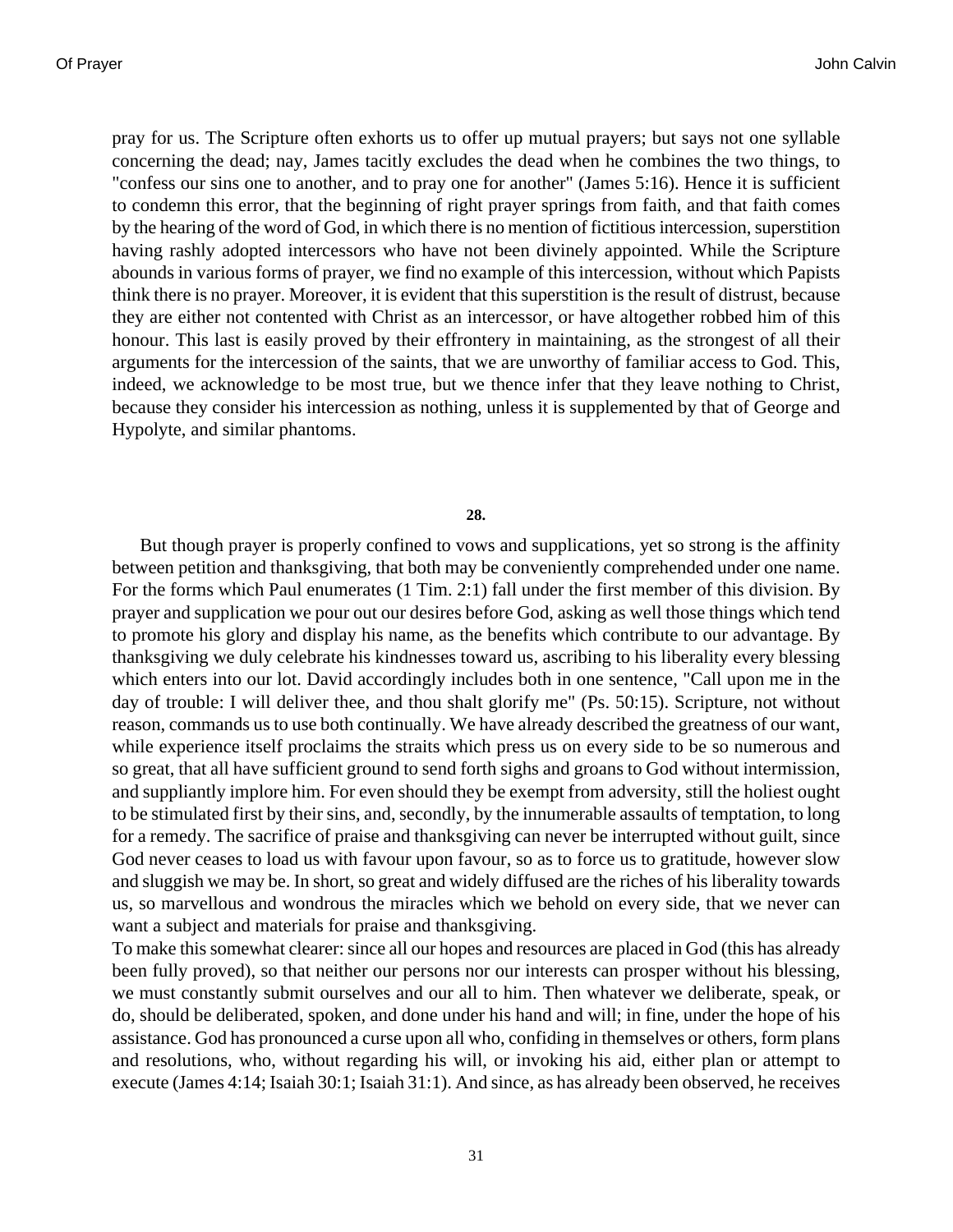pray for us. The Scripture often exhorts us to offer up mutual prayers; but says not one syllable concerning the dead; nay, James tacitly excludes the dead when he combines the two things, to "confess our sins one to another, and to pray one for another" ([James 5:16\)](http://www.ccel.org/b/bible/asv/xml/asv.Jas.5.xml#Jas.5.16). Hence it is sufficient to condemn this error, that the beginning of right prayer springs from faith, and that faith comes by the hearing of the word of God, in which there is no mention of fictitious intercession, superstition having rashly adopted intercessors who have not been divinely appointed. While the Scripture abounds in various forms of prayer, we find no example of this intercession, without which Papists think there is no prayer. Moreover, it is evident that this superstition is the result of distrust, because they are either not contented with Christ as an intercessor, or have altogether robbed him of this honour. This last is easily proved by their effrontery in maintaining, as the strongest of all their arguments for the intercession of the saints, that we are unworthy of familiar access to God. This, indeed, we acknowledge to be most true, but we thence infer that they leave nothing to Christ, because they consider his intercession as nothing, unless it is supplemented by that of George and Hypolyte, and similar phantoms.

#### **28.**

<span id="page-34-0"></span>But though prayer is properly confined to vows and supplications, yet so strong is the affinity between petition and thanksgiving, that both may be conveniently comprehended under one name. For the forms which Paul enumerates ([1 Tim. 2:1](http://www.ccel.org/b/bible/asv/xml/asv.iTim.2.xml#iTim.2.1)) fall under the first member of this division. By prayer and supplication we pour out our desires before God, asking as well those things which tend to promote his glory and display his name, as the benefits which contribute to our advantage. By thanksgiving we duly celebrate his kindnesses toward us, ascribing to his liberality every blessing which enters into our lot. David accordingly includes both in one sentence, "Call upon me in the day of trouble: I will deliver thee, and thou shalt glorify me" ([Ps. 50:15\)](http://www.ccel.org/b/bible/asv/xml/asv.Ps.50.xml#Ps.50.15). Scripture, not without reason, commands us to use both continually. We have already described the greatness of our want, while experience itself proclaims the straits which press us on every side to be so numerous and so great, that all have sufficient ground to send forth sighs and groans to God without intermission, and suppliantly implore him. For even should they be exempt from adversity, still the holiest ought to be stimulated first by their sins, and, secondly, by the innumerable assaults of temptation, to long for a remedy. The sacrifice of praise and thanksgiving can never be interrupted without guilt, since God never ceases to load us with favour upon favour, so as to force us to gratitude, however slow and sluggish we may be. In short, so great and widely diffused are the riches of his liberality towards us, so marvellous and wondrous the miracles which we behold on every side, that we never can want a subject and materials for praise and thanksgiving.

To make this somewhat clearer: since all our hopes and resources are placed in God (this has already been fully proved), so that neither our persons nor our interests can prosper without his blessing, we must constantly submit ourselves and our all to him. Then whatever we deliberate, speak, or do, should be deliberated, spoken, and done under his hand and will; in fine, under the hope of his assistance. God has pronounced a curse upon all who, confiding in themselves or others, form plans and resolutions, who, without regarding his will, or invoking his aid, either plan or attempt to execute ([James 4:14;](http://www.ccel.org/b/bible/asv/xml/asv.Jas.4.xml#Jas.4.14) [Isaiah 30:1;](http://www.ccel.org/b/bible/asv/xml/asv.Isa.30.xml#Isa.30.1) [Isaiah 31:1\)](http://www.ccel.org/b/bible/asv/xml/asv.Isa.31.xml#Isa.31.1). And since, as has already been observed, he receives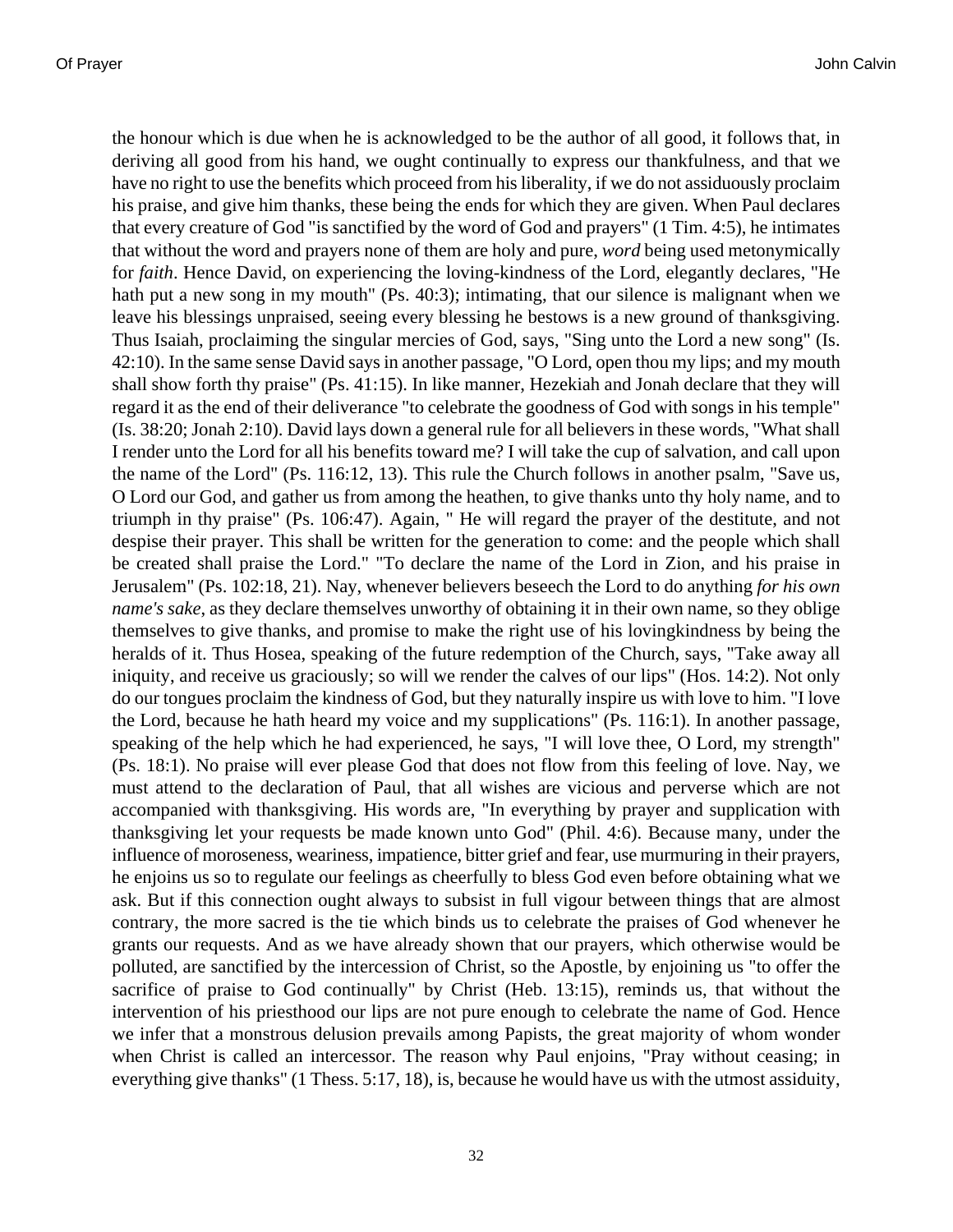the honour which is due when he is acknowledged to be the author of all good, it follows that, in deriving all good from his hand, we ought continually to express our thankfulness, and that we have no right to use the benefits which proceed from his liberality, if we do not assiduously proclaim his praise, and give him thanks, these being the ends for which they are given. When Paul declares that every creature of God "is sanctified by the word of God and prayers" ([1 Tim. 4:5\)](http://www.ccel.org/b/bible/asv/xml/asv.iTim.4.xml#iTim.4.5), he intimates that without the word and prayers none of them are holy and pure, *word* being used metonymically for *faith*. Hence David, on experiencing the loving-kindness of the Lord, elegantly declares, "He hath put a new song in my mouth" ([Ps. 40:3](http://www.ccel.org/b/bible/asv/xml/asv.Ps.40.xml#Ps.40.3)); intimating, that our silence is malignant when we leave his blessings unpraised, seeing every blessing he bestows is a new ground of thanksgiving. Thus Isaiah, proclaiming the singular mercies of God, says, "Sing unto the Lord a new song" [\(Is.](http://www.ccel.org/b/bible/asv/xml/asv.Isa.42.xml#Isa.42.10) [42:10](http://www.ccel.org/b/bible/asv/xml/asv.Isa.42.xml#Isa.42.10)). In the same sense David says in another passage, "O Lord, open thou my lips; and my mouth shall show forth thy praise" [\(Ps. 41:15\)](http://www.ccel.org/b/bible/asv/xml/asv.Ps.41.xml#Ps.41.15). In like manner, Hezekiah and Jonah declare that they will regard it as the end of their deliverance "to celebrate the goodness of God with songs in his temple" ([Is. 38:20](http://www.ccel.org/b/bible/asv/xml/asv.Isa.38.xml#Isa.38.20); [Jonah 2:10\)](http://www.ccel.org/b/bible/asv/xml/asv.Jonah.2.xml#Jonah.2.10). David lays down a general rule for all believers in these words, "What shall I render unto the Lord for all his benefits toward me? I will take the cup of salvation, and call upon the name of the Lord" ([Ps. 116:12, 13](http://www.ccel.org/b/bible/asv/xml/asv.Ps.116.xml#Ps.116.12 Bible:Ps.116.13)). This rule the Church follows in another psalm, "Save us, O Lord our God, and gather us from among the heathen, to give thanks unto thy holy name, and to triumph in thy praise" ([Ps. 106:47](http://www.ccel.org/b/bible/asv/xml/asv.Ps.106.xml#Ps.106.47)). Again, " He will regard the prayer of the destitute, and not despise their prayer. This shall be written for the generation to come: and the people which shall be created shall praise the Lord." "To declare the name of the Lord in Zion, and his praise in Jerusalem" ([Ps. 102:18, 21\)](http://www.ccel.org/b/bible/asv/xml/asv.Ps.102.xml#Ps.102.18 Bible:Ps.102.21). Nay, whenever believers beseech the Lord to do anything *for his own name's sake*, as they declare themselves unworthy of obtaining it in their own name, so they oblige themselves to give thanks, and promise to make the right use of his lovingkindness by being the heralds of it. Thus Hosea, speaking of the future redemption of the Church, says, "Take away all iniquity, and receive us graciously; so will we render the calves of our lips" [\(Hos. 14:2\)](http://www.ccel.org/b/bible/asv/xml/asv.Hos.14.xml#Hos.14.2). Not only do our tongues proclaim the kindness of God, but they naturally inspire us with love to him. "I love the Lord, because he hath heard my voice and my supplications" ([Ps. 116:1\)](http://www.ccel.org/b/bible/asv/xml/asv.Ps.116.xml#Ps.116.1). In another passage, speaking of the help which he had experienced, he says, "I will love thee, O Lord, my strength" ([Ps. 18:1](http://www.ccel.org/b/bible/asv/xml/asv.Ps.18.xml#Ps.18.1)). No praise will ever please God that does not flow from this feeling of love. Nay, we must attend to the declaration of Paul, that all wishes are vicious and perverse which are not accompanied with thanksgiving. His words are, "In everything by prayer and supplication with thanksgiving let your requests be made known unto God" ([Phil. 4:6\)](http://www.ccel.org/b/bible/asv/xml/asv.Phil.4.xml#Phil.4.6). Because many, under the influence of moroseness, weariness, impatience, bitter grief and fear, use murmuring in their prayers, he enjoins us so to regulate our feelings as cheerfully to bless God even before obtaining what we ask. But if this connection ought always to subsist in full vigour between things that are almost contrary, the more sacred is the tie which binds us to celebrate the praises of God whenever he grants our requests. And as we have already shown that our prayers, which otherwise would be polluted, are sanctified by the intercession of Christ, so the Apostle, by enjoining us "to offer the sacrifice of praise to God continually" by Christ ([Heb. 13:15](http://www.ccel.org/b/bible/asv/xml/asv.Heb.13.xml#Heb.13.15)), reminds us, that without the intervention of his priesthood our lips are not pure enough to celebrate the name of God. Hence we infer that a monstrous delusion prevails among Papists, the great majority of whom wonder when Christ is called an intercessor. The reason why Paul enjoins, "Pray without ceasing; in everything give thanks" [\(1 Thess. 5:17, 18\)](http://www.ccel.org/b/bible/asv/xml/asv.iThess.5.xml#iThess.5.17 Bible:1Thess.5.18), is, because he would have us with the utmost assiduity,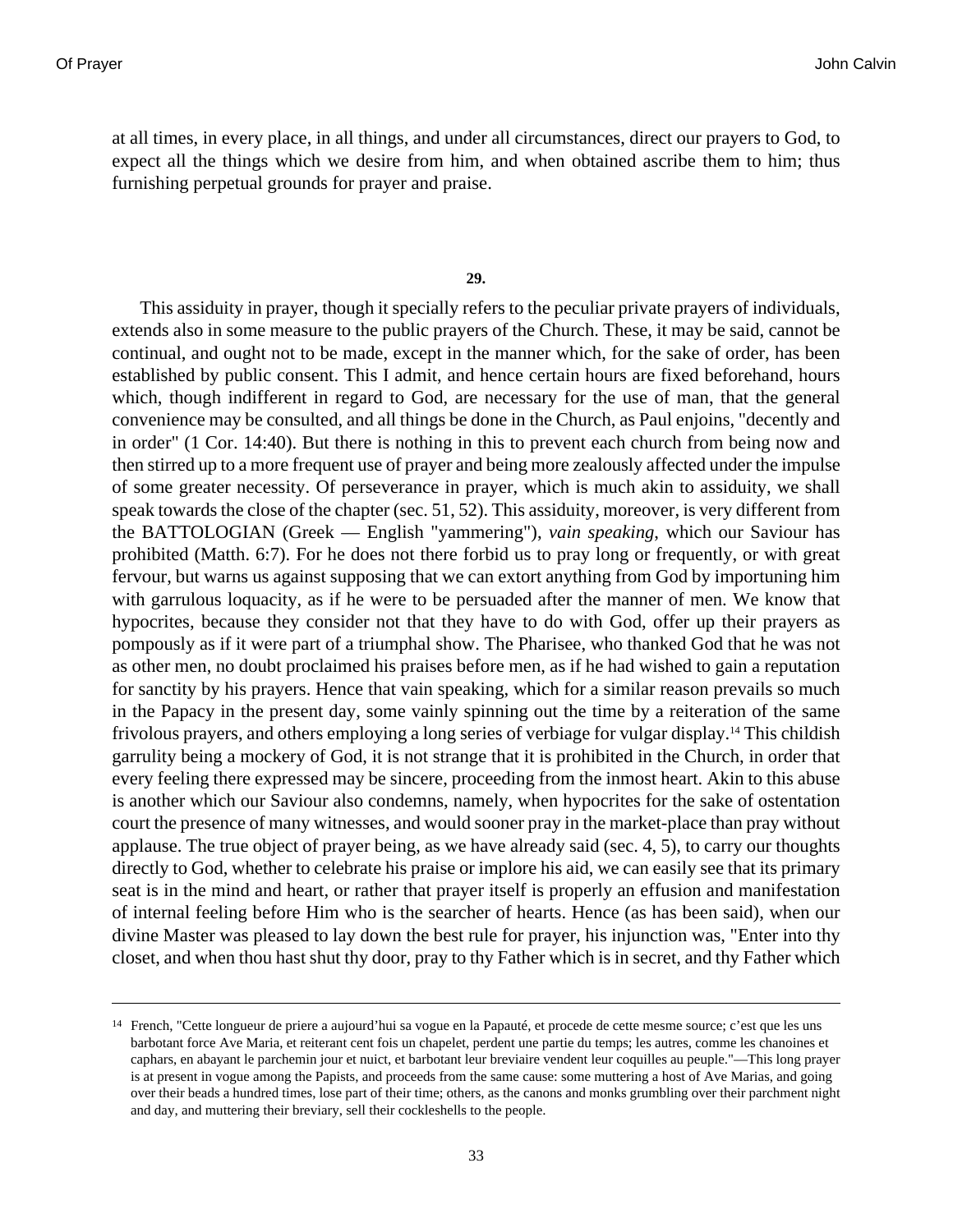at all times, in every place, in all things, and under all circumstances, direct our prayers to God, to expect all the things which we desire from him, and when obtained ascribe them to him; thus furnishing perpetual grounds for prayer and praise.

**29.**

<span id="page-36-0"></span>This assiduity in prayer, though it specially refers to the peculiar private prayers of individuals, extends also in some measure to the public prayers of the Church. These, it may be said, cannot be continual, and ought not to be made, except in the manner which, for the sake of order, has been established by public consent. This I admit, and hence certain hours are fixed beforehand, hours which, though indifferent in regard to God, are necessary for the use of man, that the general convenience may be consulted, and all things be done in the Church, as Paul enjoins, "decently and in order" [\(1 Cor. 14:40\)](http://www.ccel.org/b/bible/asv/xml/asv.iCor.14.xml#iCor.14.40). But there is nothing in this to prevent each church from being now and then stirred up to a more frequent use of prayer and being more zealously affected under the impulse of some greater necessity. Of perseverance in prayer, which is much akin to assiduity, we shall speak towards the close of the chapter (sec. 51, 52). This assiduity, moreover, is very different from the BATTOLOGIAN (Greek — English "yammering"), *vain speaking*, which our Saviour has prohibited ([Matth. 6:7\)](http://www.ccel.org/b/bible/asv/xml/asv.Matt.6.xml#Matt.6.7). For he does not there forbid us to pray long or frequently, or with great fervour, but warns us against supposing that we can extort anything from God by importuning him with garrulous loquacity, as if he were to be persuaded after the manner of men. We know that hypocrites, because they consider not that they have to do with God, offer up their prayers as pompously as if it were part of a triumphal show. The Pharisee, who thanked God that he was not as other men, no doubt proclaimed his praises before men, as if he had wished to gain a reputation for sanctity by his prayers. Hence that vain speaking, which for a similar reason prevails so much in the Papacy in the present day, some vainly spinning out the time by a reiteration of the same frivolous prayers, and others employing a long series of verbiage for vulgar display.14 This childish garrulity being a mockery of God, it is not strange that it is prohibited in the Church, in order that every feeling there expressed may be sincere, proceeding from the inmost heart. Akin to this abuse is another which our Saviour also condemns, namely, when hypocrites for the sake of ostentation court the presence of many witnesses, and would sooner pray in the market-place than pray without applause. The true object of prayer being, as we have already said (sec. 4, 5), to carry our thoughts directly to God, whether to celebrate his praise or implore his aid, we can easily see that its primary seat is in the mind and heart, or rather that prayer itself is properly an effusion and manifestation of internal feeling before Him who is the searcher of hearts. Hence (as has been said), when our divine Master was pleased to lay down the best rule for prayer, his injunction was, "Enter into thy closet, and when thou hast shut thy door, pray to thy Father which is in secret, and thy Father which

<span id="page-36-1"></span><sup>14</sup> French, "Cette longueur de priere a aujourd'hui sa vogue en la Papauté, et procede de cette mesme source; c'est que les uns barbotant force Ave Maria, et reiterant cent fois un chapelet, perdent une partie du temps; les autres, comme les chanoines et caphars, en abayant le parchemin jour et nuict, et barbotant leur breviaire vendent leur coquilles au peuple."—This long prayer is at present in vogue among the Papists, and proceeds from the same cause: some muttering a host of Ave Marias, and going over their beads a hundred times, lose part of their time; others, as the canons and monks grumbling over their parchment night and day, and muttering their breviary, sell their cockleshells to the people.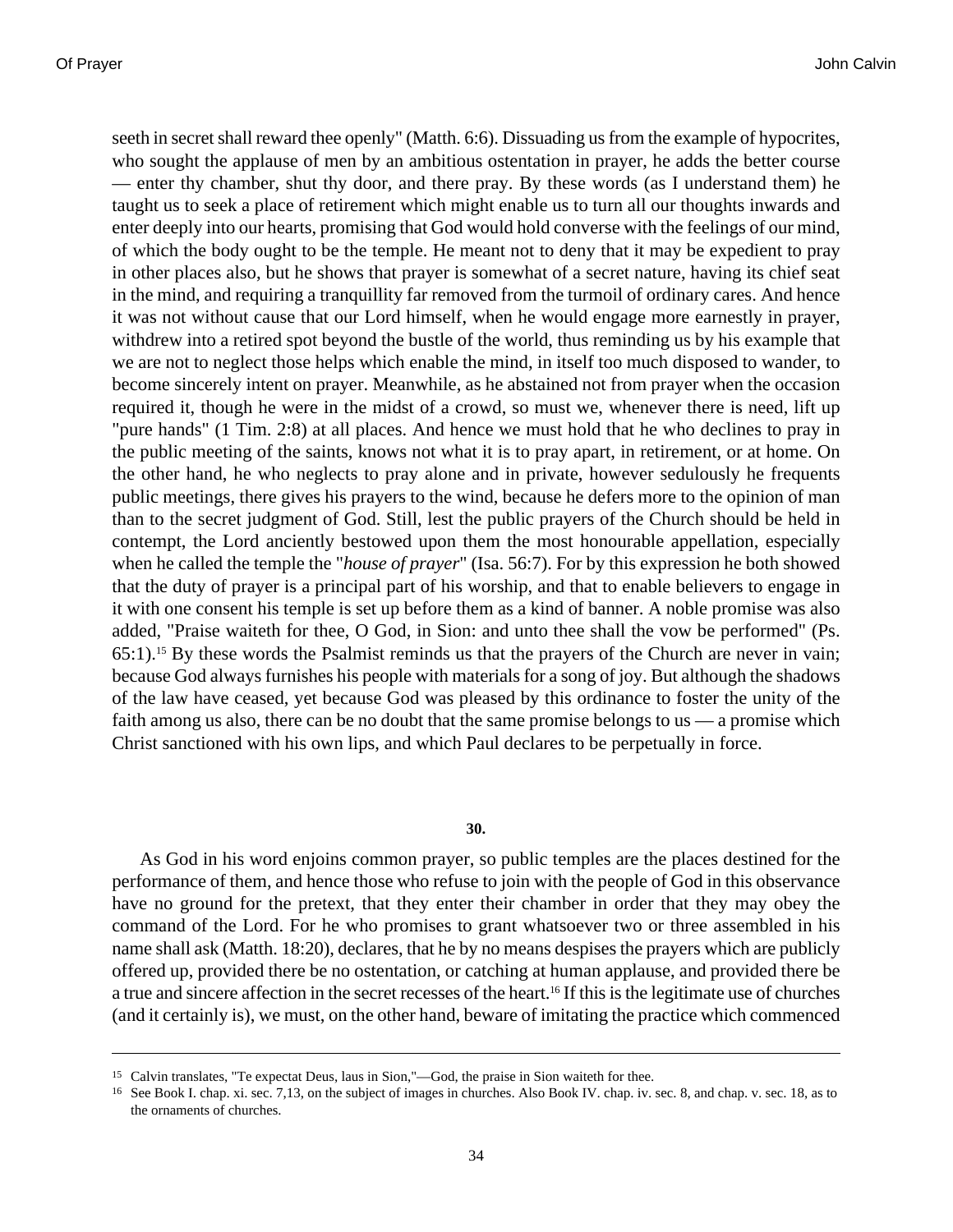seeth in secret shall reward thee openly" [\(Matth. 6:6\)](http://www.ccel.org/b/bible/asv/xml/asv.Matt.6.xml#Matt.6.6). Dissuading us from the example of hypocrites, who sought the applause of men by an ambitious ostentation in prayer, he adds the better course — enter thy chamber, shut thy door, and there pray. By these words (as I understand them) he taught us to seek a place of retirement which might enable us to turn all our thoughts inwards and enter deeply into our hearts, promising that God would hold converse with the feelings of our mind, of which the body ought to be the temple. He meant not to deny that it may be expedient to pray in other places also, but he shows that prayer is somewhat of a secret nature, having its chief seat in the mind, and requiring a tranquillity far removed from the turmoil of ordinary cares. And hence it was not without cause that our Lord himself, when he would engage more earnestly in prayer, withdrew into a retired spot beyond the bustle of the world, thus reminding us by his example that we are not to neglect those helps which enable the mind, in itself too much disposed to wander, to become sincerely intent on prayer. Meanwhile, as he abstained not from prayer when the occasion required it, though he were in the midst of a crowd, so must we, whenever there is need, lift up "pure hands" [\(1 Tim. 2:8](http://www.ccel.org/b/bible/asv/xml/asv.iTim.2.xml#iTim.2.8)) at all places. And hence we must hold that he who declines to pray in the public meeting of the saints, knows not what it is to pray apart, in retirement, or at home. On the other hand, he who neglects to pray alone and in private, however sedulously he frequents public meetings, there gives his prayers to the wind, because he defers more to the opinion of man than to the secret judgment of God. Still, lest the public prayers of the Church should be held in contempt, the Lord anciently bestowed upon them the most honourable appellation, especially when he called the temple the "*house of prayer*" ([Isa. 56:7\)](http://www.ccel.org/b/bible/asv/xml/asv.Isa.56.xml#Isa.56.7). For by this expression he both showed that the duty of prayer is a principal part of his worship, and that to enable believers to engage in it with one consent his temple is set up before them as a kind of banner. A noble promise was also added, "Praise waiteth for thee, O God, in Sion: and unto thee shall the vow be performed" ([Ps.](http://www.ccel.org/b/bible/asv/xml/asv.Ps.65.xml#Ps.65.1) [65:1](http://www.ccel.org/b/bible/asv/xml/asv.Ps.65.xml#Ps.65.1)).15 By these words the Psalmist reminds us that the prayers of the Church are never in vain; because God always furnishes his people with materials for a song of joy. But although the shadows of the law have ceased, yet because God was pleased by this ordinance to foster the unity of the faith among us also, there can be no doubt that the same promise belongs to us — a promise which Christ sanctioned with his own lips, and which Paul declares to be perpetually in force.

**30.**

<span id="page-37-0"></span>As God in his word enjoins common prayer, so public temples are the places destined for the performance of them, and hence those who refuse to join with the people of God in this observance have no ground for the pretext, that they enter their chamber in order that they may obey the command of the Lord. For he who promises to grant whatsoever two or three assembled in his name shall ask [\(Matth. 18:20\)](http://www.ccel.org/b/bible/asv/xml/asv.Matt.18.xml#Matt.18.20), declares, that he by no means despises the prayers which are publicly offered up, provided there be no ostentation, or catching at human applause, and provided there be a true and sincere affection in the secret recesses of the heart.16 If this is the legitimate use of churches (and it certainly is), we must, on the other hand, beware of imitating the practice which commenced

<span id="page-37-1"></span><sup>15</sup> Calvin translates, "Te expectat Deus, laus in Sion,"—God, the praise in Sion waiteth for thee.

<sup>16</sup> See Book I. chap. xi. sec. 7,13, on the subject of images in churches. Also Book IV. chap. iv. sec. 8, and chap. v. sec. 18, as to the ornaments of churches.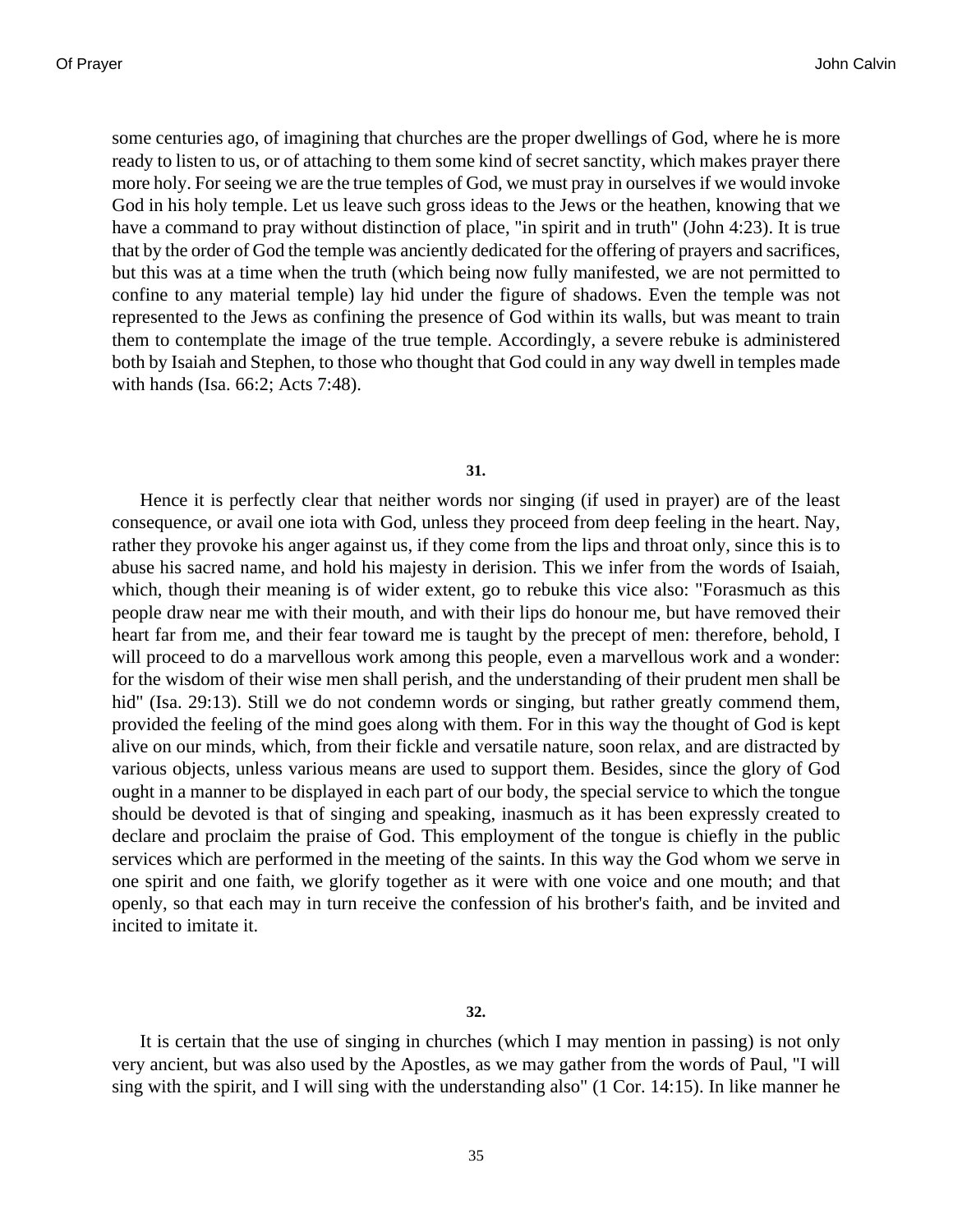some centuries ago, of imagining that churches are the proper dwellings of God, where he is more ready to listen to us, or of attaching to them some kind of secret sanctity, which makes prayer there more holy. For seeing we are the true temples of God, we must pray in ourselves if we would invoke God in his holy temple. Let us leave such gross ideas to the Jews or the heathen, knowing that we have a command to pray without distinction of place, "in spirit and in truth" ([John 4:23\)](http://www.ccel.org/b/bible/asv/xml/asv.John.4.xml#John.4.23). It is true that by the order of God the temple was anciently dedicated for the offering of prayers and sacrifices, but this was at a time when the truth (which being now fully manifested, we are not permitted to confine to any material temple) lay hid under the figure of shadows. Even the temple was not represented to the Jews as confining the presence of God within its walls, but was meant to train them to contemplate the image of the true temple. Accordingly, a severe rebuke is administered both by Isaiah and Stephen, to those who thought that God could in any way dwell in temples made with hands [\(Isa. 66:2;](http://www.ccel.org/b/bible/asv/xml/asv.Isa.66.xml#Isa.66.2) [Acts 7:48](http://www.ccel.org/b/bible/asv/xml/asv.Acts.7.xml#Acts.7.48)).

#### **31.**

<span id="page-38-0"></span>Hence it is perfectly clear that neither words nor singing (if used in prayer) are of the least consequence, or avail one iota with God, unless they proceed from deep feeling in the heart. Nay, rather they provoke his anger against us, if they come from the lips and throat only, since this is to abuse his sacred name, and hold his majesty in derision. This we infer from the words of Isaiah, which, though their meaning is of wider extent, go to rebuke this vice also: "Forasmuch as this people draw near me with their mouth, and with their lips do honour me, but have removed their heart far from me, and their fear toward me is taught by the precept of men: therefore, behold, I will proceed to do a marvellous work among this people, even a marvellous work and a wonder: for the wisdom of their wise men shall perish, and the understanding of their prudent men shall be hid" [\(Isa. 29:13](http://www.ccel.org/b/bible/asv/xml/asv.Isa.29.xml#Isa.29.13)). Still we do not condemn words or singing, but rather greatly commend them, provided the feeling of the mind goes along with them. For in this way the thought of God is kept alive on our minds, which, from their fickle and versatile nature, soon relax, and are distracted by various objects, unless various means are used to support them. Besides, since the glory of God ought in a manner to be displayed in each part of our body, the special service to which the tongue should be devoted is that of singing and speaking, inasmuch as it has been expressly created to declare and proclaim the praise of God. This employment of the tongue is chiefly in the public services which are performed in the meeting of the saints. In this way the God whom we serve in one spirit and one faith, we glorify together as it were with one voice and one mouth; and that openly, so that each may in turn receive the confession of his brother's faith, and be invited and incited to imitate it.

#### **32.**

<span id="page-38-1"></span>It is certain that the use of singing in churches (which I may mention in passing) is not only very ancient, but was also used by the Apostles, as we may gather from the words of Paul, "I will sing with the spirit, and I will sing with the understanding also" ([1 Cor. 14:15](http://www.ccel.org/b/bible/asv/xml/asv.iCor.14.xml#iCor.14.15)). In like manner he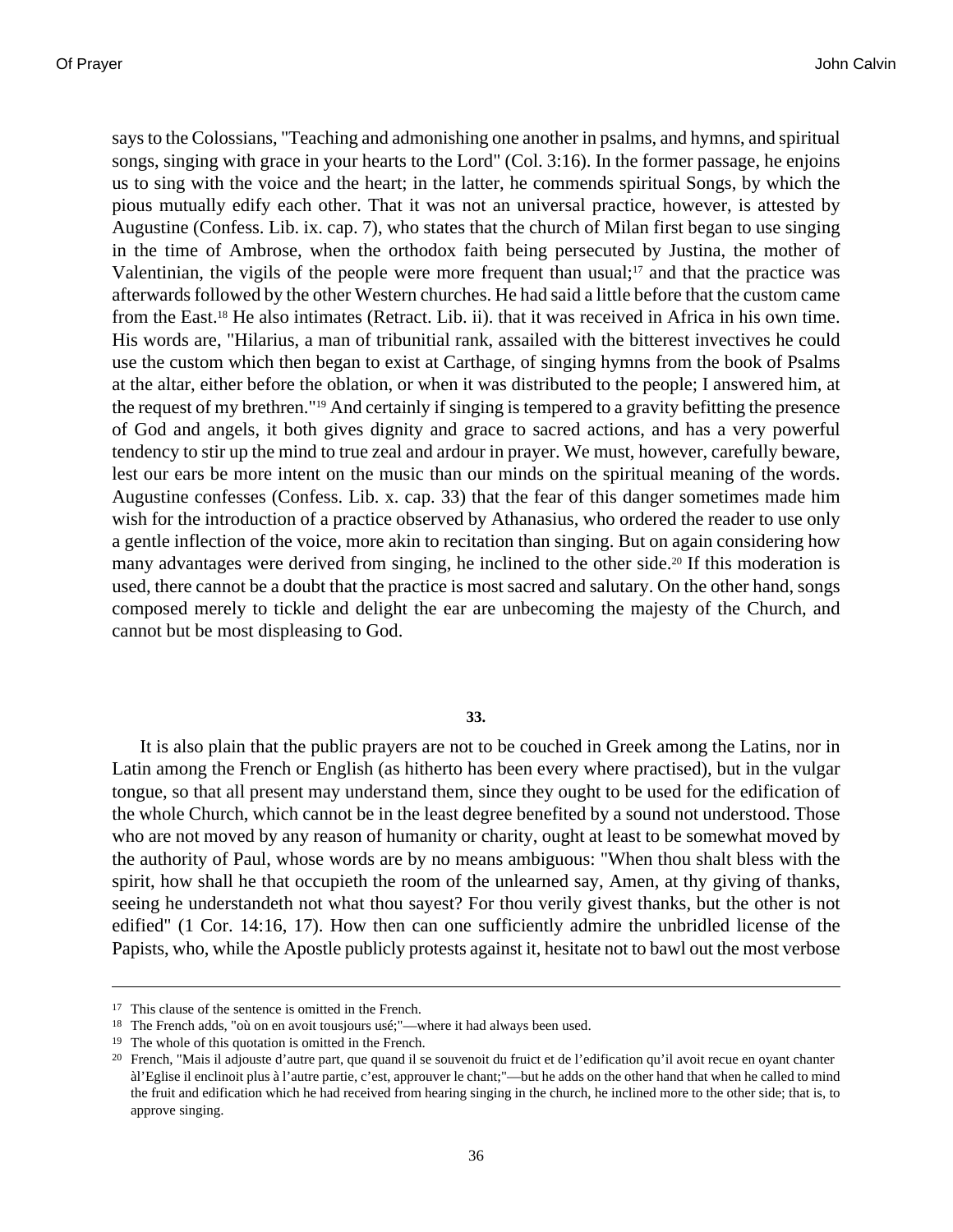says to the Colossians, "Teaching and admonishing one another in psalms, and hymns, and spiritual songs, singing with grace in your hearts to the Lord" ([Col. 3:16\)](http://www.ccel.org/b/bible/asv/xml/asv.Col.3.xml#Col.3.16). In the former passage, he enjoins us to sing with the voice and the heart; in the latter, he commends spiritual Songs, by which the pious mutually edify each other. That it was not an universal practice, however, is attested by Augustine (Confess. Lib. ix. cap. 7), who states that the church of Milan first began to use singing in the time of Ambrose, when the orthodox faith being persecuted by Justina, the mother of Valentinian, the vigils of the people were more frequent than usual;17 and that the practice was afterwards followed by the other Western churches. He had said a little before that the custom came from the East.18 He also intimates (Retract. Lib. ii). that it was received in Africa in his own time. His words are, "Hilarius, a man of tribunitial rank, assailed with the bitterest invectives he could use the custom which then began to exist at Carthage, of singing hymns from the book of Psalms at the altar, either before the oblation, or when it was distributed to the people; I answered him, at the request of my brethren."19 And certainly if singing is tempered to a gravity befitting the presence of God and angels, it both gives dignity and grace to sacred actions, and has a very powerful tendency to stir up the mind to true zeal and ardour in prayer. We must, however, carefully beware, lest our ears be more intent on the music than our minds on the spiritual meaning of the words. Augustine confesses (Confess. Lib. x. cap. 33) that the fear of this danger sometimes made him wish for the introduction of a practice observed by Athanasius, who ordered the reader to use only a gentle inflection of the voice, more akin to recitation than singing. But on again considering how many advantages were derived from singing, he inclined to the other side.<sup>20</sup> If this moderation is used, there cannot be a doubt that the practice is most sacred and salutary. On the other hand, songs composed merely to tickle and delight the ear are unbecoming the majesty of the Church, and cannot but be most displeasing to God.

#### **33.**

<span id="page-39-0"></span>It is also plain that the public prayers are not to be couched in Greek among the Latins, nor in Latin among the French or English (as hitherto has been every where practised), but in the vulgar tongue, so that all present may understand them, since they ought to be used for the edification of the whole Church, which cannot be in the least degree benefited by a sound not understood. Those who are not moved by any reason of humanity or charity, ought at least to be somewhat moved by the authority of Paul, whose words are by no means ambiguous: "When thou shalt bless with the spirit, how shall he that occupieth the room of the unlearned say, Amen, at thy giving of thanks, seeing he understandeth not what thou sayest? For thou verily givest thanks, but the other is not edified" [\(1 Cor. 14:16, 17\)](http://www.ccel.org/b/bible/asv/xml/asv.iCor.14.xml#iCor.14.16 Bible:1Cor.14.17). How then can one sufficiently admire the unbridled license of the Papists, who, while the Apostle publicly protests against it, hesitate not to bawl out the most verbose

<span id="page-39-2"></span><span id="page-39-1"></span><sup>17</sup> This clause of the sentence is omitted in the French.

<sup>18</sup> The French adds, "où on en avoit tousjours usé;"—where it had always been used.

<sup>19</sup> The whole of this quotation is omitted in the French.

<sup>&</sup>lt;sup>20</sup> French, "Mais il adjouste d'autre part, que quand il se souvenoit du fruict et de l'edification qu'il avoit recue en oyant chanter àl'Eglise il enclinoit plus à l'autre partie, c'est, approuver le chant;"—but he adds on the other hand that when he called to mind the fruit and edification which he had received from hearing singing in the church, he inclined more to the other side; that is, to approve singing.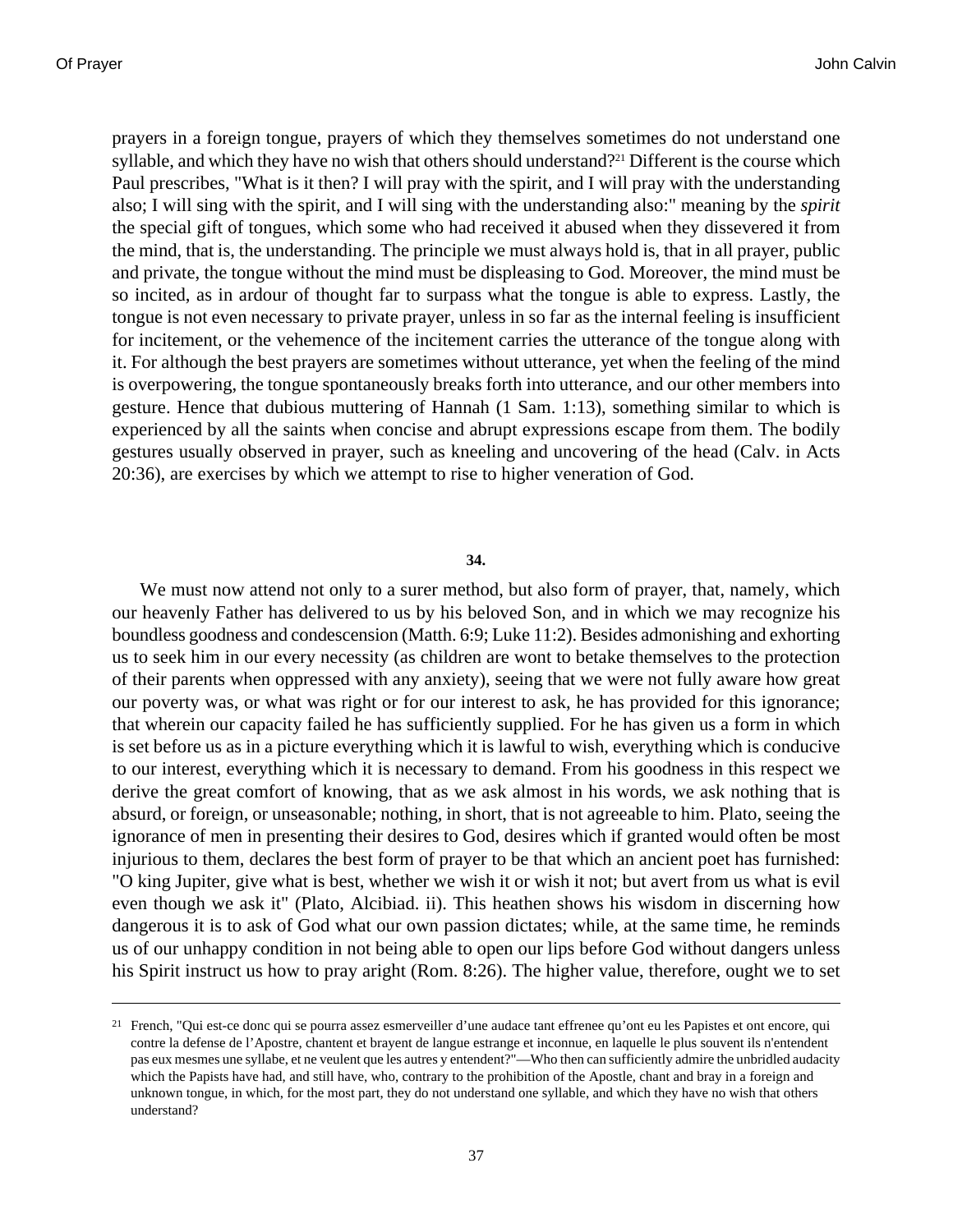prayers in a foreign tongue, prayers of which they themselves sometimes do not understand one syllable, and which they have no wish that others should understand?<sup>21</sup> Different is the course which Paul prescribes, "What is it then? I will pray with the spirit, and I will pray with the understanding also; I will sing with the spirit, and I will sing with the understanding also:" meaning by the *spirit* the special gift of tongues, which some who had received it abused when they dissevered it from the mind, that is, the understanding. The principle we must always hold is, that in all prayer, public and private, the tongue without the mind must be displeasing to God. Moreover, the mind must be so incited, as in ardour of thought far to surpass what the tongue is able to express. Lastly, the tongue is not even necessary to private prayer, unless in so far as the internal feeling is insufficient for incitement, or the vehemence of the incitement carries the utterance of the tongue along with it. For although the best prayers are sometimes without utterance, yet when the feeling of the mind is overpowering, the tongue spontaneously breaks forth into utterance, and our other members into gesture. Hence that dubious muttering of Hannah ([1 Sam. 1:13\)](http://www.ccel.org/b/bible/asv/xml/asv.iSam.1.xml#iSam.1.13), something similar to which is experienced by all the saints when concise and abrupt expressions escape from them. The bodily gestures usually observed in prayer, such as kneeling and uncovering of the head (Calv. in [Acts](http://www.ccel.org/b/bible/asv/xml/asv.Acts.20.xml#Acts.20.36) [20:36](http://www.ccel.org/b/bible/asv/xml/asv.Acts.20.xml#Acts.20.36)), are exercises by which we attempt to rise to higher veneration of God.

#### **34.**

<span id="page-40-0"></span>We must now attend not only to a surer method, but also form of prayer, that, namely, which our heavenly Father has delivered to us by his beloved Son, and in which we may recognize his boundless goodness and condescension [\(Matth. 6:9;](http://www.ccel.org/b/bible/asv/xml/asv.Matt.6.xml#Matt.6.9) [Luke 11:2\)](http://www.ccel.org/b/bible/asv/xml/asv.Luke.11.xml#Luke.11.2). Besides admonishing and exhorting us to seek him in our every necessity (as children are wont to betake themselves to the protection of their parents when oppressed with any anxiety), seeing that we were not fully aware how great our poverty was, or what was right or for our interest to ask, he has provided for this ignorance; that wherein our capacity failed he has sufficiently supplied. For he has given us a form in which is set before us as in a picture everything which it is lawful to wish, everything which is conducive to our interest, everything which it is necessary to demand. From his goodness in this respect we derive the great comfort of knowing, that as we ask almost in his words, we ask nothing that is absurd, or foreign, or unseasonable; nothing, in short, that is not agreeable to him. Plato, seeing the ignorance of men in presenting their desires to God, desires which if granted would often be most injurious to them, declares the best form of prayer to be that which an ancient poet has furnished: "O king Jupiter, give what is best, whether we wish it or wish it not; but avert from us what is evil even though we ask it" (Plato, Alcibiad. ii). This heathen shows his wisdom in discerning how dangerous it is to ask of God what our own passion dictates; while, at the same time, he reminds us of our unhappy condition in not being able to open our lips before God without dangers unless his Spirit instruct us how to pray aright [\(Rom. 8:26\)](http://www.ccel.org/b/bible/asv/xml/asv.Rom.8.xml#Rom.8.26). The higher value, therefore, ought we to set

<span id="page-40-1"></span><sup>21</sup> French, "Qui est-ce donc qui se pourra assez esmerveiller d'une audace tant effrenee qu'ont eu les Papistes et ont encore, qui contre la defense de l'Apostre, chantent et brayent de langue estrange et inconnue, en laquelle le plus souvent ils n'entendent pas eux mesmes une syllabe, et ne veulent que les autres y entendent?"—Who then can sufficiently admire the unbridled audacity which the Papists have had, and still have, who, contrary to the prohibition of the Apostle, chant and bray in a foreign and unknown tongue, in which, for the most part, they do not understand one syllable, and which they have no wish that others understand?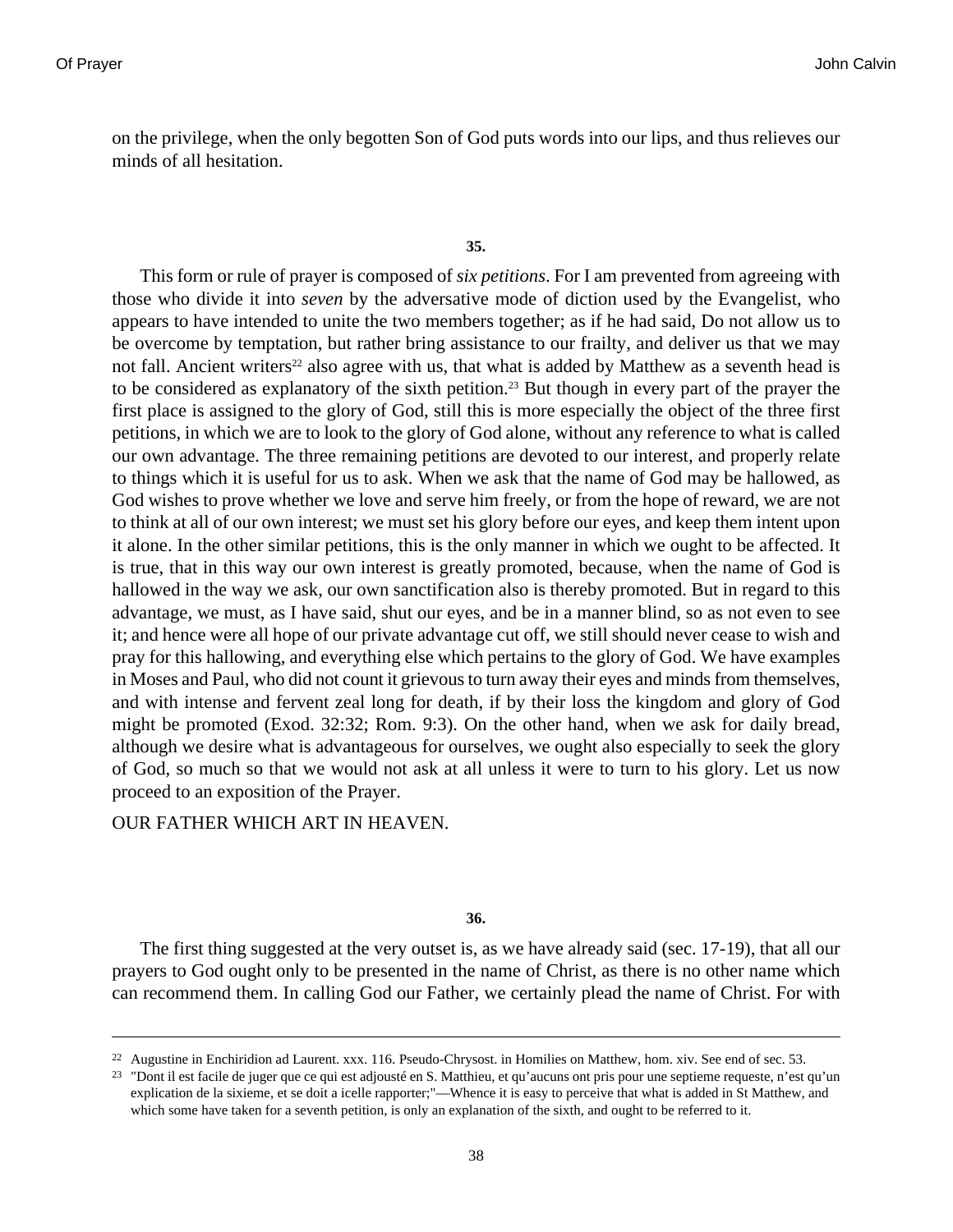on the privilege, when the only begotten Son of God puts words into our lips, and thus relieves our minds of all hesitation.

#### **35.**

<span id="page-41-0"></span>This form or rule of prayer is composed of *six petitions*. For I am prevented from agreeing with those who divide it into *seven* by the adversative mode of diction used by the Evangelist, who appears to have intended to unite the two members together; as if he had said, Do not allow us to be overcome by temptation, but rather bring assistance to our frailty, and deliver us that we may not fall. Ancient writers<sup>22</sup> also agree with us, that what is added by Matthew as a seventh head is to be considered as explanatory of the sixth petition.23 But though in every part of the prayer the first place is assigned to the glory of God, still this is more especially the object of the three first petitions, in which we are to look to the glory of God alone, without any reference to what is called our own advantage. The three remaining petitions are devoted to our interest, and properly relate to things which it is useful for us to ask. When we ask that the name of God may be hallowed, as God wishes to prove whether we love and serve him freely, or from the hope of reward, we are not to think at all of our own interest; we must set his glory before our eyes, and keep them intent upon it alone. In the other similar petitions, this is the only manner in which we ought to be affected. It is true, that in this way our own interest is greatly promoted, because, when the name of God is hallowed in the way we ask, our own sanctification also is thereby promoted. But in regard to this advantage, we must, as I have said, shut our eyes, and be in a manner blind, so as not even to see it; and hence were all hope of our private advantage cut off, we still should never cease to wish and pray for this hallowing, and everything else which pertains to the glory of God. We have examples in Moses and Paul, who did not count it grievous to turn away their eyes and minds from themselves, and with intense and fervent zeal long for death, if by their loss the kingdom and glory of God might be promoted ([Exod. 32:32;](http://www.ccel.org/b/bible/asv/xml/asv.Exod.32.xml#Exod.32.32) [Rom. 9:3](http://www.ccel.org/b/bible/asv/xml/asv.Rom.9.xml#Rom.9.3)). On the other hand, when we ask for daily bread, although we desire what is advantageous for ourselves, we ought also especially to seek the glory of God, so much so that we would not ask at all unless it were to turn to his glory. Let us now proceed to an exposition of the Prayer.

<span id="page-41-1"></span>OUR FATHER WHICH ART IN HEAVEN.

#### **36.**

<span id="page-41-2"></span>The first thing suggested at the very outset is, as we have already said (sec. 17-19), that all our prayers to God ought only to be presented in the name of Christ, as there is no other name which can recommend them. In calling God our Father, we certainly plead the name of Christ. For with

<sup>22</sup> Augustine in Enchiridion ad Laurent. xxx. 116. Pseudo-Chrysost. in Homilies on Matthew, hom. xiv. See end of sec. 53.

<sup>&</sup>lt;sup>23</sup> "Dont il est facile de juger que ce qui est adjousté en S. Matthieu, et qu'aucuns ont pris pour une septieme requeste, n'est qu'un explication de la sixieme, et se doit a icelle rapporter;"—Whence it is easy to perceive that what is added in St Matthew, and which some have taken for a seventh petition, is only an explanation of the sixth, and ought to be referred to it.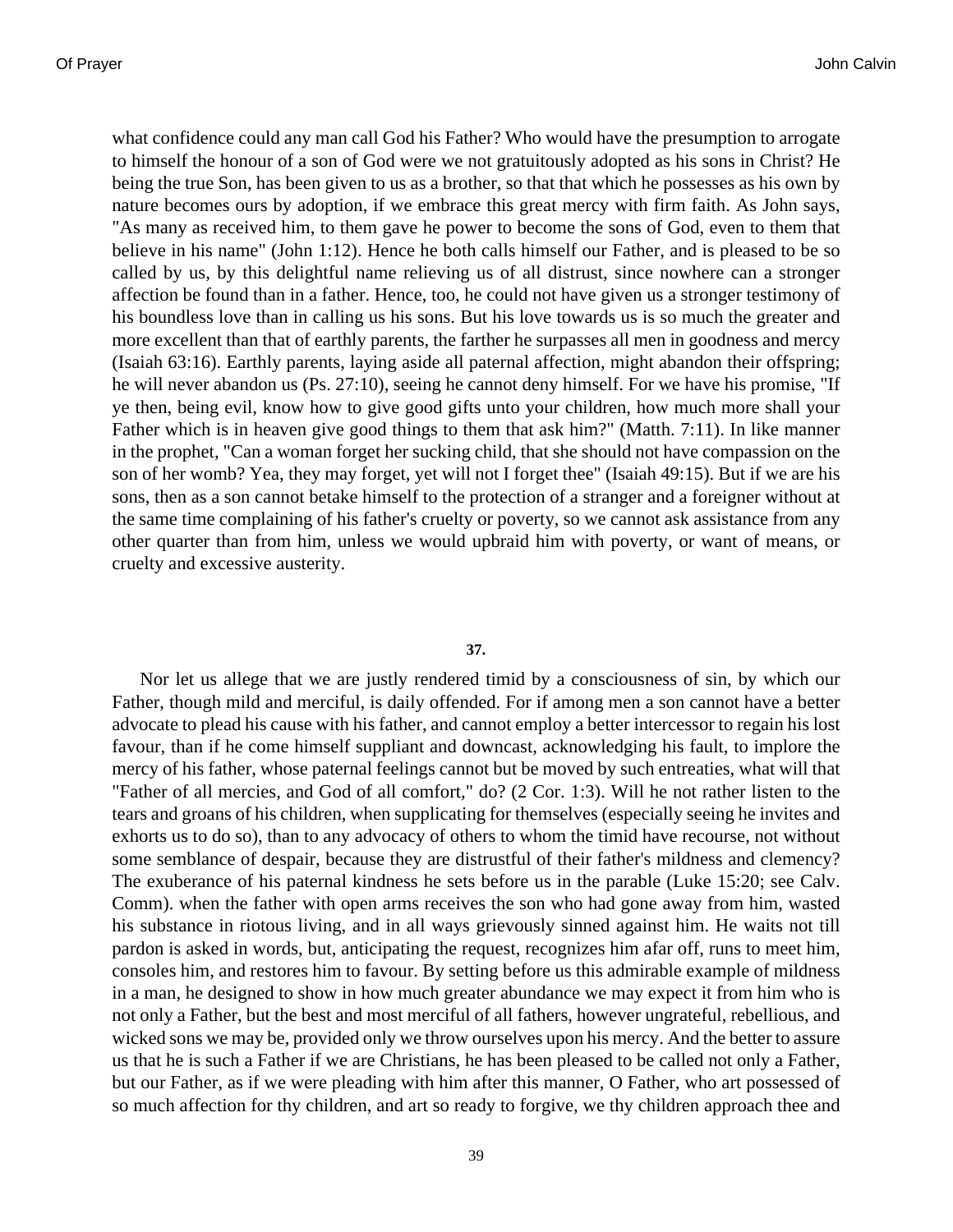what confidence could any man call God his Father? Who would have the presumption to arrogate to himself the honour of a son of God were we not gratuitously adopted as his sons in Christ? He being the true Son, has been given to us as a brother, so that that which he possesses as his own by nature becomes ours by adoption, if we embrace this great mercy with firm faith. As John says, "As many as received him, to them gave he power to become the sons of God, even to them that believe in his name" [\(John 1:12\)](http://www.ccel.org/b/bible/asv/xml/asv.John.1.xml#John.1.12). Hence he both calls himself our Father, and is pleased to be so called by us, by this delightful name relieving us of all distrust, since nowhere can a stronger affection be found than in a father. Hence, too, he could not have given us a stronger testimony of his boundless love than in calling us his sons. But his love towards us is so much the greater and more excellent than that of earthly parents, the farther he surpasses all men in goodness and mercy ([Isaiah 63:16](http://www.ccel.org/b/bible/asv/xml/asv.Isa.63.xml#Isa.63.16)). Earthly parents, laying aside all paternal affection, might abandon their offspring; he will never abandon us [\(Ps. 27:10](http://www.ccel.org/b/bible/asv/xml/asv.Ps.27.xml#Ps.27.10)), seeing he cannot deny himself. For we have his promise, "If ye then, being evil, know how to give good gifts unto your children, how much more shall your Father which is in heaven give good things to them that ask him?" [\(Matth. 7:11\)](http://www.ccel.org/b/bible/asv/xml/asv.Matt.7.xml#Matt.7.11). In like manner in the prophet, "Can a woman forget her sucking child, that she should not have compassion on the son of her womb? Yea, they may forget, yet will not I forget thee" [\(Isaiah 49:15\)](http://www.ccel.org/b/bible/asv/xml/asv.Isa.49.xml#Isa.49.15). But if we are his sons, then as a son cannot betake himself to the protection of a stranger and a foreigner without at the same time complaining of his father's cruelty or poverty, so we cannot ask assistance from any other quarter than from him, unless we would upbraid him with poverty, or want of means, or cruelty and excessive austerity.

#### **37.**

<span id="page-42-0"></span>Nor let us allege that we are justly rendered timid by a consciousness of sin, by which our Father, though mild and merciful, is daily offended. For if among men a son cannot have a better advocate to plead his cause with his father, and cannot employ a better intercessor to regain his lost favour, than if he come himself suppliant and downcast, acknowledging his fault, to implore the mercy of his father, whose paternal feelings cannot but be moved by such entreaties, what will that "Father of all mercies, and God of all comfort," do? ([2 Cor. 1:3](http://www.ccel.org/b/bible/asv/xml/asv.iiCor.1.xml#iiCor.1.3)). Will he not rather listen to the tears and groans of his children, when supplicating for themselves (especially seeing he invites and exhorts us to do so), than to any advocacy of others to whom the timid have recourse, not without some semblance of despair, because they are distrustful of their father's mildness and clemency? The exuberance of his paternal kindness he sets before us in the parable [\(Luke 15:20](http://www.ccel.org/b/bible/asv/xml/asv.Luke.15.xml#Luke.15.20); see Calv. Comm). when the father with open arms receives the son who had gone away from him, wasted his substance in riotous living, and in all ways grievously sinned against him. He waits not till pardon is asked in words, but, anticipating the request, recognizes him afar off, runs to meet him, consoles him, and restores him to favour. By setting before us this admirable example of mildness in a man, he designed to show in how much greater abundance we may expect it from him who is not only a Father, but the best and most merciful of all fathers, however ungrateful, rebellious, and wicked sons we may be, provided only we throw ourselves upon his mercy. And the better to assure us that he is such a Father if we are Christians, he has been pleased to be called not only a Father, but our Father, as if we were pleading with him after this manner, O Father, who art possessed of so much affection for thy children, and art so ready to forgive, we thy children approach thee and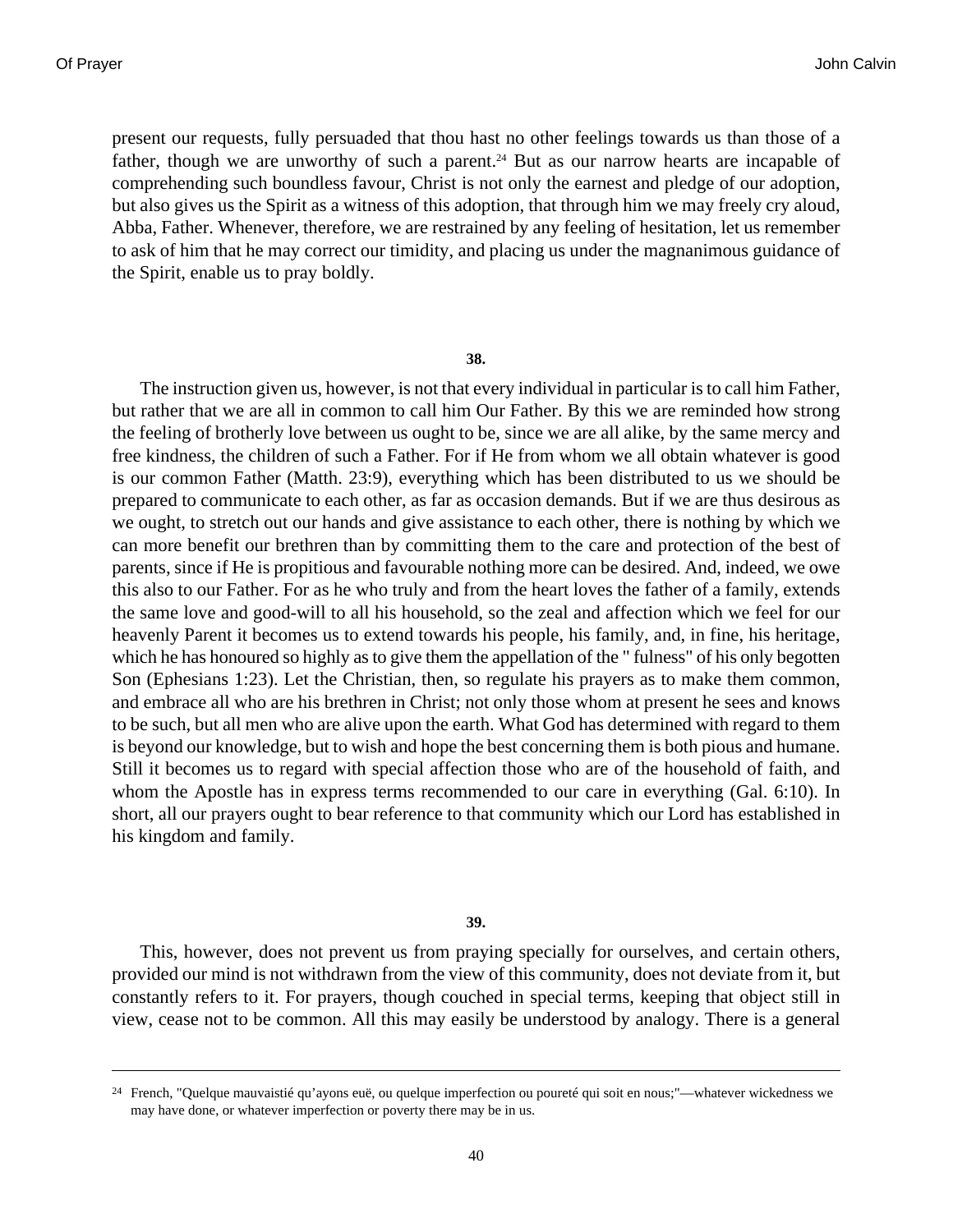present our requests, fully persuaded that thou hast no other feelings towards us than those of a father, though we are unworthy of such a parent.<sup>24</sup> But as our narrow hearts are incapable of comprehending such boundless favour, Christ is not only the earnest and pledge of our adoption, but also gives us the Spirit as a witness of this adoption, that through him we may freely cry aloud, Abba, Father. Whenever, therefore, we are restrained by any feeling of hesitation, let us remember to ask of him that he may correct our timidity, and placing us under the magnanimous guidance of the Spirit, enable us to pray boldly.

#### **38.**

<span id="page-43-0"></span>The instruction given us, however, is not that every individual in particular is to call him Father, but rather that we are all in common to call him Our Father. By this we are reminded how strong the feeling of brotherly love between us ought to be, since we are all alike, by the same mercy and free kindness, the children of such a Father. For if He from whom we all obtain whatever is good is our common Father [\(Matth. 23:9](http://www.ccel.org/b/bible/asv/xml/asv.Matt.23.xml#Matt.23.9)), everything which has been distributed to us we should be prepared to communicate to each other, as far as occasion demands. But if we are thus desirous as we ought, to stretch out our hands and give assistance to each other, there is nothing by which we can more benefit our brethren than by committing them to the care and protection of the best of parents, since if He is propitious and favourable nothing more can be desired. And, indeed, we owe this also to our Father. For as he who truly and from the heart loves the father of a family, extends the same love and good-will to all his household, so the zeal and affection which we feel for our heavenly Parent it becomes us to extend towards his people, his family, and, in fine, his heritage, which he has honoured so highly as to give them the appellation of the " fulness" of his only begotten Son [\(Ephesians 1:23\)](http://www.ccel.org/b/bible/asv/xml/asv.Eph.1.xml#Eph.1.23). Let the Christian, then, so regulate his prayers as to make them common, and embrace all who are his brethren in Christ; not only those whom at present he sees and knows to be such, but all men who are alive upon the earth. What God has determined with regard to them is beyond our knowledge, but to wish and hope the best concerning them is both pious and humane. Still it becomes us to regard with special affection those who are of the household of faith, and whom the Apostle has in express terms recommended to our care in everything [\(Gal. 6:10\)](http://www.ccel.org/b/bible/asv/xml/asv.Gal.6.xml#Gal.6.10). In short, all our prayers ought to bear reference to that community which our Lord has established in his kingdom and family.

#### **39.**

<span id="page-43-2"></span><span id="page-43-1"></span>This, however, does not prevent us from praying specially for ourselves, and certain others, provided our mind is not withdrawn from the view of this community, does not deviate from it, but constantly refers to it. For prayers, though couched in special terms, keeping that object still in view, cease not to be common. All this may easily be understood by analogy. There is a general

<sup>24</sup> French, "Quelque mauvaistié qu'ayons euë, ou quelque imperfection ou poureté qui soit en nous;"—whatever wickedness we may have done, or whatever imperfection or poverty there may be in us.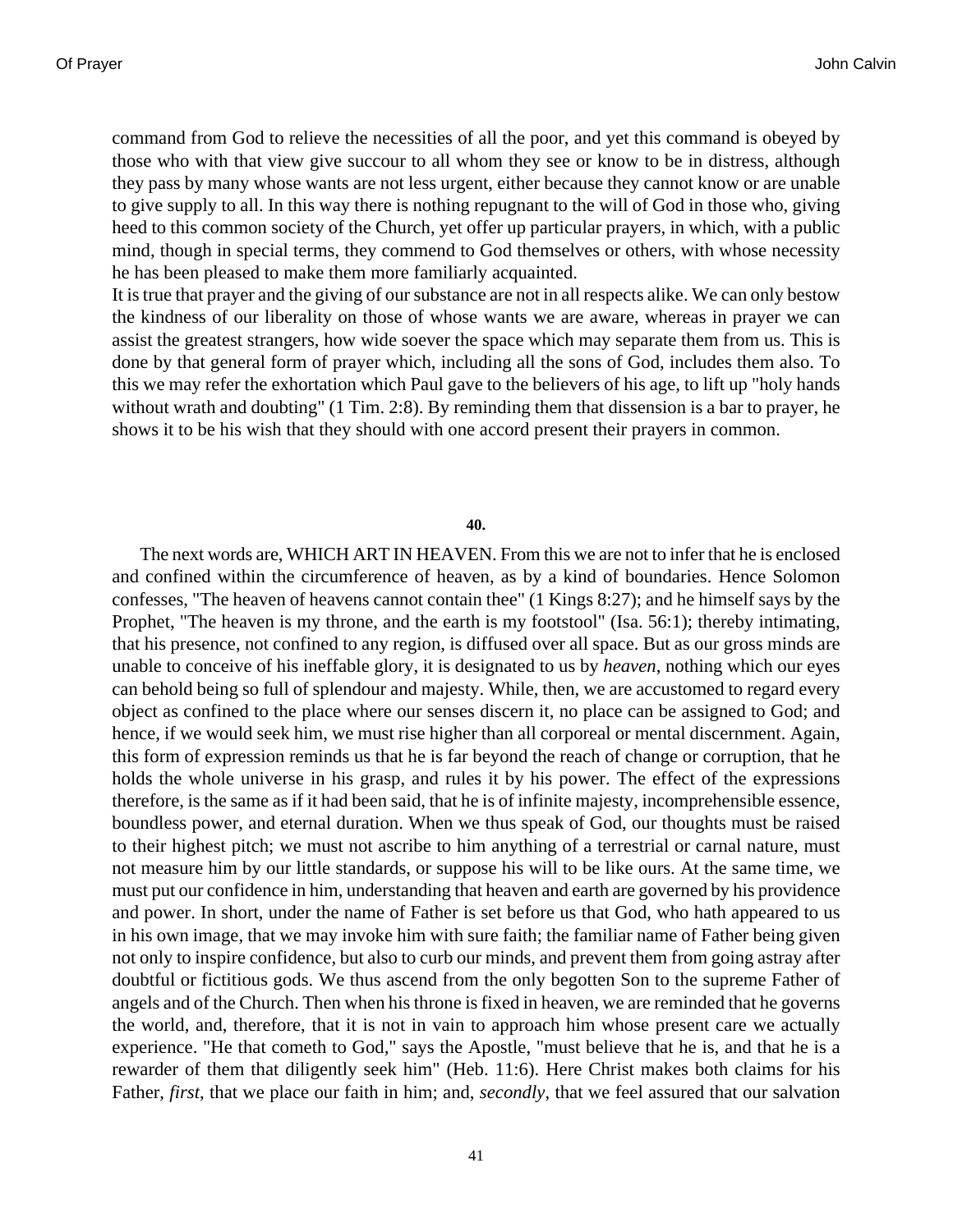command from God to relieve the necessities of all the poor, and yet this command is obeyed by those who with that view give succour to all whom they see or know to be in distress, although they pass by many whose wants are not less urgent, either because they cannot know or are unable to give supply to all. In this way there is nothing repugnant to the will of God in those who, giving heed to this common society of the Church, yet offer up particular prayers, in which, with a public mind, though in special terms, they commend to God themselves or others, with whose necessity he has been pleased to make them more familiarly acquainted.

It is true that prayer and the giving of our substance are not in all respects alike. We can only bestow the kindness of our liberality on those of whose wants we are aware, whereas in prayer we can assist the greatest strangers, how wide soever the space which may separate them from us. This is done by that general form of prayer which, including all the sons of God, includes them also. To this we may refer the exhortation which Paul gave to the believers of his age, to lift up "holy hands without wrath and doubting" ([1 Tim. 2:8](http://www.ccel.org/b/bible/asv/xml/asv.iTim.2.xml#iTim.2.8)). By reminding them that dissension is a bar to prayer, he shows it to be his wish that they should with one accord present their prayers in common.

#### **40.**

<span id="page-44-0"></span>The next words are, WHICH ART IN HEAVEN. From this we are not to infer that he is enclosed and confined within the circumference of heaven, as by a kind of boundaries. Hence Solomon confesses, "The heaven of heavens cannot contain thee" [\(1 Kings 8:27](http://www.ccel.org/b/bible/asv/xml/asv.iKgs.8.xml#iKgs.8.27)); and he himself says by the Prophet, "The heaven is my throne, and the earth is my footstool" [\(Isa. 56:1\)](http://www.ccel.org/b/bible/asv/xml/asv.Isa.56.xml#Isa.56.1); thereby intimating, that his presence, not confined to any region, is diffused over all space. But as our gross minds are unable to conceive of his ineffable glory, it is designated to us by *heaven*, nothing which our eyes can behold being so full of splendour and majesty. While, then, we are accustomed to regard every object as confined to the place where our senses discern it, no place can be assigned to God; and hence, if we would seek him, we must rise higher than all corporeal or mental discernment. Again, this form of expression reminds us that he is far beyond the reach of change or corruption, that he holds the whole universe in his grasp, and rules it by his power. The effect of the expressions therefore, is the same as if it had been said, that he is of infinite majesty, incomprehensible essence, boundless power, and eternal duration. When we thus speak of God, our thoughts must be raised to their highest pitch; we must not ascribe to him anything of a terrestrial or carnal nature, must not measure him by our little standards, or suppose his will to be like ours. At the same time, we must put our confidence in him, understanding that heaven and earth are governed by his providence and power. In short, under the name of Father is set before us that God, who hath appeared to us in his own image, that we may invoke him with sure faith; the familiar name of Father being given not only to inspire confidence, but also to curb our minds, and prevent them from going astray after doubtful or fictitious gods. We thus ascend from the only begotten Son to the supreme Father of angels and of the Church. Then when his throne is fixed in heaven, we are reminded that he governs the world, and, therefore, that it is not in vain to approach him whose present care we actually experience. "He that cometh to God," says the Apostle, "must believe that he is, and that he is a rewarder of them that diligently seek him" [\(Heb. 11:6\)](http://www.ccel.org/b/bible/asv/xml/asv.Heb.11.xml#Heb.11.6). Here Christ makes both claims for his Father, *first*, that we place our faith in him; and, *secondly*, that we feel assured that our salvation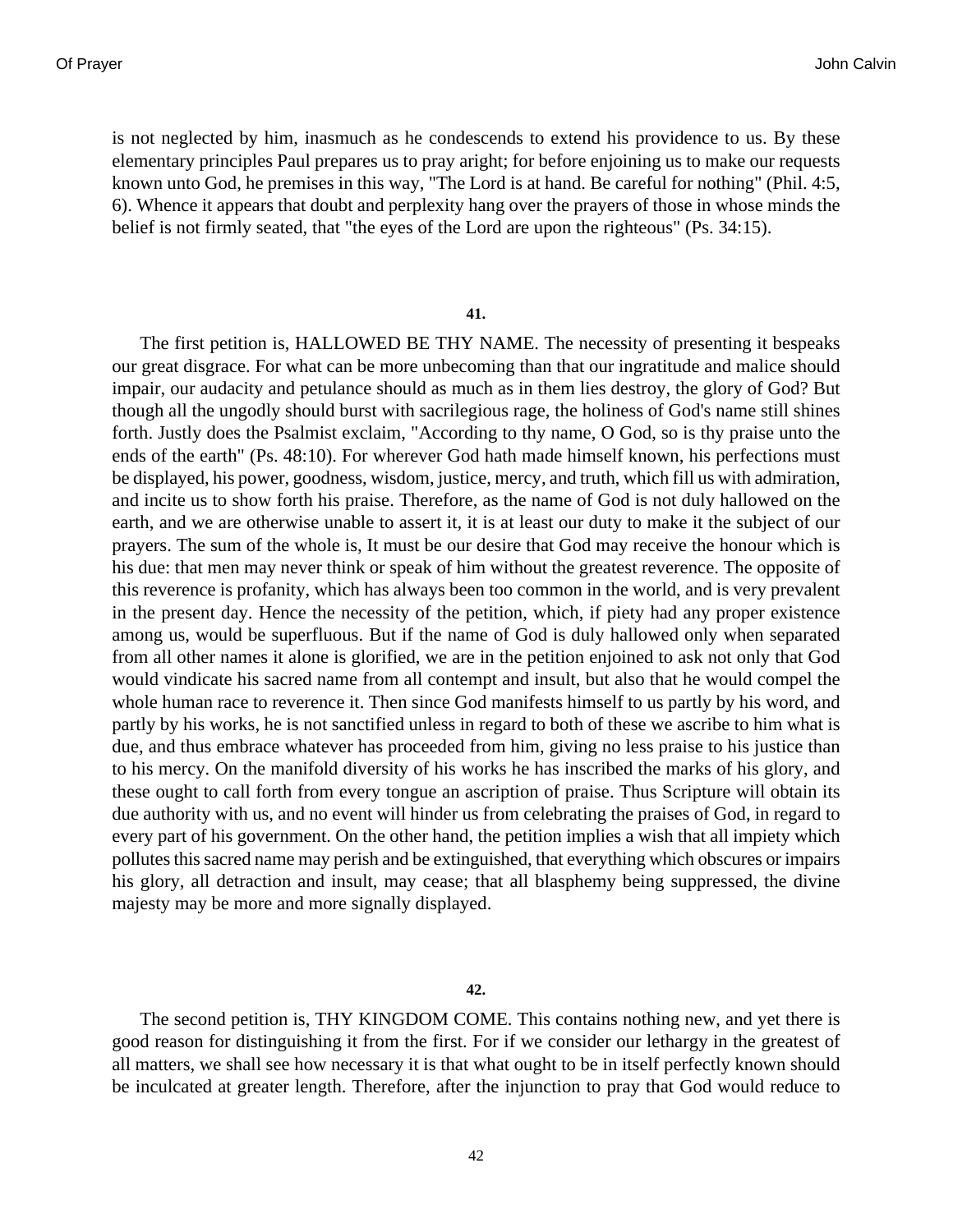is not neglected by him, inasmuch as he condescends to extend his providence to us. By these elementary principles Paul prepares us to pray aright; for before enjoining us to make our requests known unto God, he premises in this way, "The Lord is at hand. Be careful for nothing" ([Phil. 4:5,](http://www.ccel.org/b/bible/asv/xml/asv.Phil.4.xml#Phil.4.5 Bible:Phil.4.6) [6](http://www.ccel.org/b/bible/asv/xml/asv.Phil.4.xml#Phil.4.5 Bible:Phil.4.6)). Whence it appears that doubt and perplexity hang over the prayers of those in whose minds the belief is not firmly seated, that "the eyes of the Lord are upon the righteous" [\(Ps. 34:15](http://www.ccel.org/b/bible/asv/xml/asv.Ps.34.xml#Ps.34.15)).

#### **41.**

<span id="page-45-0"></span>The first petition is, HALLOWED BE THY NAME. The necessity of presenting it bespeaks our great disgrace. For what can be more unbecoming than that our ingratitude and malice should impair, our audacity and petulance should as much as in them lies destroy, the glory of God? But though all the ungodly should burst with sacrilegious rage, the holiness of God's name still shines forth. Justly does the Psalmist exclaim, "According to thy name, O God, so is thy praise unto the ends of the earth" ([Ps. 48:10\)](http://www.ccel.org/b/bible/asv/xml/asv.Ps.48.xml#Ps.48.10). For wherever God hath made himself known, his perfections must be displayed, his power, goodness, wisdom, justice, mercy, and truth, which fill us with admiration, and incite us to show forth his praise. Therefore, as the name of God is not duly hallowed on the earth, and we are otherwise unable to assert it, it is at least our duty to make it the subject of our prayers. The sum of the whole is, It must be our desire that God may receive the honour which is his due: that men may never think or speak of him without the greatest reverence. The opposite of this reverence is profanity, which has always been too common in the world, and is very prevalent in the present day. Hence the necessity of the petition, which, if piety had any proper existence among us, would be superfluous. But if the name of God is duly hallowed only when separated from all other names it alone is glorified, we are in the petition enjoined to ask not only that God would vindicate his sacred name from all contempt and insult, but also that he would compel the whole human race to reverence it. Then since God manifests himself to us partly by his word, and partly by his works, he is not sanctified unless in regard to both of these we ascribe to him what is due, and thus embrace whatever has proceeded from him, giving no less praise to his justice than to his mercy. On the manifold diversity of his works he has inscribed the marks of his glory, and these ought to call forth from every tongue an ascription of praise. Thus Scripture will obtain its due authority with us, and no event will hinder us from celebrating the praises of God, in regard to every part of his government. On the other hand, the petition implies a wish that all impiety which pollutes this sacred name may perish and be extinguished, that everything which obscures or impairs his glory, all detraction and insult, may cease; that all blasphemy being suppressed, the divine majesty may be more and more signally displayed.

#### **42.**

<span id="page-45-1"></span>The second petition is, THY KINGDOM COME. This contains nothing new, and yet there is good reason for distinguishing it from the first. For if we consider our lethargy in the greatest of all matters, we shall see how necessary it is that what ought to be in itself perfectly known should be inculcated at greater length. Therefore, after the injunction to pray that God would reduce to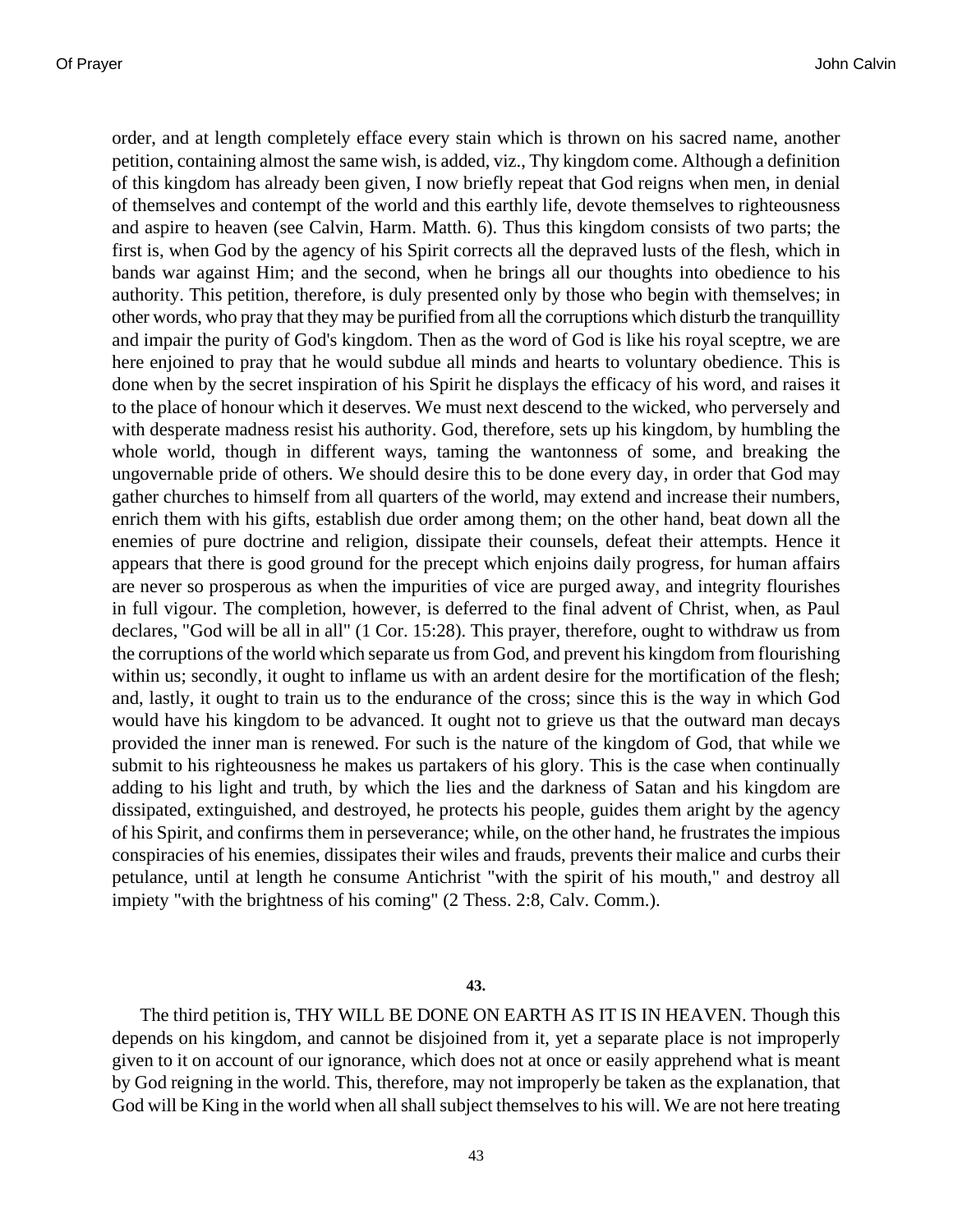order, and at length completely efface every stain which is thrown on his sacred name, another petition, containing almost the same wish, is added, viz., Thy kingdom come. Although a definition of this kingdom has already been given, I now briefly repeat that God reigns when men, in denial of themselves and contempt of the world and this earthly life, devote themselves to righteousness and aspire to heaven (see Calvin, Harm. [Matth. 6\)](http://www.ccel.org/b/bible/asv/xml/asv.Matt..xml#Matt..). Thus this kingdom consists of two parts; the first is, when God by the agency of his Spirit corrects all the depraved lusts of the flesh, which in bands war against Him; and the second, when he brings all our thoughts into obedience to his authority. This petition, therefore, is duly presented only by those who begin with themselves; in other words, who pray that they may be purified from all the corruptions which disturb the tranquillity and impair the purity of God's kingdom. Then as the word of God is like his royal sceptre, we are here enjoined to pray that he would subdue all minds and hearts to voluntary obedience. This is done when by the secret inspiration of his Spirit he displays the efficacy of his word, and raises it to the place of honour which it deserves. We must next descend to the wicked, who perversely and with desperate madness resist his authority. God, therefore, sets up his kingdom, by humbling the whole world, though in different ways, taming the wantonness of some, and breaking the ungovernable pride of others. We should desire this to be done every day, in order that God may gather churches to himself from all quarters of the world, may extend and increase their numbers, enrich them with his gifts, establish due order among them; on the other hand, beat down all the enemies of pure doctrine and religion, dissipate their counsels, defeat their attempts. Hence it appears that there is good ground for the precept which enjoins daily progress, for human affairs are never so prosperous as when the impurities of vice are purged away, and integrity flourishes in full vigour. The completion, however, is deferred to the final advent of Christ, when, as Paul declares, "God will be all in all" [\(1 Cor. 15:28](http://www.ccel.org/b/bible/asv/xml/asv.iCor.15.xml#iCor.15.28)). This prayer, therefore, ought to withdraw us from the corruptions of the world which separate us from God, and prevent his kingdom from flourishing within us; secondly, it ought to inflame us with an ardent desire for the mortification of the flesh; and, lastly, it ought to train us to the endurance of the cross; since this is the way in which God would have his kingdom to be advanced. It ought not to grieve us that the outward man decays provided the inner man is renewed. For such is the nature of the kingdom of God, that while we submit to his righteousness he makes us partakers of his glory. This is the case when continually adding to his light and truth, by which the lies and the darkness of Satan and his kingdom are dissipated, extinguished, and destroyed, he protects his people, guides them aright by the agency of his Spirit, and confirms them in perseverance; while, on the other hand, he frustrates the impious conspiracies of his enemies, dissipates their wiles and frauds, prevents their malice and curbs their petulance, until at length he consume Antichrist "with the spirit of his mouth," and destroy all impiety "with the brightness of his coming" ([2 Thess. 2:8](http://www.ccel.org/b/bible/asv/xml/asv.iiThess.2.xml#iiThess.2.8), Calv. Comm.).

**43.**

<span id="page-46-0"></span>The third petition is, THY WILL BE DONE ON EARTH AS IT IS IN HEAVEN. Though this depends on his kingdom, and cannot be disjoined from it, yet a separate place is not improperly given to it on account of our ignorance, which does not at once or easily apprehend what is meant by God reigning in the world. This, therefore, may not improperly be taken as the explanation, that God will be King in the world when all shall subject themselves to his will. We are not here treating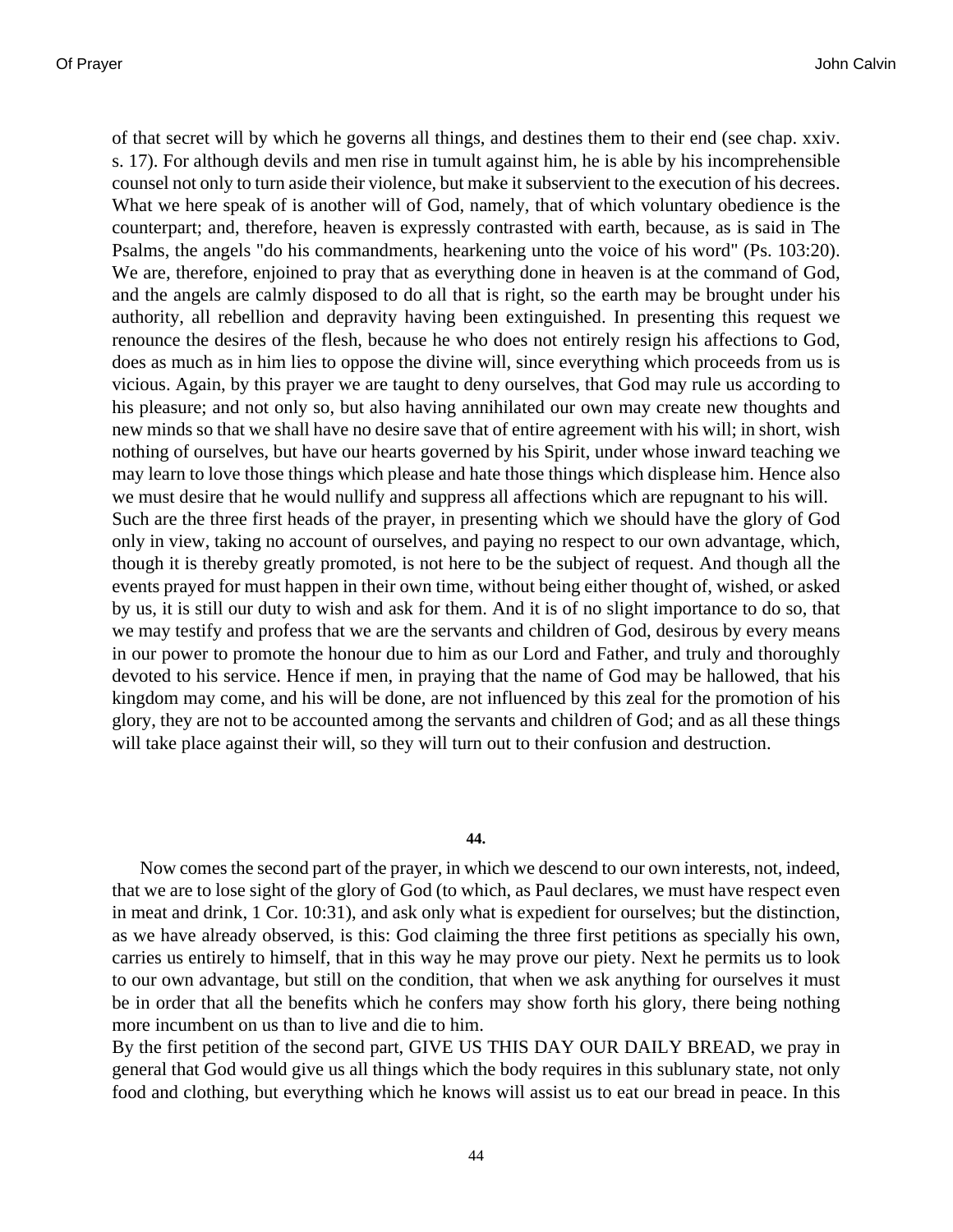of that secret will by which he governs all things, and destines them to their end (see chap. xxiv. s. 17). For although devils and men rise in tumult against him, he is able by his incomprehensible counsel not only to turn aside their violence, but make it subservient to the execution of his decrees. What we here speak of is another will of God, namely, that of which voluntary obedience is the counterpart; and, therefore, heaven is expressly contrasted with earth, because, as is said in The Psalms, the angels "do his commandments, hearkening unto the voice of his word" ([Ps. 103:20\)](http://www.ccel.org/b/bible/asv/xml/asv.Ps.103.xml#Ps.103.20). We are, therefore, enjoined to pray that as everything done in heaven is at the command of God, and the angels are calmly disposed to do all that is right, so the earth may be brought under his authority, all rebellion and depravity having been extinguished. In presenting this request we renounce the desires of the flesh, because he who does not entirely resign his affections to God, does as much as in him lies to oppose the divine will, since everything which proceeds from us is vicious. Again, by this prayer we are taught to deny ourselves, that God may rule us according to his pleasure; and not only so, but also having annihilated our own may create new thoughts and new minds so that we shall have no desire save that of entire agreement with his will; in short, wish nothing of ourselves, but have our hearts governed by his Spirit, under whose inward teaching we may learn to love those things which please and hate those things which displease him. Hence also we must desire that he would nullify and suppress all affections which are repugnant to his will. Such are the three first heads of the prayer, in presenting which we should have the glory of God only in view, taking no account of ourselves, and paying no respect to our own advantage, which, though it is thereby greatly promoted, is not here to be the subject of request. And though all the events prayed for must happen in their own time, without being either thought of, wished, or asked by us, it is still our duty to wish and ask for them. And it is of no slight importance to do so, that we may testify and profess that we are the servants and children of God, desirous by every means in our power to promote the honour due to him as our Lord and Father, and truly and thoroughly devoted to his service. Hence if men, in praying that the name of God may be hallowed, that his kingdom may come, and his will be done, are not influenced by this zeal for the promotion of his glory, they are not to be accounted among the servants and children of God; and as all these things will take place against their will, so they will turn out to their confusion and destruction.

#### **44.**

<span id="page-47-0"></span>Now comes the second part of the prayer, in which we descend to our own interests, not, indeed, that we are to lose sight of the glory of God (to which, as Paul declares, we must have respect even in meat and drink, [1 Cor. 10:31](http://www.ccel.org/b/bible/asv/xml/asv.iCor.10.xml#iCor.10.31)), and ask only what is expedient for ourselves; but the distinction, as we have already observed, is this: God claiming the three first petitions as specially his own, carries us entirely to himself, that in this way he may prove our piety. Next he permits us to look to our own advantage, but still on the condition, that when we ask anything for ourselves it must be in order that all the benefits which he confers may show forth his glory, there being nothing more incumbent on us than to live and die to him.

By the first petition of the second part, GIVE US THIS DAY OUR DAILY BREAD, we pray in general that God would give us all things which the body requires in this sublunary state, not only food and clothing, but everything which he knows will assist us to eat our bread in peace. In this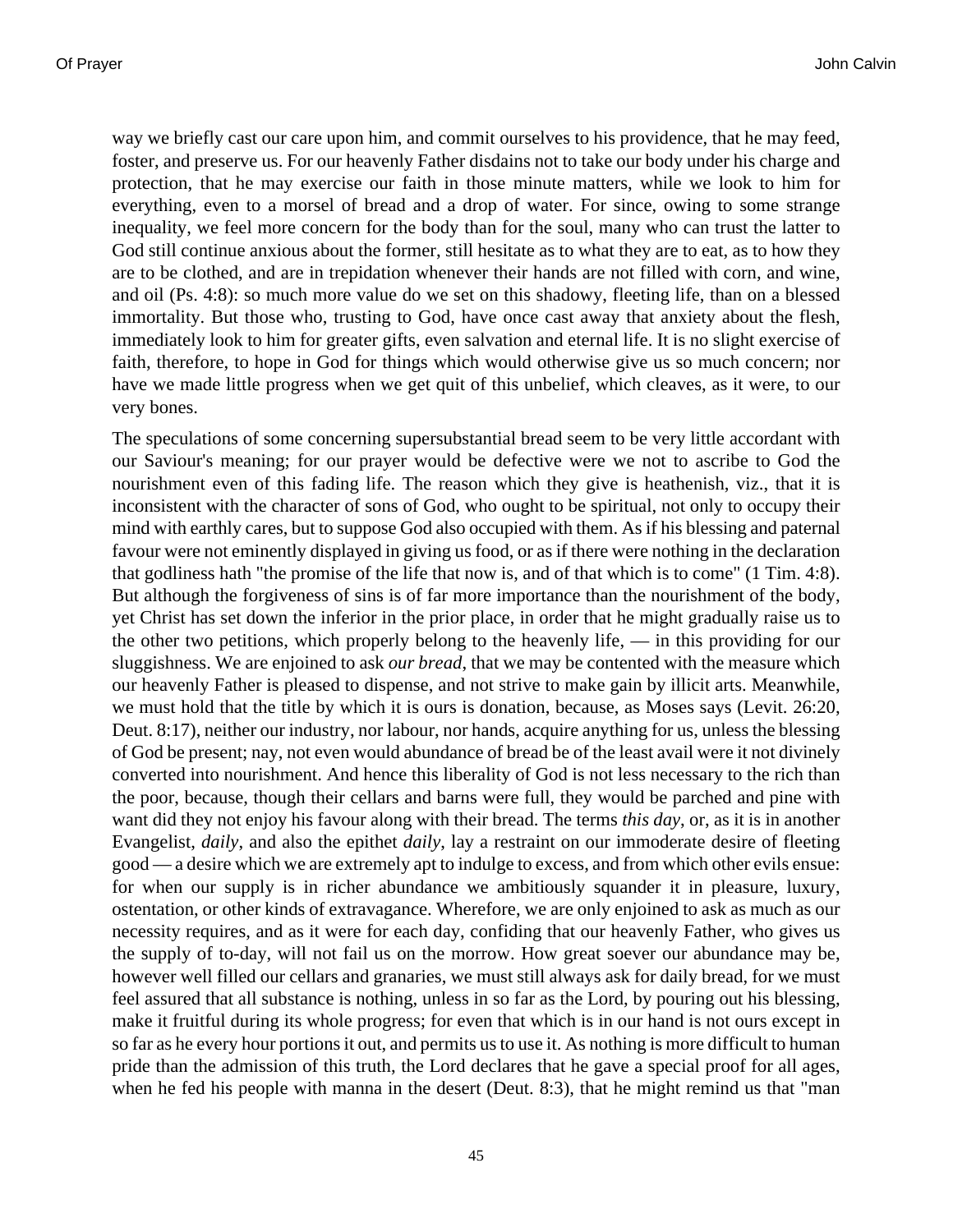way we briefly cast our care upon him, and commit ourselves to his providence, that he may feed, foster, and preserve us. For our heavenly Father disdains not to take our body under his charge and protection, that he may exercise our faith in those minute matters, while we look to him for everything, even to a morsel of bread and a drop of water. For since, owing to some strange inequality, we feel more concern for the body than for the soul, many who can trust the latter to God still continue anxious about the former, still hesitate as to what they are to eat, as to how they are to be clothed, and are in trepidation whenever their hands are not filled with corn, and wine, and oil ([Ps. 4:8](http://www.ccel.org/b/bible/asv/xml/asv.Ps.4.xml#Ps.4.8)): so much more value do we set on this shadowy, fleeting life, than on a blessed immortality. But those who, trusting to God, have once cast away that anxiety about the flesh, immediately look to him for greater gifts, even salvation and eternal life. It is no slight exercise of faith, therefore, to hope in God for things which would otherwise give us so much concern; nor have we made little progress when we get quit of this unbelief, which cleaves, as it were, to our very bones.

The speculations of some concerning supersubstantial bread seem to be very little accordant with our Saviour's meaning; for our prayer would be defective were we not to ascribe to God the nourishment even of this fading life. The reason which they give is heathenish, viz., that it is inconsistent with the character of sons of God, who ought to be spiritual, not only to occupy their mind with earthly cares, but to suppose God also occupied with them. As if his blessing and paternal favour were not eminently displayed in giving us food, or as if there were nothing in the declaration that godliness hath "the promise of the life that now is, and of that which is to come" ([1 Tim. 4:8](http://www.ccel.org/b/bible/asv/xml/asv.iTim.4.xml#iTim.4.8)). But although the forgiveness of sins is of far more importance than the nourishment of the body, yet Christ has set down the inferior in the prior place, in order that he might gradually raise us to the other two petitions, which properly belong to the heavenly life, — in this providing for our sluggishness. We are enjoined to ask *our bread*, that we may be contented with the measure which our heavenly Father is pleased to dispense, and not strive to make gain by illicit arts. Meanwhile, we must hold that the title by which it is ours is donation, because, as Moses says ([Levit. 26:20,](http://www.ccel.org/b/bible/asv/xml/asv.Lev.26.xml#Lev.26.20) [Deut. 8:17](http://www.ccel.org/b/bible/asv/xml/asv.Deut.8.xml#Deut.8.17)), neither our industry, nor labour, nor hands, acquire anything for us, unless the blessing of God be present; nay, not even would abundance of bread be of the least avail were it not divinely converted into nourishment. And hence this liberality of God is not less necessary to the rich than the poor, because, though their cellars and barns were full, they would be parched and pine with want did they not enjoy his favour along with their bread. The terms *this day*, or, as it is in another Evangelist, *daily*, and also the epithet *daily*, lay a restraint on our immoderate desire of fleeting good — a desire which we are extremely apt to indulge to excess, and from which other evils ensue: for when our supply is in richer abundance we ambitiously squander it in pleasure, luxury, ostentation, or other kinds of extravagance. Wherefore, we are only enjoined to ask as much as our necessity requires, and as it were for each day, confiding that our heavenly Father, who gives us the supply of to-day, will not fail us on the morrow. How great soever our abundance may be, however well filled our cellars and granaries, we must still always ask for daily bread, for we must feel assured that all substance is nothing, unless in so far as the Lord, by pouring out his blessing, make it fruitful during its whole progress; for even that which is in our hand is not ours except in so far as he every hour portions it out, and permits us to use it. As nothing is more difficult to human pride than the admission of this truth, the Lord declares that he gave a special proof for all ages, when he fed his people with manna in the desert ([Deut. 8:3](http://www.ccel.org/b/bible/asv/xml/asv.Deut.8.xml#Deut.8.3)), that he might remind us that "man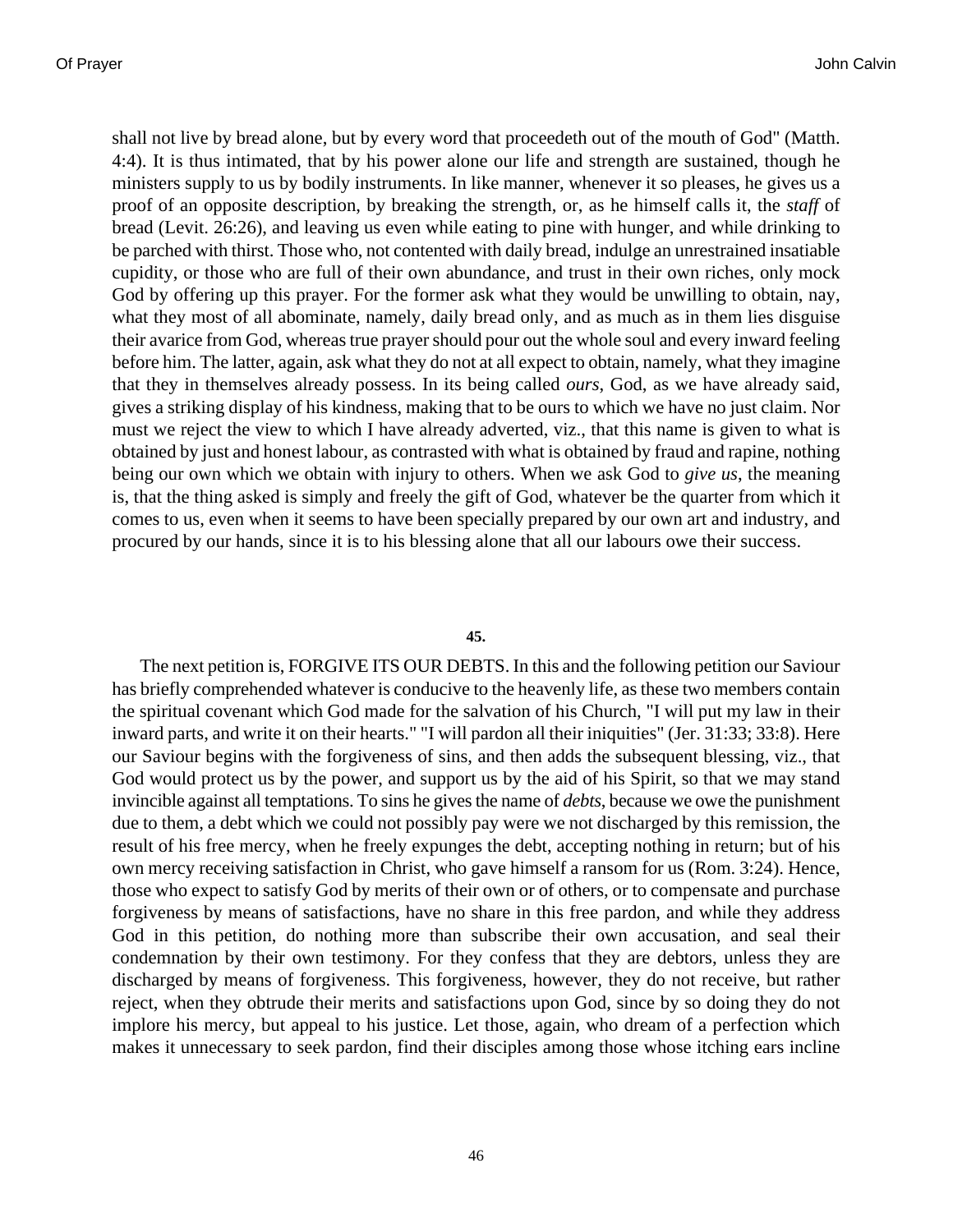shall not live by bread alone, but by every word that proceedeth out of the mouth of God" [\(Matth.](http://www.ccel.org/b/bible/asv/xml/asv.Matt.4.xml#Matt.4.4) [4:4](http://www.ccel.org/b/bible/asv/xml/asv.Matt.4.xml#Matt.4.4)). It is thus intimated, that by his power alone our life and strength are sustained, though he ministers supply to us by bodily instruments. In like manner, whenever it so pleases, he gives us a proof of an opposite description, by breaking the strength, or, as he himself calls it, the *staff* of bread ([Levit. 26:26\)](http://www.ccel.org/b/bible/asv/xml/asv.Lev.26.xml#Lev.26.26), and leaving us even while eating to pine with hunger, and while drinking to be parched with thirst. Those who, not contented with daily bread, indulge an unrestrained insatiable cupidity, or those who are full of their own abundance, and trust in their own riches, only mock God by offering up this prayer. For the former ask what they would be unwilling to obtain, nay, what they most of all abominate, namely, daily bread only, and as much as in them lies disguise their avarice from God, whereas true prayer should pour out the whole soul and every inward feeling before him. The latter, again, ask what they do not at all expect to obtain, namely, what they imagine that they in themselves already possess. In its being called *ours*, God, as we have already said, gives a striking display of his kindness, making that to be ours to which we have no just claim. Nor must we reject the view to which I have already adverted, viz., that this name is given to what is obtained by just and honest labour, as contrasted with what is obtained by fraud and rapine, nothing being our own which we obtain with injury to others. When we ask God to *give us*, the meaning is, that the thing asked is simply and freely the gift of God, whatever be the quarter from which it comes to us, even when it seems to have been specially prepared by our own art and industry, and procured by our hands, since it is to his blessing alone that all our labours owe their success.

#### **45.**

<span id="page-49-0"></span>The next petition is, FORGIVE ITS OUR DEBTS. In this and the following petition our Saviour has briefly comprehended whatever is conducive to the heavenly life, as these two members contain the spiritual covenant which God made for the salvation of his Church, "I will put my law in their inward parts, and write it on their hearts." "I will pardon all their iniquities" [\(Jer. 31:33](http://www.ccel.org/b/bible/asv/xml/asv.Jer.31.xml#Jer.31.33); [33:8](http://www.ccel.org/b/bible/asv/xml/asv.Jer.33.xml#Jer.33.8)). Here our Saviour begins with the forgiveness of sins, and then adds the subsequent blessing, viz., that God would protect us by the power, and support us by the aid of his Spirit, so that we may stand invincible against all temptations. To sins he gives the name of *debts*, because we owe the punishment due to them, a debt which we could not possibly pay were we not discharged by this remission, the result of his free mercy, when he freely expunges the debt, accepting nothing in return; but of his own mercy receiving satisfaction in Christ, who gave himself a ransom for us [\(Rom. 3:24\)](http://www.ccel.org/b/bible/asv/xml/asv.Rom.3.xml#Rom.3.24). Hence, those who expect to satisfy God by merits of their own or of others, or to compensate and purchase forgiveness by means of satisfactions, have no share in this free pardon, and while they address God in this petition, do nothing more than subscribe their own accusation, and seal their condemnation by their own testimony. For they confess that they are debtors, unless they are discharged by means of forgiveness. This forgiveness, however, they do not receive, but rather reject, when they obtrude their merits and satisfactions upon God, since by so doing they do not implore his mercy, but appeal to his justice. Let those, again, who dream of a perfection which makes it unnecessary to seek pardon, find their disciples among those whose itching ears incline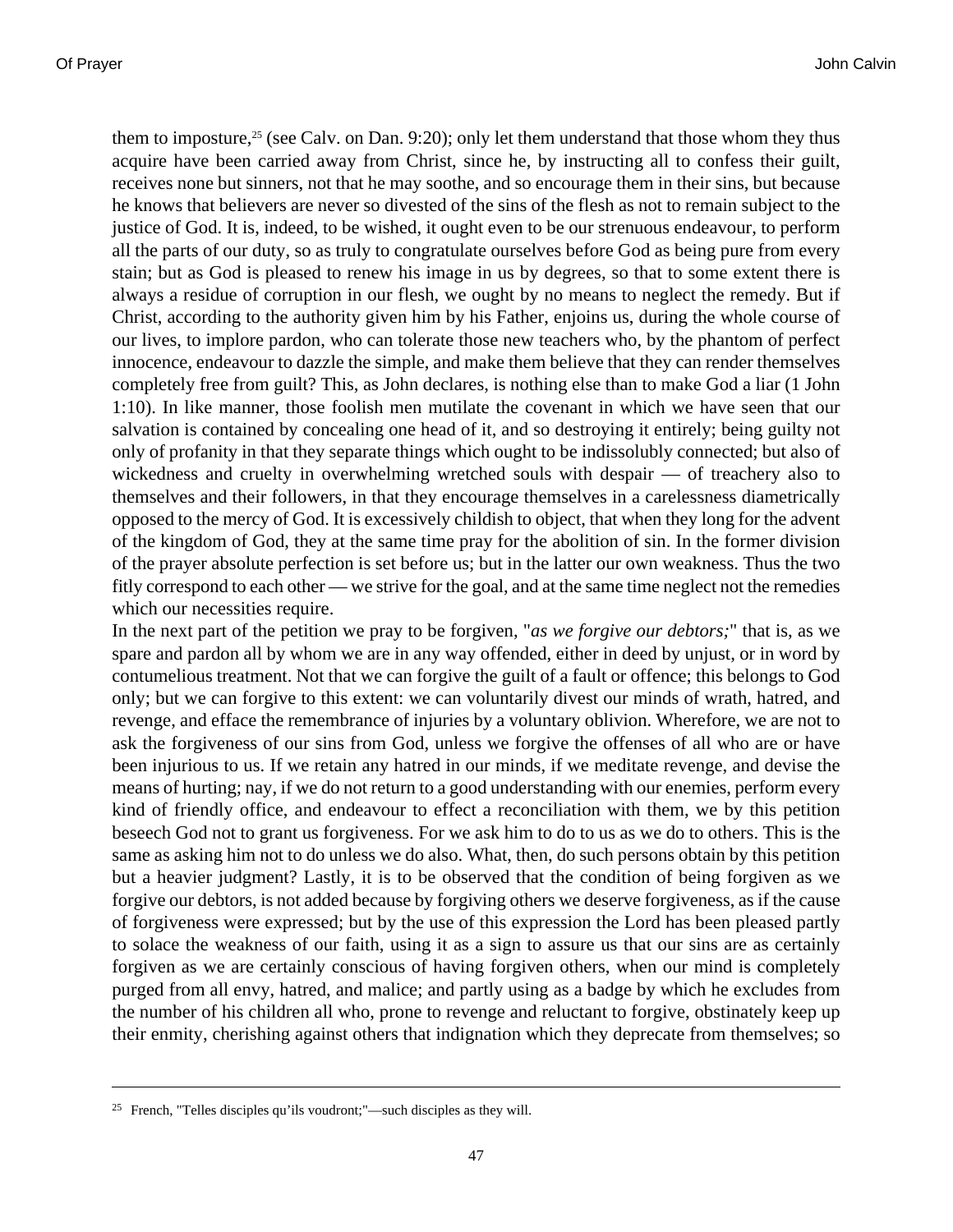them to imposture,<sup>25</sup> (see Calv. on [Dan. 9:20\)](http://www.ccel.org/b/bible/asv/xml/asv.Dan.9.xml#Dan.9.20); only let them understand that those whom they thus acquire have been carried away from Christ, since he, by instructing all to confess their guilt, receives none but sinners, not that he may soothe, and so encourage them in their sins, but because he knows that believers are never so divested of the sins of the flesh as not to remain subject to the justice of God. It is, indeed, to be wished, it ought even to be our strenuous endeavour, to perform all the parts of our duty, so as truly to congratulate ourselves before God as being pure from every stain; but as God is pleased to renew his image in us by degrees, so that to some extent there is always a residue of corruption in our flesh, we ought by no means to neglect the remedy. But if Christ, according to the authority given him by his Father, enjoins us, during the whole course of our lives, to implore pardon, who can tolerate those new teachers who, by the phantom of perfect innocence, endeavour to dazzle the simple, and make them believe that they can render themselves completely free from guilt? This, as John declares, is nothing else than to make God a liar [\(1 John](http://www.ccel.org/b/bible/asv/xml/asv.iJohn.1.xml#iJohn.1.10) [1:10](http://www.ccel.org/b/bible/asv/xml/asv.iJohn.1.xml#iJohn.1.10)). In like manner, those foolish men mutilate the covenant in which we have seen that our salvation is contained by concealing one head of it, and so destroying it entirely; being guilty not only of profanity in that they separate things which ought to be indissolubly connected; but also of wickedness and cruelty in overwhelming wretched souls with despair — of treachery also to themselves and their followers, in that they encourage themselves in a carelessness diametrically opposed to the mercy of God. It is excessively childish to object, that when they long for the advent of the kingdom of God, they at the same time pray for the abolition of sin. In the former division of the prayer absolute perfection is set before us; but in the latter our own weakness. Thus the two fitly correspond to each other — we strive for the goal, and at the same time neglect not the remedies which our necessities require.

In the next part of the petition we pray to be forgiven, "*as we forgive our debtors;*" that is, as we spare and pardon all by whom we are in any way offended, either in deed by unjust, or in word by contumelious treatment. Not that we can forgive the guilt of a fault or offence; this belongs to God only; but we can forgive to this extent: we can voluntarily divest our minds of wrath, hatred, and revenge, and efface the remembrance of injuries by a voluntary oblivion. Wherefore, we are not to ask the forgiveness of our sins from God, unless we forgive the offenses of all who are or have been injurious to us. If we retain any hatred in our minds, if we meditate revenge, and devise the means of hurting; nay, if we do not return to a good understanding with our enemies, perform every kind of friendly office, and endeavour to effect a reconciliation with them, we by this petition beseech God not to grant us forgiveness. For we ask him to do to us as we do to others. This is the same as asking him not to do unless we do also. What, then, do such persons obtain by this petition but a heavier judgment? Lastly, it is to be observed that the condition of being forgiven as we forgive our debtors, is not added because by forgiving others we deserve forgiveness, as if the cause of forgiveness were expressed; but by the use of this expression the Lord has been pleased partly to solace the weakness of our faith, using it as a sign to assure us that our sins are as certainly forgiven as we are certainly conscious of having forgiven others, when our mind is completely purged from all envy, hatred, and malice; and partly using as a badge by which he excludes from the number of his children all who, prone to revenge and reluctant to forgive, obstinately keep up their enmity, cherishing against others that indignation which they deprecate from themselves; so

<span id="page-50-0"></span><sup>25</sup> French, "Telles disciples qu'ils voudront;"—such disciples as they will.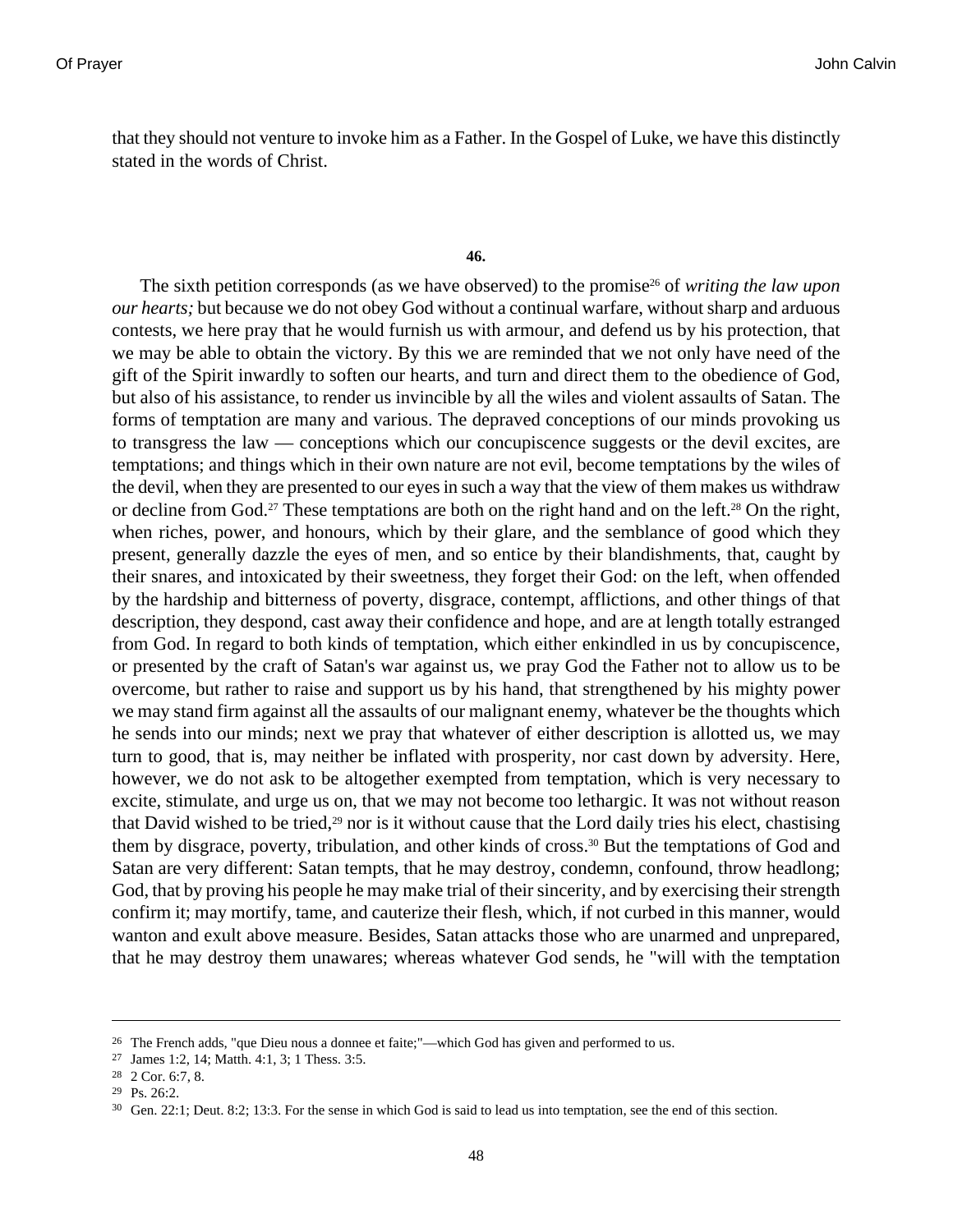that they should not venture to invoke him as a Father. In the Gospel of Luke, we have this distinctly stated in the words of Christ.

#### **46.**

<span id="page-51-0"></span>The sixth petition corresponds (as we have observed) to the promise26 of *writing the law upon our hearts;* but because we do not obey God without a continual warfare, without sharp and arduous contests, we here pray that he would furnish us with armour, and defend us by his protection, that we may be able to obtain the victory. By this we are reminded that we not only have need of the gift of the Spirit inwardly to soften our hearts, and turn and direct them to the obedience of God, but also of his assistance, to render us invincible by all the wiles and violent assaults of Satan. The forms of temptation are many and various. The depraved conceptions of our minds provoking us to transgress the law — conceptions which our concupiscence suggests or the devil excites, are temptations; and things which in their own nature are not evil, become temptations by the wiles of the devil, when they are presented to our eyes in such a way that the view of them makes us withdraw or decline from God.<sup>27</sup> These temptations are both on the right hand and on the left.<sup>28</sup> On the right, when riches, power, and honours, which by their glare, and the semblance of good which they present, generally dazzle the eyes of men, and so entice by their blandishments, that, caught by their snares, and intoxicated by their sweetness, they forget their God: on the left, when offended by the hardship and bitterness of poverty, disgrace, contempt, afflictions, and other things of that description, they despond, cast away their confidence and hope, and are at length totally estranged from God. In regard to both kinds of temptation, which either enkindled in us by concupiscence, or presented by the craft of Satan's war against us, we pray God the Father not to allow us to be overcome, but rather to raise and support us by his hand, that strengthened by his mighty power we may stand firm against all the assaults of our malignant enemy, whatever be the thoughts which he sends into our minds; next we pray that whatever of either description is allotted us, we may turn to good, that is, may neither be inflated with prosperity, nor cast down by adversity. Here, however, we do not ask to be altogether exempted from temptation, which is very necessary to excite, stimulate, and urge us on, that we may not become too lethargic. It was not without reason that David wished to be tried,<sup>29</sup> nor is it without cause that the Lord daily tries his elect, chastising them by disgrace, poverty, tribulation, and other kinds of cross.30 But the temptations of God and Satan are very different: Satan tempts, that he may destroy, condemn, confound, throw headlong; God, that by proving his people he may make trial of their sincerity, and by exercising their strength confirm it; may mortify, tame, and cauterize their flesh, which, if not curbed in this manner, would wanton and exult above measure. Besides, Satan attacks those who are unarmed and unprepared, that he may destroy them unawares; whereas whatever God sends, he "will with the temptation

<span id="page-51-1"></span><sup>26</sup> The French adds, "que Dieu nous a donnee et faite;"—which God has given and performed to us.

<sup>27</sup> [James 1:2, 14](http://www.ccel.org/b/bible/asv/xml/asv.Jas.1.xml#Jas.1.2 Bible:Jas.1.14); [Matth. 4:1, 3](http://www.ccel.org/b/bible/asv/xml/asv.Matt.4.xml#Matt.4.1 Bible:Matt.4.3); [1 Thess. 3:5](http://www.ccel.org/b/bible/asv/xml/asv.iThess.3.xml#iThess.3.5).

<sup>28</sup> [2 Cor. 6:7, 8](http://www.ccel.org/b/bible/asv/xml/asv.iiCor.6.xml#iiCor.6.7 Bible:2Cor.6.8).

<sup>29</sup> [Ps. 26:2](http://www.ccel.org/b/bible/asv/xml/asv.Ps.26.xml#Ps.26.2).

 $30\,$  [Gen. 22:1;](http://www.ccel.org/b/bible/asv/xml/asv.Gen.22.xml#Gen.22.1) [Deut. 8:2;](http://www.ccel.org/b/bible/asv/xml/asv.Deut.8.xml#Deut.8.2) [13:3](http://www.ccel.org/b/bible/asv/xml/asv.Deut.13.xml#Deut.13.3). For the sense in which God is said to lead us into temptation, see the end of this section.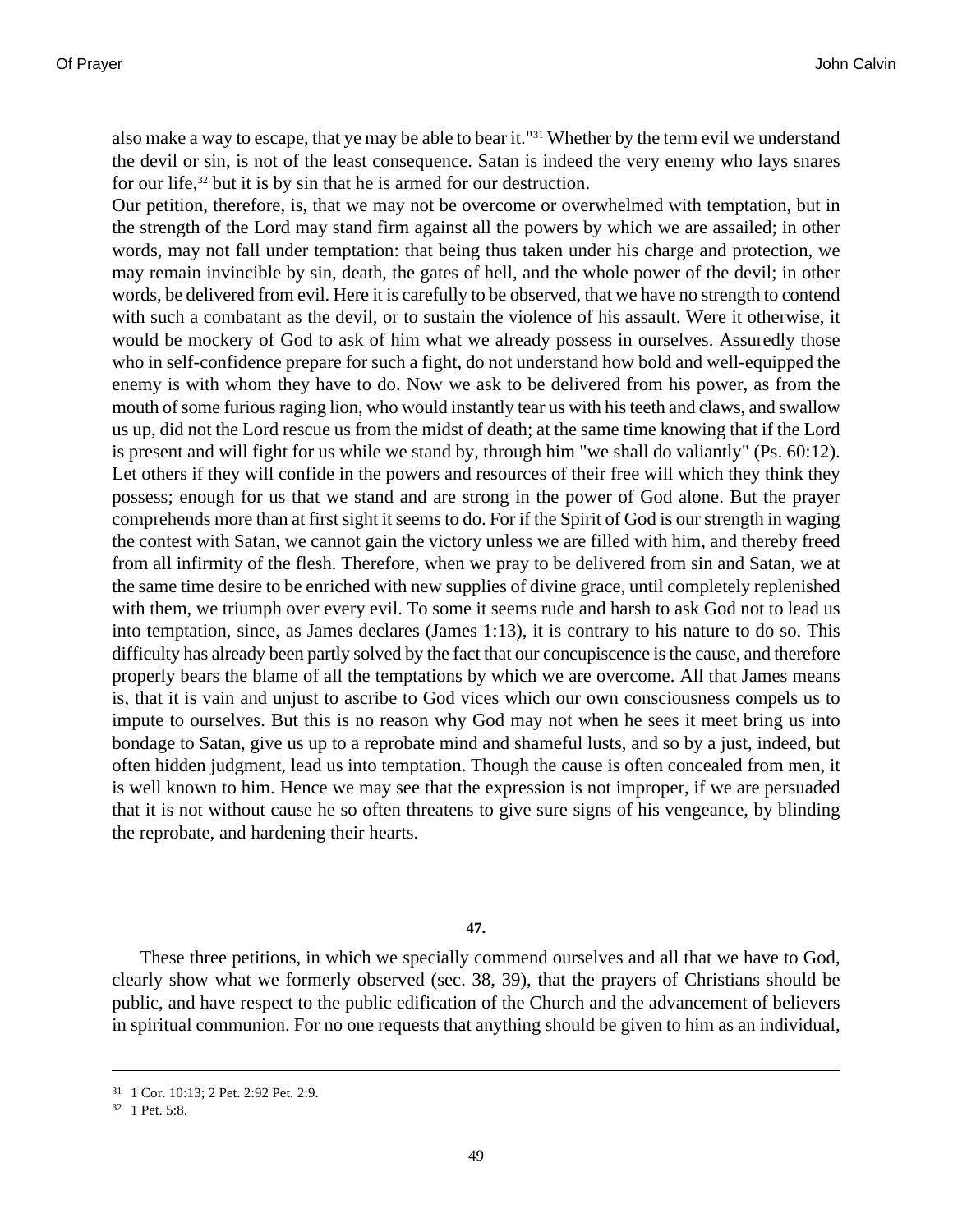also make a way to escape, that ye may be able to bear it."31 Whether by the term evil we understand the devil or sin, is not of the least consequence. Satan is indeed the very enemy who lays snares for our life,<sup>32</sup> but it is by sin that he is armed for our destruction.

Our petition, therefore, is, that we may not be overcome or overwhelmed with temptation, but in the strength of the Lord may stand firm against all the powers by which we are assailed; in other words, may not fall under temptation: that being thus taken under his charge and protection, we may remain invincible by sin, death, the gates of hell, and the whole power of the devil; in other words, be delivered from evil. Here it is carefully to be observed, that we have no strength to contend with such a combatant as the devil, or to sustain the violence of his assault. Were it otherwise, it would be mockery of God to ask of him what we already possess in ourselves. Assuredly those who in self-confidence prepare for such a fight, do not understand how bold and well-equipped the enemy is with whom they have to do. Now we ask to be delivered from his power, as from the mouth of some furious raging lion, who would instantly tear us with his teeth and claws, and swallow us up, did not the Lord rescue us from the midst of death; at the same time knowing that if the Lord is present and will fight for us while we stand by, through him "we shall do valiantly" [\(Ps. 60:12](http://www.ccel.org/b/bible/asv/xml/asv.Ps.60.xml#Ps.60.12)). Let others if they will confide in the powers and resources of their free will which they think they possess; enough for us that we stand and are strong in the power of God alone. But the prayer comprehends more than at first sight it seems to do. For if the Spirit of God is our strength in waging the contest with Satan, we cannot gain the victory unless we are filled with him, and thereby freed from all infirmity of the flesh. Therefore, when we pray to be delivered from sin and Satan, we at the same time desire to be enriched with new supplies of divine grace, until completely replenished with them, we triumph over every evil. To some it seems rude and harsh to ask God not to lead us into temptation, since, as James declares [\(James 1:13\)](http://www.ccel.org/b/bible/asv/xml/asv.Jas.1.xml#Jas.1.13), it is contrary to his nature to do so. This difficulty has already been partly solved by the fact that our concupiscence is the cause, and therefore properly bears the blame of all the temptations by which we are overcome. All that James means is, that it is vain and unjust to ascribe to God vices which our own consciousness compels us to impute to ourselves. But this is no reason why God may not when he sees it meet bring us into bondage to Satan, give us up to a reprobate mind and shameful lusts, and so by a just, indeed, but often hidden judgment, lead us into temptation. Though the cause is often concealed from men, it is well known to him. Hence we may see that the expression is not improper, if we are persuaded that it is not without cause he so often threatens to give sure signs of his vengeance, by blinding the reprobate, and hardening their hearts.

### **47.**

<span id="page-52-0"></span>These three petitions, in which we specially commend ourselves and all that we have to God, clearly show what we formerly observed (sec. 38, 39), that the prayers of Christians should be public, and have respect to the public edification of the Church and the advancement of believers in spiritual communion. For no one requests that anything should be given to him as an individual,

<sup>31</sup> [1 Cor. 10:13](http://www.ccel.org/b/bible/asv/xml/asv.iCor.10.xml#iCor.10.13); [2 Pet. 2:9](http://www.ccel.org/b/bible/asv/xml/asv.iiPet.2.xml#iiPet.2.9)2 Pet. 2:9.

<sup>32</sup> [1 Pet. 5:8](http://www.ccel.org/b/bible/asv/xml/asv.iPet.5.xml#iPet.5.8).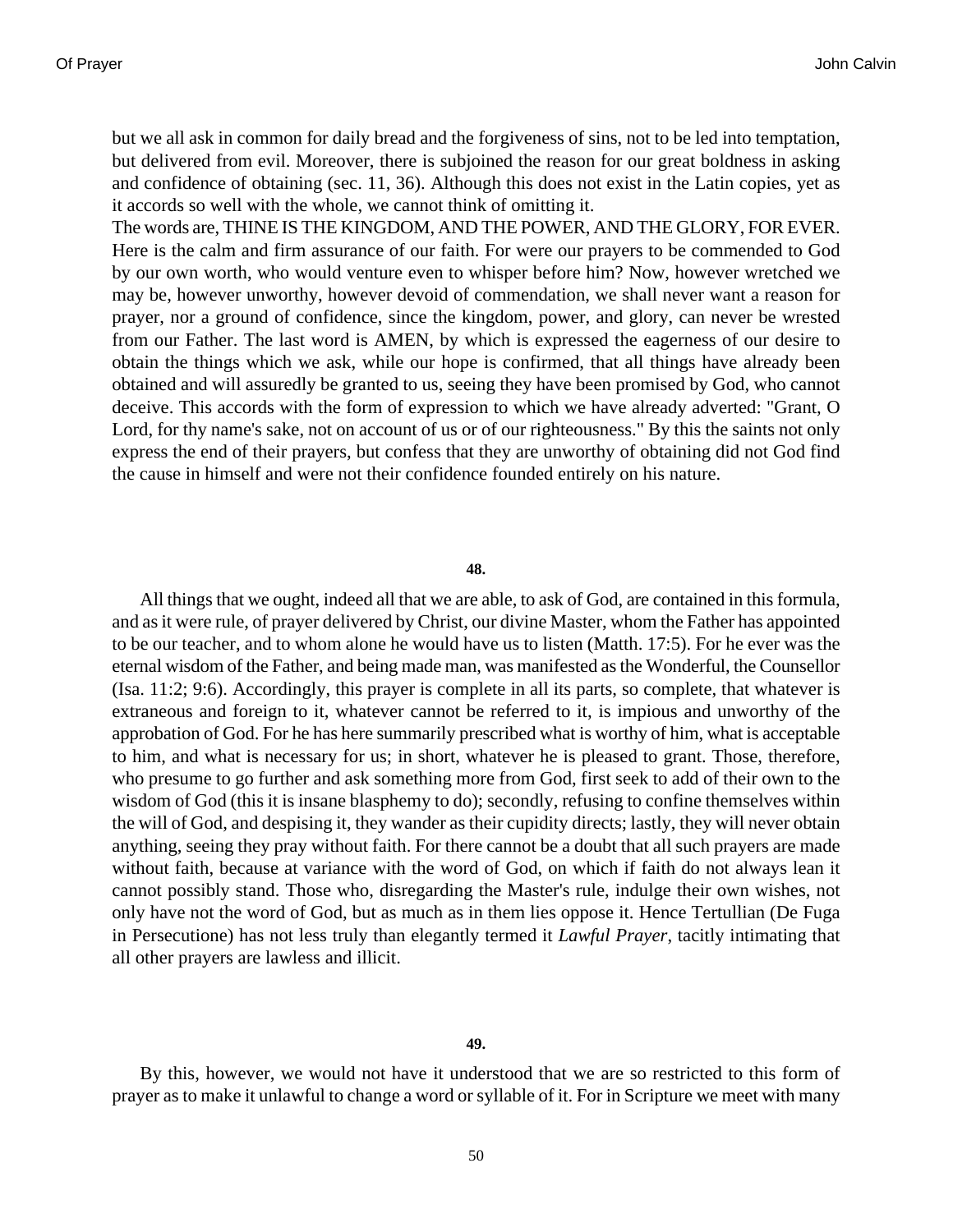but we all ask in common for daily bread and the forgiveness of sins, not to be led into temptation, but delivered from evil. Moreover, there is subjoined the reason for our great boldness in asking and confidence of obtaining (sec. 11, 36). Although this does not exist in the Latin copies, yet as it accords so well with the whole, we cannot think of omitting it.

The words are, THINE IS THE KINGDOM, AND THE POWER, AND THE GLORY, FOR EVER. Here is the calm and firm assurance of our faith. For were our prayers to be commended to God by our own worth, who would venture even to whisper before him? Now, however wretched we may be, however unworthy, however devoid of commendation, we shall never want a reason for prayer, nor a ground of confidence, since the kingdom, power, and glory, can never be wrested from our Father. The last word is AMEN, by which is expressed the eagerness of our desire to obtain the things which we ask, while our hope is confirmed, that all things have already been obtained and will assuredly be granted to us, seeing they have been promised by God, who cannot deceive. This accords with the form of expression to which we have already adverted: "Grant, O Lord, for thy name's sake, not on account of us or of our righteousness." By this the saints not only express the end of their prayers, but confess that they are unworthy of obtaining did not God find the cause in himself and were not their confidence founded entirely on his nature.

#### **48.**

<span id="page-53-0"></span>All things that we ought, indeed all that we are able, to ask of God, are contained in this formula, and as it were rule, of prayer delivered by Christ, our divine Master, whom the Father has appointed to be our teacher, and to whom alone he would have us to listen ([Matth. 17:5](http://www.ccel.org/b/bible/asv/xml/asv.Matt.17.xml#Matt.17.5)). For he ever was the eternal wisdom of the Father, and being made man, was manifested as the Wonderful, the Counsellor ([Isa. 11:2;](http://www.ccel.org/b/bible/asv/xml/asv.Isa.11.xml#Isa.11.2) [9:6](http://www.ccel.org/b/bible/asv/xml/asv.Isa.9.xml#Isa.9.6)). Accordingly, this prayer is complete in all its parts, so complete, that whatever is extraneous and foreign to it, whatever cannot be referred to it, is impious and unworthy of the approbation of God. For he has here summarily prescribed what is worthy of him, what is acceptable to him, and what is necessary for us; in short, whatever he is pleased to grant. Those, therefore, who presume to go further and ask something more from God, first seek to add of their own to the wisdom of God (this it is insane blasphemy to do); secondly, refusing to confine themselves within the will of God, and despising it, they wander as their cupidity directs; lastly, they will never obtain anything, seeing they pray without faith. For there cannot be a doubt that all such prayers are made without faith, because at variance with the word of God, on which if faith do not always lean it cannot possibly stand. Those who, disregarding the Master's rule, indulge their own wishes, not only have not the word of God, but as much as in them lies oppose it. Hence Tertullian (De Fuga in Persecutione) has not less truly than elegantly termed it *Lawful Prayer*, tacitly intimating that all other prayers are lawless and illicit.

#### **49.**

<span id="page-53-1"></span>By this, however, we would not have it understood that we are so restricted to this form of prayer as to make it unlawful to change a word or syllable of it. For in Scripture we meet with many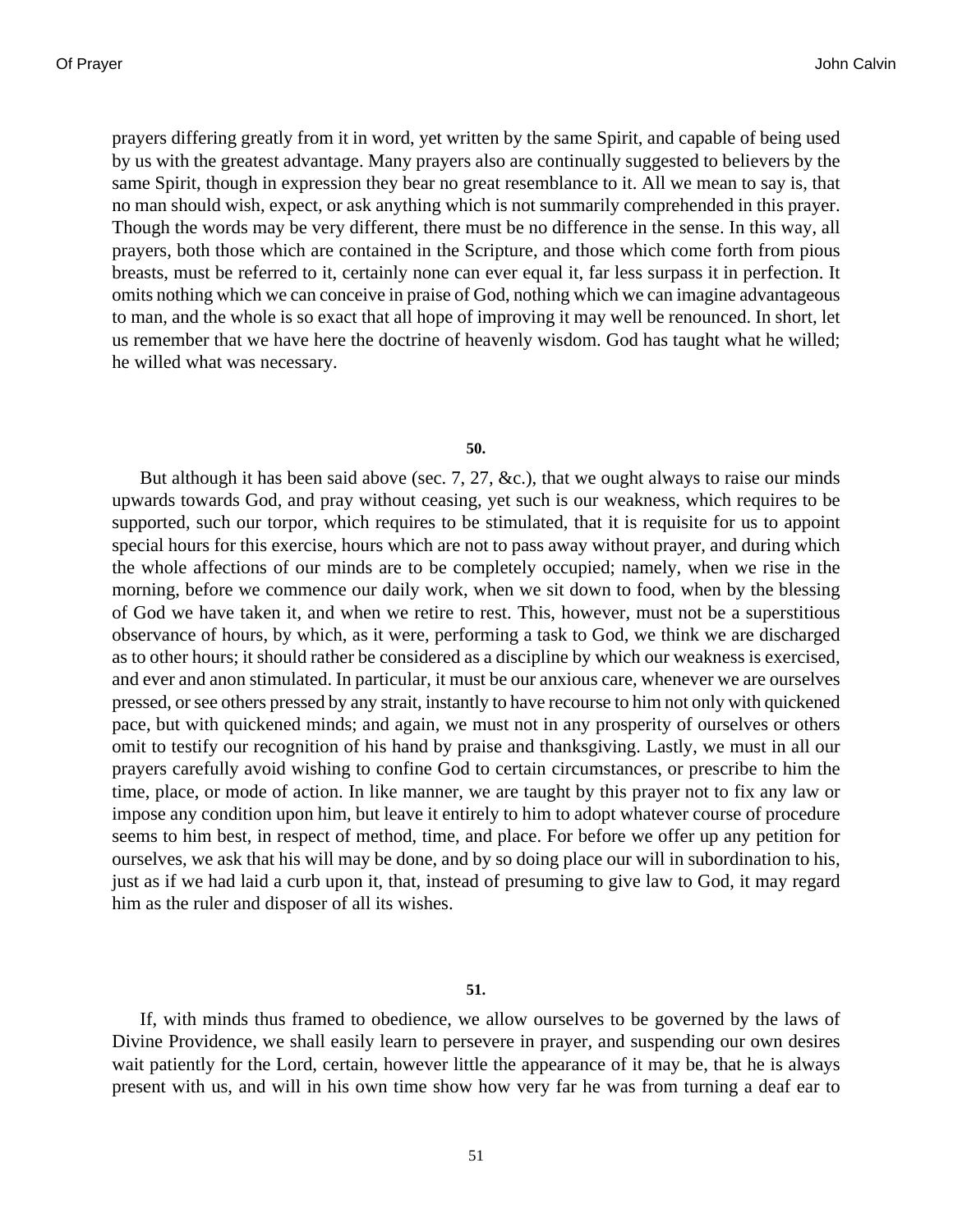prayers differing greatly from it in word, yet written by the same Spirit, and capable of being used by us with the greatest advantage. Many prayers also are continually suggested to believers by the same Spirit, though in expression they bear no great resemblance to it. All we mean to say is, that no man should wish, expect, or ask anything which is not summarily comprehended in this prayer. Though the words may be very different, there must be no difference in the sense. In this way, all prayers, both those which are contained in the Scripture, and those which come forth from pious breasts, must be referred to it, certainly none can ever equal it, far less surpass it in perfection. It omits nothing which we can conceive in praise of God, nothing which we can imagine advantageous to man, and the whole is so exact that all hope of improving it may well be renounced. In short, let us remember that we have here the doctrine of heavenly wisdom. God has taught what he willed; he willed what was necessary.

#### **50.**

<span id="page-54-0"></span>But although it has been said above (sec.  $7, 27, \&c$ ), that we ought always to raise our minds upwards towards God, and pray without ceasing, yet such is our weakness, which requires to be supported, such our torpor, which requires to be stimulated, that it is requisite for us to appoint special hours for this exercise, hours which are not to pass away without prayer, and during which the whole affections of our minds are to be completely occupied; namely, when we rise in the morning, before we commence our daily work, when we sit down to food, when by the blessing of God we have taken it, and when we retire to rest. This, however, must not be a superstitious observance of hours, by which, as it were, performing a task to God, we think we are discharged as to other hours; it should rather be considered as a discipline by which our weakness is exercised, and ever and anon stimulated. In particular, it must be our anxious care, whenever we are ourselves pressed, or see others pressed by any strait, instantly to have recourse to him not only with quickened pace, but with quickened minds; and again, we must not in any prosperity of ourselves or others omit to testify our recognition of his hand by praise and thanksgiving. Lastly, we must in all our prayers carefully avoid wishing to confine God to certain circumstances, or prescribe to him the time, place, or mode of action. In like manner, we are taught by this prayer not to fix any law or impose any condition upon him, but leave it entirely to him to adopt whatever course of procedure seems to him best, in respect of method, time, and place. For before we offer up any petition for ourselves, we ask that his will may be done, and by so doing place our will in subordination to his, just as if we had laid a curb upon it, that, instead of presuming to give law to God, it may regard him as the ruler and disposer of all its wishes.

#### **51.**

<span id="page-54-1"></span>If, with minds thus framed to obedience, we allow ourselves to be governed by the laws of Divine Providence, we shall easily learn to persevere in prayer, and suspending our own desires wait patiently for the Lord, certain, however little the appearance of it may be, that he is always present with us, and will in his own time show how very far he was from turning a deaf ear to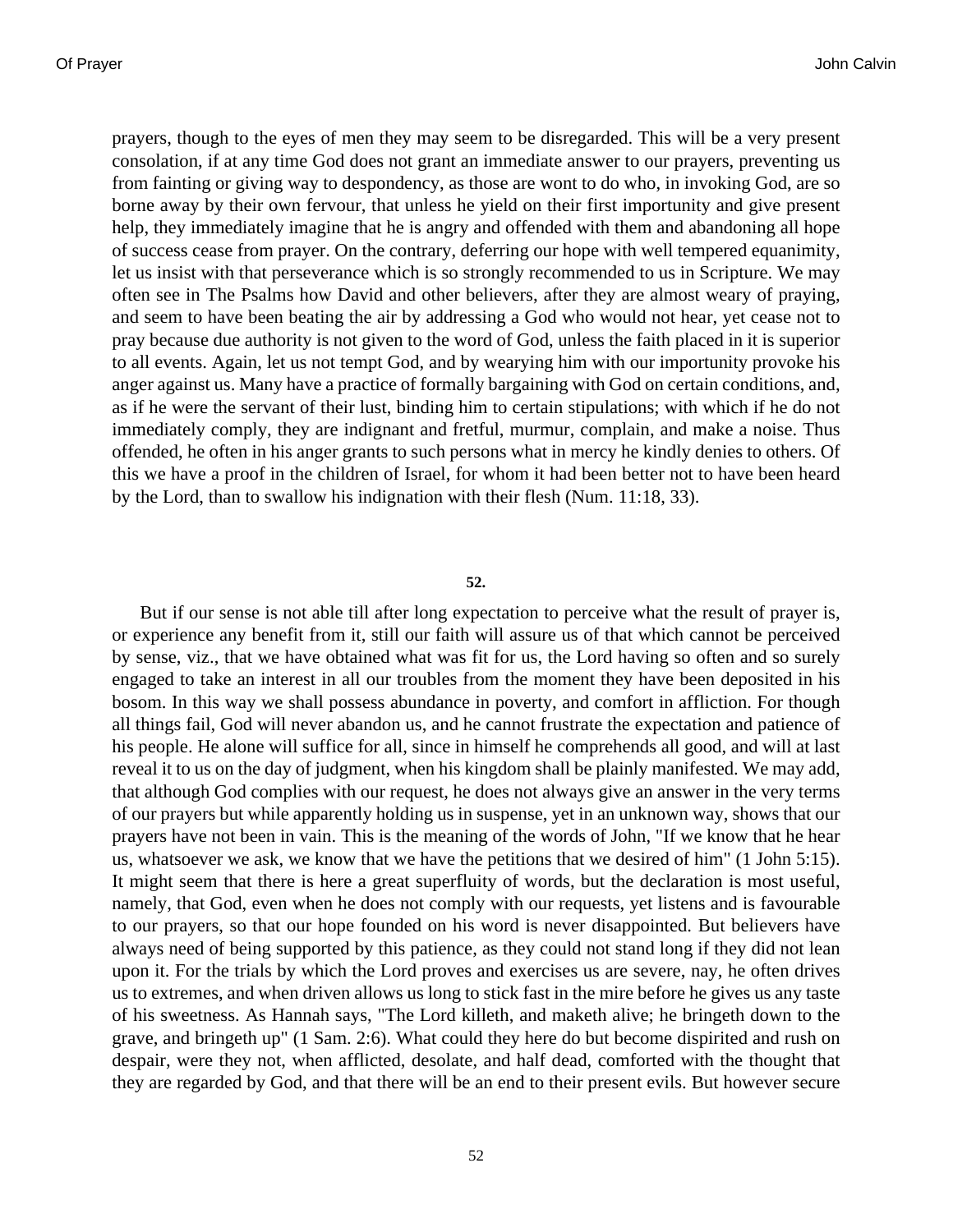prayers, though to the eyes of men they may seem to be disregarded. This will be a very present consolation, if at any time God does not grant an immediate answer to our prayers, preventing us from fainting or giving way to despondency, as those are wont to do who, in invoking God, are so borne away by their own fervour, that unless he yield on their first importunity and give present help, they immediately imagine that he is angry and offended with them and abandoning all hope of success cease from prayer. On the contrary, deferring our hope with well tempered equanimity, let us insist with that perseverance which is so strongly recommended to us in Scripture. We may often see in The Psalms how David and other believers, after they are almost weary of praying, and seem to have been beating the air by addressing a God who would not hear, yet cease not to pray because due authority is not given to the word of God, unless the faith placed in it is superior to all events. Again, let us not tempt God, and by wearying him with our importunity provoke his anger against us. Many have a practice of formally bargaining with God on certain conditions, and, as if he were the servant of their lust, binding him to certain stipulations; with which if he do not immediately comply, they are indignant and fretful, murmur, complain, and make a noise. Thus offended, he often in his anger grants to such persons what in mercy he kindly denies to others. Of this we have a proof in the children of Israel, for whom it had been better not to have been heard by the Lord, than to swallow his indignation with their flesh [\(Num. 11:18, 33\)](http://www.ccel.org/b/bible/asv/xml/asv.Num.11.xml#Num.11.18 Bible:Num.11.33).

#### **52.**

<span id="page-55-0"></span>But if our sense is not able till after long expectation to perceive what the result of prayer is, or experience any benefit from it, still our faith will assure us of that which cannot be perceived by sense, viz., that we have obtained what was fit for us, the Lord having so often and so surely engaged to take an interest in all our troubles from the moment they have been deposited in his bosom. In this way we shall possess abundance in poverty, and comfort in affliction. For though all things fail, God will never abandon us, and he cannot frustrate the expectation and patience of his people. He alone will suffice for all, since in himself he comprehends all good, and will at last reveal it to us on the day of judgment, when his kingdom shall be plainly manifested. We may add, that although God complies with our request, he does not always give an answer in the very terms of our prayers but while apparently holding us in suspense, yet in an unknown way, shows that our prayers have not been in vain. This is the meaning of the words of John, "If we know that he hear us, whatsoever we ask, we know that we have the petitions that we desired of him" ([1 John 5:15](http://www.ccel.org/b/bible/asv/xml/asv.iJohn.5.xml#iJohn.5.15)). It might seem that there is here a great superfluity of words, but the declaration is most useful, namely, that God, even when he does not comply with our requests, yet listens and is favourable to our prayers, so that our hope founded on his word is never disappointed. But believers have always need of being supported by this patience, as they could not stand long if they did not lean upon it. For the trials by which the Lord proves and exercises us are severe, nay, he often drives us to extremes, and when driven allows us long to stick fast in the mire before he gives us any taste of his sweetness. As Hannah says, "The Lord killeth, and maketh alive; he bringeth down to the grave, and bringeth up" [\(1 Sam. 2:6](http://www.ccel.org/b/bible/asv/xml/asv.iSam.2.xml#iSam.2.6)). What could they here do but become dispirited and rush on despair, were they not, when afflicted, desolate, and half dead, comforted with the thought that they are regarded by God, and that there will be an end to their present evils. But however secure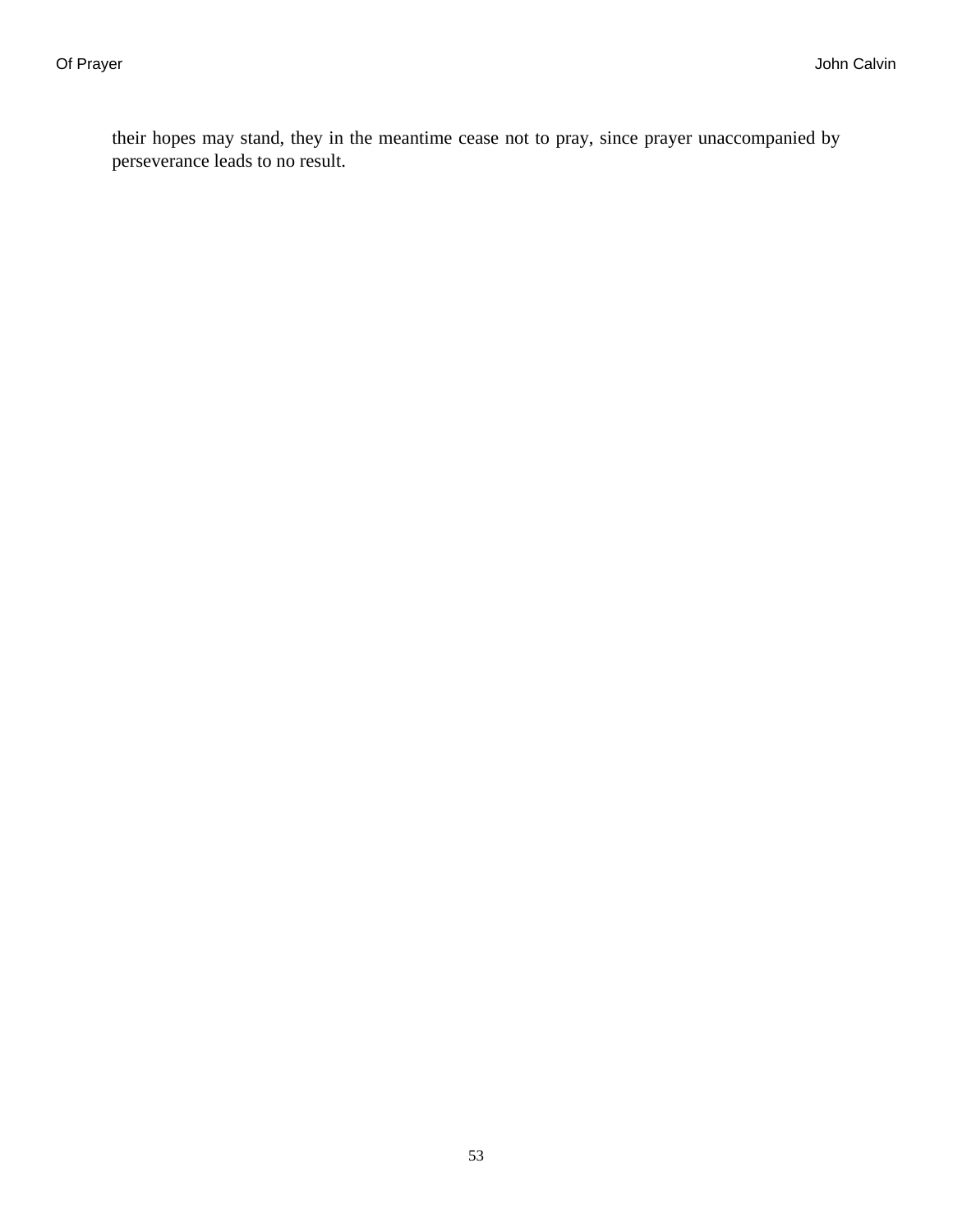their hopes may stand, they in the meantime cease not to pray, since prayer unaccompanied by perseverance leads to no result.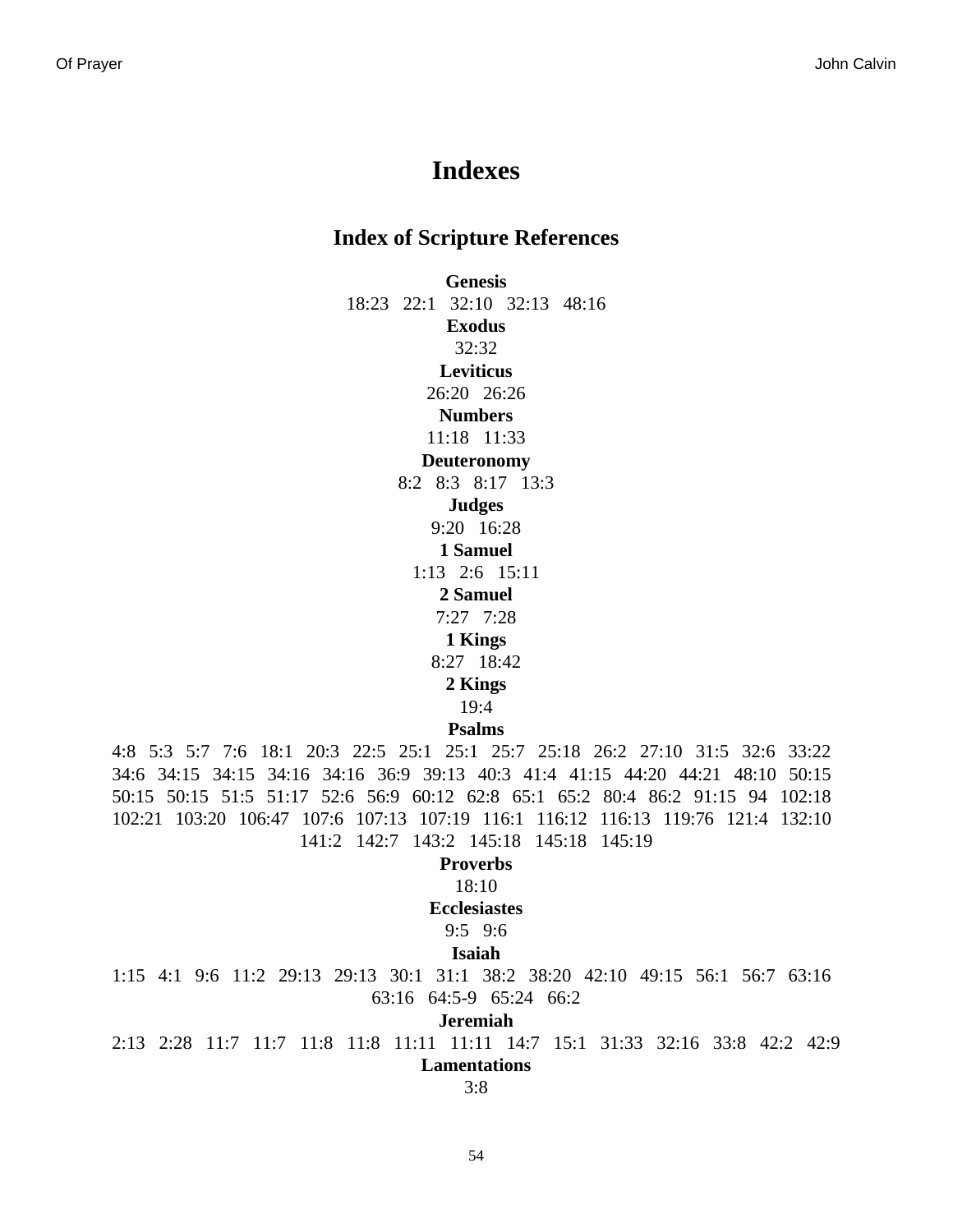# **Indexes**

# <span id="page-57-1"></span><span id="page-57-0"></span>**Index of Scripture References**

**Genesis** [18:23](http://www.ccel.org/c/calvin/prayer/?scrBook=Gen&scrCh=18&scrV=23#iii.xv-p2.1)  [22:1](http://www.ccel.org/c/calvin/prayer/?scrBook=Gen&scrCh=22&scrV=1#iii.xlvi-p1.12) [32:10](http://www.ccel.org/c/calvin/prayer/?scrBook=Gen&scrCh=32&scrV=10#iii.xxvi-p1.7)  [32:13](http://www.ccel.org/c/calvin/prayer/?scrBook=Gen&scrCh=32&scrV=13#iii.xiv-p1.9) [48:16](http://www.ccel.org/c/calvin/prayer/?scrBook=Gen&scrCh=48&scrV=16#iii.xxv-p1.1) **Exodus** [32:32](http://www.ccel.org/c/calvin/prayer/?scrBook=Exod&scrCh=32&scrV=32#iii.xxxv-p1.4) **Leviticus** [26:20](http://www.ccel.org/c/calvin/prayer/?scrBook=Lev&scrCh=26&scrV=20#iii.xliv-p3.2)  [26:26](http://www.ccel.org/c/calvin/prayer/?scrBook=Lev&scrCh=26&scrV=26#iii.xliv-p3.6) **Numbers** [11:18](http://www.ccel.org/c/calvin/prayer/?scrBook=Num&scrCh=11&scrV=18#iii.li-p1.1)  [11:33](http://www.ccel.org/c/calvin/prayer/?scrBook=Num&scrCh=11&scrV=33#iii.li-p1.1) **Deuteronomy** [8:2](http://www.ccel.org/c/calvin/prayer/?scrBook=Deut&scrCh=8&scrV=2#iii.xlvi-p1.13) [8:3](http://www.ccel.org/c/calvin/prayer/?scrBook=Deut&scrCh=8&scrV=3#iii.xliv-p3.4)  [8:17](http://www.ccel.org/c/calvin/prayer/?scrBook=Deut&scrCh=8&scrV=17#iii.xliv-p3.3)  [13:3](http://www.ccel.org/c/calvin/prayer/?scrBook=Deut&scrCh=13&scrV=3#iii.xlvi-p1.14) **Judges** [9:20](http://www.ccel.org/c/calvin/prayer/?scrBook=Judg&scrCh=9&scrV=20#iii.xv-p1.1) [16:28](http://www.ccel.org/c/calvin/prayer/?scrBook=Judg&scrCh=16&scrV=28#iii.xv-p1.2) **1 Samuel** [1:13](http://www.ccel.org/c/calvin/prayer/?scrBook=1Sam&scrCh=1&scrV=13#iii.xxxiii-p1.4) [2:6](http://www.ccel.org/c/calvin/prayer/?scrBook=1Sam&scrCh=2&scrV=6#iii.lii-p1.2)  [15:11](http://www.ccel.org/c/calvin/prayer/?scrBook=1Sam&scrCh=15&scrV=11#iii.xv-p2.2) **2 Samuel** [7:27](http://www.ccel.org/c/calvin/prayer/?scrBook=2Sam&scrCh=7&scrV=27#iii.xiii-p1.6)  [7:28](http://www.ccel.org/c/calvin/prayer/?scrBook=2Sam&scrCh=7&scrV=28#iii.xiv-p1.7) **1 Kings** [8:27](http://www.ccel.org/c/calvin/prayer/?scrBook=1Kgs&scrCh=8&scrV=27#iii.xl-p1.1) [18:42](http://www.ccel.org/c/calvin/prayer/?scrBook=1Kgs&scrCh=18&scrV=42#iii.iii-p1.3) **2 Kings** [19:4](http://www.ccel.org/c/calvin/prayer/?scrBook=2Kgs&scrCh=19&scrV=4#iii.xiv-p1.16) **Psalms**

[4:8](http://www.ccel.org/c/calvin/prayer/?scrBook=Ps&scrCh=4&scrV=8#iii.xliv-p2.1) [5:3](http://www.ccel.org/c/calvin/prayer/?scrBook=Ps&scrCh=5&scrV=3#iii.xii-p1.5) [5:7](http://www.ccel.org/c/calvin/prayer/?scrBook=Ps&scrCh=5&scrV=7#iii.xi-p1.1)  [7:6](http://www.ccel.org/c/calvin/prayer/?scrBook=Ps&scrCh=7&scrV=6#iii.xv-p2.4)  [18:1](http://www.ccel.org/c/calvin/prayer/?scrBook=Ps&scrCh=18&scrV=1#iii.xxviii-p2.15) [20:3](http://www.ccel.org/c/calvin/prayer/?scrBook=Ps&scrCh=20&scrV=3#iii.xviii-p1.2) [22:5](http://www.ccel.org/c/calvin/prayer/?scrBook=Ps&scrCh=22&scrV=5#iii.xxvi-p1.1) [25:1](http://www.ccel.org/c/calvin/prayer/?scrBook=Ps&scrCh=25&scrV=1#iii.v-p1.1)  [25:1](http://www.ccel.org/c/calvin/prayer/?scrBook=Ps&scrCh=25&scrV=1#iii.v-p1.2)  [25:7](http://www.ccel.org/c/calvin/prayer/?scrBook=Ps&scrCh=25&scrV=7#iii.ix-p1.1) [25:18](http://www.ccel.org/c/calvin/prayer/?scrBook=Ps&scrCh=25&scrV=18#iii.ix-p1.2) [26:2](http://www.ccel.org/c/calvin/prayer/?scrBook=Ps&scrCh=26&scrV=2#iii.xlvi-p1.10)  [27:10](http://www.ccel.org/c/calvin/prayer/?scrBook=Ps&scrCh=27&scrV=10#iii.xxxvi-p1.3)  [31:5](http://www.ccel.org/c/calvin/prayer/?scrBook=Ps&scrCh=31&scrV=5#iii.xxvi-p1.8) [32:6](http://www.ccel.org/c/calvin/prayer/?scrBook=Ps&scrCh=32&scrV=6#iii.xxvi-p1.6) [33:22](http://www.ccel.org/c/calvin/prayer/?scrBook=Ps&scrCh=33&scrV=22#iii.xii-p1.3) [34:6](http://www.ccel.org/c/calvin/prayer/?scrBook=Ps&scrCh=34&scrV=6#iii.xxvi-p1.5) [34:15](http://www.ccel.org/c/calvin/prayer/?scrBook=Ps&scrCh=34&scrV=15#iii.iii-p1.5) [34:15](http://www.ccel.org/c/calvin/prayer/?scrBook=Ps&scrCh=34&scrV=15#iii.xl-p1.5)  [34:16](http://www.ccel.org/c/calvin/prayer/?scrBook=Ps&scrCh=34&scrV=16#iii.x-p1.3)  [34:16](http://www.ccel.org/c/calvin/prayer/?scrBook=Ps&scrCh=34&scrV=16#iii.x-p1.4) [36:9](http://www.ccel.org/c/calvin/prayer/?scrBook=Ps&scrCh=36&scrV=9#iii.i-p1.1)  [39:13](http://www.ccel.org/c/calvin/prayer/?scrBook=Ps&scrCh=39&scrV=13#iii.xvi-p1.4)  [40:3](http://www.ccel.org/c/calvin/prayer/?scrBook=Ps&scrCh=40&scrV=3#iii.xxviii-p2.5) [41:4](http://www.ccel.org/c/calvin/prayer/?scrBook=Ps&scrCh=41&scrV=4#iii.xii-p2.1)  [41:15](http://www.ccel.org/c/calvin/prayer/?scrBook=Ps&scrCh=41&scrV=15#iii.xxviii-p2.7)  [44:20](http://www.ccel.org/c/calvin/prayer/?scrBook=Ps&scrCh=44&scrV=20#iii.xxvii-p1.1) [44:21](http://www.ccel.org/c/calvin/prayer/?scrBook=Ps&scrCh=44&scrV=21#iii.xxvii-p1.1)  [48:10](http://www.ccel.org/c/calvin/prayer/?scrBook=Ps&scrCh=48&scrV=10#iii.xli-p1.1)  [50:15](http://www.ccel.org/c/calvin/prayer/?scrBook=Ps&scrCh=50&scrV=15#iii.xiii-p1.1) [50:15](http://www.ccel.org/c/calvin/prayer/?scrBook=Ps&scrCh=50&scrV=15#iii.xiii-p1.5)  [50:15](http://www.ccel.org/c/calvin/prayer/?scrBook=Ps&scrCh=50&scrV=15#iii.xxviii-p1.2) [51:5](http://www.ccel.org/c/calvin/prayer/?scrBook=Ps&scrCh=51&scrV=5#iii.ix-p1.3) [51:17](http://www.ccel.org/c/calvin/prayer/?scrBook=Ps&scrCh=51&scrV=17#iii.xvi-p2.1) [52:6](http://www.ccel.org/c/calvin/prayer/?scrBook=Ps&scrCh=52&scrV=6#iii.xxvi-p1.4)  [56:9](http://www.ccel.org/c/calvin/prayer/?scrBook=Ps&scrCh=56&scrV=9#iii.xii-p1.4)  [60:12](http://www.ccel.org/c/calvin/prayer/?scrBook=Ps&scrCh=60&scrV=12#iii.xlvi-p2.1)  [62:8](http://www.ccel.org/c/calvin/prayer/?scrBook=Ps&scrCh=62&scrV=8#iii.v-p2.1) [65:1](http://www.ccel.org/c/calvin/prayer/?scrBook=Ps&scrCh=65&scrV=1#iii.xxix-p1.8) [65:2](http://www.ccel.org/c/calvin/prayer/?scrBook=Ps&scrCh=65&scrV=2#iii.xiii-p1.4)  [80:4](http://www.ccel.org/c/calvin/prayer/?scrBook=Ps&scrCh=80&scrV=4#iii.xvi-p2.2)  [86:2](http://www.ccel.org/c/calvin/prayer/?scrBook=Ps&scrCh=86&scrV=2#iii.x-p1.1)  [91:15](http://www.ccel.org/c/calvin/prayer/?scrBook=Ps&scrCh=91&scrV=15#iii.xiv-p1.5) [94](http://www.ccel.org/c/calvin/prayer/?scrBook=Ps&scrCh=94&scrV=0#iii.xx-p1.12) [102:18](http://www.ccel.org/c/calvin/prayer/?scrBook=Ps&scrCh=102&scrV=18#iii.xxviii-p2.12) [102:21](http://www.ccel.org/c/calvin/prayer/?scrBook=Ps&scrCh=102&scrV=21#iii.xxviii-p2.12)  [103:20](http://www.ccel.org/c/calvin/prayer/?scrBook=Ps&scrCh=103&scrV=20#iii.xliii-p1.1) [106:47](http://www.ccel.org/c/calvin/prayer/?scrBook=Ps&scrCh=106&scrV=47#iii.xxviii-p2.11)  [107:6](http://www.ccel.org/c/calvin/prayer/?scrBook=Ps&scrCh=107&scrV=6#iii.xv-p1.4)  [107:13](http://www.ccel.org/c/calvin/prayer/?scrBook=Ps&scrCh=107&scrV=13#iii.xv-p1.4) [107:19](http://www.ccel.org/c/calvin/prayer/?scrBook=Ps&scrCh=107&scrV=19#iii.xv-p1.4)  [116:1](http://www.ccel.org/c/calvin/prayer/?scrBook=Ps&scrCh=116&scrV=1#iii.xxviii-p2.14)  [116:12](http://www.ccel.org/c/calvin/prayer/?scrBook=Ps&scrCh=116&scrV=12#iii.xxviii-p2.10) [116:13](http://www.ccel.org/c/calvin/prayer/?scrBook=Ps&scrCh=116&scrV=13#iii.xxviii-p2.10) [119:76](http://www.ccel.org/c/calvin/prayer/?scrBook=Ps&scrCh=119&scrV=76#iii.xiv-p1.8)  [121:4](http://www.ccel.org/c/calvin/prayer/?scrBook=Ps&scrCh=121&scrV=4#iii.iii-p1.6)  [132:10](http://www.ccel.org/c/calvin/prayer/?scrBook=Ps&scrCh=132&scrV=10#iii.xxv-p1.8) [141:2](http://www.ccel.org/c/calvin/prayer/?scrBook=Ps&scrCh=141&scrV=2#iii.xiv-p1.17)  [142:7](http://www.ccel.org/c/calvin/prayer/?scrBook=Ps&scrCh=142&scrV=7#iii.xxvi-p1.3) [143:2](http://www.ccel.org/c/calvin/prayer/?scrBook=Ps&scrCh=143&scrV=2#iii.viii-p1.2) [145:18](http://www.ccel.org/c/calvin/prayer/?scrBook=Ps&scrCh=145&scrV=18#iii.iii-p1.4)  [145:18](http://www.ccel.org/c/calvin/prayer/?scrBook=Ps&scrCh=145&scrV=18#iii.xiv-p1.6) [145:19](http://www.ccel.org/c/calvin/prayer/?scrBook=Ps&scrCh=145&scrV=19#iii.xiii-p1.7)

#### **Proverbs**

[18:10](http://www.ccel.org/c/calvin/prayer/?scrBook=Prov&scrCh=18&scrV=10#iii.xiv-p1.2)

**Ecclesiastes**

# [9:5](http://www.ccel.org/c/calvin/prayer/?scrBook=Eccl&scrCh=9&scrV=5#iii.xxiv-p1.1)  [9:6](http://www.ccel.org/c/calvin/prayer/?scrBook=Eccl&scrCh=9&scrV=6#iii.xxiv-p1.1)

### **Isaiah**

[1:15](http://www.ccel.org/c/calvin/prayer/?scrBook=Isa&scrCh=1&scrV=15#iii.vii-p2.1) [4:1](http://www.ccel.org/c/calvin/prayer/?scrBook=Isa&scrCh=4&scrV=1#iii.xxv-p1.2) [9:6](http://www.ccel.org/c/calvin/prayer/?scrBook=Isa&scrCh=9&scrV=6#iii.xlviii-p1.3)  [11:2](http://www.ccel.org/c/calvin/prayer/?scrBook=Isa&scrCh=11&scrV=2#iii.xlviii-p1.2)  [29:13](http://www.ccel.org/c/calvin/prayer/?scrBook=Isa&scrCh=29&scrV=13#iii.vii-p2.4) [29:13](http://www.ccel.org/c/calvin/prayer/?scrBook=Isa&scrCh=29&scrV=13#iii.xxxi-p1.1) [30:1](http://www.ccel.org/c/calvin/prayer/?scrBook=Isa&scrCh=30&scrV=1#iii.xxviii-p2.2)  [31:1](http://www.ccel.org/c/calvin/prayer/?scrBook=Isa&scrCh=31&scrV=1#iii.xxviii-p2.3)  [38:2](http://www.ccel.org/c/calvin/prayer/?scrBook=Isa&scrCh=38&scrV=2#iii.x-p1.2) [38:20](http://www.ccel.org/c/calvin/prayer/?scrBook=Isa&scrCh=38&scrV=20#iii.xxviii-p2.8) [42:10](http://www.ccel.org/c/calvin/prayer/?scrBook=Isa&scrCh=42&scrV=10#iii.xxviii-p2.6)  [49:15](http://www.ccel.org/c/calvin/prayer/?scrBook=Isa&scrCh=49&scrV=15#iii.xxxvi-p1.5)  [56:1](http://www.ccel.org/c/calvin/prayer/?scrBook=Isa&scrCh=56&scrV=1#iii.xl-p1.2) [56:7](http://www.ccel.org/c/calvin/prayer/?scrBook=Isa&scrCh=56&scrV=7#iii.xxix-p1.7) [63:16](http://www.ccel.org/c/calvin/prayer/?scrBook=Isa&scrCh=63&scrV=16#iii.xxv-p1.3) [63:16](http://www.ccel.org/c/calvin/prayer/?scrBook=Isa&scrCh=63&scrV=16#iii.xxxvi-p1.2) [64:5-9](http://www.ccel.org/c/calvin/prayer/?scrBook=Isa&scrCh=64&scrV=5#iii.viii-p1.3) [65:24](http://www.ccel.org/c/calvin/prayer/?scrBook=Isa&scrCh=65&scrV=24#iii.xiv-p1.4)  [66:2](http://www.ccel.org/c/calvin/prayer/?scrBook=Isa&scrCh=66&scrV=2#iii.xxx-p1.4)

#### **Jeremiah**

[2:13](http://www.ccel.org/c/calvin/prayer/?scrBook=Jer&scrCh=2&scrV=13#iii.xiv-p1.1) [2:28](http://www.ccel.org/c/calvin/prayer/?scrBook=Jer&scrCh=2&scrV=28#iii.xxii-p1.1)  [11:7](http://www.ccel.org/c/calvin/prayer/?scrBook=Jer&scrCh=11&scrV=7#iii.vii-p2.2)  [11:7](http://www.ccel.org/c/calvin/prayer/?scrBook=Jer&scrCh=11&scrV=7#iii.vii-p2.3)  [11:8](http://www.ccel.org/c/calvin/prayer/?scrBook=Jer&scrCh=11&scrV=8#iii.vii-p2.2) [11:8](http://www.ccel.org/c/calvin/prayer/?scrBook=Jer&scrCh=11&scrV=8#iii.vii-p2.3) [11:11](http://www.ccel.org/c/calvin/prayer/?scrBook=Jer&scrCh=11&scrV=11#iii.vii-p2.2) [11:11](http://www.ccel.org/c/calvin/prayer/?scrBook=Jer&scrCh=11&scrV=11#iii.vii-p2.3)  [14:7](http://www.ccel.org/c/calvin/prayer/?scrBook=Jer&scrCh=14&scrV=7#iii.viii-p1.4)  [15:1](http://www.ccel.org/c/calvin/prayer/?scrBook=Jer&scrCh=15&scrV=1#iii.xxiii-p1.2) [31:33](http://www.ccel.org/c/calvin/prayer/?scrBook=Jer&scrCh=31&scrV=33#iii.xlv-p1.1) [32:16](http://www.ccel.org/c/calvin/prayer/?scrBook=Jer&scrCh=32&scrV=16#iii.xv-p2.3) [33:8](http://www.ccel.org/c/calvin/prayer/?scrBook=Jer&scrCh=33&scrV=8#iii.xlv-p1.2)  [42:2](http://www.ccel.org/c/calvin/prayer/?scrBook=Jer&scrCh=42&scrV=2#iii.xiv-p1.15)  [42:9](http://www.ccel.org/c/calvin/prayer/?scrBook=Jer&scrCh=42&scrV=9#iii.xiv-p1.13) **Lamentations**

[3:8](http://www.ccel.org/c/calvin/prayer/?scrBook=Lam&scrCh=3&scrV=8#iii.xvi-p2.3)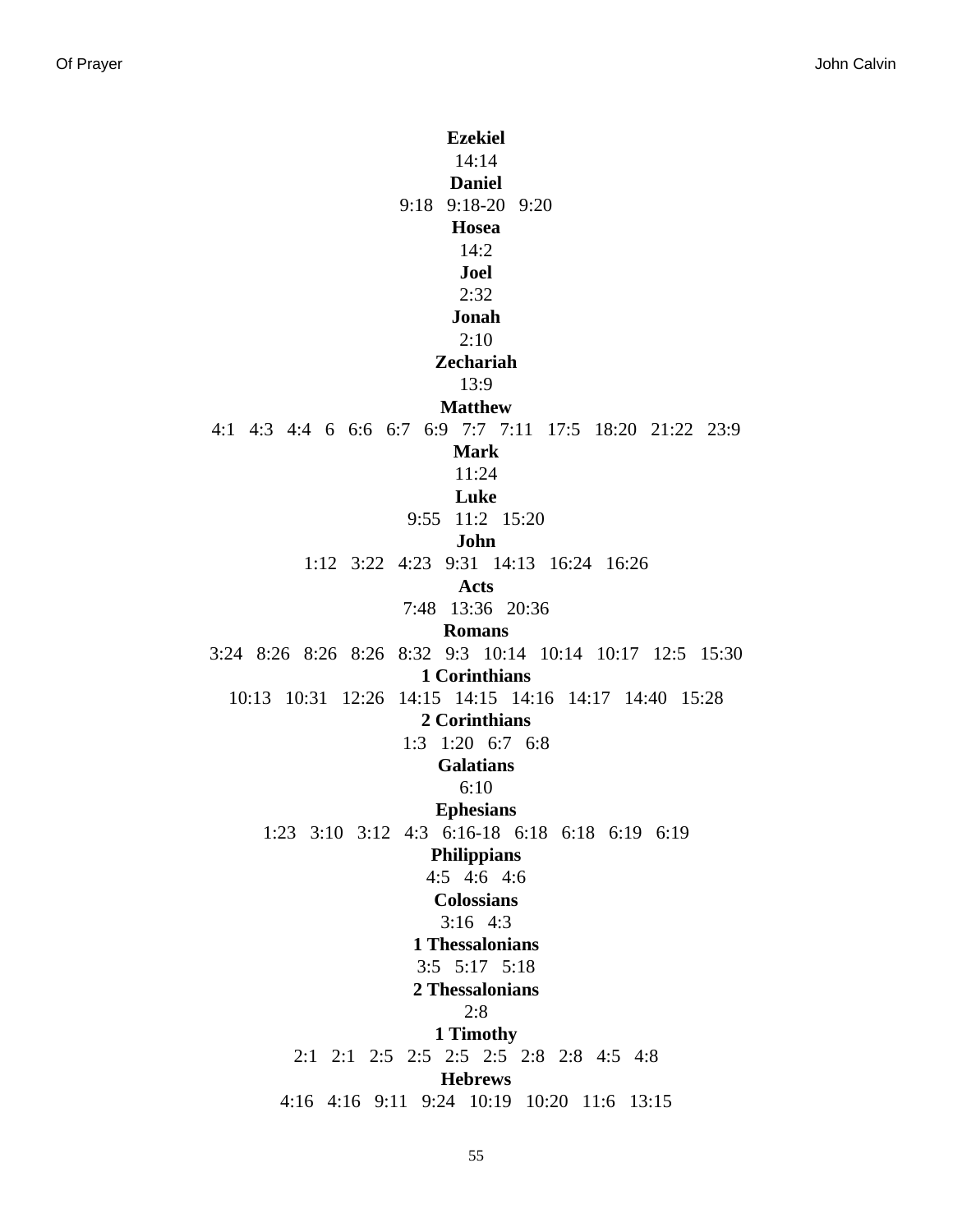**Ezekiel** [14:14](http://www.ccel.org/c/calvin/prayer/?scrBook=Ezek&scrCh=14&scrV=14#iii.xxiii-p1.3) **Daniel** [9:18](http://www.ccel.org/c/calvin/prayer/?scrBook=Dan&scrCh=9&scrV=18#iii.xiv-p1.14) [9:18-20](http://www.ccel.org/c/calvin/prayer/?scrBook=Dan&scrCh=9&scrV=18#iii.viii-p1.1)  [9:20](http://www.ccel.org/c/calvin/prayer/?scrBook=Dan&scrCh=9&scrV=20#iii.xlv-p1.6) **Hosea** [14:2](http://www.ccel.org/c/calvin/prayer/?scrBook=Hos&scrCh=14&scrV=2#iii.xxviii-p2.13) **Joel** [2:32](http://www.ccel.org/c/calvin/prayer/?scrBook=Joel&scrCh=2&scrV=32#iii.xiv-p1.3) **Jonah** [2:10](http://www.ccel.org/c/calvin/prayer/?scrBook=Jonah&scrCh=2&scrV=10#iii.xxviii-p2.9) **Zechariah** [13:9](http://www.ccel.org/c/calvin/prayer/?scrBook=Zech&scrCh=13&scrV=9#iii.xiii-p1.3) **Matthew** [4:1](http://www.ccel.org/c/calvin/prayer/?scrBook=Matt&scrCh=4&scrV=1#iii.xlvi-p1.5) [4:3](http://www.ccel.org/c/calvin/prayer/?scrBook=Matt&scrCh=4&scrV=3#iii.xlvi-p1.5)  [4:4](http://www.ccel.org/c/calvin/prayer/?scrBook=Matt&scrCh=4&scrV=4#iii.xliv-p3.5)  [6](http://www.ccel.org/c/calvin/prayer/?scrBook=Matt&scrCh=6&scrV=0#iii.xlii-p1.1)  [6:6](http://www.ccel.org/c/calvin/prayer/?scrBook=Matt&scrCh=6&scrV=6#iii.xxix-p1.5) [6:7](http://www.ccel.org/c/calvin/prayer/?scrBook=Matt&scrCh=6&scrV=7#iii.xxix-p1.2)  [6:9](http://www.ccel.org/c/calvin/prayer/?scrBook=Matt&scrCh=6&scrV=9#iii.xxxiv-p1.1) [7:7](http://www.ccel.org/c/calvin/prayer/?scrBook=Matt&scrCh=7&scrV=7#iii.xiii-p1.2) [7:11](http://www.ccel.org/c/calvin/prayer/?scrBook=Matt&scrCh=7&scrV=11#iii.xxxvi-p1.4)  [17:5](http://www.ccel.org/c/calvin/prayer/?scrBook=Matt&scrCh=17&scrV=5#iii.xlviii-p1.1) [18:20](http://www.ccel.org/c/calvin/prayer/?scrBook=Matt&scrCh=18&scrV=20#iii.xxx-p1.1) [21:22](http://www.ccel.org/c/calvin/prayer/?scrBook=Matt&scrCh=21&scrV=22#iii.xi-p1.3)  [23:9](http://www.ccel.org/c/calvin/prayer/?scrBook=Matt&scrCh=23&scrV=9#iii.xxxviii-p1.1) **Mark** [11:24](http://www.ccel.org/c/calvin/prayer/?scrBook=Mark&scrCh=11&scrV=24#iii.xi-p1.2) **Luke** [9:55](http://www.ccel.org/c/calvin/prayer/?scrBook=Luke&scrCh=9&scrV=55#iii.xv-p1.3) [11:2](http://www.ccel.org/c/calvin/prayer/?scrBook=Luke&scrCh=11&scrV=2#iii.xxxiv-p1.2)  [15:20](http://www.ccel.org/c/calvin/prayer/?scrBook=Luke&scrCh=15&scrV=20#iii.xxxvii-p1.2) **John** [1:12](http://www.ccel.org/c/calvin/prayer/?scrBook=John&scrCh=1&scrV=12#iii.xxxvi-p1.1)  [3:22](http://www.ccel.org/c/calvin/prayer/?scrBook=John&scrCh=3&scrV=22#iii.x-p1.5)  [4:23](http://www.ccel.org/c/calvin/prayer/?scrBook=John&scrCh=4&scrV=23#iii.xxx-p1.3) [9:31](http://www.ccel.org/c/calvin/prayer/?scrBook=John&scrCh=9&scrV=31#iii.x-p1.6)  [14:13](http://www.ccel.org/c/calvin/prayer/?scrBook=John&scrCh=14&scrV=13#iii.xvii-p1.6) [16:24](http://www.ccel.org/c/calvin/prayer/?scrBook=John&scrCh=16&scrV=24#iii.xvii-p1.7) [16:26](http://www.ccel.org/c/calvin/prayer/?scrBook=John&scrCh=16&scrV=26#iii.xviii-p1.1) **Acts** [7:48](http://www.ccel.org/c/calvin/prayer/?scrBook=Acts&scrCh=7&scrV=48#iii.xxx-p1.5) [13:36](http://www.ccel.org/c/calvin/prayer/?scrBook=Acts&scrCh=13&scrV=36#iii.xxiii-p1.4)  [20:36](http://www.ccel.org/c/calvin/prayer/?scrBook=Acts&scrCh=20&scrV=36#iii.xxxiii-p1.5) **Romans** [3:24](http://www.ccel.org/c/calvin/prayer/?scrBook=Rom&scrCh=3&scrV=24#iii.xlv-p1.3)  [8:26](http://www.ccel.org/c/calvin/prayer/?scrBook=Rom&scrCh=8&scrV=26#iii.i-p1.3) [8:26](http://www.ccel.org/c/calvin/prayer/?scrBook=Rom&scrCh=8&scrV=26#iii.v-p3.1)  [8:26](http://www.ccel.org/c/calvin/prayer/?scrBook=Rom&scrCh=8&scrV=26#iii.xxxiv-p1.3)  [8:32](http://www.ccel.org/c/calvin/prayer/?scrBook=Rom&scrCh=8&scrV=32#iii.xx-p1.2) [9:3](http://www.ccel.org/c/calvin/prayer/?scrBook=Rom&scrCh=9&scrV=3#iii.xxxv-p1.5)  [10:14](http://www.ccel.org/c/calvin/prayer/?scrBook=Rom&scrCh=10&scrV=14#iii.i-p1.2) [10:14](http://www.ccel.org/c/calvin/prayer/?scrBook=Rom&scrCh=10&scrV=14#iii.xi-p1.6) [10:17](http://www.ccel.org/c/calvin/prayer/?scrBook=Rom&scrCh=10&scrV=17#iii.xi-p1.6)  [12:5](http://www.ccel.org/c/calvin/prayer/?scrBook=Rom&scrCh=12&scrV=5#iii.xx-p1.10) [15:30](http://www.ccel.org/c/calvin/prayer/?scrBook=Rom&scrCh=15&scrV=30#iii.xx-p1.5) **1 Corinthians** [10:13](http://www.ccel.org/c/calvin/prayer/?scrBook=1Cor&scrCh=10&scrV=13#iii.xlvi-p1.16) [10:31](http://www.ccel.org/c/calvin/prayer/?scrBook=1Cor&scrCh=10&scrV=31#iii.xliv-p1.1)  [12:26](http://www.ccel.org/c/calvin/prayer/?scrBook=1Cor&scrCh=12&scrV=26#iii.xx-p1.8)  [14:15](http://www.ccel.org/c/calvin/prayer/?scrBook=1Cor&scrCh=14&scrV=15#iii.v-p3.2) [14:15](http://www.ccel.org/c/calvin/prayer/?scrBook=1Cor&scrCh=14&scrV=15#iii.xxxii-p1.1)  [14:16](http://www.ccel.org/c/calvin/prayer/?scrBook=1Cor&scrCh=14&scrV=16#iii.xxxiii-p1.1) [14:17](http://www.ccel.org/c/calvin/prayer/?scrBook=1Cor&scrCh=14&scrV=17#iii.xxxiii-p1.1) [14:40](http://www.ccel.org/c/calvin/prayer/?scrBook=1Cor&scrCh=14&scrV=40#iii.xxix-p1.1)  [15:28](http://www.ccel.org/c/calvin/prayer/?scrBook=1Cor&scrCh=15&scrV=28#iii.xlii-p1.2) **2 Corinthians** [1:3](http://www.ccel.org/c/calvin/prayer/?scrBook=2Cor&scrCh=1&scrV=3#iii.xxxvii-p1.1) [1:20](http://www.ccel.org/c/calvin/prayer/?scrBook=2Cor&scrCh=1&scrV=20#iii.xvii-p1.8) [6:7](http://www.ccel.org/c/calvin/prayer/?scrBook=2Cor&scrCh=6&scrV=7#iii.xlvi-p1.8)  [6:8](http://www.ccel.org/c/calvin/prayer/?scrBook=2Cor&scrCh=6&scrV=8#iii.xlvi-p1.8) **Galatians** [6:10](http://www.ccel.org/c/calvin/prayer/?scrBook=Gal&scrCh=6&scrV=10#iii.xxxviii-p1.3) **Ephesians** [1:23](http://www.ccel.org/c/calvin/prayer/?scrBook=Eph&scrCh=1&scrV=23#iii.xxxviii-p1.2) [3:10](http://www.ccel.org/c/calvin/prayer/?scrBook=Eph&scrCh=3&scrV=10#iii.xxiii-p1.1)  [3:12](http://www.ccel.org/c/calvin/prayer/?scrBook=Eph&scrCh=3&scrV=12#iii.xii-p1.2)  [4:3](http://www.ccel.org/c/calvin/prayer/?scrBook=Eph&scrCh=4&scrV=3#iii.xx-p1.11) [6:16-18](http://www.ccel.org/c/calvin/prayer/?scrBook=Eph&scrCh=6&scrV=16#iii.xii-p1.6)  [6:18](http://www.ccel.org/c/calvin/prayer/?scrBook=Eph&scrCh=6&scrV=18#iii.vii-p1.2) [6:18](http://www.ccel.org/c/calvin/prayer/?scrBook=Eph&scrCh=6&scrV=18#iii.xix-p1.2) [6:19](http://www.ccel.org/c/calvin/prayer/?scrBook=Eph&scrCh=6&scrV=19#iii.xix-p1.2)  [6:19](http://www.ccel.org/c/calvin/prayer/?scrBook=Eph&scrCh=6&scrV=19#iii.xx-p1.6) **Philippians** [4:5](http://www.ccel.org/c/calvin/prayer/?scrBook=Phil&scrCh=4&scrV=5#iii.xl-p1.4) [4:6](http://www.ccel.org/c/calvin/prayer/?scrBook=Phil&scrCh=4&scrV=6#iii.xxviii-p2.16)  [4:6](http://www.ccel.org/c/calvin/prayer/?scrBook=Phil&scrCh=4&scrV=6#iii.xl-p1.4) **Colossians** [3:16](http://www.ccel.org/c/calvin/prayer/?scrBook=Col&scrCh=3&scrV=16#iii.xxxii-p1.2) [4:3](http://www.ccel.org/c/calvin/prayer/?scrBook=Col&scrCh=4&scrV=3#iii.xx-p1.7) **1 Thessalonians** [3:5](http://www.ccel.org/c/calvin/prayer/?scrBook=1Thess&scrCh=3&scrV=5#iii.xlvi-p1.6) [5:17](http://www.ccel.org/c/calvin/prayer/?scrBook=1Thess&scrCh=5&scrV=17#iii.xxviii-p2.18)  [5:18](http://www.ccel.org/c/calvin/prayer/?scrBook=1Thess&scrCh=5&scrV=18#iii.xxviii-p2.18) **2 Thessalonians** [2:8](http://www.ccel.org/c/calvin/prayer/?scrBook=2Thess&scrCh=2&scrV=8#iii.xlii-p1.3) **1 Timothy** [2:1](http://www.ccel.org/c/calvin/prayer/?scrBook=1Tim&scrCh=2&scrV=1#iii.xix-p1.3) [2:1](http://www.ccel.org/c/calvin/prayer/?scrBook=1Tim&scrCh=2&scrV=1#iii.xxviii-p1.1) [2:5](http://www.ccel.org/c/calvin/prayer/?scrBook=1Tim&scrCh=2&scrV=5#iii.xvii-p1.3)  [2:5](http://www.ccel.org/c/calvin/prayer/?scrBook=1Tim&scrCh=2&scrV=5#iii.xix-p1.1) [2:5](http://www.ccel.org/c/calvin/prayer/?scrBook=1Tim&scrCh=2&scrV=5#iii.xx-p1.3)  [2:5](http://www.ccel.org/c/calvin/prayer/?scrBook=1Tim&scrCh=2&scrV=5#iii.xx-p1.9)  [2:8](http://www.ccel.org/c/calvin/prayer/?scrBook=1Tim&scrCh=2&scrV=8#iii.xxix-p1.6) [2:8](http://www.ccel.org/c/calvin/prayer/?scrBook=1Tim&scrCh=2&scrV=8#iii.xxxix-p2.1) [4:5](http://www.ccel.org/c/calvin/prayer/?scrBook=1Tim&scrCh=4&scrV=5#iii.xxviii-p2.4)  [4:8](http://www.ccel.org/c/calvin/prayer/?scrBook=1Tim&scrCh=4&scrV=8#iii.xliv-p3.1) **Hebrews** [4:16](http://www.ccel.org/c/calvin/prayer/?scrBook=Heb&scrCh=4&scrV=16#iii.xii-p1.1)  [4:16](http://www.ccel.org/c/calvin/prayer/?scrBook=Heb&scrCh=4&scrV=16#iii.xvii-p1.5)  [9:11](http://www.ccel.org/c/calvin/prayer/?scrBook=Heb&scrCh=9&scrV=11#iii.xx-p1.4) [9:24](http://www.ccel.org/c/calvin/prayer/?scrBook=Heb&scrCh=9&scrV=24#iii.xx-p1.4) [10:19](http://www.ccel.org/c/calvin/prayer/?scrBook=Heb&scrCh=10&scrV=19#iii.xviii-p1.3)  [10:20](http://www.ccel.org/c/calvin/prayer/?scrBook=Heb&scrCh=10&scrV=20#iii.xviii-p1.3) [11:6](http://www.ccel.org/c/calvin/prayer/?scrBook=Heb&scrCh=11&scrV=6#iii.xl-p1.3)  [13:15](http://www.ccel.org/c/calvin/prayer/?scrBook=Heb&scrCh=13&scrV=15#iii.xxviii-p2.17)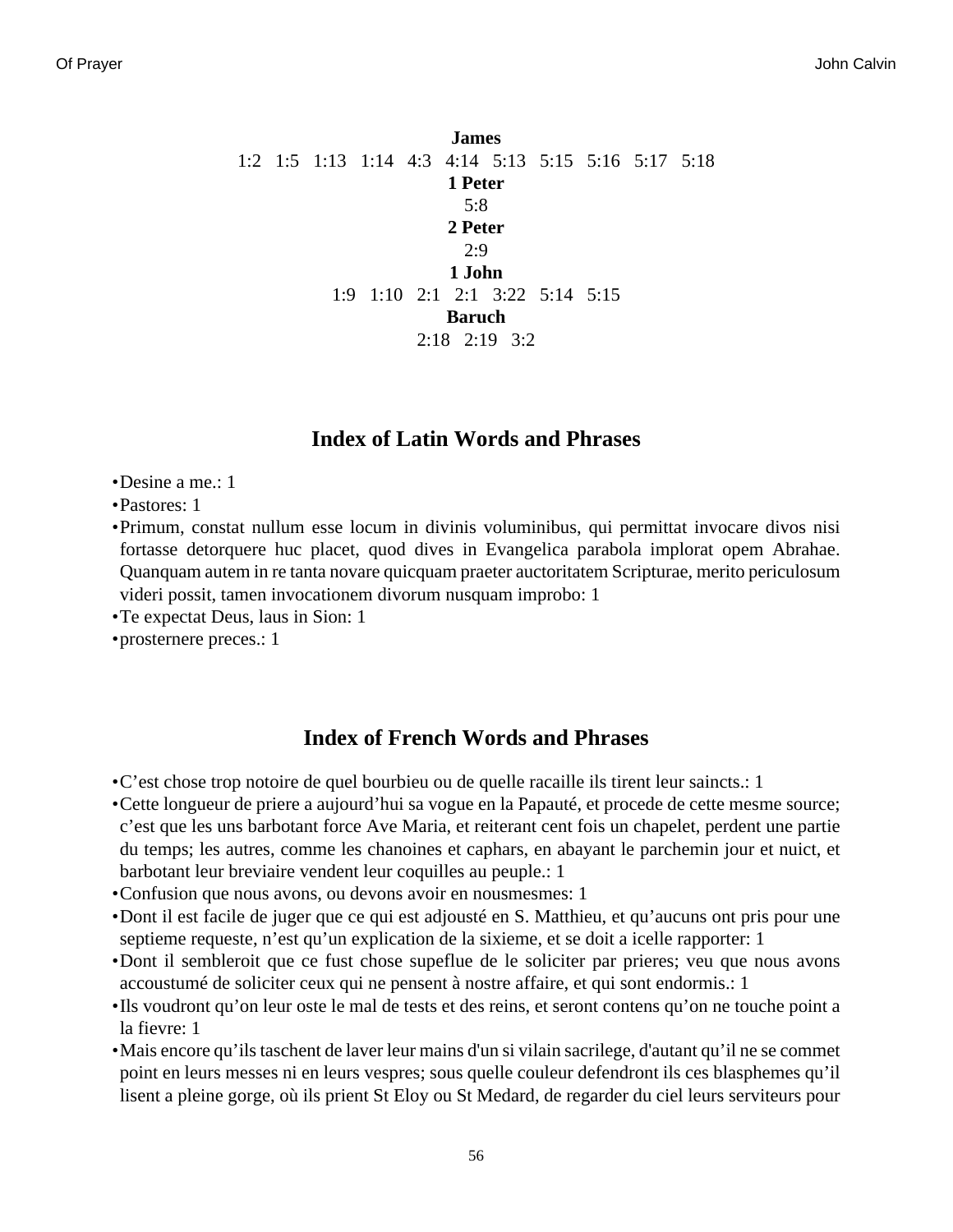**James** [1:2](http://www.ccel.org/c/calvin/prayer/?scrBook=Jas&scrCh=1&scrV=2#iii.xlvi-p1.4)  [1:5](http://www.ccel.org/c/calvin/prayer/?scrBook=Jas&scrCh=1&scrV=5#iii.xi-p1.4) [1:13](http://www.ccel.org/c/calvin/prayer/?scrBook=Jas&scrCh=1&scrV=13#iii.xlvi-p2.2)  [1:14](http://www.ccel.org/c/calvin/prayer/?scrBook=Jas&scrCh=1&scrV=14#iii.xlvi-p1.4)  [4:3](http://www.ccel.org/c/calvin/prayer/?scrBook=Jas&scrCh=4&scrV=3#iii.vii-p2.5) [4:14](http://www.ccel.org/c/calvin/prayer/?scrBook=Jas&scrCh=4&scrV=14#iii.xxviii-p2.1)  [5:13](http://www.ccel.org/c/calvin/prayer/?scrBook=Jas&scrCh=5&scrV=13#iii.vii-p1.1) [5:15](http://www.ccel.org/c/calvin/prayer/?scrBook=Jas&scrCh=5&scrV=15#iii.xi-p1.5) [5:16](http://www.ccel.org/c/calvin/prayer/?scrBook=Jas&scrCh=5&scrV=16#iii.xxvii-p1.2)  [5:17](http://www.ccel.org/c/calvin/prayer/?scrBook=Jas&scrCh=5&scrV=17#iii.xxvi-p1.2) [5:18](http://www.ccel.org/c/calvin/prayer/?scrBook=Jas&scrCh=5&scrV=18#iii.xxvi-p1.2) **1 Peter** [5:8](http://www.ccel.org/c/calvin/prayer/?scrBook=1Pet&scrCh=5&scrV=8#iii.xlvi-p1.19) **2 Peter** [2:9](http://www.ccel.org/c/calvin/prayer/?scrBook=2Pet&scrCh=2&scrV=9#iii.xlvi-p1.17) **1 John** [1:9](http://www.ccel.org/c/calvin/prayer/?scrBook=1John&scrCh=1&scrV=9#iii.ix-p1.8)  [1:10](http://www.ccel.org/c/calvin/prayer/?scrBook=1John&scrCh=1&scrV=10#iii.xlv-p1.7)  [2:1](http://www.ccel.org/c/calvin/prayer/?scrBook=1John&scrCh=2&scrV=1#iii.xvii-p1.4) [2:1](http://www.ccel.org/c/calvin/prayer/?scrBook=1John&scrCh=2&scrV=1#iii.xx-p1.1)  [3:22](http://www.ccel.org/c/calvin/prayer/?scrBook=1John&scrCh=3&scrV=22#iii.vii-p2.6) [5:14](http://www.ccel.org/c/calvin/prayer/?scrBook=1John&scrCh=5&scrV=14#iii.v-p2.2) [5:15](http://www.ccel.org/c/calvin/prayer/?scrBook=1John&scrCh=5&scrV=15#iii.lii-p1.1) **Baruch** [2:18](http://www.ccel.org/c/calvin/prayer/?scrBook=Bar&scrCh=2&scrV=18#iii.viii-p1.7) [2:19](http://www.ccel.org/c/calvin/prayer/?scrBook=Bar&scrCh=2&scrV=19#iii.viii-p1.7)  [3:2](http://www.ccel.org/c/calvin/prayer/?scrBook=Bar&scrCh=3&scrV=2#iii.viii-p1.8)

### **Index of Latin Words and Phrases**

- <span id="page-59-0"></span>•Desine a me.: [1](#page-24-0)
- •Pastores: [1](#page-29-1)
- •Primum, constat nullum esse locum in divinis voluminibus, qui permittat invocare divos nisi fortasse detorquere huc placet, quod dives in Evangelica parabola implorat opem Abrahae. Quanquam autem in re tanta novare quicquam praeter auctoritatem Scripturae, merito periculosum videri possit, tamen invocationem divorum nusquam improbo: [1](#page-29-2)
- •Te expectat Deus, laus in Sion: [1](#page-37-1)
- <span id="page-59-1"></span>•prosternere preces.: [1](#page-21-0)

## **Index of French Words and Phrases**

- •C'est chose trop notoire de quel bourbieu ou de quelle racaille ils tirent leur saincts.: [1](#page-32-1)
- •Cette longueur de priere a aujourd'hui sa vogue en la Papauté, et procede de cette mesme source; c'est que les uns barbotant force Ave Maria, et reiterant cent fois un chapelet, perdent une partie du temps; les autres, comme les chanoines et caphars, en abayant le parchemin jour et nuict, et barbotant leur breviaire vendent leur coquilles au peuple.: [1](#page-36-1)
- •Confusion que nous avons, ou devons avoir en nousmesmes: [1](#page-25-2)
- •Dont il est facile de juger que ce qui est adjousté en S. Matthieu, et qu'aucuns ont pris pour une septieme requeste, n'est qu'un explication de la sixieme, et se doit a icelle rapporter: [1](#page-41-2)
- •Dont il sembleroit que ce fust chose supeflue de le soliciter par prieres; veu que nous avons accoustumé de soliciter ceux qui ne pensent à nostre affaire, et qui sont endormis.: [1](#page-10-1)
- •Ils voudront qu'on leur oste le mal de tests et des reins, et seront contens qu'on ne touche point a la fievre: [1](#page-16-1)
- •Mais encore qu'ils taschent de laver leur mains d'un si vilain sacrilege, d'autant qu'il ne se commet point en leurs messes ni en leurs vespres; sous quelle couleur defendront ils ces blasphemes qu'il lisent a pleine gorge, où ils prient St Eloy ou St Medard, de regarder du ciel leurs serviteurs pour